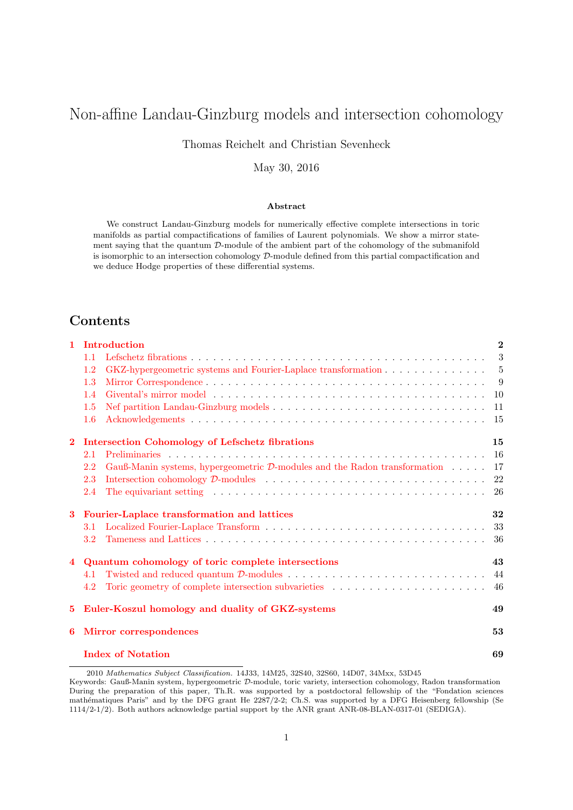# <span id="page-0-0"></span>Non-affine Landau-Ginzburg models and intersection cohomology

Thomas Reichelt and Christian Sevenheck

May 30, 2016

### Abstract

We construct Landau-Ginzburg models for numerically effective complete intersections in toric manifolds as partial compactifications of families of Laurent polynomials. We show a mirror statement saying that the quantum D-module of the ambient part of the cohomology of the submanifold is isomorphic to an intersection cohomology D-module defined from this partial compactification and we deduce Hodge properties of these differential systems.

# Contents

| 1              | Introduction                                                                                                                              | $\boldsymbol{2}$ |
|----------------|-------------------------------------------------------------------------------------------------------------------------------------------|------------------|
|                | 1.1                                                                                                                                       | 3                |
|                | 1.2<br>GKZ-hypergeometric systems and Fourier-Laplace transformation                                                                      | 5                |
|                | 1.3                                                                                                                                       | 9                |
|                | 1.4                                                                                                                                       | 10               |
|                | 1.5                                                                                                                                       | 11               |
|                | 1.6                                                                                                                                       | 15               |
| $\bf{2}$       | <b>Intersection Cohomology of Lefschetz fibrations</b>                                                                                    | 15               |
|                | 2.1                                                                                                                                       | 16               |
|                | 2.2<br>Gauß-Manin systems, hypergeometric $\mathcal{D}$ -modules and the Radon transformation                                             | 17               |
|                | Intersection cohomology $\mathcal{D}\text{-modules} \dots \dots \dots \dots \dots \dots \dots \dots \dots \dots \dots \dots \dots$<br>2.3 | 22               |
|                | 2.4                                                                                                                                       | 26               |
| 3              | Fourier-Laplace transformation and lattices                                                                                               | 32               |
|                | 3.1                                                                                                                                       | 33               |
|                |                                                                                                                                           |                  |
|                | 3.2                                                                                                                                       | 36               |
| $\overline{4}$ | Quantum cohomology of toric complete intersections                                                                                        | 43               |
|                | 4.1                                                                                                                                       | 44               |
|                | 4.2                                                                                                                                       | 46               |
| 5.             | Euler-Koszul homology and duality of GKZ-systems                                                                                          | 49               |
| 6              | <b>Mirror</b> correspondences                                                                                                             | 53               |

2010 Mathematics Subject Classification. 14J33, 14M25, 32S40, 32S60, 14D07, 34Mxx, 53D45

Keywords: Gauß-Manin system, hypergeometric D-module, toric variety, intersection cohomology, Radon transformation During the preparation of this paper, Th.R. was supported by a postdoctoral fellowship of the "Fondation sciences mathématiques Paris" and by the DFG grant He 2287/2-2; Ch.S. was supported by a DFG Heisenberg fellowship (Se 1114/2-1/2). Both authors acknowledge partial support by the ANR grant ANR-08-BLAN-0317-01 (SEDIGA).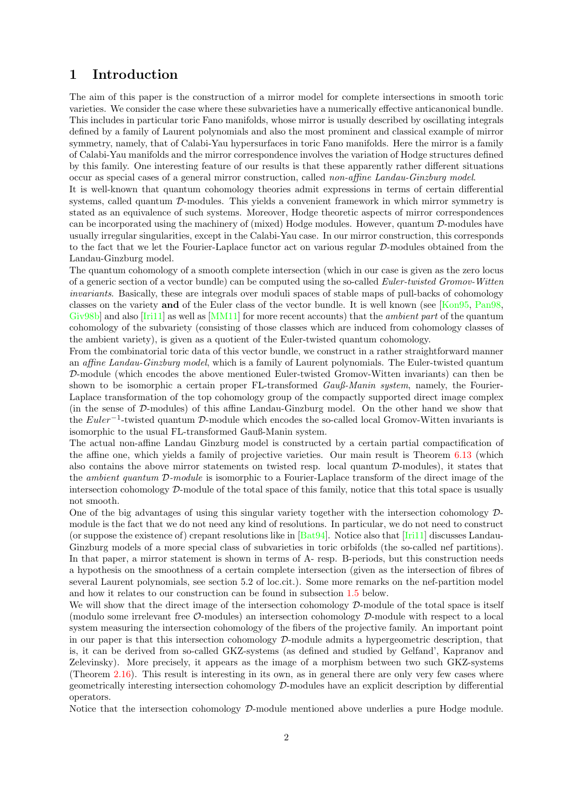## <span id="page-1-0"></span>1 Introduction

The aim of this paper is the construction of a mirror model for complete intersections in smooth toric varieties. We consider the case where these subvarieties have a numerically effective anticanonical bundle. This includes in particular toric Fano manifolds, whose mirror is usually described by oscillating integrals defined by a family of Laurent polynomials and also the most prominent and classical example of mirror symmetry, namely, that of Calabi-Yau hypersurfaces in toric Fano manifolds. Here the mirror is a family of Calabi-Yau manifolds and the mirror correspondence involves the variation of Hodge structures defined by this family. One interesting feature of our results is that these apparently rather different situations occur as special cases of a general mirror construction, called non-affine Landau-Ginzburg model.

It is well-known that quantum cohomology theories admit expressions in terms of certain differential systems, called quantum D-modules. This yields a convenient framework in which mirror symmetry is stated as an equivalence of such systems. Moreover, Hodge theoretic aspects of mirror correspondences can be incorporated using the machinery of (mixed) Hodge modules. However, quantum D-modules have usually irregular singularities, except in the Calabi-Yau case. In our mirror construction, this corresponds to the fact that we let the Fourier-Laplace functor act on various regular D-modules obtained from the Landau-Ginzburg model.

The quantum cohomology of a smooth complete intersection (which in our case is given as the zero locus of a generic section of a vector bundle) can be computed using the so-called Euler-twisted Gromov-Witten invariants. Basically, these are integrals over moduli spaces of stable maps of pull-backs of cohomology classes on the variety and of the Euler class of the vector bundle. It is well known (see [\[Kon95,](#page-71-0) [Pan98,](#page-71-1) [Giv98b\]](#page-70-0) and also  $\text{[Iri11]}$  as well as  $\text{[MM11]}$  for more recent accounts) that the *ambient part* of the quantum cohomology of the subvariety (consisting of those classes which are induced from cohomology classes of the ambient variety), is given as a quotient of the Euler-twisted quantum cohomology.

From the combinatorial toric data of this vector bundle, we construct in a rather straightforward manner an affine Landau-Ginzburg model, which is a family of Laurent polynomials. The Euler-twisted quantum D-module (which encodes the above mentioned Euler-twisted Gromov-Witten invariants) can then be shown to be isomorphic a certain proper FL-transformed *Gauß-Manin system*, namely, the Fourier-Laplace transformation of the top cohomology group of the compactly supported direct image complex (in the sense of D-modules) of this affine Landau-Ginzburg model. On the other hand we show that the Euler<sup>-1</sup>-twisted quantum D-module which encodes the so-called local Gromov-Witten invariants is isomorphic to the usual FL-transformed Gauß-Manin system.

The actual non-affine Landau Ginzburg model is constructed by a certain partial compactification of the affine one, which yields a family of projective varieties. Our main result is Theorem [6.13](#page-64-0) (which also contains the above mirror statements on twisted resp. local quantum D-modules), it states that the ambient quantum D-module is isomorphic to a Fourier-Laplace transform of the direct image of the intersection cohomology D-module of the total space of this family, notice that this total space is usually not smooth.

One of the big advantages of using this singular variety together with the intersection cohomology Dmodule is the fact that we do not need any kind of resolutions. In particular, we do not need to construct (or suppose the existence of) crepant resolutions like in  $[\text{Bat94}]$ . Notice also that  $[\text{Iri11}]$  discusses Landau-Ginzburg models of a more special class of subvarieties in toric orbifolds (the so-called nef partitions). In that paper, a mirror statement is shown in terms of A- resp. B-periods, but this construction needs a hypothesis on the smoothness of a certain complete intersection (given as the intersection of fibres of several Laurent polynomials, see section 5.2 of loc.cit.). Some more remarks on the nef-partition model and how it relates to our construction can be found in subsection [1.5](#page-10-0) below.

We will show that the direct image of the intersection cohomology  $\mathcal{D}$ -module of the total space is itself (modulo some irrelevant free O-modules) an intersection cohomology D-module with respect to a local system measuring the intersection cohomology of the fibers of the projective family. An important point in our paper is that this intersection cohomology  $\mathcal{D}$ -module admits a hypergeometric description, that is, it can be derived from so-called GKZ-systems (as defined and studied by Gelfand', Kapranov and Zelevinsky). More precisely, it appears as the image of a morphism between two such GKZ-systems (Theorem [2.16\)](#page-24-0). This result is interesting in its own, as in general there are only very few cases where geometrically interesting intersection cohomology D-modules have an explicit description by differential operators.

Notice that the intersection cohomology  $\mathcal{D}$ -module mentioned above underlies a pure Hodge module.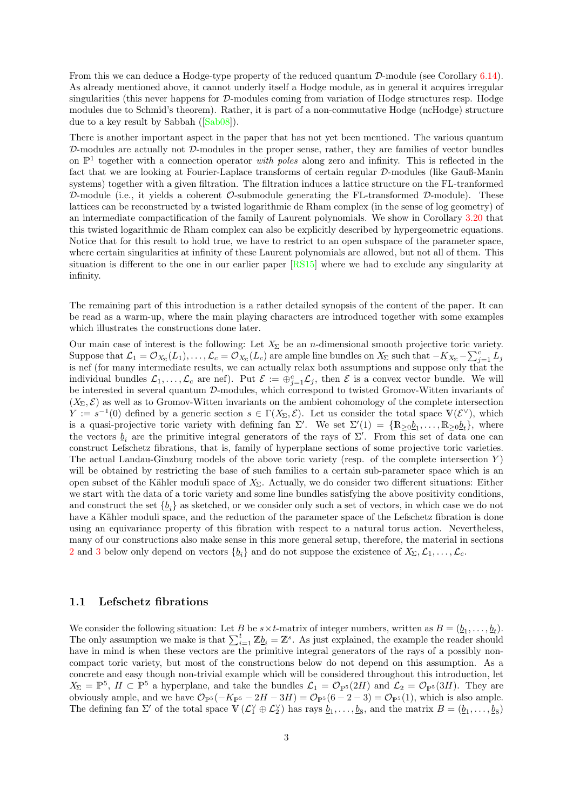From this we can deduce a Hodge-type property of the reduced quantum  $\mathcal{D}\text{-module}$  (see Corollary [6.14\)](#page-64-1). As already mentioned above, it cannot underly itself a Hodge module, as in general it acquires irregular singularities (this never happens for D-modules coming from variation of Hodge structures resp. Hodge modules due to Schmid's theorem). Rather, it is part of a non-commutative Hodge (ncHodge) structure due to a key result by Sabbah([\[Sab08\]](#page-71-4)).

There is another important aspect in the paper that has not yet been mentioned. The various quantum  $D$ -modules are actually not  $D$ -modules in the proper sense, rather, they are families of vector bundles on  $\mathbb{P}^1$  together with a connection operator *with poles* along zero and infinity. This is reflected in the fact that we are looking at Fourier-Laplace transforms of certain regular D-modules (like Gauß-Manin systems) together with a given filtration. The filtration induces a lattice structure on the FL-tranformed D-module (i.e., it yields a coherent  $\mathcal{O}\text{-submodule}$  generating the FL-transformed D-module). These lattices can be reconstructed by a twisted logarithmic de Rham complex (in the sense of log geometry) of an intermediate compactification of the family of Laurent polynomials. We show in Corollary [3.20](#page-41-0) that this twisted logarithmic de Rham complex can also be explicitly described by hypergeometric equations. Notice that for this result to hold true, we have to restrict to an open subspace of the parameter space, where certain singularities at infinity of these Laurent polynomials are allowed, but not all of them. This situation is different to the one in our earlier paper [\[RS15\]](#page-71-5) where we had to exclude any singularity at infinity.

The remaining part of this introduction is a rather detailed synopsis of the content of the paper. It can be read as a warm-up, where the main playing characters are introduced together with some examples which illustrates the constructions done later.

Our main case of interest is the following: Let  $X_{\Sigma}$  be an *n*-dimensional smooth projective toric variety. Suppose that  $\mathcal{L}_1 = \mathcal{O}_{X_\Sigma}(L_1), \ldots, \mathcal{L}_c = \mathcal{O}_{X_\Sigma}(L_c)$  are ample line bundles on  $X_\Sigma$  such that  $-K_{X_\Sigma} - \sum_{j=1}^c L_j$ is nef (for many intermediate results, we can actually relax both assumptions and suppose only that the individual bundles  $\mathcal{L}_1,\ldots,\mathcal{L}_c$  are nef). Put  $\mathcal{E} := \bigoplus_{j=1}^c \mathcal{L}_j$ , then  $\mathcal{E}$  is a convex vector bundle. We will be interested in several quantum D-modules, which correspond to twisted Gromov-Witten invariants of  $(X_{\Sigma}, \mathcal{E})$  as well as to Gromov-Witten invariants on the ambient cohomology of the complete intersection  $Y := s^{-1}(0)$  defined by a generic section  $s \in \Gamma(X_\Sigma, \mathcal{E})$ . Let us consider the total space  $V(\mathcal{E}^{\vee})$ , which is a quasi-projective toric variety with defining fan  $\Sigma'$ . We set  $\Sigma'(1) = \{ \mathbb{R}_{\geq 0} b_1, \ldots, \mathbb{R}_{\geq 0} b_t \}$ , where the vectors  $\underline{b}_i$  are the primitive integral generators of the rays of  $\Sigma'$ . From this set of data one can construct Lefschetz fibrations, that is, family of hyperplane sections of some projective toric varieties. The actual Landau-Ginzburg models of the above toric variety (resp. of the complete intersection  $Y$ ) will be obtained by restricting the base of such families to a certain sub-parameter space which is an open subset of the Kähler moduli space of  $X_{\Sigma}$ . Actually, we do consider two different situations: Either we start with the data of a toric variety and some line bundles satisfying the above positivity conditions, and construct the set  $\{b_i\}$  as sketched, or we consider only such a set of vectors, in which case we do not have a Kähler moduli space, and the reduction of the parameter space of the Lefschetz fibration is done using an equivariance property of this fibration with respect to a natural torus action. Nevertheless, many of our constructions also make sense in this more general setup, therefore, the material in sections [2](#page-14-1) and [3](#page-31-0) below only depend on vectors  $\{b_i\}$  and do not suppose the existence of  $X_{\Sigma}, \mathcal{L}_1, \ldots, \mathcal{L}_c$ .

### <span id="page-2-0"></span>1.1 Lefschetz fibrations

We consider the following situation: Let B be  $s \times t$ -matrix of integer numbers, written as  $B = (\underline{b}_1, \ldots, \underline{b}_t)$ . The only assumption we make is that  $\sum_{i=1}^{t} \mathbb{Z}b_i = \mathbb{Z}^s$ . As just explained, the example the reader should have in mind is when these vectors are the primitive integral generators of the rays of a possibly noncompact toric variety, but most of the constructions below do not depend on this assumption. As a concrete and easy though non-trivial example which will be considered throughout this introduction, let  $X_{\Sigma} = \mathbb{P}^5$ ,  $H \subset \mathbb{P}^5$  a hyperplane, and take the bundles  $\mathcal{L}_1 = \mathcal{O}_{\mathbb{P}^5}(2H)$  and  $\mathcal{L}_2 = \mathcal{O}_{\mathbb{P}^5}(3H)$ . They are obviously ample, and we have  $\mathcal{O}_{\mathbb{P}^5}(-K_{\mathbb{P}^5} - 2H - 3H) = \mathcal{O}_{\mathbb{P}^5}(6 - 2 - 3) = \mathcal{O}_{\mathbb{P}^5}(1)$ , which is also ample. The defining fan  $\Sigma'$  of the total space  $\mathbb{V}(\mathcal{L}_1^{\vee} \oplus \mathcal{L}_2^{\vee})$  has rays  $\underline{b}_1, \ldots, \underline{b}_8$ , and the matrix  $B = (\underline{b}_1, \ldots, \underline{b}_8)$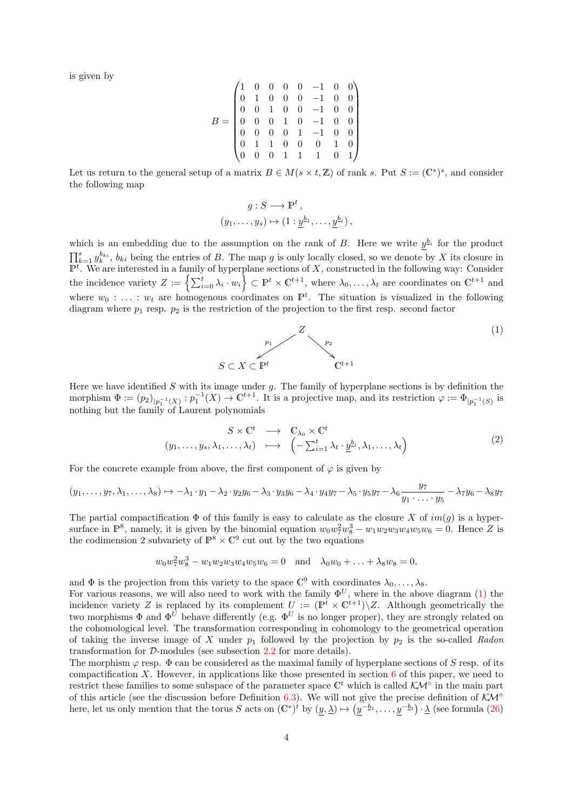is given by

$$
B = \begin{pmatrix} 1 & 0 & 0 & 0 & 0 & -1 & 0 & 0 \\ 0 & 1 & 0 & 0 & 0 & -1 & 0 & 0 \\ 0 & 0 & 1 & 0 & 0 & -1 & 0 & 0 \\ 0 & 0 & 0 & 1 & 0 & -1 & 0 & 0 \\ 0 & 0 & 0 & 0 & 1 & -1 & 0 & 0 \\ 0 & 1 & 1 & 0 & 0 & 0 & 1 & 0 \\ 0 & 0 & 0 & 1 & 1 & 1 & 0 & 1 \end{pmatrix}
$$

Let us return to the general setup of a matrix  $B \in M(s \times t, \mathbb{Z})$  of rank s. Put  $S := (\mathbb{C}^*)^s$ , and consider the following map

$$
g: S \longrightarrow \mathbb{P}^t,
$$
  

$$
(y_1, \ldots, y_s) \mapsto (1: \underline{y}^{b_1}, \ldots, \underline{y}^{b_t}),
$$

which is an embedding due to the assumption on the rank of B. Here we write  $y_{i}^{b_{i}}$  for the product  $\prod_{k=1}^s y_k^{b_{ki}}$ ,  $b_{ki}$  being the entries of B. The map g is only locally closed, so we denote by X its closure in  $\overline{P^t}$ . We are interested in a family of hyperplane sections of X, constructed in the following way: Consider the incidence variety  $Z := \left\{ \sum_{i=0}^t \lambda_i \cdot w_i \right\} \subset \mathbb{P}^t \times \mathbb{C}^{t+1}$ , where  $\lambda_0, \ldots, \lambda_t$  are coordinates on  $\mathbb{C}^{t+1}$  and where  $w_0 : \ldots : w_t$  are homogenous coordinates on  $\mathbb{P}^t$ . The situation is visualized in the following diagram where  $p_1$  resp.  $p_2$  is the restriction of the projection to the first resp. second factor

<span id="page-3-0"></span>

Here we have identified S with its image under  $g$ . The family of hyperplane sections is by definition the morphism  $\Phi := (p_2)_{|p_1^{-1}(X)} : p_1^{-1}(X) \to \mathbb{C}^{t+1}$ . It is a projective map, and its restriction  $\varphi := \Phi_{|p_1^{-1}(S)}$  is nothing but the family of Laurent polynomials

<span id="page-3-1"></span>
$$
\begin{array}{rcl}\n & S \times \mathbb{C}^t \longrightarrow \mathbb{C}_{\lambda_0} \times \mathbb{C}^t \\
(y_1, \dots, y_s, \lambda_1, \dots, \lambda_t) & \longmapsto \left(-\sum_{i=1}^t \lambda_t \cdot \underline{y}^{b_i}, \lambda_1, \dots, \lambda_t\right)\n\end{array} \tag{2}
$$

For the concrete example from above, the first component of  $\varphi$  is given by

$$
(y_1,\ldots,y_7,\lambda_1,\ldots,\lambda_8)\mapsto -\lambda_1\cdot y_1-\lambda_2\cdot y_2y_6-\lambda_3\cdot y_3y_6-\lambda_4\cdot y_4y_7-\lambda_5\cdot y_5y_7-\lambda_6\frac{y_7}{y_1\cdot\ldots\cdot y_5}-\lambda_7y_6-\lambda_8y_7
$$

The partial compactification  $\Phi$  of this family is easy to calculate as the closure X of  $im(g)$  is a hypersurface in  $\mathbb{P}^8$ , namely, it is given by the binomial equation  $w_0 w_7^2 w_8^3 - w_1 w_2 w_3 w_4 w_5 w_6 = 0$ . Hence Z is the codimension 2 subvariety of  $\mathbb{P}^8 \times \mathbb{C}^9$  cut out by the two equations

$$
w_0 w_7^2 w_8^3 - w_1 w_2 w_3 w_4 w_5 w_6 = 0
$$
 and  $\lambda_0 w_0 + \ldots + \lambda_8 w_8 = 0$ ,

and  $\Phi$  is the projection from this variety to the space  $\mathbb{C}^9$  with coordinates  $\lambda_0, \ldots, \lambda_8$ .

For various reasons, we will also need to work with the family  $\Phi^U$ , where in the above diagram [\(1\)](#page-3-0) the incidence variety Z is replaced by its complement  $U := (\mathbb{P}^t \times \mathbb{C}^{t+1}) \setminus Z$ . Although geometrically the two morphisms  $\Phi$  and  $\Phi^{U}$  behave differently (e.g.  $\Phi^{U}$  is no longer proper), they are strongly related on the cohomological level. The transformation corresponding in cohomology to the geometrical operation of taking the inverse image of X under  $p_1$  followed by the projection by  $p_2$  is the so-called Radon transformation for D-modules (see subsection [2.2](#page-16-0) for more details).

The morphism  $\varphi$  resp.  $\Phi$  can be considered as the maximal family of hyperplane sections of S resp. of its compactification X. However, in applications like those presented in section  $6$  of this paper, we need to restrict these families to some subspace of the parameter space  $\mathbb{C}^t$  which is called  $\mathcal{K}\mathcal{M}^\circ$  in the main part of this article (see the discussion before Definition [6.3\)](#page-56-0). We will not give the precise definition of  $K\mathcal{M}^{\circ}$ here, let us only mention that the torus S acts on  $(\mathbb{C}^*)^t$  by  $(y, \underline{\lambda}) \mapsto (y^{-\underline{b}_1}, \ldots, y^{-\underline{b}_t}) \cdot \underline{\lambda}$  (see formula [\(26\)](#page-28-0)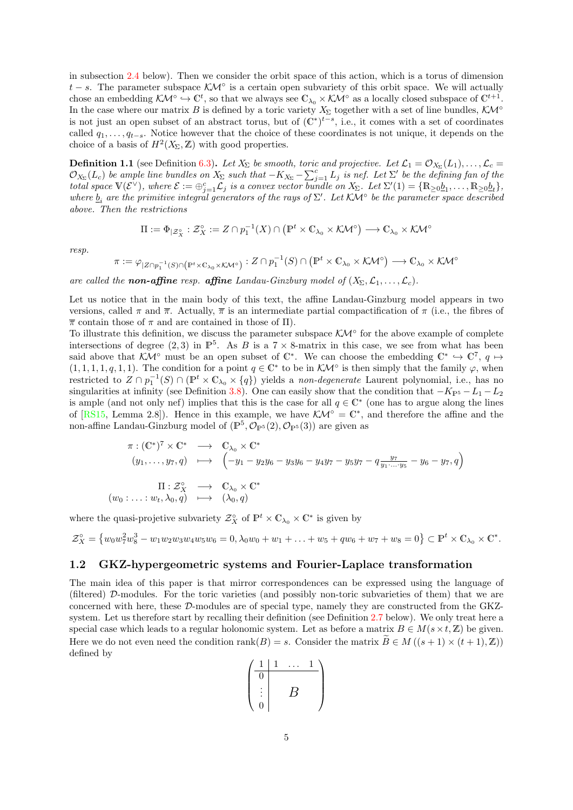in subsection [2.4](#page-25-0) below). Then we consider the orbit space of this action, which is a torus of dimension  $t - s$ . The parameter subspace  $\mathcal{K}M^{\circ}$  is a certain open subvariety of this orbit space. We will actually chose an embedding  $\mathcal{K}M^{\circ} \hookrightarrow \mathbb{C}^t$ , so that we always see  $\mathbb{C}_{\lambda_0} \times \mathcal{K}M^{\circ}$  as a locally closed subspace of  $\mathbb{C}^{t+1}$ . In the case where our matrix B is defined by a toric variety  $X_{\Sigma}$  together with a set of line bundles,  $\mathcal{K}M^{\circ}$ is not just an open subset of an abstract torus, but of  $(\mathbb{C}^*)^{t-s}$ , i.e., it comes with a set of coordinates called  $q_1, \ldots, q_{t-s}$ . Notice however that the choice of these coordinates is not unique, it depends on the choice of a basis of  $H^2(X_\Sigma, \mathbb{Z})$  with good properties.

**Definition 1.1** (see Definition [6.3\)](#page-56-0). Let  $X_{\Sigma}$  be smooth, toric and projective. Let  $\mathcal{L}_1 = \mathcal{O}_{X_{\Sigma}}(L_1), \ldots, \mathcal{L}_c =$  $\mathcal{O}_{X_{\Sigma}}(L_c)$  be ample line bundles on  $X_{\Sigma}$  such that  $-K_{X_{\Sigma}} - \sum_{j=1}^{c} L_j$  is nef. Let  $\Sigma'$  be the defining fan of the total space  $\mathbb{V}(\mathcal{E}^{\vee})$ , where  $\mathcal{E} := \bigoplus_{j=1}^{c} \mathcal{L}_j$  is a convex vector bundle on  $X_{\Sigma}$ . Let  $\Sigma'(1) = \{\mathbb{R}_{\geq 0}\underline{b}_1, \ldots, \mathbb{R}_{\geq 0}\underline{b}_t\}$ , where  $\underline{b}_i$  are the primitive integral generators of the rays of  $\Sigma'$ . Let  $\mathcal{K}\mathcal{M}^\circ$  be the parameter space described above. Then the restrictions

$$
\Pi:=\Phi_{|{\mathcal{Z}}_\mathfrak{X}^\circ}: {\mathcal{Z}}_\mathfrak{X}^\circ:=Z\cap p_1^{-1}(X)\cap \left({\mathbb{P}}^t\times \mathbb{C}_{\lambda_0}\times \mathcal{K}\mathcal{M}^\circ\right)\longrightarrow \mathbb{C}_{\lambda_0}\times \mathcal{K}\mathcal{M}^\circ
$$

resp.

$$
\pi := \varphi_{|Z \cap p_1^{-1}(S) \cap (\mathbb{P}^t \times \mathbb{C}_{\lambda_0} \times \mathcal{K} \mathcal{M}^{\circ})} : Z \cap p_1^{-1}(S) \cap (\mathbb{P}^t \times \mathbb{C}_{\lambda_0} \times \mathcal{K} \mathcal{M}^{\circ}) \longrightarrow \mathbb{C}_{\lambda_0} \times \mathcal{K} \mathcal{M}^{\circ}
$$

are called the **non-affine** resp. **affine** Landau-Ginzburg model of  $(X_{\Sigma}, \mathcal{L}_1, \ldots, \mathcal{L}_c)$ .

Let us notice that in the main body of this text, the affine Landau-Ginzburg model appears in two versions, called  $\pi$  and  $\bar{\pi}$ . Actually,  $\bar{\pi}$  is an intermediate partial compactification of  $\pi$  (i.e., the fibres of  $\bar{\pi}$  contain those of  $\pi$  and are contained in those of  $\Pi$ ).

To illustrate this definition, we discuss the parameter subspace  $\mathcal{K\!M}^{\circ}$  for the above example of complete intersections of degree  $(2,3)$  in  $\mathbb{P}^5$ . As B is a  $7 \times 8$ -matrix in this case, we see from what has been said above that  $\mathcal{K}M^{\circ}$  must be an open subset of  $\mathbb{C}^*$ . We can choose the embedding  $\mathbb{C}^* \hookrightarrow \mathbb{C}^7$ ,  $q \mapsto$  $(1, 1, 1, 1, q, 1, 1)$ . The condition for a point  $q \in \mathbb{C}^*$  to be in  $\mathcal{K}M^{\circ}$  is then simply that the family  $\varphi$ , when restricted to  $Z \cap p_1^{-1}(S) \cap (\mathbb{P}^t \times \mathbb{C}_{\lambda_0} \times \{q\})$  yields a non-degenerate Laurent polynomial, i.e., has no singularities at infinity (see Definition [3.8\)](#page-36-0). One can easily show that the condition that  $-K_{\mathbb{P}^5} - L_1 - L_2$ is ample (and not only nef) implies that this is the case for all  $q \in \mathbb{C}^*$  (one has to argue along the lines of [\[RS15,](#page-71-5) Lemma 2.8]). Hence in this example, we have  $\mathcal{K}M^{\circ} = \mathbb{C}^{*}$ , and therefore the affine and the non-affine Landau-Ginzburg model of  $(\mathbb{P}^5, \mathcal{O}_{\mathbb{P}^5}(2), \mathcal{O}_{\mathbb{P}^5}(3))$  are given as

$$
\pi: (\mathbb{C}^*)^7 \times \mathbb{C}^* \longrightarrow \mathbb{C}_{\lambda_0} \times \mathbb{C}^*
$$
  
\n
$$
(y_1, \dots, y_7, q) \longmapsto (-y_1 - y_2y_6 - y_3y_6 - y_4y_7 - y_5y_7 - q\frac{y_7}{y_1 \dots y_5} - y_6 - y_7, q)
$$
  
\n
$$
\Pi: \mathcal{Z}_X^{\circ} \longrightarrow \mathbb{C}_{\lambda_0} \times \mathbb{C}^*
$$
  
\n
$$
(w_0: \dots: w_t, \lambda_0, q) \longmapsto (\lambda_0, q)
$$

where the quasi-projetive subvariety  $\mathcal{Z}_X^{\circ}$  of  $\mathbb{P}^t \times \mathbb{C}_{\lambda_0} \times \mathbb{C}^*$  is given by

$$
\mathcal{Z}_X^{\circ} = \{ w_0 w_7^2 w_8^3 - w_1 w_2 w_3 w_4 w_5 w_6 = 0, \lambda_0 w_0 + w_1 + \ldots + w_5 + q w_6 + w_7 + w_8 = 0 \} \subset \mathbb{P}^t \times \mathbb{C}_{\lambda_0} \times \mathbb{C}^*.
$$

### <span id="page-4-0"></span>1.2 GKZ-hypergeometric systems and Fourier-Laplace transformation

The main idea of this paper is that mirror correspondences can be expressed using the language of (filtered) D-modules. For the toric varieties (and possibly non-toric subvarieties of them) that we are concerned with here, these D-modules are of special type, namely they are constructed from the GKZsystem. Let us therefore start by recalling their definition (see Definition [2.7](#page-17-0) below). We only treat here a special case which leads to a regular holonomic system. Let as before a matrix  $B \in M(s \times t, \mathbb{Z})$  be given. Here we do not even need the condition rank(B) = s. Consider the matrix  $\tilde{B} \in M((s+1) \times (t+1), \mathbb{Z})$ defined by

$$
\begin{pmatrix}\n\frac{1}{0} & \cdots & 1 \\
\vdots & B & \\
0 & \cdots & \n\end{pmatrix}
$$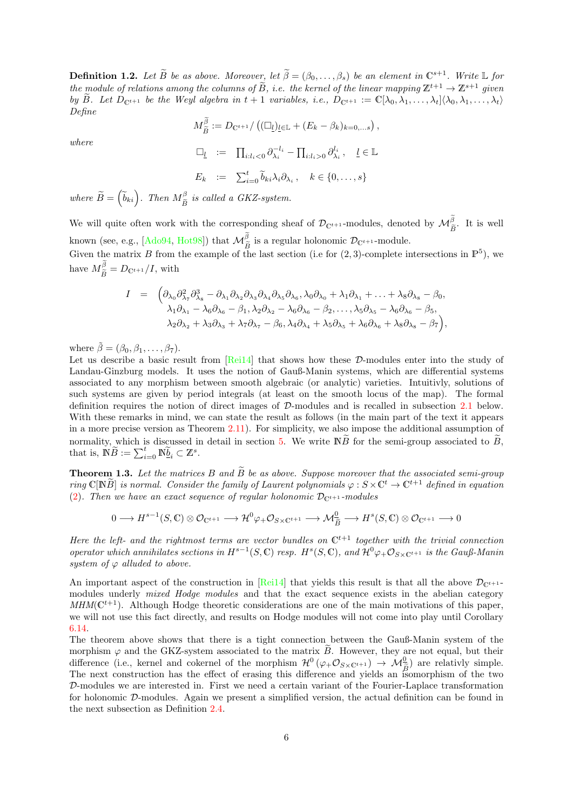**Definition 1.2.** Let  $\widetilde{B}$  be as above. Moreover, let  $\widetilde{\beta} = (\beta_0, \ldots, \beta_s)$  be an element in  $\mathbb{C}^{s+1}$ . Write L for the module of relations among the columns of  $\widetilde{B}$ , i.e. the kernel of the linear mapping  $\mathbb{Z}^{t+1} \to \mathbb{Z}^{s+1}$  given by B. Let  $D_{\mathbb{C}^{t+1}}$  be the Weyl algebra in  $t+1$  variables, i.e.,  $D_{\mathbb{C}^{t+1}} := \mathbb{C}[\lambda_0, \lambda_1, \ldots, \lambda_t](\lambda_0, \lambda_1, \ldots, \lambda_t)$ Define

$$
M_{\widetilde{B}}^{\beta} := D_{\mathbb{C}^{t+1}} / \left( (\square_{\underline{l}})_{\underline{l} \in \mathbb{L}} + (E_k - \beta_k)_{k=0,\ldots,s} \right),
$$

where

$$
\Box_{\underline{l}} := \Pi_{i:l_i < 0} \partial_{\lambda_i}^{-l_i} - \Pi_{i:l_i > 0} \partial_{\lambda_i}^{l_i}, \quad \underline{l} \in \mathbb{L}
$$
  

$$
E_k := \sum_{i=0}^t \widetilde{b}_{ki} \lambda_i \partial_{\lambda_i}, \quad k \in \{0, \dots, s\}
$$

where  $\widetilde{B} = \left(\widetilde{b}_{ki}\right)$ . Then  $M_{\widetilde{B}}^{\beta}$  is called a GKZ-system.

We will quite often work with the corresponding sheaf of  $\mathcal{D}_{\mathbb{C}^{t+1}}$ -modules, denoted by  $\mathcal{M}_{\widetilde{B}}^{\beta}$ . It is well known (see, e.g.,  $[Ado94, Hot98]$  $[Ado94, Hot98]$ ) that  $\mathcal{M}_{\beta}^{\beta}$  is a regular holonomic  $\mathcal{D}_{\mathbb{C}^{t+1}}$ -module.

Given the matrix B from the example of the last section (i.e for  $(2,3)$ -complete intersections in  $\mathbb{P}^5$ ), we have  $M_{\widetilde{B}}^{\beta} = D_{\mathbb{C}^{t+1}}/I$ , with

$$
I = \begin{pmatrix} \partial_{\lambda_0} \partial_{\lambda_7}^2 \partial_{\lambda_8}^3 - \partial_{\lambda_1} \partial_{\lambda_2} \partial_{\lambda_3} \partial_{\lambda_4} \partial_{\lambda_5} \partial_{\lambda_6}, \lambda_0 \partial_{\lambda_0} + \lambda_1 \partial_{\lambda_1} + \ldots + \lambda_8 \partial_{\lambda_8} - \beta_0, \\ \lambda_1 \partial_{\lambda_1} - \lambda_6 \partial_{\lambda_6} - \beta_1, \lambda_2 \partial_{\lambda_2} - \lambda_6 \partial_{\lambda_6} - \beta_2, \ldots, \lambda_5 \partial_{\lambda_5} - \lambda_6 \partial_{\lambda_6} - \beta_5, \\ \lambda_2 \partial_{\lambda_2} + \lambda_3 \partial_{\lambda_3} + \lambda_7 \partial_{\lambda_7} - \beta_6, \lambda_4 \partial_{\lambda_4} + \lambda_5 \partial_{\lambda_5} + \lambda_6 \partial_{\lambda_6} + \lambda_8 \partial_{\lambda_8} - \beta_7 \end{pmatrix},
$$

where  $\tilde{\beta} = (\beta_0, \beta_1, \dots, \beta_7)$ .

Let us describe a basic result from [\[Rei14\]](#page-71-6) that shows how these D-modules enter into the study of Landau-Ginzburg models. It uses the notion of Gauß-Manin systems, which are differential systems associated to any morphism between smooth algebraic (or analytic) varieties. Intuitivly, solutions of such systems are given by period integrals (at least on the smooth locus of the map). The formal definition requires the notion of direct images of D-modules and is recalled in subsection [2.1](#page-15-0) below. With these remarks in mind, we can state the result as follows (in the main part of the text it appears in a more precise version as Theorem [2.11\)](#page-20-0). For simplicity, we also impose the additional assumption of normality, which is discussed in detail in section [5.](#page-48-0) We write  $\tilde{N}$  for the semi-group associated to  $\tilde{B}$ , that is,  $\mathbb{N}\widetilde{B} := \sum_{i=0}^t \mathbb{N}\widetilde{\underline{b}}_i \subset \mathbb{Z}^s$ .

<span id="page-5-0"></span>**Theorem 1.3.** Let the matrices B and  $\widetilde{B}$  be as above. Suppose moreover that the associated semi-group ring  $\mathbb{C}[\mathbb{N}\widetilde{B}]$  is normal. Consider the family of Laurent polynomials  $\varphi: S \times \mathbb{C}^t \to \mathbb{C}^{t+1}$  defined in equation [\(2\)](#page-3-1). Then we have an exact sequence of regular holonomic  $\mathcal{D}_{\mathbb{C}^{t+1}}$ -modules

$$
0 \longrightarrow H^{s-1}(S, \mathbb{C}) \otimes \mathcal{O}_{\mathbb{C}^{t+1}} \longrightarrow \mathcal{H}^0 \varphi_+ \mathcal{O}_{S \times \mathbb{C}^{t+1}} \longrightarrow \mathcal{M}_{\widetilde{B}}^0 \longrightarrow H^s(S, \mathbb{C}) \otimes \mathcal{O}_{\mathbb{C}^{t+1}} \longrightarrow 0
$$

Here the left- and the rightmost terms are vector bundles on  $\mathbb{C}^{t+1}$  together with the trivial connection operator which annihilates sections in  $H^{s-1}(S, \mathbb{C})$  resp.  $H^s(S, \mathbb{C})$ , and  $\mathcal{H}^0\varphi_+ \mathcal{O}_{S\times \mathbb{C}^{t+1}}$  is the Gauß-Manin system of  $\varphi$  alluded to above.

An important aspect of the construction in  $\text{Rei14}$  that yields this result is that all the above  $\mathcal{D}_{\mathbb{C}^{t+1}}$ modules underly mixed Hodge modules and that the exact sequence exists in the abelian category  $MHM(\mathbb{C}^{t+1})$ . Although Hodge theoretic considerations are one of the main motivations of this paper, we will not use this fact directly, and results on Hodge modules will not come into play until Corollary [6.14.](#page-64-1)

The theorem above shows that there is a tight connection between the Gauß-Manin system of the morphism  $\varphi$  and the GKZ-system associated to the matrix  $\tilde{B}$ . However, they are not equal, but their difference (i.e., kernel and cokernel of the morphism  $\mathcal{H}^0(\varphi_+\mathcal{O}_{S\times \mathbb{C}^{t+1}}) \to \mathcal{M}_{\widetilde{B}}^0$ ) are relativly simple. The next construction has the effect of erasing this difference and yields an isomorphism of the two D-modules we are interested in. First we need a certain variant of the Fourier-Laplace transformation for holonomic D-modules. Again we present a simplified version, the actual definition can be found in the next subsection as Definition [2.4.](#page-16-1)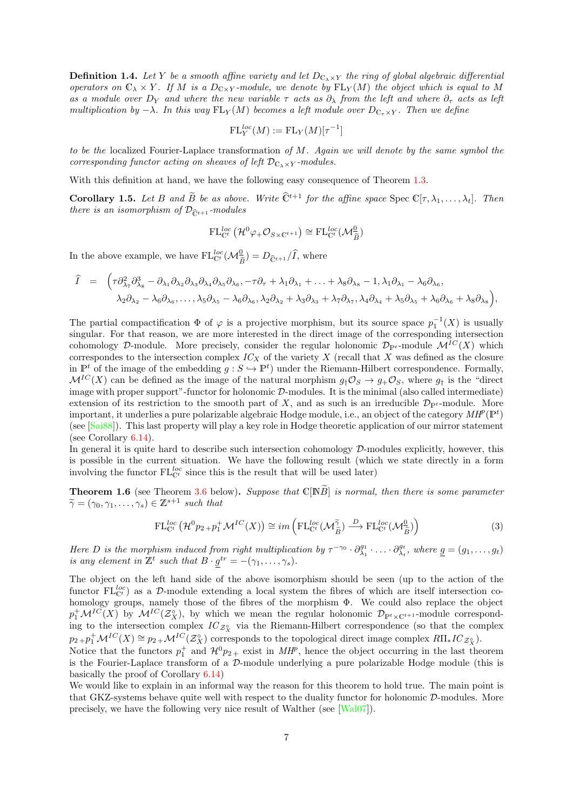**Definition 1.4.** Let Y be a smooth affine variety and let  $D_{C_{\lambda} \times Y}$  the ring of global algebraic differential operators on  $\mathbb{C}_{\lambda} \times Y$ . If M is a  $D_{\mathbb{C} \times Y}$ -module, we denote by  $FL_Y(M)$  the object which is equal to M as a module over  $D_Y$  and where the new variable  $\tau$  acts as  $\partial_\lambda$  from the left and where  $\partial_\tau$  acts as left multiplication by  $-\lambda$ . In this way FL<sub>Y</sub>(M) becomes a left module over  $D_{\mathbb{C}_r\times Y}$ . Then we define

$$
\mathrm{FL}_Y^{loc}(M) := \mathrm{FL}_Y(M)[\tau^{-1}]
$$

to be the localized Fourier-Laplace transformation of  $M$ . Again we will denote by the same symbol the corresponding functor acting on sheaves of left  $\mathcal{D}_{C_{\lambda}\times Y}$ -modules.

With this definition at hand, we have the following easy consequence of Theorem [1.3.](#page-5-0)

**Corollary 1.5.** Let B and  $\widetilde{B}$  be as above. Write  $\widehat{C}^{t+1}$  for the affine space Spec  $\mathbb{C}[\tau, \lambda_1, \ldots, \lambda_t]$ . Then there is an isomorphism of  $\mathcal{D}_{\hat{\mathbb{C}}^{t+1}}$ -modules

$$
\mathrm{FL}_{\mathbb{C}^t}^{loc}(\mathcal{H}^0\varphi_{+}\mathcal{O}_{S\times \mathbb{C}^{t+1}})\cong \mathrm{FL}_{\mathbb{C}^t}^{loc}(\mathcal{M}_{\widetilde{B}}^{\underline{0}})
$$

In the above example, we have  $FL_{\mathbb{C}^t}^{loc}(\mathcal{M}_{\widetilde{B}}^0) = D_{\widehat{\mathbb{C}}^{t+1}}/\widehat{I}$ , where

<sup>I</sup><sup>b</sup> <sup>=</sup> τ ∂<sup>2</sup> λ<sup>7</sup> ∂ 3 <sup>λ</sup><sup>8</sup> − ∂λ<sup>1</sup> ∂λ<sup>2</sup> ∂λ<sup>3</sup> ∂λ<sup>4</sup> ∂λ<sup>5</sup> ∂λ<sup>6</sup> , −τ ∂<sup>τ</sup> + λ1∂λ<sup>1</sup> + . . . + λ8∂λ<sup>8</sup> − 1, λ1∂λ<sup>1</sup> − λ6∂λ<sup>6</sup> , λ2∂λ<sup>2</sup> − λ6∂λ<sup>6</sup> , . . . , λ5∂λ<sup>5</sup> − λ6∂λ<sup>6</sup> , λ2∂λ<sup>2</sup> + λ3∂λ<sup>3</sup> + λ7∂λ<sup>7</sup> , λ4∂λ<sup>4</sup> + λ5∂λ<sup>5</sup> + λ6∂λ<sup>6</sup> + λ8∂λ<sup>8</sup> ,

The partial compactification  $\Phi$  of  $\varphi$  is a projective morphism, but its source space  $p_1^{-1}(X)$  is usually singular. For that reason, we are more interested in the direct image of the corresponding intersection cohomology D-module. More precisely, consider the regular holonomic  $\mathcal{D}_{\mathbb{P}^t}$ -module  $\mathcal{M}^{IC}(X)$  which correspondes to the intersection complex  $IC<sub>X</sub>$  of the variety X (recall that X was defined as the closure in  $\mathbb{P}^t$  of the image of the embedding  $g : S \hookrightarrow \mathbb{P}^t$  under the Riemann-Hilbert correspondence. Formally,  $\mathcal{M}^{IC}(X)$  can be defined as the image of the natural morphism  $q_{\dagger}\mathcal{O}_S \rightarrow q_+\mathcal{O}_S$ , where  $q_{\dagger}$  is the "direct" image with proper support"-functor for holonomic D-modules. It is the minimal (also called intermediate) extension of its restriction to the smooth part of X, and as such is an irreducible  $\mathcal{D}_{\mathbb{P}^t}$ -module. More important, it underlies a pure polarizable algebraic Hodge module, i.e., an object of the category  $MH^p(\mathbb{P}^t)$ (see [\[Sai88\]](#page-72-0)). This last property will play a key role in Hodge theoretic application of our mirror statement (see Corollary [6.14\)](#page-64-1).

In general it is quite hard to describe such intersection cohomology  $D$ -modules explicitly, however, this is possible in the current situation. We have the following result (which we state directly in a form involving the functor  $FL_{\mathbb{C}^t}^{loc}$  since this is the result that will be used later)

<span id="page-6-1"></span>**Theorem 1.6** (see Theorem [3.6](#page-35-1) below). Suppose that  $\mathbb{C}[\mathbb{N}\widetilde{B}]$  is normal, then there is some parameter  $\widetilde{\gamma} = (\gamma_0, \gamma_1, \ldots, \gamma_s) \in \mathbb{Z}^{s+1}$  such that

<span id="page-6-0"></span>
$$
\mathrm{FL}_{\mathbb{C}^t}^{loc} \left( \mathcal{H}^0 p_{2} + p_1^+ \mathcal{M}^{IC}(X) \right) \cong im \left( \mathrm{FL}_{\mathbb{C}^t}^{loc} (\mathcal{M}_{\widetilde{B}}^{\widetilde{\gamma}}) \xrightarrow{D} \mathrm{FL}_{\mathbb{C}^t}^{loc} (\mathcal{M}_{\widetilde{B}}^0) \right)
$$
(3)

Here D is the morphism induced from right multiplication by  $\tau^{-\gamma_0} \cdot \partial_{\lambda_1}^{g_1} \cdot \ldots \cdot \partial_{\lambda_t}^{g_t}$ , where  $\underline{g} = (g_1, \ldots, g_t)$ is any element in  $\mathbb{Z}^t$  such that  $B \cdot g^{tr} = -(\gamma_1, \ldots, \gamma_s)$ .

The object on the left hand side of the above isomorphism should be seen (up to the action of the functor  $FL_{C}^{loc}$ ) as a D-module extending a local system the fibres of which are itself intersection cohomology groups, namely those of the fibres of the morphism Φ. We could also replace the object  $p_1^+\mathcal{M}^{IC}(X)$  by  $\mathcal{M}^{IC}(\mathcal{Z}_X^{\circ})$ , by which we mean the regular holonomic  $\mathcal{D}_{\mathbb{P}^t\times\mathbb{C}^{t+1}}$ -module corresponding to the intersection complex  $IC_{\mathcal{Z}^{\circ}_X}$  via the Riemann-Hilbert correspondence (so that the complex  $p_2+p_1^+\mathcal{M}^{IC}(X) \cong p_2+\mathcal{M}^{IC}(\mathcal{Z}_X^{\circ})$  corresponds to the topological direct image complex  $R\Pi_*IC_{\mathcal{Z}_X^{\circ}}$ .

Notice that the functors  $p_1^+$  and  $\mathcal{H}^0 p_{2+}$  exist in  $MH^p$ , hence the object occurring in the last theorem is the Fourier-Laplace transform of a  $\mathcal{D}$ -module underlying a pure polarizable Hodge module (this is basically the proof of Corollary [6.14\)](#page-64-1)

We would like to explain in an informal way the reason for this theorem to hold true. The main point is that GKZ-systems behave quite well with respect to the duality functor for holonomic D-modules. More precisely, we have the following very nice result of Walther (see [\[Wal07\]](#page-72-1)).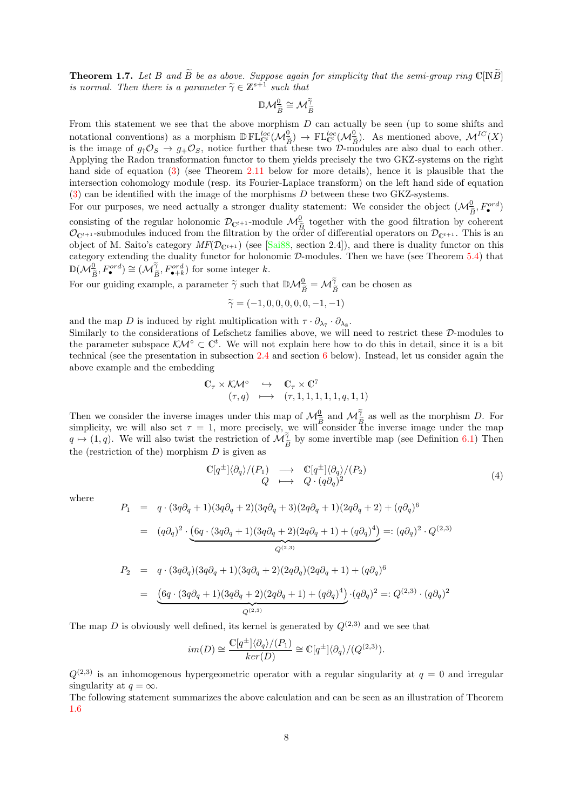**Theorem 1.7.** Let B and  $\widetilde{B}$  be as above. Suppose again for simplicity that the semi-group ring  $\mathbb{C}[\mathbb{N}\widetilde{B}]$ is normal. Then there is a parameter  $\widetilde{\gamma} \in \mathbb{Z}^{s+1}$  such that

$$
\mathbb{D}\mathcal{M}_{\widetilde{B}}^{\underline{0}}\cong \mathcal{M}_{\widetilde{B}}^{\widetilde{\gamma}}
$$

From this statement we see that the above morphism  $D$  can actually be seen (up to some shifts and notational conventions) as a morphism  $\mathbb{D} FL_{\mathbb{C}}^{loc}(\mathcal{M}_{\tilde{B}}^{\mathbb{Q}}) \to FL_{\mathbb{C}}^{loc}(\mathcal{M}_{\tilde{B}}^{\mathbb{Q}})$ . As mentioned above,  $\mathcal{M}^{IC}(X)$ <br>is the image of  $a_i \mathcal{O}_{\mathbb{R}} \to a_j \mathcal{O}_{\mathbb{R}}$  patico further that these is the image of  $g<sub>†</sub> \mathcal{O}<sub>S</sub> \to g<sub>+</sub> \mathcal{O}<sub>S</sub>$ , notice further that these two D-modules are also dual to each other. Applying the Radon transformation functor to them yields precisely the two GKZ-systems on the right hand side of equation [\(3\)](#page-6-0) (see Theorem [2.11](#page-20-0) below for more details), hence it is plausible that the intersection cohomology module (resp. its Fourier-Laplace transform) on the left hand side of equation [\(3\)](#page-6-0) can be identified with the image of the morphisms D between these two GKZ-systems.

For our purposes, we need actually a stronger duality statement: We consider the object  $(\mathcal{M}_{\widetilde{B}}^0, F_{\bullet}^{ord})$ Consisting of the regular holonomic  $\mathcal{D}_{\mathbb{C}^{t+1}}$ -module  $\mathcal{M}_{\tilde{B}}^0$  together with the good filtration by coherent  $\mathcal{D}_{\text{max}}$  submodules induced from the filtration by the order of differential energies on  $\mathcal{O}_{\mathbb{C}^{t+1}}$ -submodules induced from the filtration by the order of differential operators on  $\mathcal{D}_{\mathbb{C}^{t+1}}$ . This is an object of M. Saito's category  $MF(\mathcal{D}_{\mathbb{C}^{t+1}})$  (see [\[Sai88,](#page-72-0) section 2.4]), and there is duality functor on this category extending the duality functor for holonomic D-modules. Then we have (see Theorem [5.4\)](#page-50-0) that  $\mathbb{D}(\mathcal{M}_{\widetilde{B}}^0, F_{\bullet}^{ord}) \cong (\mathcal{M}_{\widetilde{B}}^{\widetilde{\gamma}}, F_{\bullet+k}^{ord})$  for some integer k.

For our guiding example, a parameter  $\tilde{\gamma}$  such that  $\mathbb{D}\mathcal{M}_{\tilde{B}}^0 = \mathcal{M}_{\tilde{B}}^{\tilde{\gamma}}$  can be chosen as

$$
\widetilde{\gamma} = (-1, 0, 0, 0, 0, 0, -1, -1)
$$

and the map D is induced by right multiplication with  $\tau \cdot \partial_{\lambda_7} \cdot \partial_{\lambda_8}$ . Similarly to the considerations of Lefschetz families above, we will need to restrict these D-modules to the parameter subspace  $\mathcal{K}M^{\circ} \subset \mathbb{C}^{t}$ . We will not explain here how to do this in detail, since it is a bit technical (see the presentation in subsection [2.4](#page-25-0) and section [6](#page-52-0) below). Instead, let us consider again the above example and the embedding

$$
\begin{array}{ccc}\n\mathbb{C}_{\tau} \times \mathcal{K} \mathcal{M}^{\circ} & \hookrightarrow & \mathbb{C}_{\tau} \times \mathbb{C}^{7} \\
(\tau, q) & \longmapsto & (\tau, 1, 1, 1, 1, 1, q, 1, 1)\n\end{array}
$$

Then we consider the inverse images under this map of  $\mathcal{M}_{\tilde{B}}^{\tilde{0}}$  and  $\mathcal{M}_{\tilde{B}}^{\tilde{\gamma}}$  as well as the morphism D. For simplicity, we will also set  $\tau = 1$  more precisely, we will consider the inverse image simplicity, we will also set  $\tau = 1$ , more precisely, we will consider the inverse image under the map  $q \mapsto (1, q)$ . We will also twist the restriction of  $\mathcal{M}_{\widetilde{B}}^{\widetilde{\gamma}}$  by some invertible map (see Definition [6.1\)](#page-52-1) Then the (restriction of the) morphism  $D$  is given as

$$
\begin{array}{ccc}\n\mathbb{C}[q^{\pm}]\langle\partial_q\rangle/(P_1) & \longrightarrow & \mathbb{C}[q^{\pm}]\langle\partial_q\rangle/(P_2) \\
Q & \longmapsto & Q \cdot (q\partial_q)^2\n\end{array} \tag{4}
$$

where

$$
P_1 = q \cdot (3q\partial_q + 1)(3q\partial_q + 2)(3q\partial_q + 3)(2q\partial_q + 1)(2q\partial_q + 2) + (q\partial_q)^6
$$
  
\n
$$
= (q\partial_q)^2 \cdot \underbrace{(6q \cdot (3q\partial_q + 1)(3q\partial_q + 2)(2q\partial_q + 1) + (q\partial_q)^4)}_{Q^{(2,3)}} =: (q\partial_q)^2 \cdot Q^{(2,3)}
$$
  
\n
$$
P_2 = q \cdot (3q\partial_q)(3q\partial_q + 1)(3q\partial_q + 2)(2q\partial_q)(2q\partial_q + 1) + (q\partial_q)^6
$$
  
\n
$$
= \underbrace{(6q \cdot (3q\partial_q + 1)(3q\partial_q + 2)(2q\partial_q + 1) + (q\partial_q)^4)}_{Q^{(2,3)}} \cdot (q\partial_q)^2 =: Q^{(2,3)} \cdot (q\partial_q)^2
$$

The map D is obviously well defined, its kernel is generated by  $Q^{(2,3)}$  and we see that

$$
im(D) \cong \frac{\mathbb{C}[q^{\pm}] \langle \partial_q \rangle / (P_1)}{ker(D)} \cong \mathbb{C}[q^{\pm}] \langle \partial_q \rangle / (Q^{(2,3)}).
$$

 $Q^{(2,3)}$  is an inhomogenous hypergeometric operator with a regular singularity at  $q = 0$  and irregular singularity at  $q = \infty$ .

The following statement summarizes the above calculation and can be seen as an illustration of Theorem [1.6](#page-6-1)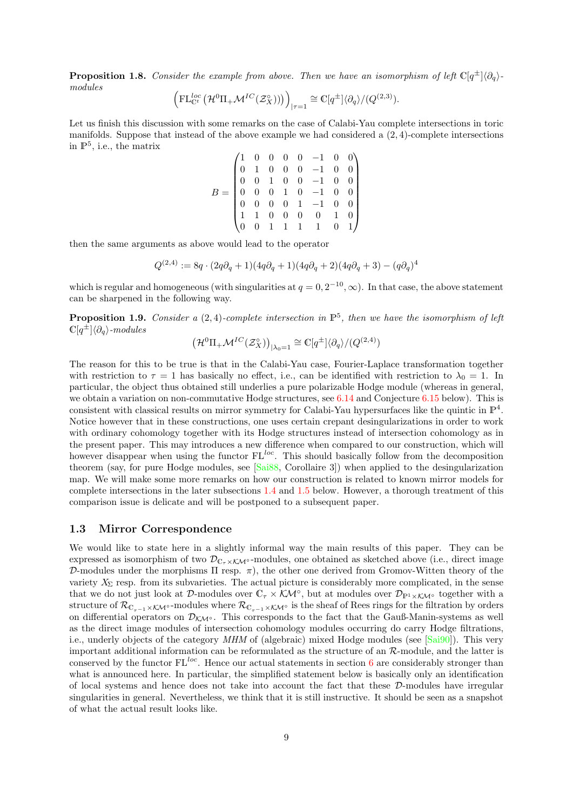**Proposition 1.8.** Consider the example from above. Then we have an isomorphism of left  $\mathbb{C}[q^{\pm}]\langle\partial_q\rangle$ modules

$$
\left(\mathrm{FL}_{\mathbb{C}^t}^{loc}\left(\mathcal{H}^0\Pi_+\mathcal{M}^{IC}(\mathcal{Z}_X^\circ)\right)\right)_{|\tau=1} \cong \mathbb{C}[q^{\pm}]\langle\partial_q\rangle/(Q^{(2,3)}).
$$

Let us finish this discussion with some remarks on the case of Calabi-Yau complete intersections in toric manifolds. Suppose that instead of the above example we had considered a (2, 4)-complete intersections in  $\mathbb{P}^5$ , i.e., the matrix

$$
B = \begin{pmatrix} 1 & 0 & 0 & 0 & 0 & -1 & 0 & 0 \\ 0 & 1 & 0 & 0 & 0 & -1 & 0 & 0 \\ 0 & 0 & 1 & 0 & 0 & -1 & 0 & 0 \\ 0 & 0 & 0 & 1 & 0 & -1 & 0 & 0 \\ 0 & 0 & 0 & 0 & 1 & -1 & 0 & 0 \\ 1 & 1 & 0 & 0 & 0 & 0 & 1 & 0 \\ 0 & 0 & 1 & 1 & 1 & 1 & 0 & 1 \end{pmatrix}
$$

then the same arguments as above would lead to the operator

$$
Q^{(2,4)} := 8q \cdot (2q \partial_q + 1)(4q \partial_q + 1)(4q \partial_q + 2)(4q \partial_q + 3) - (q \partial_q)^4
$$

which is regular and homogeneous (with singularities at  $q = 0, 2^{-10}, \infty$ ). In that case, the above statement can be sharpened in the following way.

**Proposition 1.9.** Consider a  $(2, 4)$ -complete intersection in  $\mathbb{P}^5$ , then we have the isomorphism of left  $\mathbb{C}[q^{\pm}]\langle\partial_q\rangle$ -modules

$$
\big(\mathcal{H}^0\Pi_+\mathcal{M}^{IC}(\mathcal{Z}^\circ_X)\big)_{|\lambda_0=1}\cong \mathbb{C}[q^\pm]\langle \partial_q\rangle/(Q^{(2,4)})
$$

The reason for this to be true is that in the Calabi-Yau case, Fourier-Laplace transformation together with restriction to  $\tau = 1$  has basically no effect, i.e., can be identified with restriction to  $\lambda_0 = 1$ . In particular, the object thus obtained still underlies a pure polarizable Hodge module (whereas in general, we obtain a variation on non-commutative Hodge structures, see [6.14](#page-64-1) and Conjecture [6.15](#page-0-0) below). This is consistent with classical results on mirror symmetry for Calabi-Yau hypersurfaces like the quintic in  $\mathbb{P}^4$ . Notice however that in these constructions, one uses certain crepant desingularizations in order to work with ordinary cohomology together with its Hodge structures instead of intersection cohomology as in the present paper. This may introduces a new difference when compared to our construction, which will however disappear when using the functor  $FL^{loc}$ . This should basically follow from the decomposition theorem (say, for pure Hodge modules, see [\[Sai88,](#page-72-0) Corollaire 3]) when applied to the desingularization map. We will make some more remarks on how our construction is related to known mirror models for complete intersections in the later subsections [1.4](#page-9-0) and [1.5](#page-10-0) below. However, a thorough treatment of this comparison issue is delicate and will be postponed to a subsequent paper.

### <span id="page-8-0"></span>1.3 Mirror Correspondence

We would like to state here in a slightly informal way the main results of this paper. They can be expressed as isomorphism of two  $\mathcal{D}_{\mathbb{C}_r \times \mathcal{KN}^\circ}$ -modules, one obtained as sketched above (i.e., direct image D-modules under the morphisms  $\Pi$  resp.  $\pi$ ), the other one derived from Gromov-Witten theory of the variety  $X_{\Sigma}$  resp. from its subvarieties. The actual picture is considerably more complicated, in the sense that we do not just look at D-modules over  $\mathbb{C}_{\tau}\times\mathcal{K}\mathcal{M}^{\circ}$ , but at modules over  $\mathcal{D}_{\mathbb{P}^1\times\mathcal{K}\mathcal{M}^{\circ}}$  together with a structure of  $\mathcal{R}_{\mathbb{C}_{\tau-1}\times\mathcal{K}\mathcal{M}^{\circ}}$ -modules where  $\mathcal{R}_{\mathbb{C}_{\tau-1}\times\mathcal{K}\mathcal{M}^{\circ}}$  is the sheaf of Rees rings for the filtration by orders on differential operators on  $\mathcal{D}_{K\mathcal{M}^{\circ}}$ . This corresponds to the fact that the Gauß-Manin-systems as well as the direct image modules of intersection cohomology modules occurring do carry Hodge filtrations, i.e., underly objects of the category MHM of (algebraic) mixed Hodge modules (see [\[Sai90\]](#page-72-2)). This very important additional information can be reformulated as the structure of an R-module, and the latter is conserved by the functor  $FL^{loc}$ . Hence our actual statements in section [6](#page-52-0) are considerably stronger than what is announced here. In particular, the simplified statement below is basically only an identification of local systems and hence does not take into account the fact that these D-modules have irregular singularities in general. Nevertheless, we think that it is still instructive. It should be seen as a snapshot of what the actual result looks like.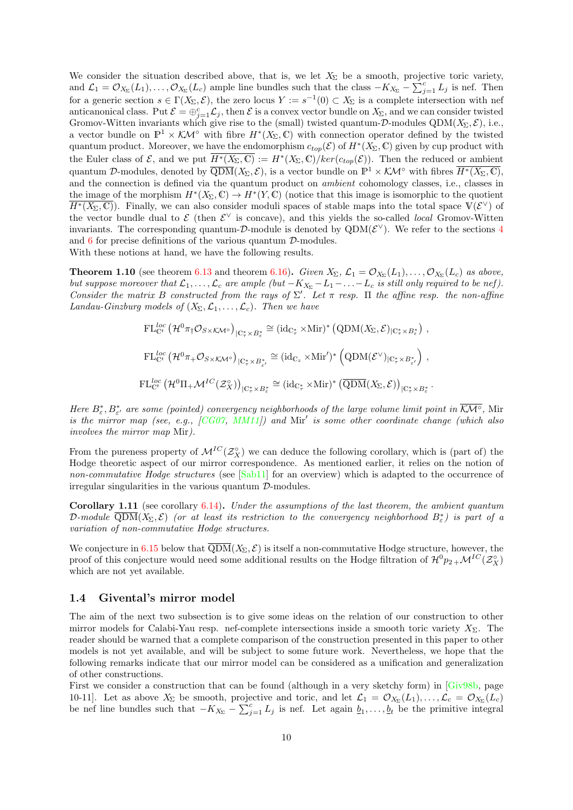We consider the situation described above, that is, we let  $X_{\Sigma}$  be a smooth, projective toric variety, and  $\mathcal{L}_1 = \mathcal{O}_{X_{\Sigma}}(L_1), \ldots, \mathcal{O}_{X_{\Sigma}}(L_c)$  ample line bundles such that the class  $-K_{X_{\Sigma}} - \sum_{j=1}^{c} L_j$  is nef. Then for a generic section  $s \in \Gamma(X_{\Sigma}, \mathcal{E})$ , the zero locus  $Y := s^{-1}(0) \subset X_{\Sigma}$  is a complete intersection with nef anticanonical class. Put  $\mathcal{E} = \bigoplus_{j=1}^c \mathcal{L}_j$ , then  $\mathcal{E}$  is a convex vector bundle on  $X_{\Sigma}$ , and we can consider twisted Gromov-Witten invariants which give rise to the (small) twisted quantum- $\mathcal{D}\text{-modules QDM}(X_{\Sigma}, \mathcal{E})$ , i.e., a vector bundle on  $\mathbb{P}^1 \times \mathcal{KM}^\circ$  with fibre  $H^*(X_\Sigma,\mathbb{C})$  with connection operator defined by the twisted quantum product. Moreover, we have the endomorphism  $c_{top}(\mathcal{E})$  of  $H^*(X_\Sigma,\mathbb{C})$  given by cup product with the Euler class of  $\mathcal{E}$ , and we put  $\overline{H^*(X_{\Sigma}, \mathbb{C})} := H^*(X_{\Sigma}, \mathbb{C})/ker(c_{top}(\mathcal{E}))$ . Then the reduced or ambient quantum D-modules, denoted by  $\overline{QDM}(X_{\Sigma}, \mathcal{E})$ , is a vector bundle on  $\mathbb{P}^1 \times \mathcal{KM}^{\circ}$  with fibres  $\overline{H^*(X_{\Sigma}, \mathbb{C})}$ , and the connection is defined via the quantum product on ambient cohomology classes, i.e., classes in the image of the morphism  $H^*(X_\Sigma, \mathbb{C}) \to H^*(Y, \mathbb{C})$  (notice that this image is isomorphic to the quotient  $\overline{H^*(X_{\Sigma},\mathbb{C})}$ . Finally, we can also consider moduli spaces of stable maps into the total space  $\mathbb{V}(\mathcal{E}^{\vee})$  of the vector bundle dual to  $\mathcal E$  (then  $\mathcal E^{\vee}$  is concave), and this yields the so-called *local* Gromov-Witten invariants. The corresponding quantum-D-module is denoted by  $QDM(\mathcal{E}^{\vee})$ . We refer to the sections [4](#page-42-0) and  $6$  for precise definitions of the various quantum  $\mathcal{D}\text{-modules.}$ With these notions at hand, we have the following results.

<span id="page-9-1"></span>**Theorem 1.10** (see theorem [6.13](#page-64-0) and theorem [6.16\)](#page-65-0). Given  $X_{\Sigma}$ ,  $\mathcal{L}_1 = \mathcal{O}_{X_{\Sigma}}(L_1), \ldots, \mathcal{O}_{X_{\Sigma}}(L_c)$  as above, but suppose moreover that  $\mathcal{L}_1, \ldots, \mathcal{L}_c$  are ample (but  $-K_{X_{\Sigma}}-L_1-\ldots-L_c$  is still only required to be nef). Consider the matrix B constructed from the rays of  $\Sigma'$ . Let  $\pi$  resp.  $\Pi$  the affine resp. the non-affine Landau-Ginzburg models of  $(X_{\Sigma}, \mathcal{L}_1, \ldots, \mathcal{L}_c)$ . Then we have

$$
\begin{split} &\mathrm{FL}_{\mathbb{C}^{t}}^{loc}\left(\mathcal{H}^{0}\pi_{\dagger}\mathcal{O}_{S\times\mathcal{K}\mathcal{M}^{\circ}}\right)_{|\mathbb{C}_{\tau}^{*}\times B_{\varepsilon}^{*}}\cong(\mathrm{id}_{\mathbb{C}_{\tau}^{*}}\times\mathrm{Mir})^{*}\left(\mathrm{QDM}(X_{\Sigma},\mathcal{E})_{|\mathbb{C}_{\tau}^{*}\times B_{\varepsilon}^{*}}\right) ,\\ &\mathrm{FL}_{\mathbb{C}^{t}}^{loc}\left(\mathcal{H}^{0}\pi_{+}\mathcal{O}_{S\times\mathcal{K}\mathcal{M}^{\circ}}\right)_{|\mathbb{C}_{\tau}^{*}\times B_{\varepsilon'}^{*}}\cong(\mathrm{id}_{\mathbb{C}_{z}}\times\mathrm{Mir}')^{*}\left(\mathrm{QDM}(\mathcal{E}^{\vee})_{|\mathbb{C}_{\tau}^{*}\times B_{\varepsilon'}^{*}}\right) ,\\ &\mathrm{FL}_{\mathbb{C}^{t}}^{loc}\left(\mathcal{H}^{0}\Pi_{+}\mathcal{M}^{IC}(\mathcal{Z}_{X}^{\circ})\right)_{|\mathbb{C}_{\tau}^{*}\times B_{\varepsilon}^{*}}\cong(\mathrm{id}_{\mathbb{C}_{\tau}^{*}}\times\mathrm{Mir})^{*}\left(\overline{\mathrm{QDM}}(X_{\Sigma},\mathcal{E})\right)_{|\mathbb{C}_{\tau}^{*}\times B_{\varepsilon}^{*}}.\end{split}
$$

Here  $B^*_{\varepsilon}, B^*_{\varepsilon'}$  are some (pointed) convergency neighborhoods of the large volume limit point in  $\overline{\mathcal{K}\mathcal{M}^{\circ}}$ , Mir is the mirror map (see, e.g.,  $[CGO7, MM11]$  $[CGO7, MM11]$ ) and Mir' is some other coordinate change (which also involves the mirror map Mir).

From the pureness property of  $\mathcal{M}^{IC}(\mathcal{Z}_X^{\circ})$  we can deduce the following corollary, which is (part of) the Hodge theoretic aspect of our mirror correspondence. As mentioned earlier, it relies on the notion of non-commutative Hodge structures (see [\[Sab11\]](#page-72-3) for an overview) which is adapted to the occurrence of irregular singularities in the various quantum D-modules.

**Corollary 1.11** (see corollary [6.14\)](#page-64-1). Under the assumptions of the last theorem, the ambient quantum  $\mathcal{D}\text{-module } \overline{\text{QDM}}(X_\Sigma,\mathcal{E})$  (or at least its restriction to the convergency neighborhood  $B_\varepsilon^*$ ) is part of a variation of non-commutative Hodge structures.

We conjecture in [6.15](#page-0-0) below that  $\overline{QDM}(X_{\Sigma}, \mathcal{E})$  is itself a non-commutative Hodge structure, however, the proof of this conjecture would need some additional results on the Hodge filtration of  $\mathcal{H}^0 p_{2+1} \mathcal{M}^{IC}(\mathcal{Z}_X^{\circ})$ which are not yet available.

#### <span id="page-9-0"></span>1.4 Givental's mirror model

The aim of the next two subsection is to give some ideas on the relation of our construction to other mirror models for Calabi-Yau resp. nef-complete intersections inside a smooth toric variety  $X_{\Sigma}$ . The reader should be warned that a complete comparison of the construction presented in this paper to other models is not yet available, and will be subject to some future work. Nevertheless, we hope that the following remarks indicate that our mirror model can be considered as a unification and generalization of other constructions.

First we consider a construction that can be found (although in a very sketchy form) in [\[Giv98b,](#page-70-0) page 10-11]. Let as above  $X_{\Sigma}$  be smooth, projective and toric, and let  $\mathcal{L}_1 = \mathcal{O}_{X_{\Sigma}}(L_1), \ldots, \mathcal{L}_c = \mathcal{O}_{X_{\Sigma}}(L_c)$ be nef line bundles such that  $-K_{X_{\Sigma}} - \sum_{j=1}^{c} L_j$  is nef. Let again  $\underline{b}_1, \ldots, \underline{b}_t$  be the primitive integral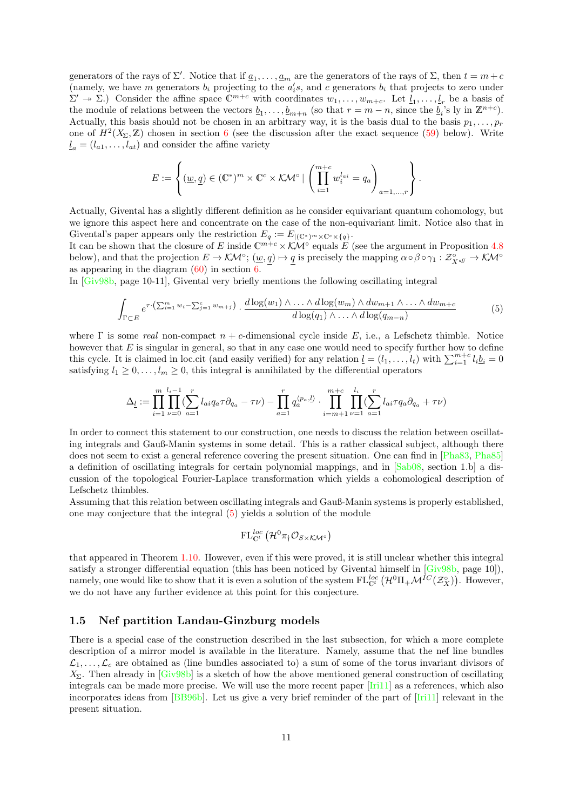generators of the rays of  $\Sigma'$ . Notice that if  $\underline{a}_1, \ldots, \underline{a}_m$  are the generators of the rays of  $\Sigma$ , then  $t = m + c$ (namely, we have m generators  $b_i$  projecting to the  $a_i's$ , and c generators  $b_i$  that projects to zero under  $\Sigma' \to \Sigma$ .) Consider the affine space  $\mathbb{C}^{m+c}$  with coordinates  $w_1, \ldots, w_{m+c}$ . Let  $\underline{l}_1, \ldots, \underline{l}_r$  be a basis of the module of relations between the vectors  $\underline{b}_1, \ldots, \underline{b}_{m+n}$  (so that  $r = m - n$ , since the  $\underline{b}_i$ 's ly in  $\mathbb{Z}^{n+c}$ ). Actually, this basis should not be chosen in an arbitrary way, it is the basis dual to the basis  $p_1, \ldots, p_r$ one of  $H^2(X_\Sigma, \mathbb{Z})$  chosen in section [6](#page-52-0) (see the discussion after the exact sequence [\(59\)](#page-55-0) below). Write  $l_a = (l_{a1}, \ldots, l_{at})$  and consider the affine variety

$$
E := \left\{ (\underline{w}, \underline{q}) \in (\mathbb{C}^*)^m \times \mathbb{C}^c \times \mathcal{KM}^\circ \mid \left( \prod_{i=1}^{m+c} w_i^{l_{ai}} = q_a \right)_{a=1,\dots,r} \right\}.
$$

Actually, Givental has a slightly different definition as he consider equivariant quantum cohomology, but we ignore this aspect here and concentrate on the case of the non-equivariant limit. Notice also that in Givental's paper appears only the restriction  $E_q := E_{|(\mathbb{C}^*)^m \times \mathbb{C}^c \times \{q\}}$ .

It can be shown that the closure of E inside  $\mathbb{C}^{m+c}\times\mathcal{KN}^{\circ}$  equals E (see the argument in Proposition [4.8](#page-47-0)) below), and that the projection  $E \to \mathcal{K} \mathcal{M}^\circ$ ;  $(\underline{w}, \underline{q}) \mapsto \underline{q}$  is precisely the mapping  $\alpha \circ \beta \circ \gamma_1 : \mathcal{Z}_{X^{aff}}^\circ \to \mathcal{K} \mathcal{M}^\circ$ as appearing in the diagram  $(60)$  in section [6.](#page-52-0)

In [\[Giv98b,](#page-70-0) page 10-11], Givental very briefly mentions the following oscillating integral

<span id="page-10-1"></span>
$$
\int_{\Gamma \subset E} e^{\tau \cdot (\sum_{i=1}^{m} w_i - \sum_{j=1}^{c} w_{m+j})} \cdot \frac{d \log(w_1) \wedge \ldots \wedge d \log(w_m) \wedge dw_{m+1} \wedge \ldots \wedge dw_{m+c}}{d \log(q_1) \wedge \ldots \wedge d \log(q_{m-n})} \tag{5}
$$

where  $\Gamma$  is some real non-compact  $n + c$ -dimensional cycle inside E, i.e., a Lefschetz thimble. Notice however that  $E$  is singular in general, so that in any case one would need to specify further how to define this cycle. It is claimed in loc.cit (and easily verified) for any relation  $\underline{l} = (l_1, \ldots, l_t)$  with  $\sum_{i=1}^{m+c} l_i \underline{b}_i = 0$ satisfying  $l_1 \geq 0, \ldots, l_m \geq 0$ , this integral is annihilated by the differential operators

$$
\Delta_{\underline{l}} := \prod_{i=1}^{m} \prod_{\nu=0}^{l_i-1} (\sum_{a=1}^{r} l_{ai} q_a \tau \partial_{q_a} - \tau \nu) - \prod_{a=1}^{r} q_a^{\langle p_a, \underline{l} \rangle} \cdot \prod_{i=m+1}^{m+c} \prod_{\nu=1}^{l_i} (\sum_{a=1}^{r} l_{ai} \tau q_a \partial_{q_a} + \tau \nu)
$$

In order to connect this statement to our construction, one needs to discuss the relation between oscillating integrals and Gauß-Manin systems in some detail. This is a rather classical subject, although there does not seem to exist a general reference covering the present situation. One can find in [\[Pha83,](#page-71-7) [Pha85\]](#page-71-8) a definition of oscillating integrals for certain polynomial mappings, and in [\[Sab08,](#page-71-4) section 1.b] a discussion of the topological Fourier-Laplace transformation which yields a cohomological description of Lefschetz thimbles.

Assuming that this relation between oscillating integrals and Gauß-Manin systems is properly established, one may conjecture that the integral [\(5\)](#page-10-1) yields a solution of the module

$$
\mathrm{FL}_{\mathbb{C}^t}^{\text{loc}}\left(\mathcal{H}^0\pi_\dagger\mathcal{O}_{S\times\mathcal{K}\mathcal{M}^\circ}\right)
$$

that appeared in Theorem [1.10.](#page-9-1) However, even if this were proved, it is still unclear whether this integral satisfy a stronger differential equation (this has been noticed by Givental himself in [\[Giv98b,](#page-70-0) page 10]), namely, one would like to show that it is even a solution of the system  $FL_{\mathbb{C}^t}^{loc}(\mathcal{H}^0\Pi_+\mathcal{M}^{IC}(\mathcal{Z}_X^{\circ}))$ . However, we do not have any further evidence at this point for this conjecture.

### <span id="page-10-0"></span>1.5 Nef partition Landau-Ginzburg models

There is a special case of the construction described in the last subsection, for which a more complete description of a mirror model is available in the literature. Namely, assume that the nef line bundles  $\mathcal{L}_1, \ldots, \mathcal{L}_c$  are obtained as (line bundles associated to) a sum of some of the torus invariant divisors of  $X_{\Sigma}$ . Then already in  $[Giv98b]$  is a sketch of how the above mentioned general construction of oscillating integrals can be made more precise. We will use the more recent paper [\[Iri11\]](#page-71-2) as a references, which also incorporates ideas from [\[BB96b\]](#page-69-3). Let us give a very brief reminder of the part of [\[Iri11\]](#page-71-2) relevant in the present situation.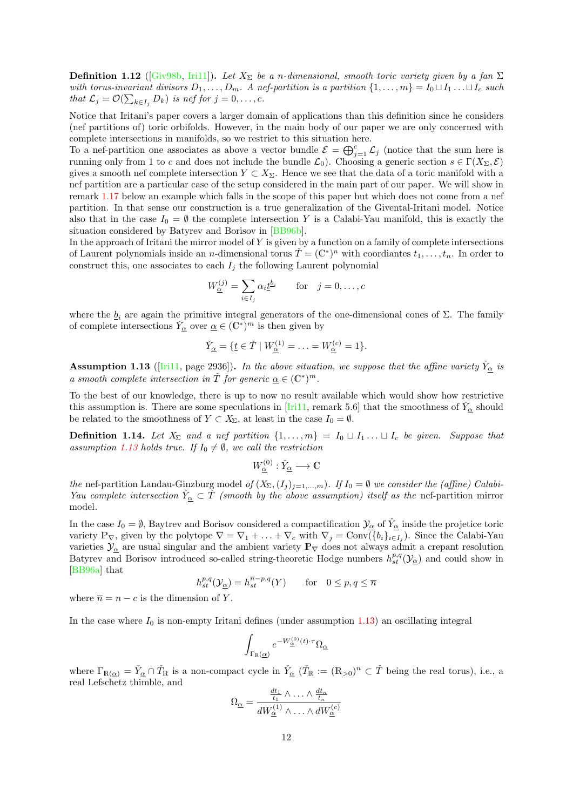**Definition 1.12** ([\[Giv98b,](#page-70-0) [Iri11\]](#page-71-2)). Let  $X_{\Sigma}$  be a n-dimensional, smooth toric variety given by a fan  $\Sigma$ with torus-invariant divisors  $D_1, \ldots, D_m$ . A nef-partition is a partition  $\{1, \ldots, m\} = I_0 \sqcup I_1 \ldots \sqcup I_c$  such that  $\mathcal{L}_j = \mathcal{O}(\sum_{k \in I_j} D_k)$  is nef for  $j = 0, \ldots, c$ .

Notice that Iritani's paper covers a larger domain of applications than this definition since he considers (nef partitions of) toric orbifolds. However, in the main body of our paper we are only concerned with complete intersections in manifolds, so we restrict to this situation here.

To a nef-partition one associates as above a vector bundle  $\mathcal{E} = \bigoplus_{j=1}^c \mathcal{L}_j$  (notice that the sum here is running only from 1 to c and does not include the bundle  $\mathcal{L}_0$ ). Choosing a generic section  $s \in \Gamma(X_\Sigma, \mathcal{E})$ gives a smooth nef complete intersection  $Y \subset X_{\Sigma}$ . Hence we see that the data of a toric manifold with a nef partition are a particular case of the setup considered in the main part of our paper. We will show in remark [1.17](#page-13-0) below an example which falls in the scope of this paper but which does not come from a nef partition. In that sense our construction is a true generalization of the Givental-Iritani model. Notice also that in the case  $I_0 = \emptyset$  the complete intersection Y is a Calabi-Yau manifold, this is exactly the situation considered by Batyrev and Borisov in [\[BB96b\]](#page-69-3).

In the approach of Iritani the mirror model of  $Y$  is given by a function on a family of complete intersections of Laurent polynomials inside an *n*-dimensional torus  $\check{T} = (\mathbb{C}^*)^n$  with coordiantes  $t_1, \ldots, t_n$ . In order to construct this, one associates to each  $I_j$  the following Laurent polynomial

$$
W_{\underline{\alpha}}^{(j)} = \sum_{i \in I_j} \alpha_i \underline{t}^{b_i} \quad \text{for} \quad j = 0, \dots, c
$$

where the  $\underline{b}_i$  are again the primitive integral generators of the one-dimensional cones of  $\Sigma$ . The family of complete intersections  $\check{Y}_{\alpha}$  over  $\underline{\alpha} \in (\mathbb{C}^*)^m$  is then given by

$$
\check{Y}_{\underline{\alpha}} = \{ \underline{t} \in \check{T} \mid W_{\underline{\alpha}}^{(1)} = \ldots = W_{\underline{\alpha}}^{(c)} = 1 \}.
$$

<span id="page-11-0"></span>**Assumption 1.13** ([\[Iri11,](#page-71-2) page 2936]). In the above situation, we suppose that the affine variety  $\check{Y}_{\alpha}$  is a smooth complete intersection in  $\check{T}$  for generic  $\underline{\alpha} \in (\mathbb{C}^*)^m$ .

To the best of our knowledge, there is up to now no result available which would show how restrictive this assumption is. There are some speculations in [\[Iri11,](#page-71-2) remark 5.6] that the smoothness of  $\check{Y}_{\alpha}$  should be related to the smoothness of  $Y \subset X_{\Sigma}$ , at least in the case  $I_0 = \emptyset$ .

**Definition 1.14.** Let  $X_{\Sigma}$  and a nef partition  $\{1,\ldots,m\} = I_0 \sqcup I_1 \ldots \sqcup I_c$  be given. Suppose that assumption [1.13](#page-11-0) holds true. If  $I_0 \neq \emptyset$ , we call the restriction

$$
W^{(0)}_{\underline{\alpha}} : \check{Y}_{\underline{\alpha}} \longrightarrow \mathbb{C}
$$

the nef-partition Landau-Ginzburg model of  $(X_{\Sigma},(I_j)_{j=1,\dots,m})$ . If  $I_0 = \emptyset$  we consider the (affine) Calabi-Yau complete intersection  $\check{Y}_{\alpha} \subset \check{T}$  (smooth by the above assumption) itself as the nef-partition mirror model.

In the case  $I_0 = \emptyset$ , Baytrev and Borisov considered a compactification  $\mathcal{Y}_\alpha$  of  $\check{Y}_\alpha$  inside the projetice toric variety  $\mathbb{P}_{\nabla}$ , given by the polytope  $\nabla = \nabla_1 + \ldots + \nabla_c$  with  $\nabla_j = \text{Conv}(\overline{\{b_i\}_{i\in I_j})}$ . Since the Calabi-Yau varieties  $\mathcal{Y}_{\alpha}$  are usual singular and the ambient variety  $\mathbb{P}_{\nabla}$  does not always admit a crepant resolution Batyrev and Borisov introduced so-called string-theoretic Hodge numbers  $h_{st}^{p,q}(\mathcal{Y}_{\underline{\alpha}})$  and could show in [\[BB96a\]](#page-69-4) that

$$
h^{p,q}_{st}(\mathcal{Y}_{\underline{\alpha}}) = h^{\overline{n}-p,q}_{st}(Y) \quad \text{for} \quad 0 \le p,q \le \overline{n}
$$

where  $\overline{n} = n - c$  is the dimension of Y.

In the case where  $I_0$  is non-empty Iritani defines (under assumption [1.13\)](#page-11-0) an oscillating integral

$$
\int_{\Gamma_{\mathbb{R}}(\underline{\alpha})} e^{-W_{\underline{\alpha}}^{(0)}(t)\cdot\tau}\Omega_{\underline{\alpha}}
$$

where  $\Gamma_{\mathbb{R}(\alpha)} = \check{Y}_{\alpha} \cap \check{T}_{\mathbb{R}}$  is a non-compact cycle in  $\check{Y}_{\alpha}$  ( $\check{T}_{\mathbb{R}} := (\mathbb{R}_{>0})^n \subset \check{T}$  being the real torus), i.e., a real Lefschetz thimble, and

$$
\Omega_{\underline{\alpha}} = \frac{\frac{dt_1}{t_1} \wedge \ldots \wedge \frac{dt_n}{t_n}}{dW_{\underline{\alpha}}^{(1)} \wedge \ldots \wedge dW_{\underline{\alpha}}^{(c)}}
$$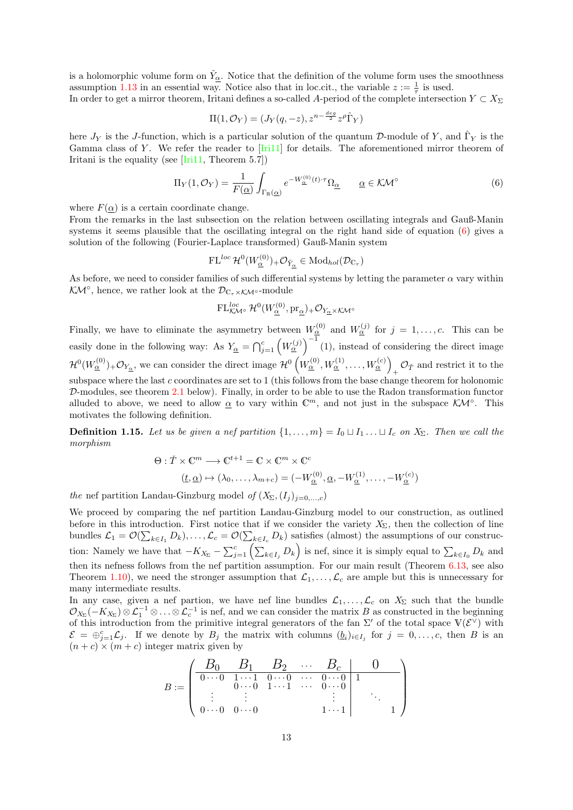is a holomorphic volume form on  $\check{Y}_{\alpha}$ . Notice that the definition of the volume form uses the smoothness assumption [1.13](#page-11-0) in an essential way. Notice also that in loc.cit., the variable  $z := \frac{1}{\tau}$  is used.

In order to get a mirror theorem, Iritani defines a so-called A-period of the complete intersection  $Y \subset X_{\Sigma}$ 

$$
\Pi(1,\mathcal{O}_Y) = (J_Y(q,-z), z^{n-\frac{deg}{2}} z^{\rho} \hat{\Gamma}_Y)
$$

here  $J_Y$  is the J-function, which is a particular solution of the quantum D-module of Y, and  $\hat{\Gamma}_Y$  is the Gamma class of Y. We refer the reader to  $[Iri11]$  for details. The aforementioned mirror theorem of Iritani is the equality (see [\[Iri11,](#page-71-2) Theorem 5.7])

<span id="page-12-0"></span>
$$
\Pi_Y(1,\mathcal{O}_Y) = \frac{1}{F(\underline{\alpha})} \int_{\Gamma_R(\underline{\alpha})} e^{-W_{\underline{\alpha}}^{(0)}(t)\cdot\tau} \Omega_{\underline{\alpha}} \qquad \underline{\alpha} \in \mathcal{K}\mathcal{M}^\circ \tag{6}
$$

where  $F(\alpha)$  is a certain coordinate change.

From the remarks in the last subsection on the relation between oscillating integrals and Gauß-Manin systems it seems plausible that the oscillating integral on the right hand side of equation [\(6\)](#page-12-0) gives a solution of the following (Fourier-Laplace transformed) Gauß-Manin system

$$
\operatorname{FL}^{loc}{\mathcal H}^0(W^{(0)}_{\underline{\alpha}})_+ \mathcal{O}_{\check{Y}_{\underline{\alpha}}} \in \operatorname{Mod}_{hol}(\mathcal{D}_{\mathbb{C}_\tau})
$$

As before, we need to consider families of such differential systems by letting the parameter  $\alpha$  vary within  $\mathcal{K\!M}^{\circ}$ , hence, we rather look at the  $\mathcal{D}_{\mathbb{C}_{\tau}\times\mathcal{K\!M}^{\circ}}$ -module

$$
\operatorname{FL}^{loc}_{\mathcal{KM}^\circ} \mathcal{H}^0(W_{\underline{\alpha}}^{(0)}, \mathrm{pr}_{{\underline{\alpha}}})_+ \mathcal{O}_{Y_{\underline{\alpha}} \times \mathcal{KM}^\circ}
$$

Finally, we have to eliminate the asymmetry between  $W_{\alpha}^{(0)}$  and  $W_{\alpha}^{(j)}$  for  $j = 1, \ldots, c$ . This can be easily done in the following way: As  $Y_{\underline{\alpha}} = \bigcap_{j=1}^c \left( W_{\underline{\alpha}}^{(j)} \right)^{-1} (1)$ , instead of considering the direct image  $\mathcal{H}^0(W_{\underline{\alpha}}^{(0)})_+ \mathcal{O}_{Y_{\underline{\alpha}}}$ , we can consider the direct image  $\mathcal{H}^0(W_{\underline{\alpha}}^{(0)}, W_{\underline{\alpha}}^{(1)}, \ldots, W_{\underline{\alpha}}^{(c)})$  $\mathcal{O}_{\check T}$  and restrict it to the subspace where the last c coordinates are set to 1 (this follows from the base change theorem for holonomic D-modules, see theorem [2.1](#page-15-1) below). Finally, in order to be able to use the Radon transformation functor alluded to above, we need to allow  $\underline{\alpha}$  to vary within  $\mathbb{C}^m$ , and not just in the subspace  $\mathcal{K}M^\circ$ . This motivates the following definition.

**Definition 1.15.** Let us be given a nef partition  $\{1, \ldots, m\} = I_0 \sqcup I_1 \ldots \sqcup I_c$  on  $X_{\Sigma}$ . Then we call the morphism

$$
\Theta: \check{T} \times \mathbb{C}^m \longrightarrow \mathbb{C}^{t+1} = \mathbb{C} \times \mathbb{C}^m \times \mathbb{C}^c
$$

$$
(\underline{t}, \underline{\alpha}) \mapsto (\lambda_0, \dots, \lambda_{m+c}) = (-W_{\underline{\alpha}}^{(0)}, \underline{\alpha}, -W_{\underline{\alpha}}^{(1)}, \dots, -W_{\underline{\alpha}}^{(c)})
$$

the nef partition Landau-Ginzburg model of  $(X_{\Sigma},(I_j)_{j=0,\ldots,c})$ 

We proceed by comparing the nef partition Landau-Ginzburg model to our construction, as outlined before in this introduction. First notice that if we consider the variety  $X_{\Sigma}$ , then the collection of line bundles  $\mathcal{L}_1 = \mathcal{O}(\sum_{k \in I_1} D_k), \dots, \mathcal{L}_c = \mathcal{O}(\sum_{k \in I_c} D_k)$  satisfies (almost) the assumptions of our construction: Namely we have that  $-K_{X_{\Sigma}} - \sum_{j=1}^{c} \left( \sum_{k \in I_j} D_k \right)$  is nef, since it is simply equal to  $\sum_{k \in I_0} D_k$  and then its nefness follows from the nef partition assumption. For our main result (Theorem [6.13,](#page-64-0) see also Theorem [1.10\)](#page-9-1), we need the stronger assumption that  $\mathcal{L}_1, \ldots, \mathcal{L}_c$  are ample but this is unnecessary for many intermediate results.

In any case, given a nef partion, we have nef line bundles  $\mathcal{L}_1, \ldots, \mathcal{L}_c$  on  $X_\Sigma$  such that the bundle  $\mathcal{O}_{X_{\Sigma}}(-K_{X_{\Sigma}}) \otimes \mathcal{L}_1^{-1} \otimes \ldots \otimes \mathcal{L}_c^{-1}$  is nef, and we can consider the matrix B as constructed in the beginning of this introduction from the primitive integral generators of the fan  $\Sigma'$  of the total space  $V(\mathcal{E}^{\vee})$  with  $\mathcal{E} = \bigoplus_{j=1}^c \mathcal{L}_j$ . If we denote by  $B_j$  the matrix with columns  $(\underline{b}_i)_{i \in I_j}$  for  $j = 0, \ldots, c$ , then B is an  $(n + c) \times (m + c)$  integer matrix given by

$$
B:=\left(\begin{array}{cccc|cccc} B_0 & B_1 & B_2 & \cdots & B_c & 0 \\ \hline 0\cdots 0 & 1\cdots 1 & 0\cdots 0 & \cdots & 0\cdots 0 & 1 \\ \vdots & \vdots & \vdots & & \vdots & \vdots \\ 0\cdots 0 & 0\cdots 0 & & & 1\cdots 1 & & 1 \end{array}\right)
$$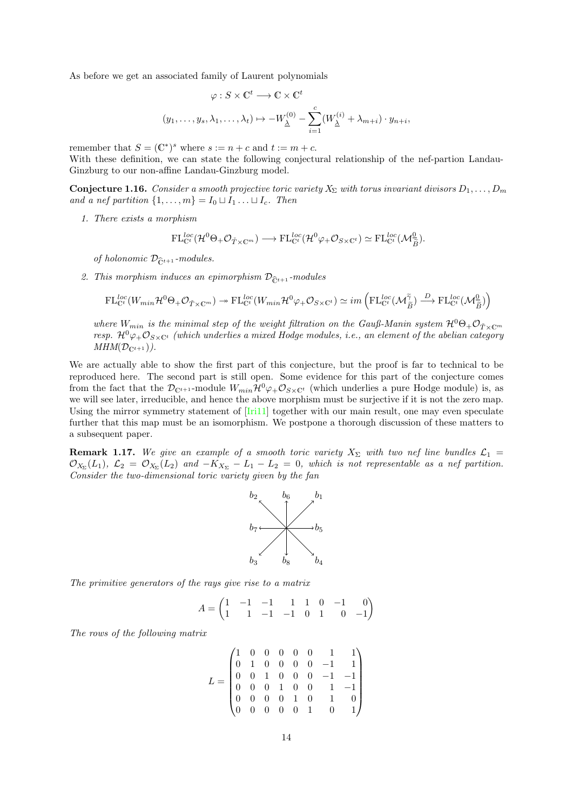As before we get an associated family of Laurent polynomials

$$
\varphi: S \times \mathbb{C}^t \longrightarrow \mathbb{C} \times \mathbb{C}^t
$$

$$
(y_1, \dots, y_s, \lambda_1, \dots, \lambda_t) \mapsto -W_{\underline{\lambda}}^{(0)} - \sum_{i=1}^c (W_{\underline{\lambda}}^{(i)} + \lambda_{m+i}) \cdot y_{n+i},
$$

remember that  $S = (\mathbb{C}^*)^s$  where  $s := n + c$  and  $t := m + c$ .

With these definition, we can state the following conjectural relationship of the nef-partion Landau-Ginzburg to our non-affine Landau-Ginzburg model.

**Conjecture 1.16.** Consider a smooth projective toric variety  $X_{\Sigma}$  with torus invariant divisors  $D_1, \ldots, D_m$ and a nef partition  $\{1, \ldots, m\} = I_0 \sqcup I_1 \ldots \sqcup I_c$ . Then

1. There exists a morphism

$$
\mathrm{FL}_{\mathbb{C}^t}^{loc}(\mathcal{H}^0\Theta_{+}\mathcal{O}_{\tilde{T}\times\mathbb{C}^m})\longrightarrow \mathrm{FL}_{\mathbb{C}^t}^{loc}(\mathcal{H}^0\varphi_{+}\mathcal{O}_{S\times\mathbb{C}^t})\simeq \mathrm{FL}_{\mathbb{C}^t}^{loc}(\mathcal{M}_{\tilde{B}}^0).
$$

of holonomic  $\mathcal{D}_{\hat{\mathbb{C}}^{t+1}}$ -modules.

2. This morphism induces an epimorphism  $\mathcal{D}_{\hat{\mathbb{C}}^{t+1}}$  -modules

$$
\mathrm{FL}^{loc}_{\mathbb{C}^t}(W_{min}\mathcal{H}^0\Theta_+\mathcal{O}_{\check{T}\times \mathbb{C}^m})\twoheadrightarrow \mathrm{FL}^{loc}_{\mathbb{C}^t}(W_{min}\mathcal{H}^0\varphi_+\mathcal{O}_{S\times \mathbb{C}^t})\simeq im\left(\mathrm{FL}^{loc}_{\mathbb{C}^t}(\mathcal{M}_{\widetilde{B}}^{\widetilde{\gamma}})\xrightarrow{D}\mathrm{FL}^{loc}_{\mathbb{C}^t}(\mathcal{M}_{\widetilde{B}}^0)\right)
$$

where  $W_{min}$  is the minimal step of the weight filtration on the Gauß-Manin system  $\mathcal{H}^{0}\Theta_{+}\mathcal{O}_{\tilde{T}\times\mathbb{C}^m}$ resp.  $\mathcal{H}^0\varphi_+\mathcal{O}_{S\times\mathbb{C}^t}$  (which underlies a mixed Hodge modules, i.e., an element of the abelian category  $MHM(\mathcal{D}_{\mathbb{C}^{t+1}})$ .

We are actually able to show the first part of this conjecture, but the proof is far to technical to be reproduced here. The second part is still open. Some evidence for this part of the conjecture comes from the fact that the  $\mathcal{D}_{\mathbb{C}^{t+1}}$ -module  $W_{min}\mathcal{H}^0\varphi_{+}\mathcal{O}_{S\times\mathbb{C}^t}$  (which underlies a pure Hodge module) is, as we will see later, irreducible, and hence the above morphism must be surjective if it is not the zero map. Using the mirror symmetry statement of [\[Iri11\]](#page-71-2) together with our main result, one may even speculate further that this map must be an isomorphism. We postpone a thorough discussion of these matters to a subsequent paper.

<span id="page-13-0"></span>**Remark 1.17.** We give an example of a smooth toric variety  $X_{\Sigma}$  with two nef line bundles  $\mathcal{L}_1$  =  $\mathcal{O}_{X_{\Sigma}}(L_1)$ ,  $\mathcal{L}_2 = \mathcal{O}_{X_{\Sigma}}(L_2)$  and  $-K_{X_{\Sigma}} - L_1 - L_2 = 0$ , which is not representable as a nef partition. Consider the two-dimensional toric variety given by the fan



The primitive generators of the rays give rise to a matrix

$$
A = \begin{pmatrix} 1 & -1 & -1 & 1 & 1 & 0 & -1 & 0 \\ 1 & 1 & -1 & -1 & 0 & 1 & 0 & -1 \end{pmatrix}
$$

The rows of the following matrix

$$
L = \begin{pmatrix} 1 & 0 & 0 & 0 & 0 & 0 & 1 & 1 \\ 0 & 1 & 0 & 0 & 0 & 0 & -1 & 1 \\ 0 & 0 & 1 & 0 & 0 & 0 & -1 & -1 \\ 0 & 0 & 0 & 1 & 0 & 0 & 1 & -1 \\ 0 & 0 & 0 & 0 & 1 & 0 & 1 & 0 \\ 0 & 0 & 0 & 0 & 0 & 1 & 0 & 1 \end{pmatrix}
$$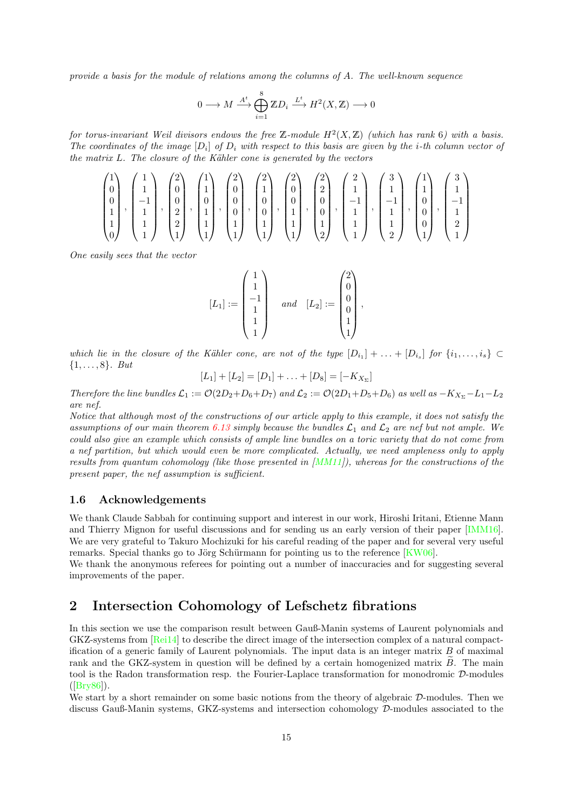provide a basis for the module of relations among the columns of A. The well-known sequence

$$
0 \longrightarrow M \xrightarrow{A^t} \bigoplus_{i=1}^8 \mathbb{Z}D_i \xrightarrow{L^t} H^2(X, \mathbb{Z}) \longrightarrow 0
$$

for torus-invariant Weil divisors endows the free Z-module  $H^2(X,\mathbb{Z})$  (which has rank 6) with a basis. The coordinates of the image  $[D_i]$  of  $D_i$  with respect to this basis are given by the i-th column vector of the matrix  $L$ . The closure of the Kähler cone is generated by the vectors

$$
\begin{pmatrix} 1 \\ 0 \\ 0 \\ 1 \\ 1 \\ 0 \end{pmatrix}, \begin{pmatrix} 1 \\ 1 \\ -1 \\ 1 \\ 1 \\ 1 \end{pmatrix}, \begin{pmatrix} 2 \\ 0 \\ 0 \\ 2 \\ 1 \\ 1 \end{pmatrix}, \begin{pmatrix} 1 \\ 1 \\ 0 \\ 1 \\ 1 \\ 1 \end{pmatrix}, \begin{pmatrix} 2 \\ 0 \\ 0 \\ 0 \\ 1 \\ 1 \end{pmatrix}, \begin{pmatrix} 2 \\ 1 \\ 0 \\ 0 \\ 1 \\ 1 \end{pmatrix}, \begin{pmatrix} 2 \\ 0 \\ 0 \\ 0 \\ 1 \\ 1 \end{pmatrix}, \begin{pmatrix} 2 \\ 2 \\ 0 \\ 0 \\ 1 \\ 1 \end{pmatrix}, \begin{pmatrix} 2 \\ 1 \\ 0 \\ 0 \\ 1 \\ 1 \end{pmatrix}, \begin{pmatrix} 2 \\ 1 \\ 0 \\ 0 \\ 1 \\ 1 \end{pmatrix}, \begin{pmatrix} 2 \\ 1 \\ -1 \\ 0 \\ 1 \\ 1 \end{pmatrix}, \begin{pmatrix} 3 \\ 1 \\ -1 \\ 0 \\ 1 \\ 1 \end{pmatrix}, \begin{pmatrix} 1 \\ 1 \\ 0 \\ 0 \\ 1 \\ 1 \end{pmatrix}, \begin{pmatrix} 3 \\ 1 \\ -1 \\ 0 \\ 1 \\ 1 \end{pmatrix}
$$

One easily sees that the vector

$$
[L_1] := \begin{pmatrix} 1 \\ 1 \\ -1 \\ 1 \\ 1 \\ 1 \end{pmatrix} \quad and \quad [L_2] := \begin{pmatrix} 2 \\ 0 \\ 0 \\ 0 \\ 1 \\ 1 \end{pmatrix}
$$

,

which lie in the closure of the Kähler cone, are not of the type  $[D_{i_1}] + \ldots + [D_{i_s}]$  for  $\{i_1, \ldots, i_s\} \subset$  $\{1, \ldots, 8\}$ . But

$$
[L_1] + [L_2] = [D_1] + \ldots + [D_8] = [-K_{X_{\Sigma}}]
$$

Therefore the line bundles  $\mathcal{L}_1 := \mathcal{O}(2D_2+D_6+D_7)$  and  $\mathcal{L}_2 := \mathcal{O}(2D_1+D_5+D_6)$  as well as  $-K_{X_{\Sigma}}-L_1-L_2$ are nef.

Notice that although most of the constructions of our article apply to this example, it does not satisfy the assumptions of our main theorem [6.13](#page-64-0) simply because the bundles  $\mathcal{L}_1$  and  $\mathcal{L}_2$  are nef but not ample. We could also give an example which consists of ample line bundles on a toric variety that do not come from a nef partition, but which would even be more complicated. Actually, we need ampleness only to apply results from quantum cohomology (like those presented in  $[MM11]$ ), whereas for the constructions of the present paper, the nef assumption is sufficient.

### <span id="page-14-0"></span>1.6 Acknowledgements

We thank Claude Sabbah for continuing support and interest in our work, Hiroshi Iritani, Etienne Mann and Thierry Mignon for useful discussions and for sending us an early version of their paper [\[IMM16\]](#page-70-2). We are very grateful to Takuro Mochizuki for his careful reading of the paper and for several very useful remarks. Special thanks go to Jörg Schürmann for pointing us to the reference  $[KW06]$ .

We thank the anonymous referees for pointing out a number of inaccuracies and for suggesting several improvements of the paper.

### <span id="page-14-1"></span>2 Intersection Cohomology of Lefschetz fibrations

In this section we use the comparison result between Gauß-Manin systems of Laurent polynomials and GKZ-systems from [\[Rei14\]](#page-71-6) to describe the direct image of the intersection complex of a natural compactification of a generic family of Laurent polynomials. The input data is an integer matrix  $B$  of maximal rank and the GKZ-system in question will be defined by a certain homogenized matrix  $B$ . The main tool is the Radon transformation resp. the Fourier-Laplace transformation for monodromic D-modules ([\[Bry86\]](#page-69-5)).

We start by a short remainder on some basic notions from the theory of algebraic D-modules. Then we discuss Gauß-Manin systems, GKZ-systems and intersection cohomology  $\mathcal{D}$ -modules associated to the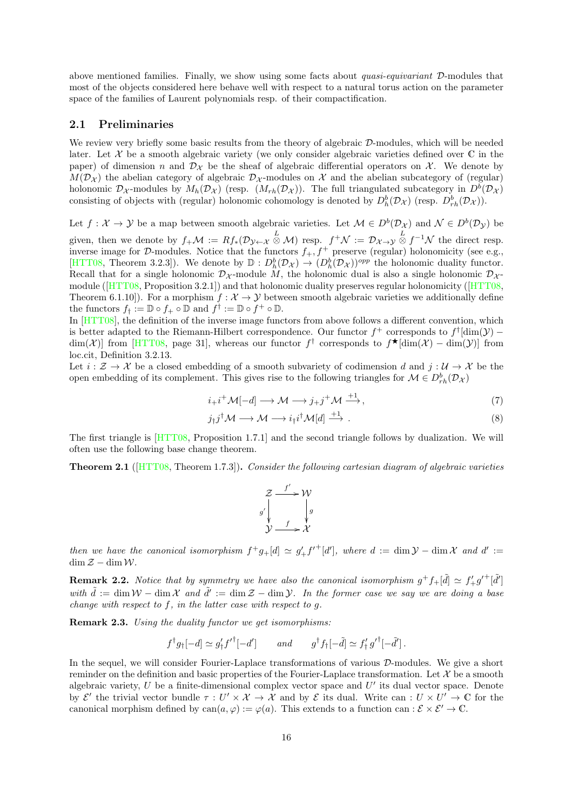above mentioned families. Finally, we show using some facts about quasi-equivariant D-modules that most of the objects considered here behave well with respect to a natural torus action on the parameter space of the families of Laurent polynomials resp. of their compactification.

### <span id="page-15-0"></span>2.1 Preliminaries

We review very briefly some basic results from the theory of algebraic  $\mathcal{D}$ -modules, which will be needed later. Let  $X$  be a smooth algebraic variety (we only consider algebraic varieties defined over  $\mathbb C$  in the paper) of dimension n and  $\mathcal{D}_{\mathcal{X}}$  be the sheaf of algebraic differential operators on  $\mathcal{X}$ . We denote by  $M(\mathcal{D}_{\mathcal{X}})$  the abelian category of algebraic  $\mathcal{D}_{\mathcal{X}}$ -modules on X and the abelian subcategory of (regular) holonomic  $\mathcal{D}_{\mathcal{X}}$ -modules by  $M_h(\mathcal{D}_{\mathcal{X}})$  (resp.  $(M_{rh}(\mathcal{D}_{\mathcal{X}}))$ . The full triangulated subcategory in  $D^b(\mathcal{D}_{\mathcal{X}})$ consisting of objects with (regular) holonomic cohomology is denoted by  $D_h^b(\mathcal{D}_\mathcal{X})$  (resp.  $D_{rh}^b(\mathcal{D}_\mathcal{X})$ ).

Let  $f: \mathcal{X} \to \mathcal{Y}$  be a map between smooth algebraic varieties. Let  $\mathcal{M} \in D^b(\mathcal{D}_\mathcal{X})$  and  $\mathcal{N} \in D^b(\mathcal{D}_\mathcal{Y})$  be

given, then we denote by  $f_+\mathcal{M} := Rf_*(\mathcal{D}_{\mathcal{Y}\leftarrow\mathcal{X}} \stackrel{L}{\otimes} \mathcal{M})$  resp.  $f^+\mathcal{N} := \mathcal{D}_{\mathcal{X}\rightarrow\mathcal{Y}} \stackrel{L}{\otimes} f^{-1}\mathcal{N}$  the direct resp. inverse image for D-modules. Notice that the functors  $f_+, f^+$  preserve (regular) holonomicity (see e.g., [\[HTT08,](#page-70-3) Theorem 3.2.3]). We denote by  $\mathbb{D}: D_h^b(\mathcal{D}_\mathcal{X}) \to (D_h^b(\mathcal{D}_\mathcal{X}))^{opp}$  the holonomic duality functor. Recall that for a single holonomic  $\mathcal{D}_{\mathcal{X}}$ -module M, the holonomic dual is also a single holonomic  $\mathcal{D}_{\mathcal{X}}$ module([\[HTT08,](#page-70-3) Proposition 3.2.1]) and that holonomic duality preserves regular holonomicity ([\[HTT08,](#page-70-3) Theorem 6.1.10]). For a morphism  $f : \mathcal{X} \to \mathcal{Y}$  between smooth algebraic varieties we additionally define the functors  $f_{\dagger} := \mathbb{D} \circ f_{+} \circ \mathbb{D}$  and  $f^{\dagger} := \mathbb{D} \circ f_{+} \circ \mathbb{D}$ .

In [\[HTT08\]](#page-70-3), the definition of the inverse image functors from above follows a different convention, which is better adapted to the Riemann-Hilbert correspondence. Our functor  $f^+$  corresponds to  $f^{\dagger}$ [dim( $\mathcal{Y}$ ) –  $\dim(\mathcal{X})$  from [\[HTT08,](#page-70-3) page 31], whereas our functor  $f^{\dagger}$  corresponds to  $f^{\dagger}$ [dim(X) – dim(Y)] from loc.cit, Definition 3.2.13.

Let  $i : \mathcal{Z} \to \mathcal{X}$  be a closed embedding of a smooth subvariety of codimension d and  $j : \mathcal{U} \to \mathcal{X}$  be the open embedding of its complement. This gives rise to the following triangles for  $\mathcal{M} \in D_{rh}^b(\mathcal{D}_{\mathcal{X}})$ 

$$
i_{+}i^{+}\mathcal{M}[-d] \longrightarrow \mathcal{M} \longrightarrow j_{+}j^{+}\mathcal{M} \stackrel{+1}{\longrightarrow},\tag{7}
$$

$$
j_{\dagger}j^{\dagger}M \longrightarrow M \longrightarrow i_{\dagger}i^{\dagger}M[d] \stackrel{+1}{\longrightarrow}.
$$
 (8)

The first triangle is [\[HTT08,](#page-70-3) Proposition 1.7.1] and the second triangle follows by dualization. We will often use the following base change theorem.

<span id="page-15-1"></span>Theorem 2.1 ( $[HTT08, Theorem 1.7.3]$  $[HTT08, Theorem 1.7.3]$ ). Consider the following cartesian diagram of algebraic varieties



then we have the canonical isomorphism  $f^+g_+[d] \simeq g'_+f'^+[d']$ , where  $d := \dim \mathcal{Y} - \dim \mathcal{X}$  and  $d' :=$  $\dim \mathcal{Z} - \dim \mathcal{W}$ .

**Remark 2.2.** Notice that by symmetry we have also the canonical isomorphism  $g^+ f_+[\tilde{d}] \simeq f'_+ g'^+[\tilde{d}']$ with  $\tilde{d} := \dim \mathcal{W} - \dim \mathcal{X}$  and  $\tilde{d}' := \dim \mathcal{Z} - \dim \mathcal{Y}$ . In the former case we say we are doing a base change with respect to  $f$ , in the latter case with respect to  $g$ .

Remark 2.3. Using the duality functor we get isomorphisms:

$$
f^{\dagger}g_{\dagger}[-d] \simeq g'_{\dagger}f'^{\dagger}[-d'] \quad \text{and} \quad g^{\dagger}f_{\dagger}[-\tilde{d}] \simeq f'_{\dagger}g'^{\dagger}[-\tilde{d}'].
$$

In the sequel, we will consider Fourier-Laplace transformations of various  $\mathcal{D}$ -modules. We give a short reminder on the definition and basic properties of the Fourier-Laplace transformation. Let  $\mathcal X$  be a smooth algebraic variety,  $U$  be a finite-dimensional complex vector space and  $U'$  its dual vector space. Denote by  $\mathcal{E}'$  the trivial vector bundle  $\tau: U' \times \mathcal{X} \to \mathcal{X}$  and by  $\mathcal{E}$  its dual. Write can  $: U \times U' \to \mathbb{C}$  for the canonical morphism defined by  $can(a, \varphi) := \varphi(a)$ . This extends to a function can :  $\mathcal{E} \times \mathcal{E}' \to \mathbb{C}$ .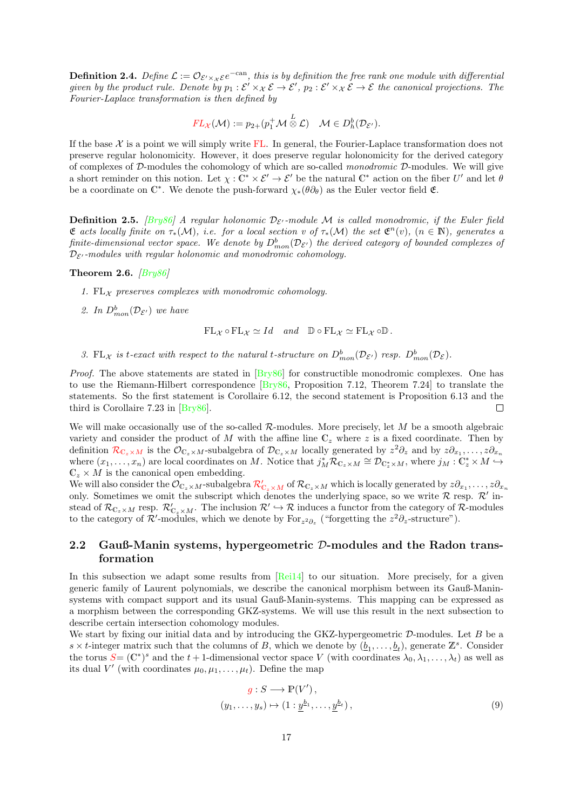<span id="page-16-1"></span>**Definition 2.4.** Define  $\mathcal{L} := \mathcal{O}_{\mathcal{E}' \times \mathcal{X} \mathcal{E}} e^{-c a n}$ , this is by definition the free rank one module with differential given by the product rule. Denote by  $p_1 : \mathcal{E}' \times_{\mathcal{X}} \mathcal{E} \to \mathcal{E}'$ ,  $p_2 : \mathcal{E}' \times_{\mathcal{X}} \mathcal{E} \to \mathcal{E}$  the canonical projections. The Fourier-Laplace transformation is then defined by

$$
FL_{\mathcal{X}}(\mathcal{M}) := p_{2+}(p_1^+\mathcal{M}\overset{L}{\otimes}\mathcal{L}) \quad \mathcal{M} \in D_h^b(\mathcal{D}_{\mathcal{E}'}).
$$

If the base  $X$  is a point we will simply write  $FL$ . In general, the Fourier-Laplace transformation does not preserve regular holonomicity. However, it does preserve regular holonomicity for the derived category of complexes of  $D$ -modules the cohomology of which are so-called monodromic  $D$ -modules. We will give a short reminder on this notion. Let  $\chi : \mathbb{C}^* \times \mathcal{E}' \to \mathcal{E}'$  be the natural  $\mathbb{C}^*$  action on the fiber U' and let  $\theta$ be a coordinate on  $\mathbb{C}^*$ . We denote the push-forward  $\chi_*(\theta \partial_\theta)$  as the Euler vector field  $\mathfrak{E}$ .

**Definition 2.5.** [\[Bry86\]](#page-69-5) A regular holonomic  $\mathcal{D}_{\mathcal{E}'}$ -module M is called monodromic, if the Euler field **E** acts locally finite on  $\tau_*(\mathcal{M})$ , i.e. for a local section v of  $\tau_*(\mathcal{M})$  the set  $\mathfrak{E}^n(v)$ ,  $(n \in \mathbb{N})$ , generates a finite-dimensional vector space. We denote by  $D^b_{mon}({\cal D}_{\cal E'})$  the derived category of bounded complexes of  $\mathcal{D}_{\mathcal{E}'}$ -modules with regular holonomic and monodromic cohomology.

#### Theorem 2.6.  $\sqrt{Bry86}$

- 1. FL<sub>X</sub> preserves complexes with monodromic cohomology.
- 2. In  $D_{mon}^b(\mathcal{D}_{\mathcal{E}'})$  we have

 $FL_{\mathcal{X}} \circ FL_{\mathcal{X}} \simeq Id$  and  $\mathbb{D} \circ FL_{\mathcal{X}} \simeq FL_{\mathcal{X}} \circ \mathbb{D}$ .

3. FL<sub>X</sub> is t-exact with respect to the natural t-structure on  $D_{mon}^b(\mathcal{D}_{\mathcal{E}'})$  resp.  $D_{mon}^b(\mathcal{D}_{\mathcal{E}})$ .

Proof. The above statements are stated in  $Bry86$  for constructible monodromic complexes. One has to use the Riemann-Hilbert correspondence [\[Bry86,](#page-69-5) Proposition 7.12, Theorem 7.24] to translate the statements. So the first statement is Corollaire 6.12, the second statement is Proposition 6.13 and the third is Corollaire 7.23 in [\[Bry86\]](#page-69-5).  $\Box$ 

We will make occasionally use of the so-called  $\mathcal{R}\text{-modules}$ . More precisely, let M be a smooth algebraic variety and consider the product of M with the affine line  $\mathbb{C}_z$  where z is a fixed coordinate. Then by definition  $\mathcal{R}_{\mathbb{C}_z\times M}$  $\mathcal{R}_{\mathbb{C}_z\times M}$  $\mathcal{R}_{\mathbb{C}_z\times M}$  is the  $\mathcal{O}_{\mathbb{C}_z\times M}$ -subalgebra of  $\mathcal{D}_{\mathbb{C}_z\times M}$  locally generated by  $z^2\partial_z$  and by  $z\partial_{x_1},\ldots,z\partial_{x_n}$ where  $(x_1, \ldots, x_n)$  are local coordinates on M. Notice that  $j_M^* \mathcal{R}_{\mathbb{C}_z \times M} \cong \mathcal{D}_{\mathbb{C}_z^* \times M}$ , where  $j_M : \mathbb{C}_z^* \times M \hookrightarrow$  $\mathbb{C}_z \times M$  is the canonical open embedding.

We will also consider the  $\mathcal{O}_{\mathbb{C}_z\times M}$ -subalgebra  $\mathcal{R}'_{\mathbb{C}_z\times M}$  $\mathcal{R}'_{\mathbb{C}_z\times M}$  $\mathcal{R}'_{\mathbb{C}_z\times M}$  of  $\mathcal{R}_{\mathbb{C}_z\times M}$  which is locally generated by  $z\partial_{x_1},\ldots,z\partial_{x_n}$ only. Sometimes we omit the subscript which denotes the underlying space, so we write  $\mathcal R$  resp.  $\mathcal R'$  instead of  $\mathcal{R}_{\mathbb{C}_z\times M}$  resp.  $\mathcal{R}'_{\mathbb{C}_z\times M}$ . The inclusion  $\mathcal{R}'\hookrightarrow \mathcal{R}$  induces a functor from the category of  $\mathcal{R}$ -modules to the category of  $\mathcal{R}'$ -modules, which we denote by For<sub>z<sup>2</sup> $\partial_z$ </sup> ("forgetting the  $z^2\partial_z$ -structure").</sub>

### <span id="page-16-0"></span>2.2 Gauß-Manin systems, hypergeometric  $D$ -modules and the Radon transformation

In this subsection we adapt some results from [\[Rei14\]](#page-71-6) to our situation. More precisely, for a given generic family of Laurent polynomials, we describe the canonical morphism between its Gauß-Maninsystems with compact support and its usual Gauß-Manin-systems. This mapping can be expressed as a morphism between the corresponding GKZ-systems. We will use this result in the next subsection to describe certain intersection cohomology modules.

We start by fixing our initial data and by introducing the GKZ-hypergeometric  $\mathcal{D}$ -modules. Let B be a  $s \times t$ -integer matrix such that the columns of B, which we denote by  $(\underline{b}_1, \ldots, \underline{b}_t)$ , generate  $\mathbb{Z}^s$ . Consider the torus  $S = (\mathbb{C}^*)^s$  $S = (\mathbb{C}^*)^s$  and the  $t + 1$ -dimensional vector space V (with coordinates  $\lambda_0, \lambda_1, \ldots, \lambda_t$ ) as well as its dual V' (with coordinates  $\mu_0, \mu_1, \ldots, \mu_t$ ). Define the map

<span id="page-16-2"></span>
$$
g: S \longrightarrow \mathbb{P}(V'),
$$
  

$$
(y_1, \dots, y_s) \mapsto (1: \underline{y}^{b_1}, \dots, \underline{y}^{b_t}),
$$
 (9)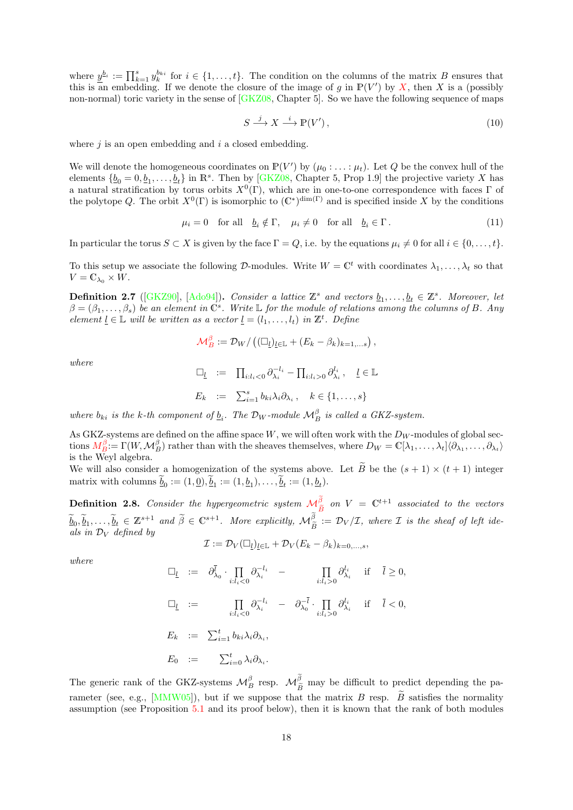where  $\underline{y}^{b_i} := \prod_{k=1}^s y_k^{b_{ki}}$  for  $i \in \{1, \ldots, t\}$ . The condition on the columns of the matrix B ensures that this is an embedding. If we denote the closure of the image of g in  $\mathbb{P}(V')$  by [X](#page-69-8), then X is a (possibly non-normal) toric variety in the sense of  $[GKZ08, Ghatter 5]$ . So we have the following sequence of maps

<span id="page-17-2"></span>
$$
S \xrightarrow{j} X \xrightarrow{i} \mathbb{P}(V'), \tag{10}
$$

where  $i$  is an open embedding and  $i$  a closed embedding.

We will denote the homogeneous coordinates on  $\mathbb{P}(V')$  by  $(\mu_0 : \ldots : \mu_t)$ . Let Q be the convex hull of the elements  $\{b_0 = 0, b_1, \ldots, b_t\}$  in  $\mathbb{R}^s$ . Then by [\[GKZ08,](#page-70-4) Chapter 5, Prop 1.9] the projective variety X has a natural stratification by torus orbits  $X^0(\Gamma)$ , which are in one-to-one correspondence with faces  $\Gamma$  of the polytope Q. The orbit  $X^0(\Gamma)$  is isomorphic to  $(\mathbb{C}^*)^{\dim(\Gamma)}$  and is specified inside X by the conditions

<span id="page-17-1"></span>
$$
\mu_i = 0 \quad \text{for all} \quad \underline{b}_i \notin \Gamma, \quad \mu_i \neq 0 \quad \text{for all} \quad \underline{b}_i \in \Gamma. \tag{11}
$$

In particular the torus  $S \subset X$  is given by the face  $\Gamma = Q$ , i.e. by the equations  $\mu_i \neq 0$  for all  $i \in \{0, \ldots, t\}$ .

To this setup we associate the following D-modules. Write  $W = \mathbb{C}^t$  with coordinates  $\lambda_1, \ldots, \lambda_t$  so that  $V = \mathbb{C}_{\lambda_0} \times W.$ 

<span id="page-17-0"></span>**Definition 2.7** ([\[GKZ90\]](#page-70-5), [\[Ado94\]](#page-69-1)). Consider a lattice  $\mathbb{Z}^s$  and vectors  $\underline{b}_1, \ldots, \underline{b}_t \in \mathbb{Z}^s$ . Moreover, let  $\beta = (\beta_1, \ldots, \beta_s)$  be an element in  $\check{C}^s$ . Write L for the module of relations among the columns of B. Any element  $\underline{l} \in \mathbb{L}$  will be written as a vector  $\underline{l} = (l_1, \ldots, l_t)$  in  $\mathbb{Z}^t$ . Define

$$
\mathcal{M}_{B}^{\beta} := \mathcal{D}_{W}/\left((\Box_{\underline{l}})_{\underline{l} \in \mathbb{L}} + (E_{k} - \beta_{k})_{k=1,\ldots s}\right),
$$

where

$$
\Box_{\underline{l}} := \Pi_{i:l_i < 0} \partial_{\lambda_i}^{-l_i} - \Pi_{i:l_i > 0} \partial_{\lambda_i}^{l_i}, \quad \underline{l} \in \mathbb{L}
$$
  

$$
E_k := \sum_{i=1}^s b_{ki} \lambda_i \partial_{\lambda_i}, \quad k \in \{1, ..., s\}
$$

where  $b_{ki}$  is the k-th component of  $\underline{b}_i$ . The  $\mathcal{D}_W$ -module  $\mathcal{M}_{B}^{\beta}$  is called a GKZ-system.

As GKZ-systems are defined on the affine space  $W$ , we will often work with the  $D_W$ -modules of global sections  $M_B^{\beta} = \Gamma(W, \mathcal{M}_B^{\beta})$  $M_B^{\beta} = \Gamma(W, \mathcal{M}_B^{\beta})$  rather than with the sheaves themselves, where  $D_W = \mathbb{C}[\lambda_1, \dots, \lambda_t] \langle \partial_{\lambda_1}, \dots, \partial_{\lambda_t} \rangle$ is the Weyl algebra.

We will also consider a homogenization of the systems above. Let  $\tilde{B}$  be the  $(s + 1) \times (t + 1)$  integer matrix with columns  $\underline{b}_0 := (1, \underline{0}), \underline{b}_1 := (1, \underline{b}_1), \dots, \underline{b}_t := (1, \underline{b}_t).$ 

**Definition 2.8.** Consider the hypergeometric system  $\mathcal{M}_{\tilde{P}}^{\beta}$  $\mathcal{M}_{\tilde{P}}^{\beta}$  $\mathcal{M}_{\tilde{P}}^{\beta}$  on  $V = \mathbb{C}^{t+1}$  associated to the vectors Be  $\widetilde{\underline{b}}_0, \widetilde{\underline{b}}_1, \ldots, \widetilde{\underline{b}}_t \in \mathbb{Z}^{s+1}$  and  $\widetilde{\beta} \in \mathbb{C}^{s+1}$ . More explicitly,  $\mathcal{M}_{\widetilde{B}}^{\beta} := \mathcal{D}_V/\mathcal{I}$ , where  $\mathcal I$  is the sheaf of left ideals in  $\mathcal{D}_V$  defined by

$$
\mathcal{I} := \mathcal{D}_V(\Box_l)_{l \in \mathbb{L}} + \mathcal{D}_V(E_k - \beta_k)_{k=0,\ldots,s},
$$

where

$$
\begin{array}{rcl}\n\Box_{\underline{l}} & := & \partial_{\lambda_0}^{\overline{l}} \cdot \prod_{i:l_i < 0} \partial_{\lambda_i}^{-l_i} & - & \prod_{i:l_i > 0} \partial_{\lambda_i}^{l_i} & \text{if} \quad \overline{l} \ge 0, \\
\Box_{\underline{l}} & := & \prod_{i:l_i < 0} \partial_{\lambda_i}^{-l_i} & - & \partial_{\lambda_0}^{-\overline{l}} \cdot \prod_{i:l_i > 0} \partial_{\lambda_i}^{l_i} & \text{if} \quad \overline{l} < 0, \\
E_k & := & \sum_{i=1}^t b_{ki} \lambda_i \partial_{\lambda_i}, \\
E_0 & := & \sum_{i=0}^t \lambda_i \partial_{\lambda_i}.\n\end{array}
$$

The generic rank of the GKZ-systems  $\mathcal{M}_{B}^{\beta}$  resp.  $\mathcal{M}_{\tilde{B}}^{\beta}$  may be difficult to predict depending the pa-rameter (see, e.g., [\[MMW05\]](#page-71-10)), but if we suppose that the matrix B resp.  $\tilde{B}$  satisfies the normality assumption (see Proposition [5.1](#page-48-1) and its proof below), then it is known that the rank of both modules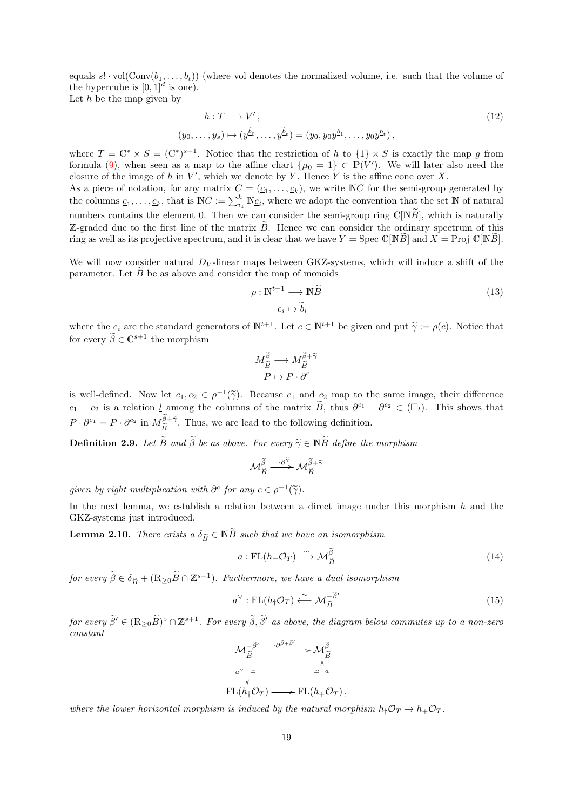equals  $s! \cdot \text{vol}(\text{Conv}(\underline{b}_1, \ldots, \underline{b}_t))$  (where vol denotes the normalized volume, i.e. such that the volume of the hypercube is  $[0, 1]^d$  is one).

Let  $h$  be the map given by

$$
h: T \longrightarrow V',
$$
  
\n
$$
(y_0, \dots, y_s) \mapsto (\underline{\tilde{y}^{\tilde{b}_0}}, \dots, \underline{\tilde{y}^{\tilde{b}_t}}) = (y_0, y_0 \underline{y}^{b_1}, \dots, y_0 \underline{y}^{b_t}),
$$
\n
$$
(12)
$$

where  $T = \mathbb{C}^* \times S = (\mathbb{C}^*)^{s+1}$ . Notice that the restriction of h to  $\{1\} \times S$  is exactly the map g from formula [\(9\)](#page-16-2), when seen as a map to the affine chart  $\{\mu_0 = 1\} \subset \mathbb{P}(V')$ . We will later also need the closure of the image of h in  $V'$ , which we denote by Y. Hence Y is the affine cone over X.

As a piece of notation, for any matrix  $C = (c_1, \ldots, c_k)$ , we write NC for the semi-group generated by the columns  $c_1, \ldots, c_k$ , that is  $\mathbb{N}C := \sum_{i=1}^k \mathbb{N}c_i$ , where we adopt the convention that the set  $\mathbb N$  of natural numbers contains the element 0. Then we can consider the semi-group ring  $\mathbb{C}[\mathbb{N}\tilde{B}]$ , which is naturally Z-graded due to the first line of the matrix  $\tilde{B}$ . Hence we can consider the ordinary spectrum of this ring as well as its projective spectrum, and it is clear that we have  $Y = \text{Spec } \mathbb{C}[\mathbb{N}\tilde{B}]$  and  $X = \text{Proj } \mathbb{C}[\mathbb{N}\tilde{B}].$ 

We will now consider natural  $D_V$ -linear maps between GKZ-systems, which will induce a shift of the parameter. Let  $B$  be as above and consider the map of monoids

<span id="page-18-3"></span><span id="page-18-1"></span>
$$
\rho: \mathbb{N}^{t+1} \longrightarrow \mathbb{N}\widetilde{B} \tag{13}
$$

$$
e_i \mapsto \widetilde{b}_i
$$

where the  $e_i$  are the standard generators of  $\mathbb{N}^{t+1}$ . Let  $c \in \mathbb{N}^{t+1}$  be given and put  $\tilde{\gamma} := \rho(c)$ . Notice that for every  $\widetilde{\beta} \in \mathbb{C}^{s+1}$  the morphism

$$
\begin{array}{c}M_{\widetilde{B}}^{\widetilde{\beta}}\longrightarrow M_{\widetilde{B}}^{\widetilde{\beta}+\widetilde{\gamma}}\\ P\mapsto P\cdot\partial^{c}\end{array}
$$

is well-defined. Now let  $c_1, c_2 \in \rho^{-1}(\tilde{\gamma})$ . Because  $c_1$  and  $c_2$  map to the same image, their difference  $c_1 - c_2$  is a relation  $\underline{l}$  among the columns of the matrix  $\widetilde{B}$ , thus  $\partial^{c_1} - \partial^{c_2} \in (\Box_{\underline{l}})$ . This shows that  $P \cdot \partial^{c_1} = P \cdot \partial^{c_2}$  in  $M_{\tilde{B}}^{\beta + \tilde{\gamma}}$ . Thus, we are lead to the following definition.

**Definition 2.9.** Let  $\widetilde{B}$  and  $\widetilde{\beta}$  be as above. For every  $\widetilde{\gamma} \in \mathbb{N}\widetilde{B}$  define the morphism

$$
\mathcal{M}^{\widetilde{\beta}}_{\widetilde{B}} \xrightarrow{\cdot \partial^{\widetilde{\gamma}}} \mathcal{M}^{\widetilde{\beta}+\widetilde{\gamma}}_{\widetilde{B}}
$$

given by right multiplication with  $\partial^c$  for any  $c \in \rho^{-1}(\tilde{\gamma})$ .

In the next lemma, we establish a relation between a direct image under this morphism  $h$  and the GKZ-systems just introduced.

<span id="page-18-2"></span>**Lemma 2.10.** There exists a  $\delta_{\widetilde{B}} \in \mathbb{N} \widetilde{B}$  such that we have an isomorphism

<span id="page-18-0"></span>
$$
a: FL(h_{+}\mathcal{O}_{T}) \xrightarrow{\simeq} \mathcal{M}_{\widetilde{B}}^{\widetilde{\beta}}
$$
\n
$$
(14)
$$

for every  $\widetilde{\beta} \in \delta_{\widetilde{B}} + (\mathbb{R}_{\geq 0}\widetilde{B} \cap \mathbb{Z}^{s+1})$ . Furthermore, we have a dual isomorphism

$$
a^{\vee} : \mathrm{FL}(h_{\dagger} \mathcal{O}_T) \xleftarrow{\simeq} \mathcal{M}_{\widetilde{B}}^{-\widetilde{\beta}'} \tag{15}
$$

for every  $\widetilde{\beta}' \in (\mathbb{R}_{\geq 0}\widetilde{B})^{\circ} \cap \mathbb{Z}^{s+1}$ . For every  $\widetilde{\beta}, \widetilde{\beta}'$  as above, the diagram below commutes up to a non-zero constant

$$
\mathcal{M}_{\widetilde{B}}^{-\widetilde{\beta}'} \xrightarrow{\cdot \partial^{\widetilde{\beta}+\widetilde{\beta}'}} \mathcal{M}_{\widetilde{B}}^{\widetilde{\beta}} \n\alpha^{\vee} \downarrow \simeq \qquad \simeq \uparrow a \n\mathrm{FL}(h_{\dagger}\mathcal{O}_{T}) \longrightarrow \mathrm{FL}(h_{+}\mathcal{O}_{T}),
$$

where the lower horizontal morphism is induced by the natural morphism  $h_{\dagger}O_T \rightarrow h_+O_T$ .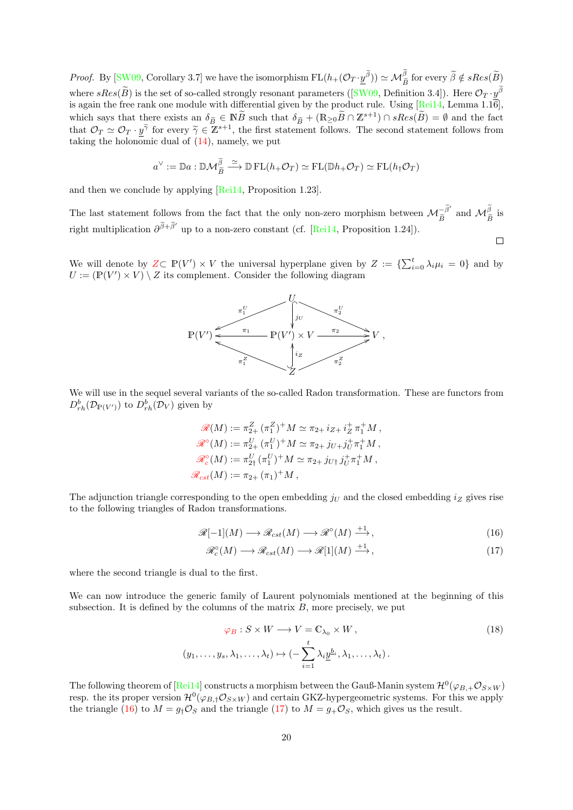*Proof.* By [\[SW09,](#page-72-4) Corollary 3.7] we have the isomorphism  $FL(h+(\mathcal{O}_T \cdot \underline{y}^{\beta})) \simeq \mathcal{M}_{\tilde{B}}^{\beta}$  for every  $\tilde{\beta} \notin sRes(\tilde{B})$ where $sRes(\tilde{B})$  is the set of so-called strongly resonant parameters ([\[SW09,](#page-72-4) Definition 3.4]). Here  $\mathcal{O}_T \cdot y^{\beta}$ is again the free rank one module with differential given by the product rule. Using  $[\text{Rei14}, \text{Lemma 1.16}],$ which says that there exists an  $\delta_{\tilde{B}} \in \mathbb{N}\widetilde{B}$  such that  $\delta_{\tilde{B}} + (\mathbb{R}_{\geq 0}\widetilde{B} \cap \mathbb{Z}^{s+1}) \cap sRes(\widetilde{B}) = \emptyset$  and the fact that  $\mathcal{O}_T \simeq \mathcal{O}_T \cdot \widetilde{y}^{\tilde{\gamma}}$  for every  $\tilde{\gamma} \in \mathbb{Z}^{s+1}$ , the fi taking the holonomic dual of  $(14)$ , namely, we put

$$
a^{\vee} := \mathbb{D}a : \mathbb{D}\mathcal{M}_{\widetilde{B}}^{\widetilde{\beta}} \xrightarrow{\simeq} \mathbb{D} \operatorname{FL}(h_+\mathcal{O}_T) \simeq \operatorname{FL}(\mathbb{D}h_+\mathcal{O}_T) \simeq \operatorname{FL}(h_\dagger\mathcal{O}_T)
$$

and then we conclude by applying [\[Rei14,](#page-71-6) Proposition 1.23].

The last statement follows from the fact that the only non-zero morphism between  $\mathcal{M}_{\tilde{B}}^{-\tilde{\beta}'}$  and  $\mathcal{M}_{\tilde{B}}^{\tilde{\beta}}$  is right multiplication  $\partial^{\tilde{\beta}+\tilde{\beta}'}$  up to a non-zero constant (cf. [\[Rei14,](#page-71-6) Proposition 1.24]).

We will denote by  $Z \subset \mathbb{P}(V') \times V$  $Z \subset \mathbb{P}(V') \times V$  the universal hyperplane given by  $Z := \{ \sum_{i=0}^{t} \lambda_i \mu_i = 0 \}$  and by  $U := (\mathbb{P}(V') \times V) \setminus Z$  its complement. Consider the following diagram



We will use in the sequel several variants of the so-called Radon transformation. These are functors from  $D_{rh}^b(\mathcal{D}_{\mathbb{P}(V')})$  to  $D_{rh}^b(\mathcal{D}_V)$  given by

$$
\mathcal{R}(M) := \pi_{2+}^Z (\pi_1^Z)^+ M \simeq \pi_{2+} i_{Z+} i_Z^+ \pi_1^+ M,
$$
  
\n
$$
\mathcal{R}^\circ(M) := \pi_{2+}^U (\pi_1^U)^+ M \simeq \pi_{2+} j_{U+} j_U^+ \pi_1^+ M,
$$
  
\n
$$
\mathcal{R}_c^\circ(M) := \pi_{2+}^U (\pi_1^U)^+ M \simeq \pi_{2+} j_{U+} j_U^+ \pi_1^+ M,
$$
  
\n
$$
\mathcal{R}_{cst}(M) := \pi_{2+} (\pi_1)^+ M,
$$

The adjunction triangle corresponding to the open embedding  $j<sub>U</sub>$  and the closed embedding  $i<sub>Z</sub>$  gives rise to the following triangles of Radon transformations.

$$
\mathcal{R}[-1](M) \longrightarrow \mathcal{R}_{cst}(M) \longrightarrow \mathcal{R}^{\circ}(M) \stackrel{+1}{\longrightarrow},\tag{16}
$$

 $\Box$ 

<span id="page-19-2"></span><span id="page-19-1"></span><span id="page-19-0"></span>
$$
\mathcal{R}_c^{\circ}(M) \longrightarrow \mathcal{R}_{cst}(M) \longrightarrow \mathcal{R}[1](M) \xrightarrow{+1}, \tag{17}
$$

where the second triangle is dual to the first.

We can now introduce the generic family of Laurent polynomials mentioned at the beginning of this subsection. It is defined by the columns of the matrix  $B$ , more precisely, we put

$$
\varphi_B: S \times W \longrightarrow V = \mathbb{C}_{\lambda_0} \times W, (y_1, \dots, y_s, \lambda_1, \dots, \lambda_t) \mapsto (-\sum_{i=1}^t \lambda_i \underline{y}^{b_i}, \lambda_1, \dots, \lambda_t).
$$
 (18)

The following theorem of [\[Rei14\]](#page-71-6) constructs a morphism between the Gauß-Manin system  $\mathcal{H}^0(\varphi_{B,+}\mathcal{O}_{S\times W})$ resp. the its proper version  $\mathcal{H}^0(\varphi_{B,\dagger}\mathcal{O}_{S\times W})$  and certain GKZ-hypergeometric systems. For this we apply the triangle [\(16\)](#page-19-0) to  $M = g<sub>\dagger</sub> \mathcal{O}<sub>S</sub>$  and the triangle [\(17\)](#page-19-1) to  $M = g<sub>+</sub> \mathcal{O}<sub>S</sub>$ , which gives us the result.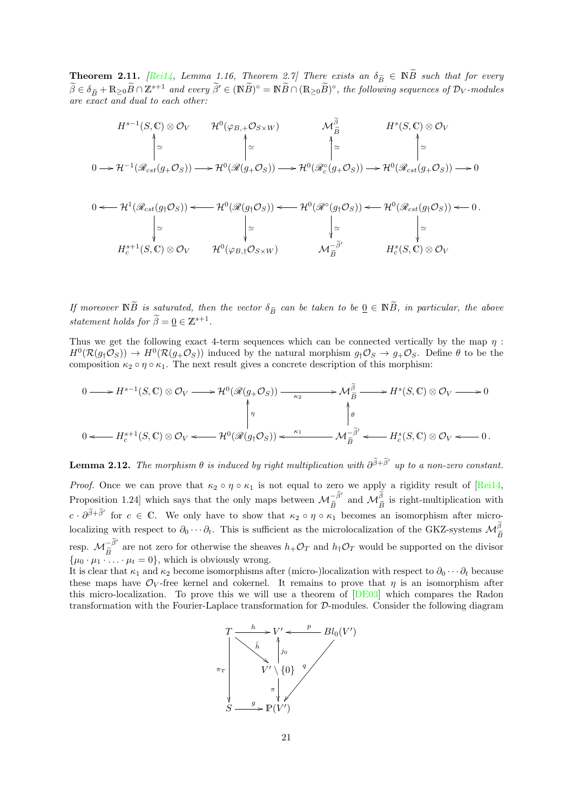<span id="page-20-0"></span>**Theorem 2.11.** [\[Rei14,](#page-71-6) Lemma 1.16, Theorem 2.7] There exists an  $\delta_{\tilde{B}} \in \mathbb{N}\tilde{B}$  such that for every  $\tilde{A} \geq \tilde{B}$  $\widetilde{\beta} \in \delta_{\widetilde{B}} + \mathbb{R}_{\geq 0} \widetilde{B} \cap \mathbb{Z}^{s+1}$  and every  $\widetilde{\beta}' \in (\mathbb{N} \widetilde{B})^{\circ} = \mathbb{N} \widetilde{B} \cap (\mathbb{R}_{\geq 0} \widetilde{B})^{\circ}$ , the following sequences of  $\mathcal{D}_V$ -modules are exact and dual to each other:

$$
H^{s-1}(S, \mathbb{C}) \otimes \mathcal{O}_V \qquad \mathcal{H}^0(\varphi_{B, +} \mathcal{O}_{S \times W}) \qquad \mathcal{M}_{\widetilde{B}}^{\widetilde{\beta}} \qquad H^s(S, \mathbb{C}) \otimes \mathcal{O}_V
$$

$$
\uparrow \simeq \qquad \qquad \uparrow \simeq \qquad \qquad \uparrow \simeq \qquad \qquad \uparrow \simeq \qquad \qquad \downarrow \simeq \qquad \qquad \downarrow \simeq \qquad \qquad \downarrow \simeq \qquad \qquad \downarrow \simeq \qquad \qquad \downarrow \simeq \qquad \qquad \downarrow \simeq \qquad \qquad \downarrow \simeq \qquad \qquad \downarrow \simeq \qquad \qquad \downarrow \simeq \qquad \qquad \downarrow \simeq \qquad \qquad \downarrow \simeq \qquad \qquad \downarrow \simeq \qquad \qquad \downarrow \simeq \qquad \qquad \downarrow \simeq \qquad \qquad \downarrow \simeq \qquad \qquad \downarrow \simeq \qquad \qquad \downarrow \simeq \qquad \qquad \downarrow \simeq \qquad \qquad \downarrow \simeq \qquad \qquad \downarrow \simeq \qquad \qquad \downarrow \simeq \qquad \qquad \downarrow \simeq \qquad \qquad \downarrow \simeq \qquad \qquad \downarrow \simeq \qquad \qquad \downarrow \simeq \qquad \qquad \downarrow \simeq \qquad \qquad \downarrow \simeq \qquad \qquad \downarrow \simeq \qquad \qquad \downarrow \simeq \qquad \qquad \downarrow \simeq \qquad \qquad \downarrow \simeq \qquad \qquad \downarrow \simeq \qquad \qquad \downarrow \simeq \qquad \qquad \downarrow \simeq \qquad \qquad \downarrow \simeq \qquad \qquad \downarrow \simeq \qquad \qquad \downarrow \simeq \qquad \qquad \downarrow \simeq \qquad \qquad \downarrow \simeq \qquad \qquad \downarrow \simeq \qquad \qquad \downarrow \simeq \qquad \qquad \downarrow \simeq \qquad \qquad \downarrow \simeq \qquad \qquad \downarrow \simeq \qquad \qquad \downarrow \simeq \qquad \qquad \downarrow \simeq \qquad \qquad
$$

$$
0 \leftarrow \mathcal{H}^{1}(\mathcal{R}_{cst}(g_{\dagger}\mathcal{O}_{S})) \leftarrow \mathcal{H}^{0}(\mathcal{R}(g_{\dagger}\mathcal{O}_{S})) \leftarrow \mathcal{H}^{0}(\mathcal{R}^{\circ}(g_{\dagger}\mathcal{O}_{S})) \leftarrow \mathcal{H}^{0}(\mathcal{R}_{cst}(g_{\dagger}\mathcal{O}_{S})) \leftarrow 0.
$$
\n
$$
\begin{vmatrix}\n\omega & \omega & \omega \\
\omega & \omega & \omega \\
\omega & \omega & \omega\n\end{vmatrix}
$$
\n
$$
H_{c}^{s+1}(S, \mathbb{C}) \otimes \mathcal{O}_{V} \qquad \mathcal{H}^{0}(\varphi_{B, \dagger}\mathcal{O}_{S \times W}) \qquad \mathcal{M}_{\widetilde{B}}^{-\widetilde{\beta}'} \qquad H_{c}^{s}(S, \mathbb{C}) \otimes \mathcal{O}_{V}
$$

If moreover  $\mathbb{N}\widetilde{B}$  is saturated, then the vector  $\delta_{\widetilde{B}}$  can be taken to be  $\underline{0} \in \mathbb{N}\widetilde{B}$ , in particular, the above statement holds for  $\widetilde{\beta} = \underline{0} \in \mathbb{Z}^{s+1}$ .

Thus we get the following exact 4-term sequences which can be connected vertically by the map  $\eta$ :  $H^0(\mathcal{R}(g_\dagger \mathcal{O}_S)) \to H^0(\mathcal{R}(g_\dagger \mathcal{O}_S))$  induced by the natural morphism  $g_\dagger \mathcal{O}_S \to g_\dagger \mathcal{O}_S$ . Define  $\theta$  to be the composition  $\kappa_2 \circ \eta \circ \kappa_1$ . The next result gives a concrete description of this morphism:

$$
0 \longrightarrow H^{s-1}(S, \mathbb{C}) \otimes \mathcal{O}_V \longrightarrow \mathcal{H}^0(\mathcal{R}(g_+ \mathcal{O}_S)) \longrightarrow \mathcal{M}_{\widetilde{B}}^{\widetilde{\beta}} \longrightarrow H^s(S, \mathbb{C}) \otimes \mathcal{O}_V \longrightarrow 0
$$
  
\n
$$
\uparrow \qquad \qquad \uparrow \qquad \qquad \downarrow
$$
  
\n
$$
0 \longleftarrow H_c^{s+1}(S, \mathbb{C}) \otimes \mathcal{O}_V \longleftarrow \mathcal{H}^0(\mathcal{R}(g_+ \mathcal{O}_S)) \longleftarrow \stackrel{\kappa_1}{\longrightarrow} \mathcal{M}_{\widetilde{B}}^{-\widetilde{\beta}'} \longleftarrow H_c^s(S, \mathbb{C}) \otimes \mathcal{O}_V \longleftarrow 0.
$$

**Lemma 2.12.** The morphism  $\theta$  is induced by right multiplication with  $\partial^{\tilde{\beta}+\tilde{\beta}'}$  up to a non-zero constant.

*Proof.* Once we can prove that  $\kappa_2 \circ \eta \circ \kappa_1$  is not equal to zero we apply a rigidity result of [\[Rei14,](#page-71-6) Proposition 1.24] which says that the only maps between  $\mathcal{M}_{\widetilde{P}}^{-\widetilde{\beta}'}$  and  $\mathcal{M}_{\widetilde{P}}^{\widetilde{\beta}}$  is right-multiplication with  $B$ <sup> $\cdots$ </sup> $B$  $c \cdot \partial^{\tilde{\beta}+\tilde{\beta}'}$  for  $c \in \mathbb{C}$ . We only have to show that  $\kappa_2 \circ \eta \circ \kappa_1$  becomes an isomorphism after microlocalizing with respect to  $\partial_0 \cdots \partial_t$ . This is sufficient as the microlocalization of the GKZ-systems  $\mathcal{M}_{\widetilde{B}}^{\beta}$ resp.  $\mathcal{M}_{\tilde{B}}^{-\tilde{\beta}'}$  are not zero for otherwise the sheaves  $h_+\mathcal{O}_T$  and  $h_\dagger\mathcal{O}_T$  would be supported on the divisor  $\{\mu_0 \cdot \mu_1 \cdot \ldots \cdot \mu_t = 0\}$ , which is obviously wrong.

It is clear that  $\kappa_1$  and  $\kappa_2$  become isomorphisms after (micro-)localization with respect to  $\partial_0 \cdots \partial_t$  because these maps have  $\mathcal{O}_V$ -free kernel and cokernel. It remains to prove that  $\eta$  is an isomorphism after this micro-localization. To prove this we will use a theorem of [\[DE03\]](#page-70-6) which compares the Radon transformation with the Fourier-Laplace transformation for D-modules. Consider the following diagram

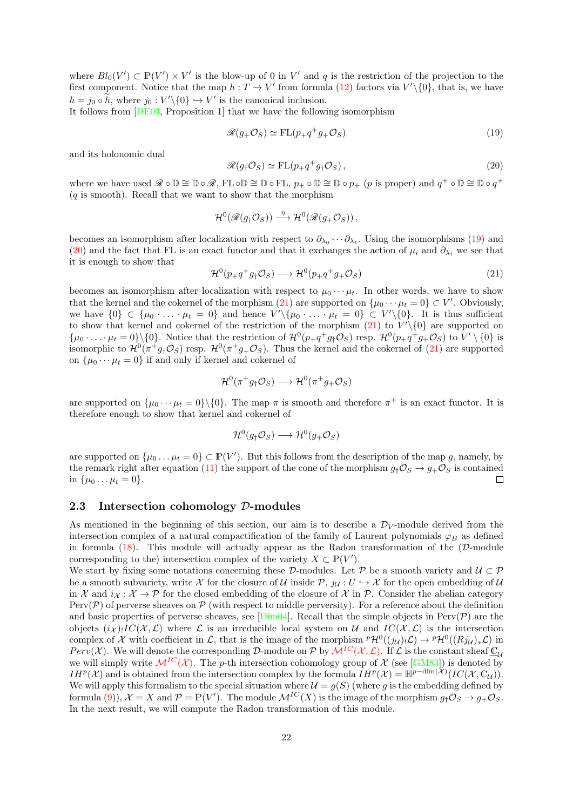where  $Bl_0(V') \subset \mathbb{P}(V') \times V'$  is the blow-up of 0 in V' and q is the restriction of the projection to the first component. Notice that the map  $h: T \to V'$  from formula [\(12\)](#page-18-1) factors via  $V'\setminus\{0\}$ , that is, we have  $h = j_0 \circ \tilde{h}$ , where  $j_0 : V' \setminus \{0\} \hookrightarrow V'$  is the canonical inclusion.

It follows from [\[DE03,](#page-70-6) Proposition 1] that we have the following isomorphism

<span id="page-21-1"></span>
$$
\mathcal{R}(g_+\mathcal{O}_S) \simeq \mathrm{FL}(p_+q^+g_+\mathcal{O}_S) \tag{19}
$$

and its holonomic dual

<span id="page-21-2"></span>
$$
\mathcal{R}(g_{\dagger}\mathcal{O}_S) \simeq \mathrm{FL}(p_+q^+g_{\dagger}\mathcal{O}_S),\tag{20}
$$

where we have used  $\mathscr{R} \circ \mathbb{D} \cong \mathbb{D} \circ \mathscr{R}$ , FL  $\circ \mathbb{D} \cong \mathbb{D} \circ \mathrm{FL}$ ,  $p_+ \circ \mathbb{D} \cong \mathbb{D} \circ p_+$  (p is proper) and  $q^+ \circ \mathbb{D} \cong \mathbb{D} \circ q^+$  $(q$  is smooth). Recall that we want to show that the morphism

$$
\mathcal{H}^0(\mathscr{R}(g_\dagger \mathcal{O}_S)) \stackrel{\eta}{\longrightarrow} \mathcal{H}^0(\mathscr{R}(g_+\mathcal{O}_S)),
$$

becomes an isomorphism after localization with respect to  $\partial_{\lambda_0} \cdots \partial_{\lambda_t}$ . Using the isomorphisms [\(19\)](#page-21-1) and [\(20\)](#page-21-2) and the fact that FL is an exact functor and that it exchanges the action of  $\mu_i$  and  $\partial_{\lambda_i}$  we see that it is enough to show that

<span id="page-21-3"></span>
$$
\mathcal{H}^0(p_+q^+g_\dagger \mathcal{O}_S) \longrightarrow \mathcal{H}^0(p_+q^+g_+ \mathcal{O}_S) \tag{21}
$$

becomes an isomorphism after localization with respect to  $\mu_0 \cdots \mu_t$ . In other words, we have to show that the kernel and the cokernel of the morphism [\(21\)](#page-21-3) are supported on  $\{\mu_0 \cdots \mu_t = 0\} \subset V'$ . Obviously, we have  $\{0\} \subset \{\mu_0 \cdot \ldots \cdot \mu_t = 0\}$  and hence  $V' \setminus {\{\mu_0 \cdot \ldots \cdot \mu_t = 0\}} \subset V' \setminus \{0\}$ . It is thus sufficient to show that kernel and cokernel of the restriction of the morphism  $(21)$  to  $V'\setminus\{0\}$  are supported on  $\{\mu_0 \cdot \ldots \cdot \mu_t = 0\} \setminus \{0\}.$  Notice that the restriction of  $\mathcal{H}^0(p_+q^+g_\dagger \mathcal{O}_S)$  resp.  $\mathcal{H}^0(p_+q^+g_+\mathcal{O}_S)$  to  $V' \setminus \{0\}$  is isomorphic to  $\mathcal{H}^0(\pi^+g_\dagger\mathcal{O}_S)$  resp.  $\mathcal{H}^0(\pi^+g_+\mathcal{O}_S)$ . Thus the kernel and the cokernel of [\(21\)](#page-21-3) are supported on  $\{\mu_0 \cdots \mu_t = 0\}$  if and only if kernel and cokernel of

$$
\mathcal{H}^0(\pi^+g_\dagger\mathcal{O}_S) \longrightarrow \mathcal{H}^0(\pi^+g_+\mathcal{O}_S)
$$

are supported on  $\{\mu_0 \cdots \mu_t = 0\} \setminus \{0\}$ . The map  $\pi$  is smooth and therefore  $\pi^+$  is an exact functor. It is therefore enough to show that kernel and cokernel of

$$
\mathcal{H}^0(g_\dagger \mathcal{O}_S) \longrightarrow \mathcal{H}^0(g_+ \mathcal{O}_S)
$$

are supported on  $\{\mu_0 \dots \mu_t = 0\} \subset \mathbb{P}(V')$ . But this follows from the description of the map g, namely, by the remark right after equation [\(11\)](#page-17-1) the support of the cone of the morphism  $g<sub>1</sub> \mathcal{O}<sub>S</sub> \rightarrow g<sub>+</sub> \mathcal{O}<sub>S</sub>$  is contained in  $\{\mu_0 \dots \mu_t = 0\}.$  $\Box$ 

### <span id="page-21-0"></span>2.3 Intersection cohomology  $\mathcal{D}\text{-modules}$

As mentioned in the beginning of this section, our aim is to describe a  $\mathcal{D}_V$ -module derived from the intersection complex of a natural compactification of the family of Laurent polynomials  $\varphi_B$  as defined in formula  $(18)$ . This module will actually appear as the Radon transformation of the  $(D\text{-module})$ corresponding to the) intersection complex of the variety  $X \subset \mathbb{P}(V')$ .

We start by fixing some notations concerning these D-modules. Let P be a smooth variety and  $U \subset \mathcal{P}$ be a smooth subvariety, write X for the closure of U inside P,  $j_{\mathcal{U}} : U \hookrightarrow \mathcal{X}$  for the open embedding of U in X and  $i_X : X \to \mathcal{P}$  for the closed embedding of the closure of X in P. Consider the abelian category Perv( $P$ ) of perverse sheaves on  $P$  (with respect to middle perversity). For a reference about the definition and basic properties of perverse sheaves, see [\[Dim04\]](#page-70-7). Recall that the simple objects in Perv( $\mathcal{P}$ ) are the objects  $(i\chi)$ . IC( $\mathcal{X}, \mathcal{L}$ ) where  $\mathcal{L}$  is an irreducible local system on U and  $IC(\mathcal{X}, \mathcal{L})$  is the intersection complex of X with coefficient in L, that is the image of the morphism  ${}^p\mathcal{H}^0((j_\mathcal{U})_!\mathcal{L}) \to {}^p\mathcal{H}^0((Rj_\mathcal{U})_*\mathcal{L})$  in Perv(X). We will denote the corresponding D-module on P by  $\mathcal{M}^{IC}(\mathcal{X}, \mathcal{L})$  $\mathcal{M}^{IC}(\mathcal{X}, \mathcal{L})$  $\mathcal{M}^{IC}(\mathcal{X}, \mathcal{L})$ . If  $\mathcal L$  is the constant sheaf  $\mathbb{C}_\mathcal{U}$ we will simply write  $\mathcal{M}^{IC}(\mathcal{X})$  $\mathcal{M}^{IC}(\mathcal{X})$  $\mathcal{M}^{IC}(\mathcal{X})$ . The p-th intersection cohomology group of  $\mathcal{X}$  (see [\[GM83\]](#page-70-8)) is denoted by  $IH^{p}(\mathcal{X})$  and is obtained from the intersection complex by the formula  $IH^{p}(\mathcal{X}) = \mathbb{H}^{p-\dim(\mathcal{X})}(IC(\mathcal{X}, \mathbb{C}_{\mathcal{U}})).$ We will apply this formalism to the special situation where  $\mathcal{U} = g(S)$  (where g is the embedding defined by formula [\(9\)](#page-16-2)),  $\mathcal{X} = X$  and  $\mathcal{P} = \mathbb{P}(V')$ . The module  $\mathcal{M}^{IC}(X)$  is the image of the morphism  $g_{\dagger} \mathcal{O}_S \to g_{+} \mathcal{O}_S$ . In the next result, we will compute the Radon transformation of this module.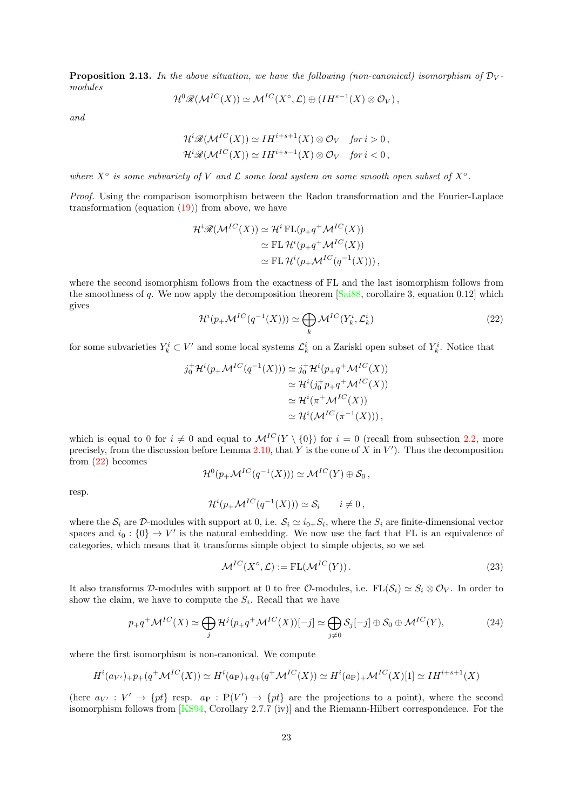<span id="page-22-2"></span>**Proposition 2.13.** In the above situation, we have the following (non-canonical) isomorphism of  $\mathcal{D}_V$ modules

$$
\mathcal{H}^0\mathscr{R}(\mathcal{M}^{IC}(X)) \simeq \mathcal{M}^{IC}(X^{\circ}, \mathcal{L}) \oplus (IH^{s-1}(X) \otimes \mathcal{O}_V),
$$

and

$$
\mathcal{H}^i\mathcal{R}(\mathcal{M}^{IC}(X)) \simeq IH^{i+s+1}(X) \otimes \mathcal{O}_V \quad \text{for } i > 0,
$$
  

$$
\mathcal{H}^i\mathcal{R}(\mathcal{M}^{IC}(X)) \simeq IH^{i+s-1}(X) \otimes \mathcal{O}_V \quad \text{for } i < 0,
$$

where  $X^{\circ}$  is some subvariety of V and  $\mathcal L$  some local system on some smooth open subset of  $X^{\circ}$ .

Proof. Using the comparison isomorphism between the Radon transformation and the Fourier-Laplace transformation (equation  $(19)$ ) from above, we have

$$
\mathcal{H}^i \mathscr{R}(\mathcal{M}^{IC}(X)) \simeq \mathcal{H}^i \operatorname{FL}(p_+ q^+ \mathcal{M}^{IC}(X))
$$
  
\n
$$
\simeq \operatorname{FL} \mathcal{H}^i(p_+ q^+ \mathcal{M}^{IC}(X))
$$
  
\n
$$
\simeq \operatorname{FL} \mathcal{H}^i(p_+ \mathcal{M}^{IC}(q^{-1}(X))),
$$

where the second isomorphism follows from the exactness of FL and the last isomorphism follows from the smoothness of q. We now apply the decomposition theorem  $[Sai88, corollaire 3, equation 0.12]$  which gives

<span id="page-22-0"></span>
$$
\mathcal{H}^{i}(p_{+}\mathcal{M}^{IC}(q^{-1}(X))) \simeq \bigoplus_{k} \mathcal{M}^{IC}(Y_{k}^{i}, \mathcal{L}_{k}^{i})
$$
\n(22)

for some subvarieties  $Y_k^i \subset V'$  and some local systems  $\mathcal{L}_k^i$  on a Zariski open subset of  $Y_k^i$ . Notice that

$$
j_0^+ \mathcal{H}^i(p_+ \mathcal{M}^{IC}(q^{-1}(X))) \simeq j_0^+ \mathcal{H}^i(p_+ q^+ \mathcal{M}^{IC}(X))
$$
  
\n
$$
\simeq \mathcal{H}^i(j_0^+ p_+ q^+ \mathcal{M}^{IC}(X))
$$
  
\n
$$
\simeq \mathcal{H}^i(\pi^+ \mathcal{M}^{IC}(X))
$$
  
\n
$$
\simeq \mathcal{H}^i(\mathcal{M}^{IC}(\pi^{-1}(X))),
$$

which is equal to 0 for  $i \neq 0$  and equal to  $\mathcal{M}^{IC}(Y \setminus \{0\})$  for  $i = 0$  (recall from subsection [2.2,](#page-16-0) more precisely, from the discussion before Lemma [2.10,](#page-18-2) that Y is the cone of X in  $V'$ ). Thus the decomposition from [\(22\)](#page-22-0) becomes

$$
\mathcal{H}^0(p_+\mathcal{M}^{IC}(q^{-1}(X))) \simeq \mathcal{M}^{IC}(Y) \oplus \mathcal{S}_0,
$$

resp.

$$
\mathcal{H}^{i}(p_{+}\mathcal{M}^{IC}(q^{-1}(X))) \simeq \mathcal{S}_{i} \qquad i \neq 0,
$$

where the  $S_i$  are D-modules with support at 0, i.e.  $S_i \simeq i_{0+}S_i$ , where the  $S_i$  are finite-dimensional vector spaces and  $i_0: \{0\} \to V'$  is the natural embedding. We now use the fact that FL is an equivalence of categories, which means that it transforms simple object to simple objects, so we set

$$
\mathcal{M}^{IC}(X^{\circ}, \mathcal{L}) := \text{FL}(\mathcal{M}^{IC}(Y)). \tag{23}
$$

It also transforms D-modules with support at 0 to free O-modules, i.e.  $FL(S_i) \simeq S_i \otimes \mathcal{O}_V$ . In order to show the claim, we have to compute the  $S_i$ . Recall that we have

<span id="page-22-1"></span>
$$
p_{+}q^{+}\mathcal{M}^{IC}(X) \simeq \bigoplus_{j} \mathcal{H}^{j}(p_{+}q^{+}\mathcal{M}^{IC}(X))[-j] \simeq \bigoplus_{j \neq 0} \mathcal{S}_{j}[-j] \oplus \mathcal{S}_{0} \oplus \mathcal{M}^{IC}(Y),
$$
\n(24)

where the first isomorphism is non-canonical. We compute

$$
H^i(a_{V'}) + p_+(q^+ \mathcal{M}^{IC}(X)) \simeq H^i(a_{\mathbb{P}}) + q_+(q^+ \mathcal{M}^{IC}(X)) \simeq H^i(a_{\mathbb{P}}) + \mathcal{M}^{IC}(X)[1] \simeq IH^{i+s+1}(X)
$$

(here  $a_{V'} : V' \to \{pt\}$  resp.  $a_{\mathbb{P}} : \mathbb{P}(V') \to \{pt\}$  are the projections to a point), where the second isomorphism follows from [\[KS94,](#page-71-11) Corollary 2.7.7 (iv)] and the Riemann-Hilbert correspondence. For the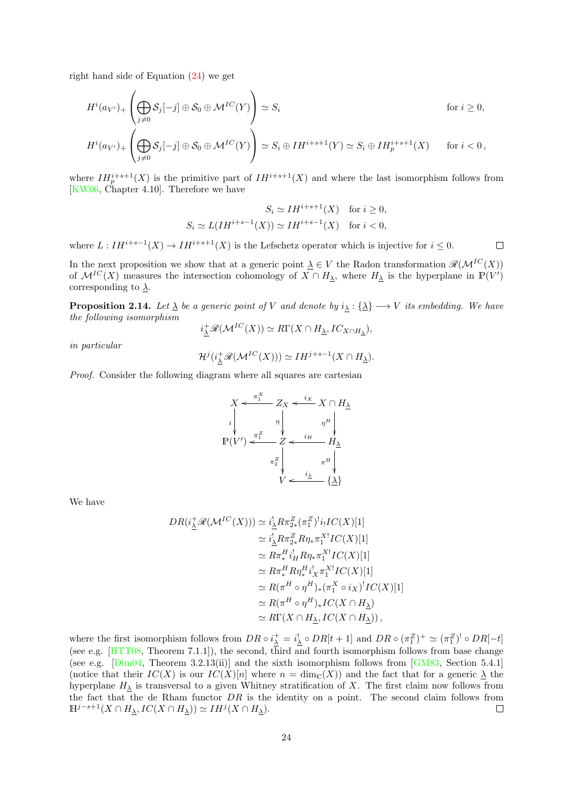right hand side of Equation [\(24\)](#page-22-1) we get

$$
H^{i}(a_{V'})_{+}\left(\bigoplus_{j\neq 0} S_{j}[-j] \oplus S_{0} \oplus \mathcal{M}^{IC}(Y)\right) \simeq S_{i} \qquad \text{for } i \geq 0,
$$

$$
H^i(a_{V'})_+\left(\bigoplus_{j\neq 0}S_j[-j]\oplus S_0\oplus \mathcal{M}^{IC}(Y)\right)\simeq S_i\oplus IH^{i+s+1}(Y)\simeq S_i\oplus IH^{i+s+1}_p(X)\qquad\text{for $i<0$},
$$

where  $IH_{p}^{i+s+1}(X)$  is the primitive part of  $IH^{i+s+1}(X)$  and where the last isomorphism follows from [\[KW06,](#page-71-9) Chapter 4.10]. Therefore we have

$$
S_i \simeq IH^{i+s+1}(X) \quad \text{for } i \geq 0,
$$
  

$$
S_i \simeq L(IH^{i+s-1}(X)) \simeq IH^{i+s-1}(X) \quad \text{for } i < 0,
$$

 $\Box$ 

where  $L: IH^{i+s-1}(X) \to IH^{i+s+1}(X)$  is the Lefschetz operator which is injective for  $i \leq 0$ .

In the next proposition we show that at a generic point  $\underline{\lambda} \in V$  the Radon transformation  $\mathcal{R}(\mathcal{M}^{IC}(X))$ of  $\mathcal{M}^{IC}(X)$  measures the intersection cohomology of  $X \cap H_\lambda$ , where  $H_\lambda$  is the hyperplane in  $\mathbb{P}(V')$ corresponding to  $\lambda$ .

<span id="page-23-0"></span>**Proposition 2.14.** Let  $\underline{\lambda}$  be a generic point of V and denote by  $i_{\lambda} : {\underline{\lambda}} \rightarrow V$  its embedding. We have the following isomorphism

$$
i_{\underline{\lambda}}^+\mathscr{R}(\mathcal{M}^{IC}(X)) \simeq R\Gamma(X \cap H_{\underline{\lambda}}, IC_{X \cap H_{\underline{\lambda}}}),
$$

in particular

$$
\mathcal{H}^{j}(i_{\underline{\lambda}}^{+}\mathscr{R}(\mathcal{M}^{IC}(X))) \simeq IH^{j+s-1}(X \cap H_{\underline{\lambda}}).
$$

Proof. Consider the following diagram where all squares are cartesian

$$
X \leftarrow \frac{\pi_1^X}{\pi_1} Z_X \leftarrow \frac{i_X}{\pi_1} X \cap H_\Delta
$$
\n
$$
\downarrow \qquad \eta \qquad \eta^H \qquad \eta^H
$$
\n
$$
\mathbb{P}(V') \leftarrow \frac{\pi_1^Z}{\pi_2^Z} \leftarrow \frac{i_H}{\pi_1^Z} \frac{H_\Delta}{\pi_1^Z}
$$
\n
$$
V \leftarrow \frac{i_\Delta}{\pi_1^Z} \left\{\frac{1}{\pi_1^Z} \leftarrow \frac{i_\Delta}{\pi_1^Z} \left\{\frac{1}{\pi_1^Z} \leftarrow \frac{i_\Delta}{\pi_1^Z} \left\{\frac{1}{\pi_1^Z} \leftarrow \frac{i_\Delta}{\pi_1^Z} \left\{\frac{1}{\pi_1^Z} \leftarrow \frac{i_\Delta}{\pi_1^Z} \left\{\frac{1}{\pi_1^Z} \leftarrow \frac{i_\Delta}{\pi_1^Z} \left\{\frac{1}{\pi_1^Z} \leftarrow \frac{i_\Delta}{\pi_1^Z} \left\{\frac{1}{\pi_1^Z} \leftarrow \frac{i_\Delta}{\pi_1^Z} \left\{\frac{1}{\pi_1^Z} \leftarrow \frac{i_\Delta}{\pi_1^Z} \left\{\frac{1}{\pi_1^Z} \leftarrow \frac{i_\Delta}{\pi_1^Z} \left\{\frac{1}{\pi_1^Z} \leftarrow \frac{i_\Delta}{\pi_1^Z} \left\{\frac{1}{\pi_1^Z} \leftarrow \frac{i_\Delta}{\pi_1^Z} \left\{\frac{1}{\pi_1^Z} \leftarrow \frac{i_\Delta}{\pi_1^Z} \left\{\frac{1}{\pi_1^Z} \leftarrow \frac{i_\Delta}{\pi_1^Z} \left\{\frac{1}{\pi_1^Z} \leftarrow \frac{i_\Delta}{\pi_1^Z} \left\{\frac{1}{\pi_1^Z} \leftarrow \frac{i_\Delta}{\pi_1^Z} \left\{\frac{1}{\pi_1^Z} \leftarrow \frac{i_\Delta}{\pi_1^Z} \left\{\frac{1}{\pi_1^Z} \leftarrow \frac{i_\Delta}{\pi_1^Z} \left\{\frac{1}{\pi_1^Z} \leftarrow \frac{i_\Delta}{\pi_1^Z} \left\{\frac{1}{\pi_1^Z} \leftarrow \frac{i_\Delta}{\pi_1^Z} \left\{\frac{1}{\
$$

We have

$$
DR(i_{\underline{\lambda}}^+ \mathscr{R}(\mathcal{M}^{IC}(X))) \simeq i_{\underline{\lambda}}^! R \pi_{2*}^Z (\pi_1^Z)^! i_! IC(X)[1]
$$
  
\n
$$
\simeq i_{\underline{\lambda}}^! R \pi_{2*}^Z R \eta_* \pi_1^{X!} IC(X)[1]
$$
  
\n
$$
\simeq R \pi_*^H i_H^! R \eta_* \pi_1^{X!} IC(X)[1]
$$
  
\n
$$
\simeq R \pi_*^H R \eta_*^H i_X^! \pi_1^{X!} IC(X)[1]
$$
  
\n
$$
\simeq R(\pi^H \circ \eta^H)_* (\pi_1^X \circ i_X)^! IC(X)[1]
$$
  
\n
$$
\simeq R(\pi^H \circ \eta^H)_* IC(X \cap H_{\underline{\lambda}})
$$
  
\n
$$
\simeq R\Gamma(X \cap H_{\underline{\lambda}}, IC(X \cap H_{\underline{\lambda}})),
$$

where the first isomorphism follows from  $DR \circ i_{\lambda}^{+} = i_{\lambda}^{!} \circ DR[t+1]$  and  $DR \circ (\pi_1^Z)^{+} \simeq (\pi_1^Z)^{!} \circ DR[-t]$ (see e.g. [\[HTT08,](#page-70-3) Theorem 7.1.1]), the second, third and fourth isomorphism follows from base change (see e.g. [\[Dim04,](#page-70-7) Theorem 3.2.13(ii)] and the sixth isomorphism follows from  $\lfloor$ GM83, Section 5.4.1] (notice that their  $IC(X)$  is our  $IC(X)[n]$  where  $n = \dim_{\mathbb{C}}(X)$ ) and the fact that for a generic  $\lambda$  the hyperplane  $H_{\underline{\lambda}}$  is transversal to a given Whitney stratification of X. The first claim now follows from the fact that the de Rham functor  $DR$  is the identity on a point. The second claim follows from  $\mathbb{H}^{j-s+1}(X \cap H_{\underline{\lambda}}, IC(X \cap H_{\underline{\lambda}})) \simeq IH^{j}(X \cap H_{\underline{\lambda}}).$  $\Box$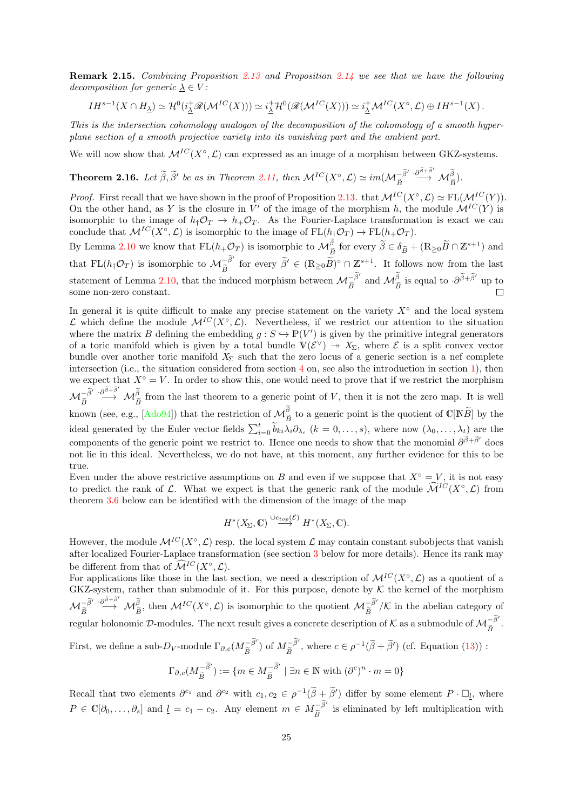Remark 2.15. Combining Proposition [2.13](#page-22-2) and Proposition [2.14](#page-23-0) we see that we have the following decomposition for generic  $\lambda \in V$ :

$$
IH^{s-1}(X \cap H_{\underline{\lambda}}) \simeq \mathcal{H}^0(i_{\underline{\lambda}}^+\mathscr{R}(\mathcal{M}^{IC}(X))) \simeq i_{\underline{\lambda}}^+\mathcal{H}^0(\mathscr{R}(\mathcal{M}^{IC}(X))) \simeq i_{\underline{\lambda}}^+\mathcal{M}^{IC}(X^{\circ}, \mathcal{L}) \oplus IH^{s-1}(X).
$$

This is the intersection cohomology analogon of the decomposition of the cohomology of a smooth hyperplane section of a smooth projective variety into its vanishing part and the ambient part.

We will now show that  $\mathcal{M}^{IC}(X^{\circ}, \mathcal{L})$  can expressed as an image of a morphism between GKZ-systems.

<span id="page-24-0"></span>**Theorem 2.16.** Let 
$$
\widetilde{\beta}
$$
,  $\widetilde{\beta}'$  be as in Theorem 2.11, then  $\mathcal{M}^{IC}(X^{\circ}, \mathcal{L}) \simeq im(\mathcal{M}_{\widetilde{B}}^{-\widetilde{\beta}'} \xrightarrow{\cdot \partial^{\widetilde{\beta}}+\widetilde{\beta}'} \mathcal{M}_{\widetilde{B}}^{\widetilde{\beta}}).$ 

*Proof.* First recall that we have shown in the proof of Proposition [2.13.](#page-22-2) that  $\mathcal{M}^{IC}(X^{\circ}, \mathcal{L}) \simeq \mathrm{FL}(\mathcal{M}^{IC}(Y)).$ On the other hand, as Y is the closure in V' of the image of the morphism h, the module  $\mathcal{M}^{IC}(Y)$  is isomorphic to the image of  $h_{\dagger}\mathcal{O}_T \to h_{\dagger}\mathcal{O}_T$ . As the Fourier-Laplace transformation is exact we can conclude that  $\mathcal{M}^{IC}(X^{\circ}, \mathcal{L})$  is isomorphic to the image of  $FL(h_{\dagger}\mathcal{O}_T) \to FL(h_{+}\mathcal{O}_T)$ .

By Lemma [2.10](#page-18-2) we know that  $FL(h_{+}\mathcal{O}_{T})$  is isomorphic to  $\mathcal{M}_{\widetilde{B}}^{\beta}$  for every  $\widetilde{\beta} \in \delta_{\widetilde{B}} + (\mathbb{R}_{\geq 0}\widetilde{B} \cap \mathbb{Z}^{s+1})$  and that FL( $h_{\uparrow}O_T$ ) is isomorphic to  $\mathcal{M}_{\widetilde{B}}^{-\widetilde{\beta}'}$  for every  $\widetilde{\beta}' \in (\mathbb{R}_{\geq 0}\widetilde{B})^{\circ} \cap \mathbb{Z}^{s+1}$ . It follows now from the last statement of Lemma [2.10,](#page-18-2) that the induced morphism between  $\mathcal{M}_{\tilde{B}}^{-\tilde{\beta}'}$  and  $\mathcal{M}_{\tilde{B}}^{\tilde{\beta}}$  is equal to  $\cdot \partial^{\tilde{\beta}+\tilde{\beta}'}$  up to some non-zero constant some non-zero constant.

In general it is quite difficult to make any precise statement on the variety  $X^{\circ}$  and the local system  $\mathcal L$  which define the module  $\mathcal M^{IC}(X^{\circ}, \mathcal L)$ . Nevertheless, if we restrict our attention to the situation where the matrix B defining the embedding  $g : S \hookrightarrow \mathbb{P}(V')$  is given by the primitive integral generators of a toric manifold which is given by a total bundle  $V(\mathcal{E}^{\vee}) \to X_{\Sigma}$ , where  $\mathcal{E}$  is a split convex vector bundle over another toric manifold  $X_{\Sigma}$  such that the zero locus of a generic section is a nef complete intersection (i.e., the situation considered from section [4](#page-42-0) on, see also the introduction in section [1\)](#page-1-0), then we expect that  $X^\circ = V$ . In order to show this, one would need to prove that if we restrict the morphism  ${\cal M}^{-\widetilde{\beta}'}_{\widetilde{B}}$  $\frac{\partial \tilde{\beta}^{\tilde{\beta}+\tilde{\beta}'} }{\partial \tilde{\beta}}$  from the last theorem to a generic point of V, then it is not the zero map. It is well known (see, e.g.,  $[Ad_094]$ ) that the restriction of  $\mathcal{M}_{\widetilde{B}}^{\beta}$  to a generic point is the quotient of  $\mathbb{C}[\mathbb{N}\widetilde{B}]$  by the ideal generated by the Euler vector fields  $\sum_{i=0}^{t} \widetilde{b}_{ki} \lambda_i \partial_{\lambda_i}$   $(k = 0, \ldots, s)$ , where now  $(\lambda_0, \ldots, \lambda_t)$  are the components of the generic point we restrict to. Hence one needs to show that the monomial  $\partial^{\tilde{\beta}+\tilde{\beta}'}$  does not lie in this ideal. Nevertheless, we do not have, at this moment, any further evidence for this to be true.

Even under the above restrictive assumptions on B and even if we suppose that  $X<sup>°</sup> = V$ , it is not easy to predict the rank of  $\mathcal L$ . What we expect is that the generic rank of the module  $\widehat{\mathcal M}^{IC}(X^{\circ}, \mathcal L)$  from theorem [3.6](#page-35-1) below can be identified with the dimension of the image of the map

$$
H^*(X_\Sigma,\mathbb{C})\stackrel{\cup c_{top}(\mathcal{E})}{\longrightarrow} H^*(X_\Sigma,\mathbb{C}).
$$

However, the module  $\mathcal{M}^{IC}(X^{\circ}, \mathcal{L})$  resp. the local system  $\mathcal{L}$  may contain constant subobjects that vanish after localized Fourier-Laplace transformation (see section [3](#page-31-0) below for more details). Hence its rank may be different from that of  $\widehat{\mathcal{M}}^{IC}(X^{\circ}, \mathcal{L}).$ 

For applications like those in the last section, we need a description of  $\mathcal{M}^{IC}(X^{\circ}, \mathcal{L})$  as a quotient of a GKZ-system, rather than submodule of it. For this purpose, denote by  $K$  the kernel of the morphism  ${\cal M}^{-\widetilde{\beta}'}_{\widetilde{B}}$  $\stackrel{\cdot \partial \tilde{\beta}^{\tilde{\beta}} \beta'}{\longrightarrow} \mathcal{M}_{\tilde{\beta}}^{\tilde{\beta}}$ , then  $\mathcal{M}^{IC}(X^{\circ}, \mathcal{L})$  is isomorphic to the quotient  $\mathcal{M}_{\tilde{B}}^{-\tilde{\beta}'}/\mathcal{K}$  in the abelian category of regular holonomic  $\mathcal{D}$ -modules. The next result gives a concrete description of K as a submodule of  $\mathcal{M}_{\widetilde{B}}^{-\widetilde{\beta}'}$ .

First, we define a sub- $D_V$ -module  $\Gamma_{\partial,c}(M_{\widetilde{B}}^{-\widetilde{\beta}'})$  of  $M_{\widetilde{B}}^{-\widetilde{\beta}'}$ , where  $c \in \rho^{-1}(\widetilde{\beta} + \widetilde{\beta}')$  (cf. Equation [\(13\)](#page-18-3)) :

$$
\Gamma_{\partial,c}(M_{\widetilde{B}}^{-\widetilde{\beta}'}) := \{ m \in M_{\widetilde{B}}^{-\widetilde{\beta}'} \mid \exists n \in \mathbb{N} \text{ with } (\partial^c)^n \cdot m = 0 \}
$$

Recall that two elements  $\partial^{c_1}$  and  $\partial^{c_2}$  with  $c_1, c_2 \in \rho^{-1}(\tilde{\beta} + \tilde{\beta}')$  differ by some element  $P \cdot \Box_{\underline{l}},$  where  $P \in \mathbb{C}[\partial_0,\ldots,\partial_s]$  and  $\underline{l} = c_1 - c_2$ . Any element  $m \in M_{\widetilde{B}}^{-\widetilde{\beta}'}$  is eliminated by left multiplication with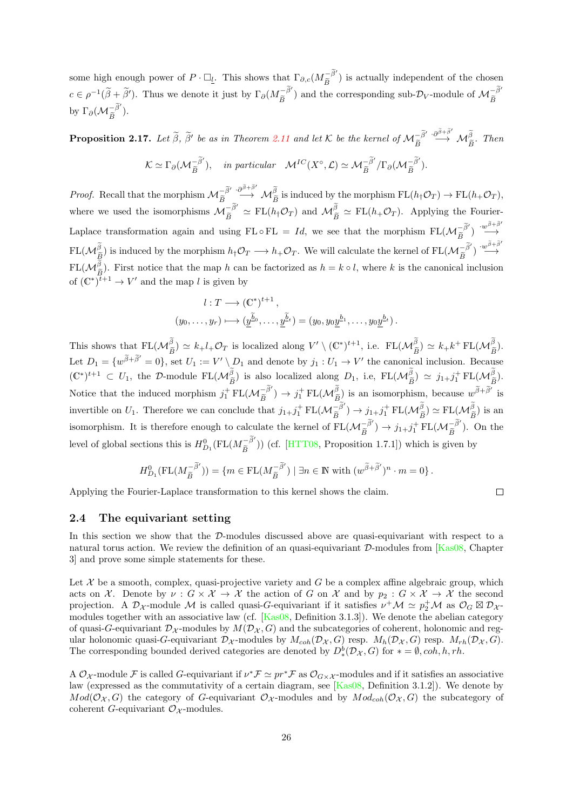some high enough power of  $P \cdot \Box_l$ . This shows that  $\Gamma_{\partial,c}(M_{\widetilde{B}}^{-\widetilde{\beta}'})$  is actually independent of the chosen Be  $c \in \rho^{-1}(\tilde{\beta} + \tilde{\beta}')$ . Thus we denote it just by  $\Gamma_{\partial}(M_{\tilde{B}}^{-\tilde{\beta}'})$  and the corresponding sub- $\mathcal{D}_V$ -module of  $M_{\tilde{B}}^{-\tilde{\beta}'}$ by  $\Gamma_{\partial}(\mathcal{M}_{\widetilde{B}}^{-\widetilde{\beta}^{\prime}})$ .

<span id="page-25-1"></span>**Proposition 2.17.** Let  $\tilde{\beta}$ ,  $\tilde{\beta}'$  be as in Theorem [2.11](#page-20-0) and let K be the kernel of  $\mathcal{M}_{\tilde{B}}^{-\tilde{\beta}'}$  $\stackrel{\cdot \partial^{\widetilde{\beta}+\widetilde{\beta}'} }{\longrightarrow} \mathcal{M}_{\widetilde{B}}^{\widetilde{\beta}}$ . Then  $\mathcal{K} \simeq \Gamma_{\partial}(\mathcal{M}_{\widetilde{B}}^{-\widetilde{\beta}'})$ , in particular  $\mathcal{M}^{IC}(X^{\circ}, \mathcal{L}) \simeq \mathcal{M}_{\widetilde{B}}^{-\widetilde{\beta}'} / \Gamma_{\partial}(\mathcal{M}_{\widetilde{B}}^{-\widetilde{\beta}'}).$ 

*Proof.* Recall that the morphism  $\mathcal{M}_{\widetilde{B}}^{\widetilde{\beta}'} \stackrel{\cdot \partial \widetilde{\beta} + \widetilde{\beta}'}{\longrightarrow} \mathcal{M}_{\widetilde{B}}^{\widetilde{\beta}}$  is induced by the morphism  $\mathrm{FL}(h_{\dagger}\mathcal{O}_T) \to \mathrm{FL}(h_{+}\mathcal{O}_T)$ , where we used the isomorphisms  $M_{\tilde{B}}^{-\tilde{\beta}'} \simeq FL(h_{\dagger}\mathcal{O}_T)$  and  $M_{\tilde{B}}^{\tilde{\beta}} \simeq FL(h_{+}\mathcal{O}_T)$ . Applying the Fourier-Laplace transformation again and using  $FL \circ FL = Id$ , we see that the morphism  $FL(\mathcal{M}_{\widetilde{B}}^{-\widetilde{\beta}'}): \widetilde{\mathcal{M}}_{\widetilde{B}}^{\widetilde{\beta}+\widetilde{\beta}'}$  $FL(M_{\tilde{\beta}}^{\tilde{\beta}})$  is induced by the morphism  $h_{\dagger}\mathcal{O}_T \longrightarrow h_{+}\mathcal{O}_T$ . We will calculate the kernel of  $FL(M_{\tilde{\beta}}^{-\tilde{\beta}'}') \stackrel{\cdot w^{\tilde{\beta}+\tilde{\beta}'}}{\longrightarrow}$  $FL(M_{\tilde{p}}^{\beta})$ . First notice that the map h can be factorized as  $h = k \circ l$ , where k is the canonical inclusion of  $(\mathbb{C}^*)^{t+1} \to V'$  and the map l is given by

$$
l: T \longrightarrow (\mathbb{C}^*)^{t+1},
$$
  

$$
(y_0, \dots, y_r) \longmapsto (\underline{y}^{\underline{\tilde{b}}_0}, \dots, \underline{y}^{\underline{\tilde{b}}_t}) = (y_0, y_0 \underline{y}^{b_1}, \dots, y_0 \underline{y}^{b_t}).
$$

This shows that  $FL(M_{\widetilde{B}}^{\beta}) \simeq k_+ l_+ \mathcal{O}_T$  is localized along  $V' \setminus (\mathbb{C}^*)^{t+1}$ , i.e.  $FL(M_{\widetilde{B}}^{\beta}) \simeq k_+ k^+ FL(M_{\widetilde{B}}^{\beta})$ .  $B = \sqrt{B}$  is becaused along r  $(0, 0)$ , for  $\text{Im}(v \cdot B) = \sqrt{B}$ Let  $D_1 = \{w^{\tilde{\beta}+\tilde{\beta}'}=0\}$ , set  $U_1 := V' \setminus D_1$  and denote by  $j_1 : U_1 \to V'$  the canonical inclusion. Because  $(\mathbb{C}^*)^{t+1} \subset U_1$ , the D-module  $FL(\mathcal{M}_{\widetilde{B}}^{\beta})$  is also localized along  $D_1$ , i.e,  $FL(\mathcal{M}_{\widetilde{B}}^{\beta}) \simeq j_{1}+j_1^+FL(\mathcal{M}_{\widetilde{B}}^{\beta})$ .  $B$ <sup>b</sup>  $\frac{\tilde{a}}{\tilde{b}}$   $\frac{\tilde{a}}{\tilde{b}}$   $\frac{\tilde{a}}{\tilde{b}}$   $\frac{\tilde{a}}{\tilde{b}}$   $\frac{\tilde{a}}{\tilde{b}}$   $\frac{\tilde{a}}{\tilde{b}}$   $\frac{\tilde{a}}{\tilde{b}}$   $\frac{\tilde{a}}{\tilde{b}}$   $\frac{\tilde{a}}{\tilde{b}}$   $\frac{\tilde{a}}{\tilde{b}}$   $\frac{\tilde{a}}{\tilde{b}}$   $\frac{\tilde{a}}{\tilde{b}}$   $\frac{\tilde{a}}{\$ Notice that the induced morphism  $j_1^+ \text{FL}(\mathcal{M}_{\widetilde{B}}^{-\widetilde{\beta}'}) \to j_1^+ \text{FL}(\mathcal{M}_{\widetilde{B}}^{\widetilde{\beta}})$  is an isomorphism, because  $w^{\widetilde{\beta}+\widetilde{\beta}'}$  is  $B$   $B$   $B$ invertible on  $U_1$ . Therefore we can conclude that  $j_{1}+j_1^+ \text{FL}(\mathcal{M}_{\widetilde{B}}^{-\widetilde{\beta}'} ) \to j_{1}+j_1^+ \text{FL}(\mathcal{M}_{\widetilde{B}}^{\widetilde{\beta}}) \simeq \text{FL}(\mathcal{M}_{\widetilde{B}}^{\widetilde{\beta}})$  is an isomorphism. It is therefore enough to calculate the kernel of  $FL(\mathcal{M}_{\widetilde{B}}^{-\widetilde{\beta}'}) \to j_{1}+j_{1}^{+}FL(\mathcal{M}_{\widetilde{B}}^{-\widetilde{\beta}'}).$  On the level of global sections this is  $H_{D_1}^0(\text{FL}(M_{\widetilde{B}}^{-\widetilde{\beta}'}))$  (cf. [\[HTT08,](#page-70-3) Proposition 1.7.1]) which is given by

$$
H^0_{D_1}(\mathrm{FL}(M^{-\widetilde{\beta}'}_{\widetilde{B}}))=\{m\in \mathrm{FL}(M^{-\widetilde{\beta}'}_{\widetilde{B}})\mid \exists n\in \mathbb{N} \text{ with } (w^{\widetilde{\beta}+\widetilde{\beta}'})^n\cdot m=0\}\,.
$$

 $\Box$ 

Applying the Fourier-Laplace transformation to this kernel shows the claim.

#### <span id="page-25-0"></span>2.4 The equivariant setting

In this section we show that the D-modules discussed above are quasi-equivariant with respect to a natural torus action. We review the definition of an quasi-equivariant  $\mathcal{D}\text{-modules from }[\text{Kas08}, \text{Chapter }$ 3] and prove some simple statements for these.

Let  $\mathcal X$  be a smooth, complex, quasi-projective variety and G be a complex affine algebraic group, which acts on X. Denote by  $\nu : G \times X \to X$  the action of G on X and by  $p_2 : G \times X \to X$  the second projection. A  $\mathcal{D}_{\mathcal{X}}$ -module M is called quasi-G-equivariant if it satisfies  $\nu^+\mathcal{M} \simeq p_2^+\mathcal{M}$  as  $\mathcal{O}_G \boxtimes \mathcal{D}_{\mathcal{X}}$ modules together with an associative law (cf. [\[Kas08,](#page-71-12) Definition 3.1.3]). We denote the abelian category of quasi-G-equivariant  $\mathcal{D}_{\mathcal{X}}$ -modules by  $M(\mathcal{D}_{\mathcal{X}}, G)$  and the subcategories of coherent, holonomic and regular holonomic quasi-G-equivariant  $\mathcal{D}_{\mathcal{X}}$ -modules by  $M_{coh}(\mathcal{D}_{\mathcal{X}}, G)$  resp.  $M_h(\mathcal{D}_{\mathcal{X}}, G)$ .  $M_{rh}(\mathcal{D}_{\mathcal{X}}, G)$ . The corresponding bounded derived categories are denoted by  $D^b_*(\mathcal{D}_\mathcal{X}, G)$  for  $* = \emptyset$ , coh, h, rh.

A  $\mathcal{O}_{\mathcal{X}}$ -module F is called G-equivariant if  $\nu^*\mathcal{F} \simeq pr^*\mathcal{F}$  as  $\mathcal{O}_{G\times\mathcal{X}}$ -modules and if it satisfies an associative law (expressed as the commutativity of a certain diagram, see [\[Kas08,](#page-71-12) Definition 3.1.2]). We denote by  $Mod(\mathcal{O}_{\mathcal{X}}, G)$  the category of G-equivariant  $\mathcal{O}_{\mathcal{X}}$ -modules and by  $Mod_{coh}(\mathcal{O}_{\mathcal{X}}, G)$  the subcategory of coherent G-equivariant  $\mathcal{O}_{\mathcal{X}}$ -modules.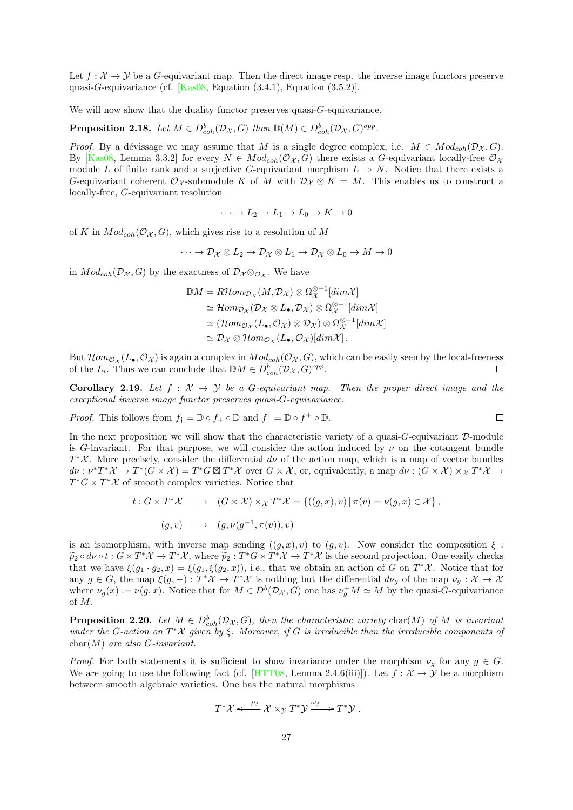Let  $f: \mathcal{X} \to \mathcal{Y}$  be a G-equivariant map. Then the direct image resp. the inverse image functors preserve quasi-G-equivariance (cf. [\[Kas08,](#page-71-12) Equation (3.4.1), Equation (3.5.2)].

We will now show that the duality functor preserves quasi-G-equivariance.

**Proposition 2.18.** Let  $M \in D^b_{coh}(\mathcal{D}_{\mathcal{X}}, G)$  then  $\mathbb{D}(M) \in D^b_{coh}(\mathcal{D}_{\mathcal{X}}, G)^{opp}$ .

*Proof.* By a dévissage we may assume that M is a single degree complex, i.e.  $M \in Mod_{coh}(\mathcal{D}_{\mathcal{X}}, G)$ . By [\[Kas08,](#page-71-12) Lemma 3.3.2] for every  $N \in Mod_{coh}(\mathcal{O}_{\mathcal{X}}, G)$  there exists a G-equivariant locally-free  $\mathcal{O}_{\mathcal{X}}$ module L of finite rank and a surjective G-equivariant morphism  $L \rightarrow N$ . Notice that there exists a G-equivariant coherent  $\mathcal{O}_{\mathcal{X}}$ -submodule K of M with  $\mathcal{D}_{\mathcal{X}} \otimes K = M$ . This enables us to construct a locally-free, G-equivariant resolution

$$
\cdots \to L_2 \to L_1 \to L_0 \to K \to 0
$$

of K in  $Mod_{coh}(\mathcal{O}_{\mathcal{X}}, G)$ , which gives rise to a resolution of M

$$
\cdots \to \mathcal{D}_{\mathcal{X}} \otimes L_2 \to \mathcal{D}_{\mathcal{X}} \otimes L_1 \to \mathcal{D}_{\mathcal{X}} \otimes L_0 \to M \to 0
$$

in  $Mod_{coh}(\mathcal{D}_{\mathcal{X}}, G)$  by the exactness of  $\mathcal{D}_{\mathcal{X}} \otimes_{\mathcal{O}_{\mathcal{X}}}$ . We have

$$
\mathbb{D}M = R\mathcal{H}om_{\mathcal{D}_{\mathcal{X}}}(M, \mathcal{D}_{\mathcal{X}}) \otimes \Omega_{\mathcal{X}}^{\otimes -1}[dim \mathcal{X}]
$$
  
\n
$$
\simeq \mathcal{H}om_{\mathcal{D}_{\mathcal{X}}}(\mathcal{D}_{\mathcal{X}} \otimes L_{\bullet}, \mathcal{D}_{\mathcal{X}}) \otimes \Omega_{\mathcal{X}}^{\otimes -1}[dim \mathcal{X}]
$$
  
\n
$$
\simeq (\mathcal{H}om_{\mathcal{O}_{\mathcal{X}}}(L_{\bullet}, \mathcal{O}_{\mathcal{X}}) \otimes \mathcal{D}_{\mathcal{X}}) \otimes \Omega_{\mathcal{X}}^{\otimes -1}[dim \mathcal{X}]
$$
  
\n
$$
\simeq \mathcal{D}_{\mathcal{X}} \otimes \mathcal{H}om_{\mathcal{O}_{\mathcal{X}}}(L_{\bullet}, \mathcal{O}_{\mathcal{X}})[dim \mathcal{X}].
$$

But  $\mathcal{H}om_{\mathcal{O}_{\mathcal{X}}}(L_{\bullet},\mathcal{O}_{\mathcal{X}})$  is again a complex in  $Mod_{coh}(\mathcal{O}_{\mathcal{X}},G)$ , which can be easily seen by the local-freeness of the  $L_i$ . Thus we can conclude that  $\mathbb{D}M \in D^b_{coh}(\mathcal{D}_{\mathcal{X}}, G)^{opp}$ .  $\Box$ 

**Corollary 2.19.** Let  $f : \mathcal{X} \to \mathcal{Y}$  be a G-equivariant map. Then the proper direct image and the exceptional inverse image functor preserves quasi-G-equivariance.

*Proof.* This follows from  $f$ <sub>†</sub> =  $\mathbb{D} \circ f$ <sub>+</sub>  $\circ \mathbb{D}$  and  $f$ <sup>†</sup> =  $\mathbb{D} \circ f$ <sup>+</sup>  $\circ \mathbb{D}$ .  $\Box$ 

In the next proposition we will show that the characteristic variety of a quasi- $G$ -equivariant  $D$ -module is G-invariant. For that purpose, we will consider the action induced by  $\nu$  on the cotangent bundle  $T^*\mathcal{X}$ . More precisely, consider the differential  $d\nu$  of the action map, which is a map of vector bundles  $d\nu: \nu^* T^* \mathcal{X} \to T^* (G \times \mathcal{X}) = T^* G \boxtimes T^* \mathcal{X}$  over  $G \times \mathcal{X}$ , or, equivalently, a map  $d\nu: (G \times \mathcal{X}) \times_{\mathcal{X}} T^* \mathcal{X} \to$  $T^*G \times T^*X$  of smooth complex varieties. Notice that

$$
t: G \times T^* \mathcal{X} \longrightarrow (G \times \mathcal{X}) \times_{\mathcal{X}} T^* \mathcal{X} = \{((g, x), v) \mid \pi(v) = \nu(g, x) \in \mathcal{X}\},\
$$

$$
(g, v) \longmapsto (g, \nu(g^{-1}, \pi(v)), v)
$$

is an isomorphism, with inverse map sending  $((q, x), v)$  to  $(q, v)$ . Now consider the composition  $\xi$ :  $\widetilde{p}_2 \circ d\nu \circ t : G \times T^*X \to T^*\mathcal{X}$ , where  $\widetilde{p}_2 : T^*G \times T^*\mathcal{X} \to T^*\mathcal{X}$  is the second projection. One easily checks that we have  $\xi(g_1 \cdot g_2, x) = \xi(g_1, \xi(g_2, x))$ , i.e., that we obtain an action of G on  $T^*\mathcal{X}$ . Notice that for any  $g \in G$ , the map  $\xi(g, -): T^*\mathcal{X} \to T^*\mathcal{X}$  is nothing but the differential  $d\nu_g$  of the map  $\nu_g: \mathcal{X} \to \mathcal{X}$ where  $\nu_g(x) := \nu(g, x)$ . Notice that for  $M \in D^b(\mathcal{D}_\mathcal{X}, G)$  one has  $\nu_g^+ M \simeq M$  by the quasi-G-equivariance of M.

<span id="page-26-0"></span>**Proposition 2.20.** Let  $M \in D^b_{coh}(\mathcal{D}_{\mathcal{X}}, G)$ , then the characteristic variety char(M) of M is invariant under the G-action on  $T^*\mathcal X$  given by  $\xi$ . Moreover, if G is irreducible then the irreducible components of  $char(M)$  are also G-invariant.

*Proof.* For both statements it is sufficient to show invariance under the morphism  $\nu_g$  for any  $g \in G$ . We are going to use the following fact (cf. [\[HTT08,](#page-70-3) Lemma 2.4.6(iii)]). Let  $f : \mathcal{X} \to \mathcal{Y}$  be a morphism between smooth algebraic varieties. One has the natural morphisms

$$
T^*\mathcal{X} \xleftarrow{\rho_f} \mathcal{X} \times_{\mathcal{Y}} T^*\mathcal{Y} \xrightarrow{\omega_f} T^*\mathcal{Y} .
$$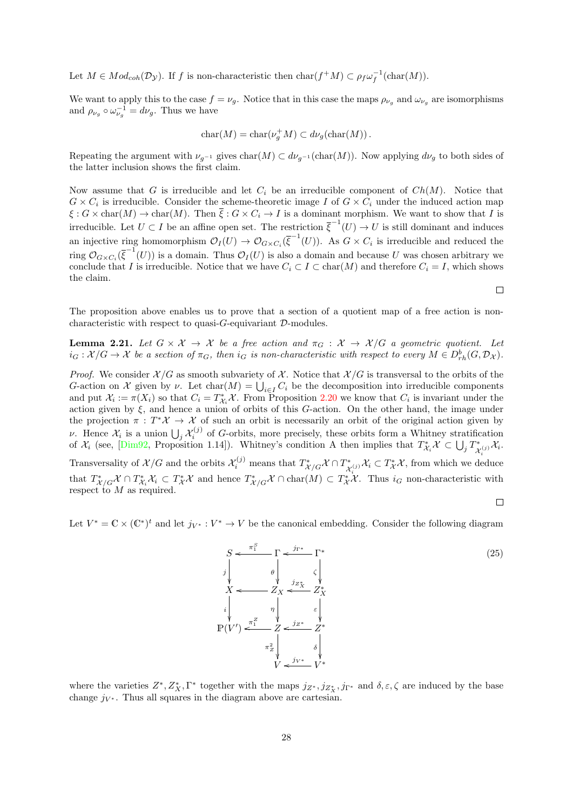Let  $M \in Mod_{coh}(\mathcal{D}_{\mathcal{Y}})$ . If f is non-characteristic then  $char(f^+M) \subset \rho_f \omega_f^{-1}(char(M)).$ 

We want to apply this to the case  $f = \nu_g$ . Notice that in this case the maps  $\rho_{\nu_g}$  and  $\omega_{\nu_g}$  are isomorphisms and  $\rho_{\nu_g} \circ \omega_{\nu_g}^{-1} = d\nu_g$ . Thus we have

$$
char(M) = char(\nu_g^+ M) \subset d\nu_g(char(M)).
$$

Repeating the argument with  $\nu_{q^{-1}}$  gives  $char(M) \subset d\nu_{q^{-1}}(char(M))$ . Now applying  $d\nu_q$  to both sides of the latter inclusion shows the first claim.

Now assume that G is irreducible and let  $C_i$  be an irreducible component of  $Ch(M)$ . Notice that  $G \times C_i$  is irreducible. Consider the scheme-theoretic image I of  $G \times C_i$  under the induced action map  $\xi: G \times \text{char}(M) \to \text{char}(M)$ . Then  $\overline{\xi}: G \times C_i \to I$  is a dominant morphism. We want to show that I is irreducible. Let  $U \subset I$  be an affine open set. The restriction  $\overline{\xi}^{-1}(U) \to U$  is still dominant and induces an injective ring homomorphism  $\mathcal{O}_I(U) \to \mathcal{O}_{G \times C_i}(\overline{\xi}^{-1}(U))$ . As  $G \times C_i$  is irreducible and reduced the ring  $\mathcal{O}_{G\times C_i}(\overline{\xi}^{-1}(U))$  is a domain. Thus  $\mathcal{O}_I(U)$  is also a domain and because U was chosen arbitrary we conclude that I is irreducible. Notice that we have  $C_i \subset I \subset \text{char}(M)$  and therefore  $C_i = I$ , which shows the claim.

The proposition above enables us to prove that a section of a quotient map of a free action is noncharacteristic with respect to quasi- $G$ -equivariant  $D$ -modules.

<span id="page-27-0"></span>**Lemma 2.21.** Let  $G \times \mathcal{X} \to \mathcal{X}$  be a free action and  $\pi_G : \mathcal{X} \to \mathcal{X}/G$  a geometric quotient. Let  $i_G: \mathcal{X}/G \to \mathcal{X}$  be a section of  $\pi_G$ , then  $i_G$  is non-characteristic with respect to every  $M \in D^b_{rh}(G, \mathcal{D}_\mathcal{X})$ .

*Proof.* We consider  $\mathcal{X}/G$  as smooth subvariety of X. Notice that  $\mathcal{X}/G$  is transversal to the orbits of the G-action on X given by  $\nu$ . Let  $char(M) = \bigcup_{i \in I} C_i$  be the decomposition into irreducible components and put  $\mathcal{X}_i := \pi(X_i)$  so that  $C_i = T^*_{\mathcal{X}_i} \mathcal{X}$ . From Proposition [2.20](#page-26-0) we know that  $C_i$  is invariant under the action given by  $\xi$ , and hence a union of orbits of this G-action. On the other hand, the image under the projection  $\pi : T^*\mathcal{X} \to \mathcal{X}$  of such an orbit is necessarily an orbit of the original action given by v. Hence  $\mathcal{X}_i$  is a union  $\bigcup_j \mathcal{X}_i^{(j)}$  of G-orbits, more precisely, these orbits form a Whitney stratification of  $\mathcal{X}_i$  (see, [\[Dim92,](#page-70-9) Proposition 1.14]). Whitney's condition A then implies that  $T^*_{\mathcal{X}_i} \mathcal{X} \subset \bigcup_j T^*_{\mathcal{X}_i}$  $\chi_j^{(j)} \mathcal{X}_i.$ Transversality of  $\mathcal{X}/G$  and the orbits  $\mathcal{X}_i^{(j)}$  means that  $T^*_{\mathcal{X}/G}\mathcal{X} \cap T^*_{\mathcal{X}}(j)$ ,  $\mathcal{X}_i \subset T^*_{\mathcal{X}}\mathcal{X}$ , from which we detected  $\mathcal{X}_{i}^{*}(\mathcal{X}_{i}) \mathcal{X}_{i} \subset T_{\mathcal{X}}^{*} \mathcal{X}$ , from which we deduce that  $T^*_{\mathcal{X}/G}\mathcal{X} \cap T^*_{\mathcal{X}}\mathcal{X} \subset T^*_{\mathcal{X}}\mathcal{X}$  and hence  $T^*_{\mathcal{X}/G}\mathcal{X} \cap \text{char}(M) \subset T^*_{\mathcal{X}}\mathcal{X}$ . Thus  $i_G$  non-characteristic with respect to  $M$  as required.

 $\Box$ 

 $\Box$ 

Let  $V^* = \mathbb{C} \times (\mathbb{C}^*)^t$  and let  $j_{V^*}: V^* \to V$  be the canonical embedding. Consider the following diagram



where the varieties  $Z^*, Z_X^*, \Gamma^*$  together with the maps  $j_{Z^*}, j_{Z_X^*}, j_{\Gamma^*}$  and  $\delta, \varepsilon, \zeta$  are induced by the base change  $j_{V^*}$ . Thus all squares in the diagram above are cartesian.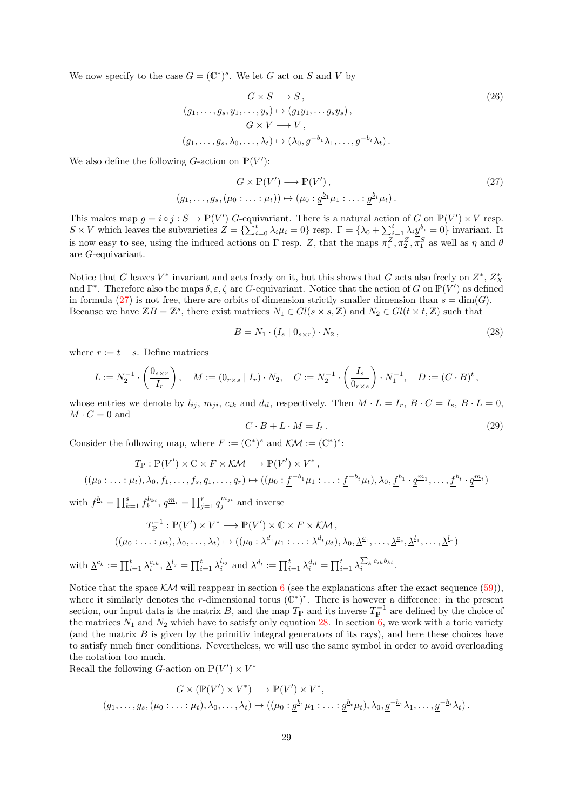We now specify to the case  $G = (\mathbb{C}^*)^s$ . We let G act on S and V by

<span id="page-28-0"></span>
$$
G \times S \longrightarrow S, \qquad (26)
$$
  
\n
$$
(g_1, \ldots, g_s, y_1, \ldots, y_s) \mapsto (g_1 y_1, \ldots g_s y_s),
$$
  
\n
$$
G \times V \longrightarrow V, \qquad (g_1, \ldots, g_s, \lambda_0, \ldots, \lambda_t) \mapsto (\lambda_0, \underline{g}^{-b_1} \lambda_1, \ldots, \underline{g}^{-b_t} \lambda_t).
$$

We also define the following  $G$ -action on  $\mathbb{P}(V')$ :

$$
G \times \mathbb{P}(V') \longrightarrow \mathbb{P}(V'),
$$
  
\n
$$
(g_1, \ldots, g_s, (\mu_0 : \ldots : \mu_t)) \mapsto (\mu_0 : \underline{g}^{b_1} \mu_1 : \ldots : \underline{g}^{b_t} \mu_t).
$$
\n
$$
(27)
$$

This makes map  $g = i \circ j : S \to \mathbb{P}(V')$  G-equivariant. There is a natural action of G on  $\mathbb{P}(V') \times V$  resp.  $S \times V$  which leaves the subvarieties  $Z = \{\sum_{i=0}^{t} \lambda_i \mu_i = 0\}$  resp.  $\Gamma = \{\lambda_0 + \sum_{i=1}^{t} \lambda_i \underline{y}^{b_i} = 0\}$  invariant. It is now easy to see, using the induced actions on  $\Gamma$  resp. Z, that the maps  $\pi_1^Z, \pi_2^Z, \pi_1^S$  as well as  $\eta$  and  $\theta$ are G-equivariant.

Notice that G leaves  $V^*$  invariant and acts freely on it, but this shows that G acts also freely on  $Z^*$ ,  $Z_X^*$ and  $\Gamma^*$ . Therefore also the maps  $\delta, \varepsilon, \zeta$  are G-equivariant. Notice that the action of G on  $\mathbb{P}(V')$  as defined in formula [\(27\)](#page-28-1) is not free, there are orbits of dimension strictly smaller dimension than  $s = \dim(G)$ . Because we have  $\mathbb{Z}B = \mathbb{Z}^s$ , there exist matrices  $N_1 \in Gl(s \times s, \mathbb{Z})$  and  $N_2 \in Gl(t \times t, \mathbb{Z})$  such that

<span id="page-28-2"></span><span id="page-28-1"></span>
$$
B = N_1 \cdot (I_s \mid 0_{s \times r}) \cdot N_2, \qquad (28)
$$

where  $r := t - s$ . Define matrices

$$
L := N_2^{-1} \cdot \left(\frac{0_{s \times r}}{I_r}\right), \quad M := (0_{r \times s} \mid I_r) \cdot N_2, \quad C := N_2^{-1} \cdot \left(\frac{I_s}{0_{r \times s}}\right) \cdot N_1^{-1}, \quad D := (C \cdot B)^t,
$$

whose entries we denote by  $l_{ij}$ ,  $m_{ji}$ ,  $c_{ik}$  and  $d_{il}$ , respectively. Then  $M \cdot L = I_r$ ,  $B \cdot C = I_s$ ,  $B \cdot L = 0$ ,  $M \cdot C = 0$  and

<span id="page-28-3"></span>
$$
C \cdot B + L \cdot M = I_t. \tag{29}
$$

Consider the following map, where  $F := (\mathbb{C}^*)^s$  and  $\mathcal{K} \mathcal{M} := (\mathbb{C}^*)^s$ :

$$
T_{\mathbb{P}} : \mathbb{P}(V') \times \mathbb{C} \times F \times \mathcal{KM} \longrightarrow \mathbb{P}(V') \times V^*,
$$
  

$$
((\mu_0 : \ldots : \mu_t), \lambda_0, f_1, \ldots, f_s, q_1, \ldots, q_r) \mapsto ((\mu_0 : \underline{f}^{-b_1}\mu_1 : \ldots : \underline{f}^{-b_t}\mu_t), \lambda_0, \underline{f}^{b_1} \cdot \underline{q}^{m_1}, \ldots, \underline{f}^{b_t} \cdot \underline{q}^{m_t})
$$

with  $\underline{f}^{b_i} = \prod_{k=1}^s f_k^{b_{ki}}, \underline{q}^{m_i} = \prod_{j=1}^r q_j^{m_{ji}}$  and inverse

$$
T_{\mathbb{P}}^{-1} : \mathbb{P}(V') \times V^* \longrightarrow \mathbb{P}(V') \times \mathbb{C} \times F \times \mathcal{KM},
$$
  

$$
((\mu_0 : \dots : \mu_t), \lambda_0, \dots, \lambda_t) \mapsto ((\mu_0 : \lambda_{-1}^d \mu_1 : \dots : \lambda_{-t}^d \mu_t), \lambda_0, \underline{\lambda}_{-1}, \dots, \underline{\lambda}_{-s}, \underline{\lambda}_{-1}^l, \dots, \underline{\lambda}_{-t}^l))
$$

with  $\underline{\lambda}^{\mathcal{L}_k} := \prod_{i=1}^t \lambda_i^{c_{ik}}, \underline{\lambda}^{l_j} = \prod_{i=1}^t \lambda_i^{l_{ij}}$  and  $\lambda^{d_l} := \prod_{i=1}^t \lambda_i^{d_{il}} = \prod_{i=1}^t \lambda_i^{\sum_k c_{ik}b_{kl}}$ .

Notice that the space  $\mathcal{KM}$  will reappear in section [6](#page-52-0) (see the explanations after the exact sequence  $(59)$ ), where it similarly denotes the r-dimensional torus  $(\mathbb{C}^*)^r$ . There is however a difference: in the present section, our input data is the matrix B, and the map  $T_{\rm P}$  and its inverse  $T_{\rm P}^{-1}$  are defined by the choice of the matrices  $N_1$  and  $N_2$  which have to satisfy only equation [28.](#page-28-2) In section [6,](#page-52-0) we work with a toric variety (and the matrix  $B$  is given by the primitiv integral generators of its rays), and here these choices have to satisfy much finer conditions. Nevertheless, we will use the same symbol in order to avoid overloading the notation too much.

Recall the following *G*-action on  $\mathbb{P}(V') \times V^*$ 

$$
G \times (\mathbb{P}(V') \times V^*) \longrightarrow \mathbb{P}(V') \times V^*,
$$
  

$$
(g_1, \ldots, g_s, (\mu_0 : \ldots : \mu_t), \lambda_0, \ldots, \lambda_t) \mapsto ((\mu_0 : \underline{g}^{b_1} \mu_1 : \ldots : \underline{g}^{b_t} \mu_t), \lambda_0, \underline{g}^{-b_1} \lambda_1, \ldots, \underline{g}^{-b_t} \lambda_t).
$$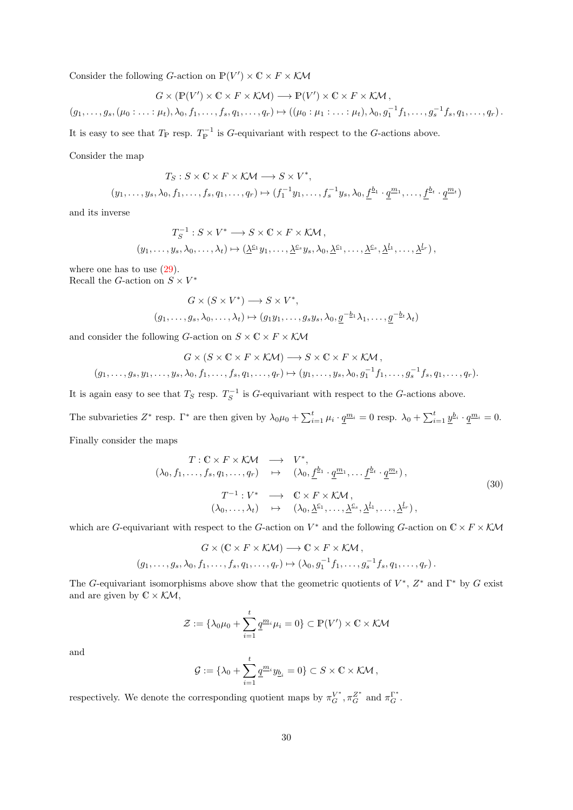Consider the following *G*-action on  $\mathbb{P}(V') \times \mathbb{C} \times F \times \mathcal{KM}$ 

$$
G \times (\mathbb{P}(V') \times \mathbb{C} \times F \times \mathcal{KM}) \longrightarrow \mathbb{P}(V') \times \mathbb{C} \times F \times \mathcal{KM},
$$
  

$$
(g_1, \ldots, g_s, (\mu_0 : \ldots : \mu_t), \lambda_0, f_1, \ldots, f_s, q_1, \ldots, q_r) \mapsto ((\mu_0 : \mu_1 : \ldots : \mu_t), \lambda_0, g_1^{-1} f_1, \ldots, g_s^{-1} f_s, q_1, \ldots, q_r).
$$

It is easy to see that  $T_{\rm P}$  resp.  $T_{\rm P}^{-1}$  is G-equivariant with respect to the G-actions above.

Consider the map

$$
T_S: S \times \mathbb{C} \times F \times \mathcal{KM} \longrightarrow S \times V^*,
$$
  

$$
(y_1, \ldots, y_s, \lambda_0, f_1, \ldots, f_s, q_1, \ldots, q_r) \mapsto (f_1^{-1}y_1, \ldots, f_s^{-1}y_s, \lambda_0, \underline{f}^{b_1} \cdot \underline{q}^{m_1}, \ldots, \underline{f}^{b_t} \cdot \underline{q}^{m_t})
$$

and its inverse

$$
T_S^{-1}: S \times V^* \longrightarrow S \times \mathbb{C} \times F \times \mathcal{K}M,
$$
  

$$
(y_1, \ldots, y_s, \lambda_0, \ldots, \lambda_t) \mapsto (\underline{\lambda}^{c_1} y_1, \ldots, \underline{\lambda}^{c_s} y_s, \lambda_0, \underline{\lambda}^{c_1}, \ldots, \underline{\lambda}^{c_s}, \underline{\lambda}^{l_1}, \ldots, \underline{\lambda}^{l_r}),
$$

where one has to use [\(29\)](#page-28-3). Recall the G-action on  $S\times V^*$ 

$$
G \times (S \times V^*) \longrightarrow S \times V^*,
$$
  

$$
(g_1, \ldots, g_s, \lambda_0, \ldots, \lambda_t) \mapsto (g_1 y_1, \ldots, g_s y_s, \lambda_0, \underline{g}^{-b_1} \lambda_1, \ldots, \underline{g}^{-b_t} \lambda_t)
$$

and consider the following G-action on  $S \times \mathbb{C} \times F \times \mathcal{K}$ M

$$
G \times (S \times \mathbb{C} \times F \times \mathcal{K}\mathcal{M}) \longrightarrow S \times \mathbb{C} \times F \times \mathcal{K}\mathcal{M},
$$
  

$$
(g_1, \ldots, g_s, y_1, \ldots, y_s, \lambda_0, f_1, \ldots, f_s, q_1, \ldots, q_r) \mapsto (y_1, \ldots, y_s, \lambda_0, g_1^{-1} f_1, \ldots, g_s^{-1} f_s, q_1, \ldots, q_r).
$$

It is again easy to see that  $T_S$  resp.  $T_S^{-1}$  is G-equivariant with respect to the G-actions above.

The subvarieties  $Z^*$  resp.  $\Gamma^*$  are then given by  $\lambda_0 \mu_0 + \sum_{i=1}^t \mu_i \cdot \underline{q}^{m_i} = 0$  resp.  $\lambda_0 + \sum_{i=1}^t \underline{y}^{b_i} \cdot \underline{q}^{m_i} = 0$ . Finally consider the maps

$$
T: \mathbb{C} \times F \times \mathcal{K}\mathcal{M} \longrightarrow V^*,
$$
  
\n
$$
(\lambda_0, f_1, \dots, f_s, q_1, \dots, q_r) \longrightarrow (\lambda_0, \underline{f}^{b_1} \cdot \underline{q}^{m_1}, \dots, \underline{f}^{b_t} \cdot \underline{q}^{m_t}),
$$
  
\n
$$
T^{-1}: V^* \longrightarrow \mathbb{C} \times F \times \mathcal{K}\mathcal{M},
$$
  
\n
$$
(\lambda_0, \dots, \lambda_t) \mapsto (\lambda_0, \underline{\lambda}^{c_1}, \dots, \underline{\lambda}^{c_s}, \underline{\lambda}^{l_1}, \dots, \underline{\lambda}^{l_r}),
$$
  
\n(30)

which are G-equivariant with respect to the G-action on  $V^*$  and the following G-action on  $\mathbb{C} \times F \times \mathcal{KM}$ 

$$
G \times (\mathbb{C} \times F \times \mathcal{K} \mathcal{M}) \longrightarrow \mathbb{C} \times F \times \mathcal{K} \mathcal{M},
$$
  

$$
(g_1, \ldots, g_s, \lambda_0, f_1, \ldots, f_s, q_1, \ldots, q_r) \mapsto (\lambda_0, g_1^{-1} f_1, \ldots, g_s^{-1} f_s, q_1, \ldots, q_r).
$$

The G-equivariant isomorphisms above show that the geometric quotients of  $V^*$ ,  $Z^*$  and  $\Gamma^*$  by G exist and are given by  $\mathbb{C} \times \mathcal{KM}$ ,

$$
\mathcal{Z} := \{ \lambda_0 \mu_0 + \sum_{i=1}^t \underline{q}^{m_i} \mu_i = 0 \} \subset \mathbb{P}(V') \times \mathbb{C} \times \mathcal{K} \mathcal{M}
$$

and

$$
\mathcal{G} := \{\lambda_0 + \sum_{i=1}^t \underline{q}^{m_i} y_{\underline{b}_i} = 0\} \subset S \times \mathbb{C} \times \mathcal{K} \mathcal{M},
$$

respectively. We denote the corresponding quotient maps by  $\pi_G^{V^*}, \pi_G^{Z^*}$  and  $\pi_G^{\Gamma^*}$ .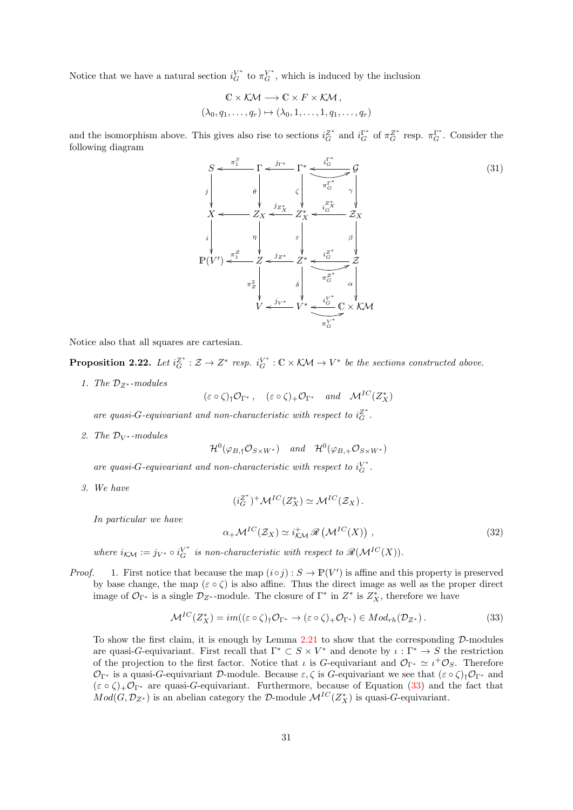Notice that we have a natural section  $i_G^{V^*}$  to  $\pi_G^{V^*}$ , which is induced by the inclusion

$$
\mathbb{C} \times \mathcal{KM} \longrightarrow \mathbb{C} \times F \times \mathcal{KM},
$$
  

$$
(\lambda_0, q_1, \dots, q_r) \mapsto (\lambda_0, 1, \dots, 1, q_1, \dots, q_r)
$$

and the isomorphism above. This gives also rise to sections  $i_G^{Z^*}$  and  $i_G^{\Gamma^*}$  of  $\pi_G^{Z^*}$  resp.  $\pi_G^{\Gamma^*}$ . Consider the following diagram

S j Γ π S <sup>1</sup> o θ Γ ∗ jΓ<sup>∗</sup> o ζ π Γ∗ G 7G γ i Γ∗ <sup>G</sup> o X i Z<sup>X</sup> η o Z ∗ X ε jZ<sup>∗</sup> <sup>X</sup> o Z<sup>X</sup> β i Z∗ X <sup>G</sup> o P(V 0 ) Z π Z <sup>1</sup> o π 2 Z Z ∗ jZ<sup>∗</sup> o δ π Z∗ G 7Z α i Z∗ <sup>G</sup> o V V <sup>∗</sup> j<sup>V</sup> <sup>∗</sup> o π V ∗ G 5 C × KM i V ∗ <sup>G</sup> o (31)

Notice also that all squares are cartesian.

**Proposition 2.22.** Let  $i_G^{Z^*} : Z \to Z^*$  resp.  $i_G^{V^*} : \mathbb{C} \times \mathcal{K} \mathcal{M} \to V^*$  be the sections constructed above.

1. The  $\mathcal{D}_{Z^*}$ -modules

$$
(\varepsilon \circ \zeta)_\dagger \mathcal{O}_{\Gamma^*}, \quad (\varepsilon \circ \zeta)_+ \mathcal{O}_{\Gamma^*} \quad and \quad \mathcal{M}^{IC}(Z_X^*)
$$

are quasi-G-equivariant and non-characteristic with respect to  $i_G^Z$ .

2. The  $\mathcal{D}_{V^*}$ -modules

$$
\mathcal{H}^{0}(\varphi_{B,\dagger}\mathcal{O}_{S\times W^{*}}) \quad and \quad \mathcal{H}^{0}(\varphi_{B,\dagger}\mathcal{O}_{S\times W^{*}})
$$

are quasi-G-equivariant and non-characteristic with respect to  $i_G^V$ .

3. We have

$$
(i_G^{Z^*})^+\mathcal{M}^{IC}(Z_X^*)\simeq \mathcal{M}^{IC}(\mathcal{Z}_X).
$$

In particular we have

$$
\alpha_+ \mathcal{M}^{IC}(\mathcal{Z}_X) \simeq i_{\mathcal{K}\mathcal{M}}^+ \mathscr{R} \left( \mathcal{M}^{IC}(X) \right) , \tag{32}
$$

where  $i_{K\mathcal{M}} := j_{V^*} \circ i_G^{V^*}$  is non-characteristic with respect to  $\mathscr{R}(\mathcal{M}^{IC}(X)).$ 

*Proof.* 1. First notice that because the map  $(i \circ j) : S \to \mathbb{P}(V')$  is affine and this property is preserved by base change, the map ( $\varepsilon \circ \zeta$ ) is also affine. Thus the direct image as well as the proper direct image of  $\mathcal{O}_{\Gamma^*}$  is a single  $\mathcal{D}_{Z^*}$ -module. The closure of  $\Gamma^*$  in  $Z^*$  is  $Z_X^*$ , therefore we have

<span id="page-30-0"></span>
$$
\mathcal{M}^{IC}(Z_X^*) = im((\varepsilon \circ \zeta)_\dagger \mathcal{O}_{\Gamma^*} \to (\varepsilon \circ \zeta)_+ \mathcal{O}_{\Gamma^*}) \in Mod_{rh}(\mathcal{D}_{Z^*}).
$$
\n(33)

To show the first claim, it is enough by Lemma [2.21](#page-27-0) to show that the corresponding  $\mathcal{D}$ -modules are quasi-G-equivariant. First recall that  $\Gamma^* \subset S \times V^*$  and denote by  $\iota : \Gamma^* \to S$  the restriction of the projection to the first factor. Notice that  $\iota$  is G-equivariant and  $\mathcal{O}_{\Gamma^*} \simeq \iota^+ \mathcal{O}_S$ . Therefore  $\mathcal{O}_{\Gamma^*}$  is a quasi-G-equivariant D-module. Because  $\varepsilon, \zeta$  is G-equivariant we see that  $(\varepsilon \circ \zeta)_\dagger \mathcal{O}_{\Gamma^*}$  and  $(\varepsilon \circ \zeta)_+ \mathcal{O}_{\Gamma^*}$  are quasi-G-equivariant. Furthermore, because of Equation [\(33\)](#page-30-0) and the fact that  $Mod(G, \mathcal{D}_{Z^*})$  is an abelian category the D-module  $\mathcal{M}^{IC}(Z_X^*)$  is quasi-G-equivariant.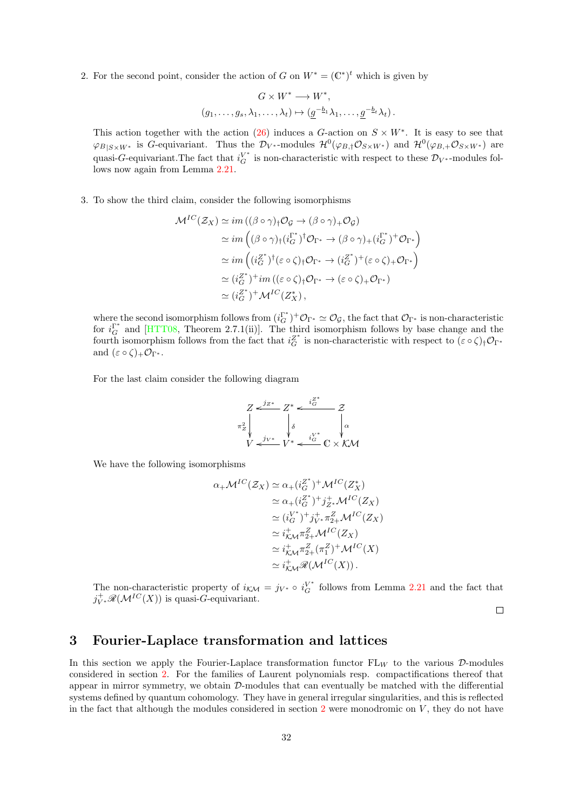2. For the second point, consider the action of G on  $W^* = (\mathbb{C}^*)^t$  which is given by

$$
G \times W^* \longrightarrow W^*,
$$
  

$$
(g_1, \ldots, g_s, \lambda_1, \ldots, \lambda_t) \mapsto (g^{-b_1} \lambda_1, \ldots, g^{-b_t} \lambda_t).
$$

This action together with the action [\(26\)](#page-28-0) induces a G-action on  $S \times W^*$ . It is easy to see that  $\varphi_{B|S\times W^*}$  is G-equivariant. Thus the  $\mathcal{D}_{V^*}$ -modules  $\mathcal{H}^0(\varphi_{B,\dagger}\mathcal{O}_{S\times W^*})$  and  $\mathcal{H}^0(\varphi_{B,\dagger}\mathcal{O}_{S\times W^*})$  are quasi-G-equivariant. The fact that  $i_G^{V^*}$  is non-characteristic with respect to these  $\mathcal{D}_{V^*}$ -modules follows now again from Lemma [2.21.](#page-27-0)

3. To show the third claim, consider the following isomorphisms

$$
\mathcal{M}^{IC}(\mathcal{Z}_X) \simeq im((\beta \circ \gamma)_\dagger \mathcal{O}_{\mathcal{G}} \to (\beta \circ \gamma)_+ \mathcal{O}_{\mathcal{G}})
$$
  
\n
$$
\simeq im((\beta \circ \gamma)_\dagger (i_G^{T^*})^\dagger \mathcal{O}_{\Gamma^*} \to (\beta \circ \gamma)_+ (i_G^{T^*})^+ \mathcal{O}_{\Gamma^*})
$$
  
\n
$$
\simeq im((i_G^{Z^*})^\dagger (\varepsilon \circ \zeta)_\dagger \mathcal{O}_{\Gamma^*} \to (i_G^{Z^*})^+ (\varepsilon \circ \zeta)_+ \mathcal{O}_{\Gamma^*})
$$
  
\n
$$
\simeq (i_G^{Z^*})^+ im((\varepsilon \circ \zeta)_\dagger \mathcal{O}_{\Gamma^*} \to (\varepsilon \circ \zeta)_+ \mathcal{O}_{\Gamma^*})
$$
  
\n
$$
\simeq (i_G^{Z^*})^+ \mathcal{M}^{IC}(Z_X^*),
$$

where the second isomorphism follows from  $(i_G^{\Gamma^*})^+ \mathcal{O}_{\Gamma^*} \simeq \mathcal{O}_{\mathcal{G}}$ , the fact that  $\mathcal{O}_{\Gamma^*}$  is non-characteristic for  $i_G^{\Gamma^*}$  and [\[HTT08,](#page-70-3) Theorem 2.7.1(ii)]. The third isomorphism follows by base change and the fourth isomorphism follows from the fact that  $i_G^{Z^*}$  is non-characteristic with respect to  $(\varepsilon \circ \zeta)_\dagger \mathcal{O}_{\Gamma^*}$ and  $(\varepsilon \circ \zeta)_+ \mathcal{O}_{\Gamma^*}.$ 

For the last claim consider the following diagram

$$
Z \xleftarrow{j_{Z^*}} Z^* \xleftarrow{i_G^{Z^*}} Z
$$
  
\n
$$
\pi_Z^2 \downarrow \qquad \qquad \downarrow \delta \qquad \qquad \downarrow \alpha
$$
  
\n
$$
V \xleftarrow{j_{V^*}} V^* \xleftarrow{i_G^{V^*}} C \times KM
$$

We have the following isomorphisms

$$
\alpha_{+} \mathcal{M}^{IC}(\mathcal{Z}_{X}) \simeq \alpha_{+} (i_{G}^{Z^{*}})^{+} \mathcal{M}^{IC}(Z_{X}^{*})
$$
  
\n
$$
\simeq \alpha_{+} (i_{G}^{Z^{*}})^{+} j_{Z^{*}}^{+} \mathcal{M}^{IC}(Z_{X})
$$
  
\n
$$
\simeq (i_{G}^{V^{*}})^{+} j_{V^{*}}^{+} \pi_{Z+}^{Z} \mathcal{M}^{IC}(Z_{X})
$$
  
\n
$$
\simeq i_{K\mathcal{M}}^{+} \pi_{Z+}^{Z} \mathcal{M}^{IC}(Z_{X})
$$
  
\n
$$
\simeq i_{K\mathcal{M}}^{+} \pi_{Z+}^{Z} (\pi_{1}^{Z})^{+} \mathcal{M}^{IC}(X)
$$
  
\n
$$
\simeq i_{K\mathcal{M}}^{+} \mathcal{R}(\mathcal{M}^{IC}(X)).
$$

The non-characteristic property of  $i_{\mathcal{KM}} = j_{V^*} \circ i_G^{V^*}$  follows from Lemma [2.21](#page-27-0) and the fact that  $j^+_{V^*}\mathscr{R}(\mathcal{M}^{IC}(X))$  is quasi-G-equivariant.

 $\Box$ 

### <span id="page-31-0"></span>3 Fourier-Laplace transformation and lattices

In this section we apply the Fourier-Laplace transformation functor  $FL_W$  to the various D-modules considered in section [2.](#page-14-1) For the families of Laurent polynomials resp. compactifications thereof that appear in mirror symmetry, we obtain  $\mathcal{D}$ -modules that can eventually be matched with the differential systems defined by quantum cohomology. They have in general irregular singularities, and this is reflected in the fact that although the modules considered in section  $2$  were monodromic on  $V$ , they do not have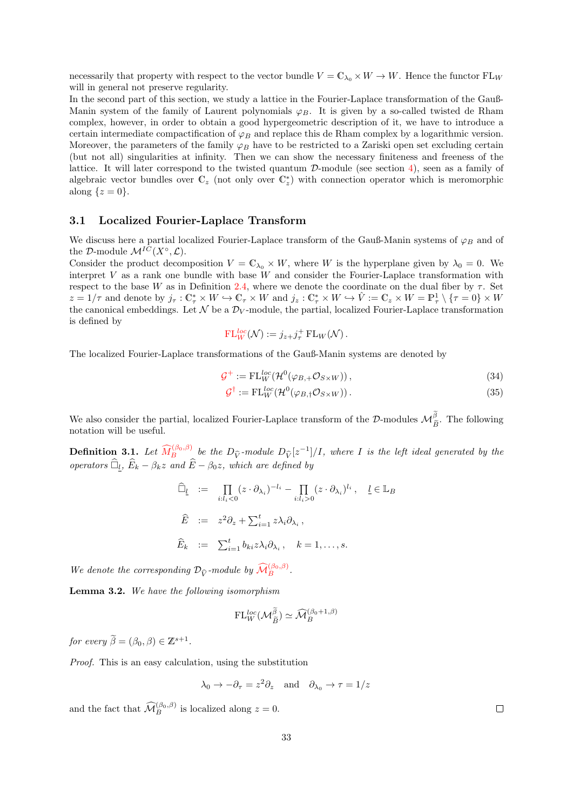necessarily that property with respect to the vector bundle  $V = \mathbb{C}_{\lambda_0} \times W \to W$ . Hence the functor  $FL_W$ will in general not preserve regularity.

In the second part of this section, we study a lattice in the Fourier-Laplace transformation of the Gauß-Manin system of the family of Laurent polynomials  $\varphi_B$ . It is given by a so-called twisted de Rham complex, however, in order to obtain a good hypergeometric description of it, we have to introduce a certain intermediate compactification of  $\varphi_B$  and replace this de Rham complex by a logarithmic version. Moreover, the parameters of the family  $\varphi_B$  have to be restricted to a Zariski open set excluding certain (but not all) singularities at infinity. Then we can show the necessary finiteness and freeness of the lattice. It will later correspond to the twisted quantum  $\mathcal{D}\text{-module}$  (see section [4\)](#page-42-0), seen as a family of algebraic vector bundles over  $\mathbb{C}_z$  (not only over  $\mathbb{C}_z^*$ ) with connection operator which is meromorphic along  $\{z=0\}.$ 

### <span id="page-32-0"></span>3.1 Localized Fourier-Laplace Transform

We discuss here a partial localized Fourier-Laplace transform of the Gauß-Manin systems of  $\varphi_B$  and of the D-module  $\mathcal{M}^{IC}(X^{\circ}, \mathcal{L}).$ 

Consider the product decomposition  $V = \mathbb{C}_{\lambda_0} \times W$ , where W is the hyperplane given by  $\lambda_0 = 0$ . We interpret  $V$  as a rank one bundle with base  $W$  and consider the Fourier-Laplace transformation with respect to the base W as in Definition [2.4,](#page-16-1) where we denote the coordinate on the dual fiber by  $\tau$ . Set  $z = 1/\tau$  and denote by  $j_{\tau}: \mathbb{C}_{\tau}^* \times W \hookrightarrow \mathbb{C}_{\tau} \times W$  and  $j_z: \mathbb{C}_{\tau}^* \times W \hookrightarrow \hat{V} := \mathbb{C}_z \times W = \mathbb{P}_{\tau}^1 \setminus {\tau = 0} \times W$ the canonical embeddings. Let  $\mathcal N$  be a  $\mathcal D_V$ -module, the partial, localized Fourier-Laplace transformation is defined by

$$
\mathrm{FL}_W^{loc}(\mathcal{N}) := j_{z+}j_{\tau}^+ \mathrm{FL}_W(\mathcal{N}).
$$

The localized Fourier-Laplace transformations of the Gauß-Manin systems are denoted by

$$
\mathcal{G}^+ := \mathrm{FL}_{W}^{loc}(\mathcal{H}^0(\varphi_{B,+}\mathcal{O}_{S\times W})),\tag{34}
$$

<span id="page-32-2"></span>
$$
\mathcal{G}^{\dagger} := \mathrm{FL}_{W}^{loc}(\mathcal{H}^{0}(\varphi_{B,\dagger}\mathcal{O}_{S\times W}))\,. \tag{35}
$$

We also consider the partial, localized Fourier-Laplace transform of the  $\mathcal{D}$ -modules  $\mathcal{M}_{\tilde{B}}^{\beta}$ . The following notation will be useful. notation will be useful.

**Definition 3.1.** Let  $\widehat{M}_B^{(\beta_0,\beta)}$  $\widehat{M}_B^{(\beta_0,\beta)}$  $\widehat{M}_B^{(\beta_0,\beta)}$  be the  $D_{\widehat{V}}$ -module  $D_{\widehat{V}}[z^{-1}]/I$ , where I is the left ideal generated by the operators  $\widehat{\Box}_l$ ,  $\widehat{E}_k - \beta_k z$  and  $\widehat{E} - \beta_0 z$ , which are defined by

$$
\widehat{\Box}_{\underline{l}} := \prod_{i:l_i < 0} (z \cdot \partial_{\lambda_i})^{-l_i} - \prod_{i:l_i > 0} (z \cdot \partial_{\lambda_i})^{l_i}, \quad \underline{l} \in \mathbb{L}_B
$$
  

$$
\widehat{E} := z^2 \partial_z + \sum_{i=1}^t z \lambda_i \partial_{\lambda_i},
$$
  

$$
\widehat{E}_k := \sum_{i=1}^t b_{ki} z \lambda_i \partial_{\lambda_i}, \quad k = 1, ..., s.
$$

We denote the corresponding  $\mathcal{D}_{\widehat{V}}$ -module by  $\widehat{\mathcal{M}}_B^{(\beta_0,\beta)}$  $\widehat{\mathcal{M}}_B^{(\beta_0,\beta)}$  $\widehat{\mathcal{M}}_B^{(\beta_0,\beta)}$ .

<span id="page-32-1"></span>Lemma 3.2. We have the following isomorphism

$$
\mathrm{FL}_W^{loc}(\mathcal{M}_{\widetilde{B}}^{\widetilde{\beta}}) \simeq \widehat{\mathcal{M}}_B^{(\beta_0 + 1, \beta)}
$$

for every  $\widetilde{\beta} = (\beta_0, \beta) \in \mathbb{Z}^{s+1}$ .

Proof. This is an easy calculation, using the substitution

$$
\lambda_0 \to -\partial_\tau = z^2 \partial_z
$$
 and  $\partial_{\lambda_0} \to \tau = 1/z$ 

and the fact that  $\widehat{\mathcal{M}}_B^{(\beta_0,\beta)}$  is localized along  $z=0$ .

 $\Box$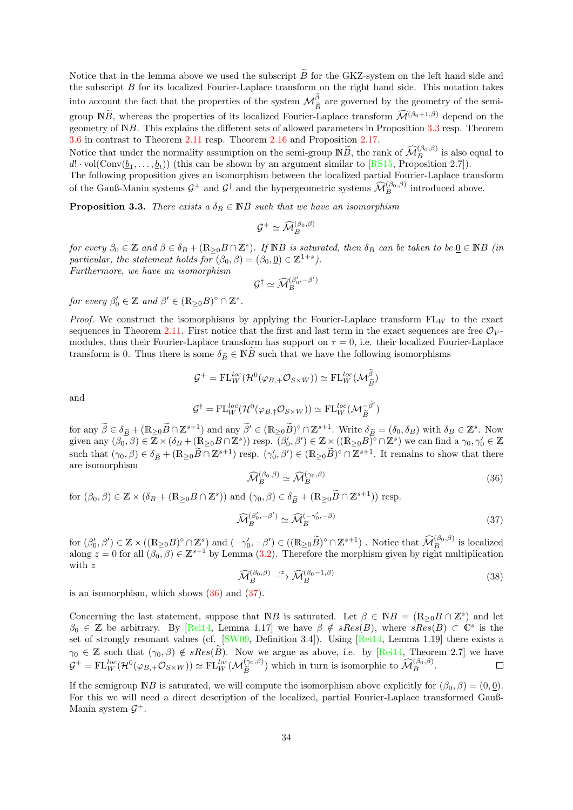Notice that in the lemma above we used the subscript  $\tilde{B}$  for the GKZ-system on the left hand side and the subscript  $B$  for its localized Fourier-Laplace transform on the right hand side. This notation takes into account the fact that the properties of the system  $\mathcal{M}_{\tilde{p}}^{\beta}$  are governed by the geometry of the semigroup  $N\widetilde{B}$ , whereas the properties of its localized Fourier-Laplace transform  $\widehat{\mathcal{M}}^{(\beta_0+1,\beta)}$  depend on the geometry of NB. This explains the different sets of allowed parameters in Proposition [3.3](#page-33-0) resp. Theorem [3.6](#page-35-1) in contrast to Theorem [2.11](#page-20-0) resp. Theorem [2.16](#page-24-0) and Proposition [2.17.](#page-25-1)

Notice that under the normality assumption on the semi-group  $\mathbb{N}\widetilde{B}$ , the rank of  $\widehat{\mathcal{M}}_B^{(\beta_0,\beta)}$  is also equal to  $d! \cdot \text{vol}(\text{Conv}(\underline{b}_1, \ldots, \underline{b}_t))$  (this can be shown by an argument similar to [\[RS15,](#page-71-5) Proposition 2.7]).

The following proposition gives an isomorphism between the localized partial Fourier-Laplace transform of the Gauß-Manin systems  $G^+$  and  $G^{\dagger}$  and the hypergeometric systems  $\widehat{\mathcal{M}}_B^{(\beta_0,\beta)}$  introduced above.

<span id="page-33-0"></span>**Proposition 3.3.** There exists a  $\delta_B \in \mathbb{N}$  such that we have an isomorphism

$$
\mathcal{G}^+ \simeq \widehat{\mathcal{M}}_B^{(\beta_0, \beta)}
$$

for every  $\beta_0 \in \mathbb{Z}$  and  $\beta \in \delta_B + (\mathbb{R}_{\geq 0} B \cap \mathbb{Z}^s)$ . If  $\mathbb{N}B$  is saturated, then  $\delta_B$  can be taken to be  $\underline{0} \in \mathbb{N}B$  (in particular, the statement holds for  $(\beta_0, \beta) = (\beta_0, 0) \in \mathbb{Z}^{1+s}$ .

Furthermore, we have an isomorphism

$$
\mathcal{G}^{\dagger} \simeq \widehat{\mathcal{M}}_B^{(\beta'_0,-\beta')}
$$

for every  $\beta'_0 \in \mathbb{Z}$  and  $\beta' \in (\mathbb{R}_{\geq 0}B)^\circ \cap \mathbb{Z}^s$ .

*Proof.* We construct the isomorphisms by applying the Fourier-Laplace transform  $FL_W$  to the exact sequences in Theorem [2.11.](#page-20-0) First notice that the first and last term in the exact sequences are free  $\mathcal{O}_V$ modules, thus their Fourier-Laplace transform has support on  $\tau = 0$ , i.e. their localized Fourier-Laplace transform is 0. Thus there is some  $\delta_{\widetilde{B}} \in \mathbb{N} \widetilde{B}$  such that we have the following isomorphisms

$$
\mathcal{G}^+ = \mathrm{FL}_{W}^{loc}(\mathcal{H}^0(\varphi_{B,+}\mathcal{O}_{S\times W})) \simeq \mathrm{FL}_{W}^{loc}(\mathcal{M}_{\widetilde{B}}^{\beta})
$$

and

$$
\mathcal{G}^{\dagger} = \mathrm{FL}_{W}^{loc}(\mathcal{H}^{0}(\varphi_{B,\dagger}\mathcal{O}_{S\times W})) \simeq \mathrm{FL}_{W}^{loc}(\mathcal{M}_{\widetilde{B}}^{-\widetilde{\beta}'})
$$

for any  $\widetilde{\beta} \in \delta_B + (\mathbb{R}_{\geq 0} \widetilde{B} \cap \mathbb{Z}^{s+1})$  and any  $\widetilde{\beta}' \in (\mathbb{R}_{\geq 0} \widetilde{B})^\circ \cap \mathbb{Z}^{s+1}$ . Write  $\delta_B = (\delta_0, \delta_B)$  with  $\delta_B \in \mathbb{Z}^s$ . Now given any  $(\beta_0, \beta) \in \mathbb{Z} \times (\delta_B + (\mathbb{R}_{\geq 0} B \cap \mathbb{Z}^s)) \text{ resp. } (\beta'_0, \beta') \in \mathbb{Z} \times ((\mathbb{R}_{\geq 0} B)^\circ \cap \mathbb{Z}^s)$  we can find a  $\gamma_0, \gamma'_0 \in \mathbb{Z}$ such that  $(\gamma_0, \beta) \in \delta_{\widetilde{B}} + (\mathbb{R}_{\geq 0} \widetilde{B} \cap \mathbb{Z}^{s+1})$  resp.  $(\gamma'_0, \beta') \in (\mathbb{R}_{\geq 0} \widetilde{B})^{\circ} \cap \mathbb{Z}^{s+1}$ . It remains to show that there are isomorphism

<span id="page-33-1"></span>
$$
\widehat{\mathcal{M}}_{B}^{(\beta_0,\beta)} \simeq \widehat{\mathcal{M}}_{B}^{(\gamma_0,\beta)}\tag{36}
$$

for  $(\beta_0, \beta) \in \mathbb{Z} \times (\delta_B + (\mathbb{R}_{\geq 0} B \cap \mathbb{Z}^s))$  and  $(\gamma_0, \beta) \in \delta_{\widetilde{B}} + (\mathbb{R}_{\geq 0} \widetilde{B} \cap \mathbb{Z}^{s+1}))$  resp.

<span id="page-33-2"></span>
$$
\widehat{\mathcal{M}}_B^{(\beta_0', -\beta')} \simeq \widehat{\mathcal{M}}_B^{(-\gamma_0', -\beta)}
$$
\n(37)

for  $(\beta'_0, \beta') \in \mathbb{Z} \times ((\mathbb{R}_{\geq 0} B)^{\circ} \cap \mathbb{Z}^s)$  and  $(-\gamma'_0, -\beta') \in ((\mathbb{R}_{\geq 0} \widetilde{B})^{\circ} \cap \mathbb{Z}^{s+1})$ . Notice that  $\widehat{\mathcal{M}}_B^{(\beta_0, \beta)}$  is localized along  $z = 0$  for all  $(\beta_0, \beta) \in \mathbb{Z}^{s+1}$  by Lemma [\(3.2\)](#page-32-1). Therefore the morphism given by right multiplication with z

$$
\widehat{\mathcal{M}}_{B}^{(\beta_0,\beta)} \stackrel{\cdot z}{\longrightarrow} \widehat{\mathcal{M}}_{B}^{(\beta_0-1,\beta)}\tag{38}
$$

is an isomorphism, which shows [\(36\)](#page-33-1) and [\(37\)](#page-33-2).

Concerning the last statement, suppose that NB is saturated. Let  $\beta \in \mathbb{N}B = (\mathbb{R}_{\geq 0}B \cap \mathbb{Z}^s)$  and let  $\beta_0 \in \mathbb{Z}$  be arbitrary. By [\[Rei14,](#page-71-6) Lemma 1.17] we have  $\beta \notin sRes(B)$ , where  $sRes(B) \subset \mathbb{C}^s$  is the set of strongly resonant values (cf. [\[SW09,](#page-72-4) Definition 3.4]). Using [\[Rei14,](#page-71-6) Lemma 1.19] there exists a  $\gamma_0 \in \mathbb{Z}$  such that  $(\gamma_0, \beta) \notin sRes(\tilde{B})$ . Now we argue as above, i.e. by [\[Rei14,](#page-71-6) Theorem 2.7] we have  $\mathcal{G}^+ = FL_{\text{wc}}^{loc}(\mathcal{H}^0(\varphi_B + \mathcal{O}_{S \times W})) \simeq FL_{\text{wc}}^{loc}(\mathcal{M}_{\geq}^{(\infty,\beta)})$  which in turn is isomorphic to  $\widehat{\math$  $\mathcal{G}^+ = \text{FL}_{W}^{loc}(\mathcal{H}^0(\varphi_{B,+}\mathcal{O}_{S\times W})) \simeq \text{FL}_{W}^{loc}(\mathcal{M}_{\widetilde{B}}^{(\gamma_0,\beta)})$  which in turn is isomorphic to  $\widehat{\mathcal{M}}_{B}^{(\beta_0,\beta)}$ .

If the semigroup  $\mathbb{N}B$  is saturated, we will compute the isomorphism above explicitly for  $(\beta_0, \beta) = (0, 0)$ . For this we will need a direct description of the localized, partial Fourier-Laplace transformed Gauß-Manin system  $\mathcal{G}^+$ .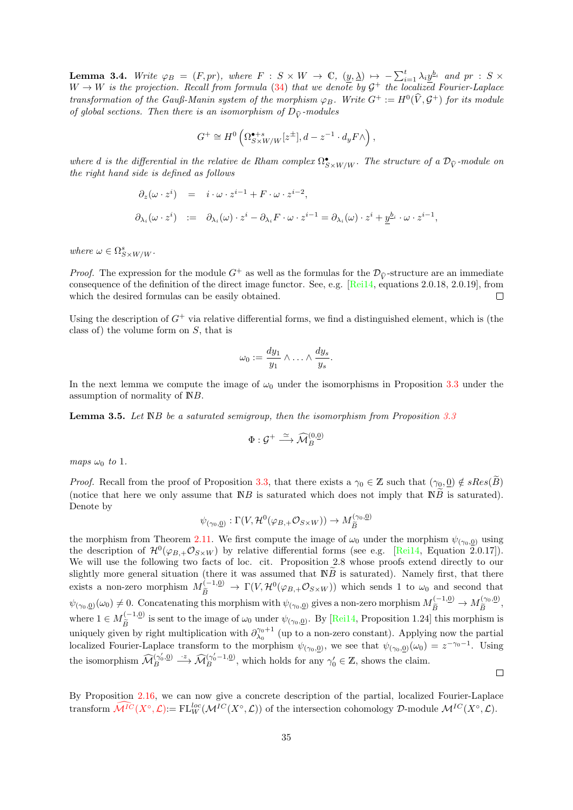**Lemma 3.4.** Write  $\varphi_B = (F, pr)$ , where  $F : S \times W \to \mathbb{C}$ ,  $(\underline{y}, \underline{\lambda}) \mapsto -\sum_{i=1}^t \lambda_i \underline{y}^{b_i}$  and  $pr : S \times$  $W \to W$  is the projection. Recall from formula [\(34\)](#page-32-2) that we denote by  $\mathcal{G}^+$  the localized Fourier-Laplace transformation of the Gauß-Manin system of the morphism  $\varphi_B$ . Write  $G^+ := H^0(\hat{V}, \mathcal{G}^+)$  for its module of global sections. Then there is an isomorphism of  $D_{\hat{V}}$ -modules

$$
G^+ \cong H^0\left(\Omega_{S \times W/W}^{\bullet+s}[z^{\pm}], d - z^{-1} \cdot d_y F \wedge\right),
$$

where d is the differential in the relative de Rham complex  $\Omega_{S\times W/W}^{\bullet}$ . The structure of a  $\mathcal{D}_{\hat{V}}$ -module on<br>the right hand side is defined as follows the right hand side is defined as follows

$$
\partial_z(\omega \cdot z^i) = i \cdot \omega \cdot z^{i-1} + F \cdot \omega \cdot z^{i-2},
$$
  

$$
\partial_{\lambda_i}(\omega \cdot z^i) := \partial_{\lambda_i}(\omega) \cdot z^i - \partial_{\lambda_i} F \cdot \omega \cdot z^{i-1} = \partial_{\lambda_i}(\omega) \cdot z^i + \underline{y}^{b_i} \cdot \omega \cdot z^{i-1},
$$

where  $\omega \in \Omega_{S\times W/W}^s$ .

*Proof.* The expression for the module  $G^+$  as well as the formulas for the  $\mathcal{D}_{\hat{V}}$ -structure are an immediate consequence of the definition of the direct image functor. See, e.g. [\[Rei14,](#page-71-6) equations 2.0.18, 2.0.19], from which the desired formulas can be easily obtained.  $\Box$ 

Using the description of  $G^+$  via relative differential forms, we find a distinguished element, which is (the class of) the volume form on S, that is

$$
\omega_0 := \frac{dy_1}{y_1} \wedge \ldots \wedge \frac{dy_s}{y_s}.
$$

In the next lemma we compute the image of  $\omega_0$  under the isomorphisms in Proposition [3.3](#page-33-0) under the assumption of normality of NB.

**Lemma 3.5.** Let  $\mathbb{N}B$  be a saturated semigroup, then the isomorphism from Proposition [3.3](#page-33-0)

$$
\Phi: \mathcal{G}^+ \xrightarrow{\simeq} \widehat{\mathcal{M}}_B^{(0,\underline{0})}
$$

maps  $\omega_0$  to 1.

*Proof.* Recall from the proof of Proposition [3.3,](#page-33-0) that there exists a  $\gamma_0 \in \mathbb{Z}$  such that  $(\gamma_0, 0) \notin sRes(\tilde{B})$ (notice that here we only assume that  $\mathbb{N}B$  is saturated which does not imply that  $\mathbb{N}\tilde{B}$  is saturated). Denote by

$$
\psi_{(\gamma_0,\underline{0})} : \Gamma(V, \mathcal{H}^0(\varphi_{B,+}\mathcal{O}_{S\times W})) \to M_{\widetilde{B}}^{(\gamma_0,\underline{0})}
$$

the morphism from Theorem [2.11.](#page-20-0) We first compute the image of  $\omega_0$  under the morphism  $\psi_{(\gamma_0,0)}$  using the description of  $\mathcal{H}^0(\varphi_{B,+}\mathcal{O}_{S\times W})$  by relative differential forms (see e.g. [\[Rei14,](#page-71-6) Equation 2.0.17]). We will use the following two facts of loc. cit. Proposition 2.8 whose proofs extend directly to our slightly more general situation (there it was assumed that  $\overline{NB}$  is saturated). Namely first, that there exists a non-zero morphism  $M_{\tilde{B}}^{(-1,0)} \to \Gamma(V, \mathcal{H}^0(\varphi_{B,+}\mathcal{O}_{S\times W}))$  which sends 1 to  $\omega_0$  and second that  $\psi_{(\gamma_0,0)}(\omega_0) \neq 0$ . Concatenating this morphism with  $\psi_{(\gamma_0,0)}$  gives a non-zero morphism  $M_{\tilde{B}}^{(-1,0)} \to M_{\tilde{B}}^{(\gamma_0,0)}$  $\tilde{\tilde{B}}^{(\gamma_0,\underline{0})},$ where  $1 \in M_{\widetilde{B}}^{(-1,0)}$  is sent to the image of  $\omega_0$  under  $\psi_{(\gamma_0,0)}$ . By [\[Rei14,](#page-71-6) Proposition 1.24] this morphism is uniquely given by right multiplication with  $\partial_{\lambda_0}^{\gamma_0+1}$  (up to a non-zero constant). Applying now the partial localized Fourier-Laplace transform to the morphism  $\psi_{(\gamma_0,0)}$ , we see that  $\psi_{(\gamma_0,0)}(\omega_0) = z^{-\gamma_0-1}$ . Using the isomorphism  $\widehat{\mathcal{M}}_B^{(\gamma_0', \underline{0})}$  $\widehat{B}_{B}^{(\gamma_0', \underline{0})} \longrightarrow \widehat{\mathcal{M}}_{B}^{(\gamma_0'-1,\underline{0})}$ , which holds for any  $\gamma_0' \in \mathbb{Z}$ , shows the claim.  $\Box$ 

By Proposition [2.16,](#page-24-0) we can now give a concrete description of the partial, localized Fourier-Laplace transform  $\mathcal{M}^{IC}(X^{\circ}, \mathcal{L}) = \mathrm{FL}_{W}^{loc}(\mathcal{M}^{IC}(X^{\circ}, \mathcal{L}))$  $\mathcal{M}^{IC}(X^{\circ}, \mathcal{L}) = \mathrm{FL}_{W}^{loc}(\mathcal{M}^{IC}(X^{\circ}, \mathcal{L}))$  $\mathcal{M}^{IC}(X^{\circ}, \mathcal{L}) = \mathrm{FL}_{W}^{loc}(\mathcal{M}^{IC}(X^{\circ}, \mathcal{L}))$  of the intersection cohomology  $\mathcal{D}$ -module  $\mathcal{M}^{IC}(X^{\circ}, \mathcal{L})$ .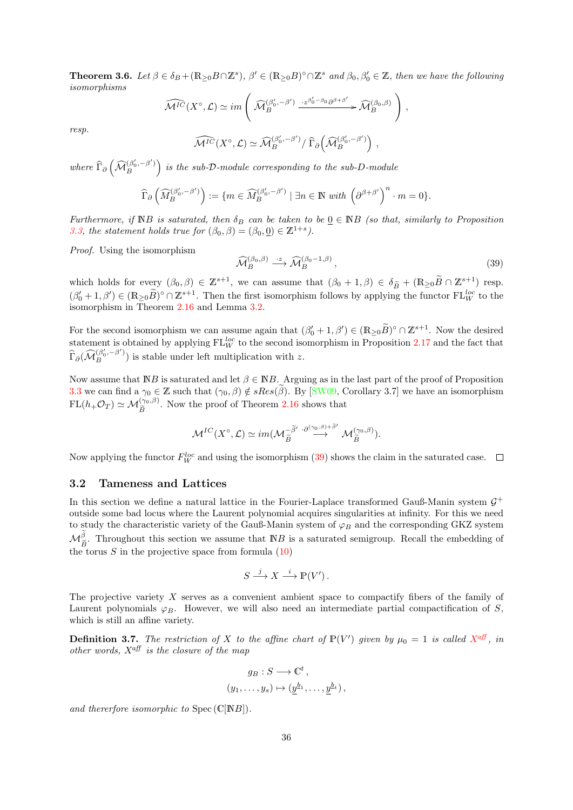<span id="page-35-1"></span>**Theorem 3.6.** Let  $\beta \in \delta_B + (\mathbb{R}_{\geq 0}B \cap \mathbb{Z}^s)$ ,  $\beta' \in (\mathbb{R}_{\geq 0}B)^\circ \cap \mathbb{Z}^s$  and  $\beta_0, \beta'_0 \in \mathbb{Z}$ , then we have the following isomorphisms

$$
\widehat{\mathcal{M}^{IC}}(X^{\circ}, \mathcal{L}) \simeq im \left( \widehat{\mathcal{M}}_B^{(\beta_0', -\beta')} \xrightarrow{\cdot z^{\beta_0' - \beta_0} \partial^{\beta + \beta'}} \widehat{\mathcal{M}}_B^{(\beta_0, \beta)} \right),
$$

resp.

$$
\widehat{\mathcal{M}^{IC}}(X^{\circ}, \mathcal{L}) \simeq \widehat{\mathcal{M}}_B^{(\beta'_0, -\beta')}/\widehat{\Gamma}_\partial \Big(\widehat{\mathcal{M}}_B^{(\beta'_0, -\beta')}\Big) ,
$$

where  $\widehat{\Gamma}_{\partial}\left(\widehat{\mathcal{M}}^{\left(\beta_0',-\beta'\right)}_B\right)$  $\binom{\beta_0',-\beta'}{B}$  is the sub-D-module corresponding to the sub-D-module

$$
\widehat{\Gamma}_{\partial}\left(\widehat{M}_{B}^{(\beta'_{0},-\beta')}\right) := \{m \in \widehat{M}_{B}^{(\beta'_{0},-\beta')} \mid \exists n \in \mathbb{N} \ with \ \left(\partial^{\beta+\beta'}\right)^{n} \cdot m = 0\}.
$$

Furthermore, if NB is saturated, then  $\delta_B$  can be taken to be  $\underline{0} \in \mathbb{N}$ B (so that, similarly to Proposition [3.3,](#page-33-0) the statement holds true for  $(\beta_0, \beta) = (\beta_0, \underline{0}) \in \mathbb{Z}^{1+s}$ .

Proof. Using the isomorphism

<span id="page-35-2"></span>
$$
\widehat{\mathcal{M}}_B^{(\beta_0, \beta)} \stackrel{\cdot z}{\longrightarrow} \widehat{\mathcal{M}}_B^{(\beta_0 - 1, \beta)}, \tag{39}
$$

which holds for every  $(\beta_0, \beta) \in \mathbb{Z}^{s+1}$ , we can assume that  $(\beta_0 + 1, \beta) \in \delta_{\widetilde{B}} + (\mathbb{R}_{\geq 0}\widetilde{B} \cap \mathbb{Z}^{s+1})$  resp.  $(\beta'_{0} + 1, \beta') \in (\mathbb{R}_{\geq 0} \widetilde{B})^{\circ} \cap \mathbb{Z}^{s+1}$ . Then the first isomorphism follows by applying the functor  $FL_{W}^{loc}$  to the isomorphism in Theorem [2.16](#page-24-0) and Lemma [3.2.](#page-32-1)

For the second isomorphism we can assume again that  $(\beta'_0 + 1, \beta') \in (\mathbb{R}_{\geq 0} \widetilde{B})^{\circ} \cap \mathbb{Z}^{s+1}$ . Now the desired statement is obtained by applying  $FL_W^{loc}$  to the second isomorphism in Proposition [2.17](#page-25-1) and the fact that  $\widehat{\Gamma}_{\partial}(\widehat{\mathcal{M}}_{B}^{(\beta_0', -\beta')})$  is stable under left multiplication with z.

Now assume that  $\mathbb{N}B$  is saturated and let  $\beta \in \mathbb{N}B$ . Arguing as in the last part of the proof of Proposition [3.3](#page-33-0) we can find a  $\gamma_0 \in \mathbb{Z}$  such that  $(\gamma_0, \beta) \notin sRes(\beta)$ . By [\[SW09,](#page-72-4) Corollary 3.7] we have an isomorphism  $FL(h_+\mathcal{O}_T) \simeq \mathcal{M}_{\widetilde{B}}^{(\gamma_0,\beta)}$ . Now the proof of Theorem [2.16](#page-24-0) shows that

$$
\mathcal{M}^{IC}(X^{\circ}, \mathcal{L}) \simeq im(\mathcal{M}_{\widetilde{B}}^{-\widetilde{\beta}'} \stackrel{\cdot \partial^{(\gamma_0, \beta)+\widetilde{\beta}'}}{\longrightarrow} \mathcal{M}_{\widetilde{B}}^{(\gamma_0, \beta)}).
$$

Now applying the functor  $F_W^{loc}$  and using the isomorphism [\(39\)](#page-35-2) shows the claim in the saturated case.

### <span id="page-35-0"></span>3.2 Tameness and Lattices

In this section we define a natural lattice in the Fourier-Laplace transformed Gauß-Manin system  $\mathcal{G}^+$ outside some bad locus where the Laurent polynomial acquires singularities at infinity. For this we need to study the characteristic variety of the Gauß-Manin system of  $\varphi_B$  and the corresponding GKZ system  $\mathcal{M}_{\tilde{\sigma}}^{\beta}$ . Throughout this section we assume that NB is a saturated semigroup. Recall the embedding of  $\mathcal{L}_{B}$ . The signals can be seen the assume that  $\mathcal{L}_{B}$ .<br>the torus S in the projective space from formula [\(10\)](#page-17-2)

$$
S \xrightarrow{j} X \xrightarrow{i} \mathbb{P}(V').
$$

The projective variety X serves as a convenient ambient space to compactify fibers of the family of Laurent polynomials  $\varphi_B$ . However, we will also need an intermediate partial compactification of S, which is still an affine variety.

**Definition 3.7.** The restriction of [X](#page-69-11) to the affine chart of  $\mathbb{P}(V')$  given by  $\mu_0 = 1$  is called  $X^{\text{aff}}$ , in other words,  $X^{\text{aff}}$  is the closure of the map

$$
g_B: S \longrightarrow \mathbb{C}^t, (y_1, \ldots, y_s) \mapsto (\underline{y}^{b_1}, \ldots, \underline{y}^{b_t}),
$$

and thererfore isomorphic to  $Spec(C[NB])$ .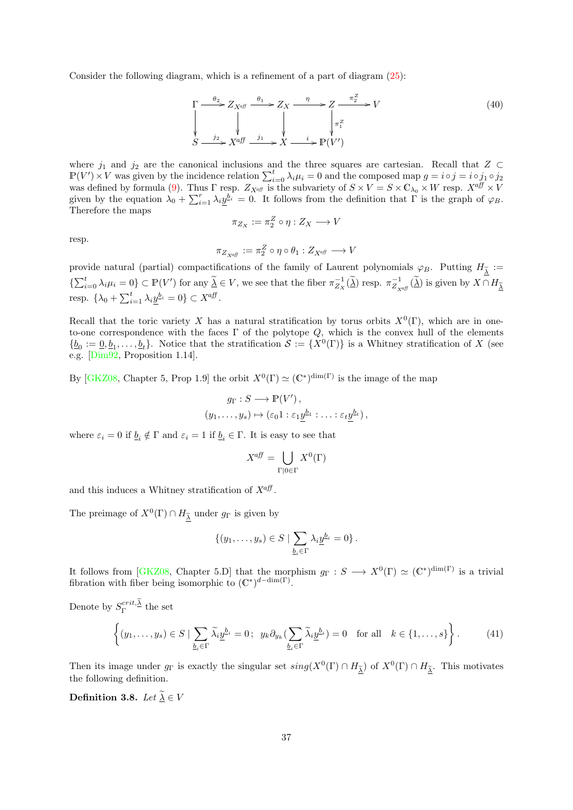Consider the following diagram, which is a refinement of a part of diagram  $(25)$ :

<span id="page-36-2"></span>
$$
\Gamma \xrightarrow{\theta_2} Z_{X^{\text{aff}}} \xrightarrow{\theta_1} Z_X \xrightarrow{\eta} Z \xrightarrow{\pi_2^Z} V
$$
\n
$$
\downarrow \qquad \qquad \downarrow \qquad \qquad \downarrow \qquad \qquad \downarrow \qquad \qquad \downarrow \qquad \qquad \downarrow \qquad \qquad \downarrow \qquad \qquad \downarrow \qquad \qquad \downarrow \qquad \qquad \downarrow \qquad \qquad \downarrow \qquad \qquad \downarrow \qquad \qquad \downarrow \qquad \qquad \downarrow \qquad \qquad \downarrow \qquad \qquad \downarrow \qquad \qquad \downarrow \qquad \qquad \downarrow \qquad \qquad \downarrow \qquad \qquad \downarrow \qquad \qquad \downarrow \qquad \qquad \downarrow \qquad \qquad \downarrow \qquad \qquad \downarrow \qquad \qquad \downarrow \qquad \qquad \downarrow \qquad \qquad \downarrow \qquad \qquad \downarrow \qquad \qquad \downarrow \qquad \qquad \downarrow \qquad \qquad \downarrow \qquad \qquad \downarrow \qquad \qquad \downarrow \qquad \qquad \downarrow \qquad \qquad \downarrow \qquad \qquad \downarrow \qquad \qquad \downarrow \qquad \qquad \downarrow \qquad \qquad \downarrow \qquad \qquad \downarrow \qquad \qquad \downarrow \qquad \qquad \downarrow \qquad \qquad \downarrow \qquad \qquad \downarrow \qquad \qquad \downarrow \qquad \qquad \downarrow \qquad \qquad \downarrow \qquad \qquad \downarrow \qquad \qquad \downarrow \qquad \qquad \downarrow \qquad \qquad \downarrow \qquad \qquad \downarrow \qquad \qquad \downarrow \qquad \qquad \downarrow \qquad \qquad \downarrow \qquad \qquad \downarrow \qquad \qquad \downarrow \qquad \qquad \downarrow \qquad \qquad \downarrow \qquad \qquad \downarrow \qquad \qquad \downarrow \qquad \qquad \downarrow \qquad \qquad \downarrow \qquad \qquad \downarrow \qquad \qquad \downarrow \qquad \qquad \downarrow \qquad \qquad \downarrow \qquad \qquad \downarrow \qquad \qquad \downarrow \qquad \qquad \downarrow \qquad \qquad \downarrow \qquad \qquad \downarrow \qquad \qquad \downarrow \qquad \qquad \downarrow \qquad \qquad \downarrow \qquad \qquad \downarrow \qquad \qquad \downarrow \qquad \qquad \downarrow \qquad \qquad \down
$$

where  $j_1$  and  $j_2$  are the canonical inclusions and the three squares are cartesian. Recall that  $Z \subset$  $\mathbb{P}(V') \times V$  was given by the incidence relation  $\sum_{i=0}^{t} \lambda_i \mu_i = 0$  and the composed map  $g = i \circ j = i \circ j_1 \circ j_2$ was defined by formula [\(9\)](#page-16-0). Thus  $\Gamma$  resp.  $Z_{X^{aff}}$  is the subvariety of  $S \times V = S \times \mathbb{C}_{\lambda_0} \times W$  resp.  $X^{aff} \times V$ given by the equation  $\lambda_0 + \sum_{i=1}^r \lambda_i y^{b_i} = 0$ . It follows from the definition that  $\Gamma$  is the graph of  $\varphi_B$ . Therefore the maps

$$
\pi_{Z_X} := \pi_2^Z \circ \eta : Z_X \longrightarrow V
$$

resp.

$$
\pi_{Z_{X^{\alpha\!f\!f}}}:=\pi_2^Z\circ\eta\circ\theta_1:Z_{X^{\alpha\!f\!f}}\longrightarrow V
$$

provide natural (partial) compactifications of the family of Laurent polynomials  $\varphi_B$ . Putting  $H_{\tilde{\lambda}} :=$  $\{\sum_{i=0}^t \lambda_i \mu_i = 0\} \subset \mathbb{P}(V')$  for any  $\widetilde{\Delta} \in V$ , we see that the fiber  $\pi_{Z_X}^{-1}(\widetilde{\Delta})$  resp.  $\pi_{Z_{\mathcal{X}^{\text{aff}}}}^{-1}(\widetilde{\Delta})$  is given by  $X \cap H_{\widetilde{\Delta}}$ resp.  $\{\lambda_0 + \sum_{i=1}^t \lambda_i \underline{y}^{b_i} = 0\} \subset X^{a\overline{b}}$ .

Recall that the toric variety X has a natural stratification by torus orbits  $X^0(\Gamma)$ , which are in oneto-one correspondence with the faces  $\Gamma$  of the polytope  $Q$ , which is the convex hull of the elements  $\{\underline{b}_0 := \underline{0}, \underline{b}_1, \ldots, \underline{b}_t\}$ . Notice that the stratification  $\mathcal{S} := \{X^0(\Gamma)\}\$ is a Whitney stratification of X (see e.g. [\[Dim92,](#page-70-0) Proposition 1.14].

By [\[GKZ08,](#page-70-1) Chapter 5, Prop 1.9] the orbit  $X^0(\Gamma) \simeq (\mathbb{C}^*)^{\dim(\Gamma)}$  is the image of the map

$$
g_{\Gamma}: S \longrightarrow \mathbb{P}(V'),
$$
  

$$
(y_1, \ldots, y_s) \mapsto (\varepsilon_0 1 : \varepsilon_1 \underline{y}^{b_1} : \ldots : \varepsilon_t \underline{y}^{b_t}),
$$

where  $\varepsilon_i = 0$  if  $\underline{b}_i \notin \Gamma$  and  $\varepsilon_i = 1$  if  $\underline{b}_i \in \Gamma$ . It is easy to see that

$$
X^{aff} = \bigcup_{\Gamma \mid 0 \in \Gamma} X^0(\Gamma)
$$

and this induces a Whitney stratification of  $X^{\alpha}$ .

The preimage of  $X^0(\Gamma) \cap H_{\underline{\tilde{\lambda}}}$  under  $g_{\Gamma}$  is given by

$$
\{(y_1,\ldots,y_s)\in S\mid \sum_{\underline{b}_i\in\Gamma}\lambda_i\underline{y}^{\underline{b}_i}=0\}.
$$

It follows from [\[GKZ08,](#page-70-1) Chapter 5.D] that the morphism  $g_{\Gamma}: S \longrightarrow X^{0}(\Gamma) \simeq (\mathbb{C}^{*})^{\dim(\Gamma)}$  is a trivial fibration with fiber being isomorphic to  $(\mathbb{C}^*)^{d-\dim(\Gamma)}$ .

Denote by  $S_{\Gamma}^{crit,\underline{\lambda}}$  the set

<span id="page-36-0"></span>
$$
\left\{ (y_1, \ldots, y_s) \in S \mid \sum_{\underline{b}_i \in \Gamma} \widetilde{\lambda}_i \underline{y}^{\underline{b}_i} = 0 \, ; \ \ y_k \partial_{y_k} \left( \sum_{\underline{b}_i \in \Gamma} \widetilde{\lambda}_i \underline{y}^{\underline{b}_i} \right) = 0 \quad \text{for all} \quad k \in \{1, \ldots, s\} \right\}.
$$
 (41)

Then its image under  $g_{\Gamma}$  is exactly the singular set  $sing(X^{0}(\Gamma) \cap H_{\tilde{\Delta}})$  of  $X^{0}(\Gamma) \cap H_{\tilde{\Delta}}$ . This motivates the following definition.

<span id="page-36-1"></span>Definition 3.8. Let  $\widetilde{\underline{\lambda}} \in V$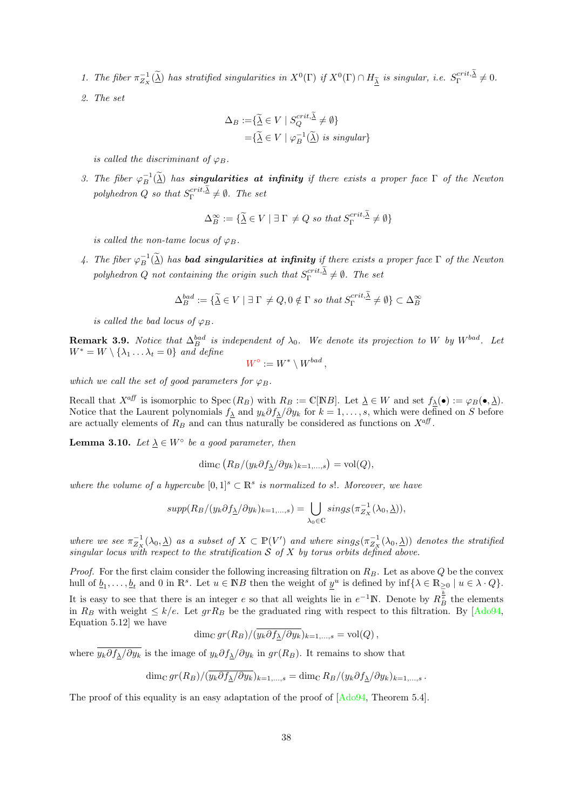- <span id="page-37-1"></span>1. The fiber  $\pi_{Z_{X}}^{-1}(\widetilde{\Delta})$  has stratified singularities in  $X^{0}(\Gamma)$  if  $X^{0}(\Gamma) \cap H_{\widetilde{\Delta}}$  is singular, i.e.  $S_{\Gamma}^{crit,\lambda} \neq 0$ .
- 2. The set

$$
\Delta_B := \{ \widetilde{\underline{\lambda}} \in V \mid S_Q^{crit, \widetilde{\underline{\lambda}}} \neq \emptyset \}
$$
  
= 
$$
\{ \widetilde{\underline{\lambda}} \in V \mid \varphi_B^{-1}(\widetilde{\underline{\lambda}}) \text{ is singular} \}
$$

is called the discriminant of  $\varphi_B$ .

3. The fiber  $\varphi_B^{-1}(\tilde{\lambda})$  has **singularities at infinity** if there exists a proper face  $\Gamma$  of the Newton polyhedron Q so that  $S_{\Gamma}^{crit,\underline{\lambda}} \neq \emptyset$ . The set

$$
\Delta_B^{\infty} := \{ \widetilde{\underline{\lambda}} \in V \mid \exists \Gamma \neq Q \text{ so that } S_{\Gamma}^{crit, \underline{\lambda}} \neq \emptyset \}
$$

is called the non-tame locus of  $\varphi_B$ .

4. The fiber  $\varphi_B^{-1}(\widetilde{\Delta})$  has **bad singularities at infinity** if there exists a proper face  $\Gamma$  of the Newton polyhedron Q not containing the origin such that  $S_{\Gamma}^{crit,\Delta} \neq \emptyset$ . The set

$$
\Delta_B^{bad} := \{ \widetilde{\underline{\lambda}} \in V \mid \exists \Gamma \neq Q, 0 \notin \Gamma \text{ so that } S_{\Gamma}^{crit, \widetilde{\underline{\lambda}}} \neq \emptyset \} \subset \Delta_B^{\infty}
$$

is called the bad locus of  $\varphi_B$ .

**Remark 3.9.** Notice that  $\Delta_B^{bad}$  is independent of  $\lambda_0$ . We denote its projection to W by W<sup>bad</sup>. Let  $W^* = W \setminus {\lambda_1 \dots \lambda_t = 0}$  and define

$$
W^{\circ} := W^* \setminus W^{bad},
$$

which we call the set of good parameters for  $\varphi_B$ .

Recall that  $X^{aff}$  is isomorphic to  $Spec (R_B)$  with  $R_B := \mathbb{C}[NB]$ . Let  $\underline{\lambda} \in W$  and set  $f_{\lambda}(\bullet) := \varphi_B(\bullet, \underline{\lambda})$ . Notice that the Laurent polynomials  $f_{\underline{\lambda}}$  and  $y_k \partial f_{\underline{\lambda}}/\partial y_k$  for  $k = 1, \ldots, s$ , which were defined on S before are actually elements of  $R_B$  and can thus naturally be considered as functions on  $X^{a\ddot{f}}$ .

<span id="page-37-0"></span>**Lemma 3.10.** Let  $\underline{\lambda} \in W^{\circ}$  be a good parameter, then

$$
\dim_{\mathbb{C}} (R_B/(y_k \partial f_{\underline{\lambda}}/\partial y_k)_{k=1,\ldots,s}) = \text{vol}(Q),
$$

where the volume of a hypercube  $[0,1]^s \subset \mathbb{R}^s$  is normalized to s!. Moreover, we have

$$
supp(R_B/(y_k \partial f_{\underline{\lambda}}/\partial y_k)_{k=1,\ldots,s}) = \bigcup_{\lambda_0 \in \mathbb{C}} sing_{\mathcal{S}}(\pi_{Z_X}^{-1}(\lambda_0, \underline{\lambda})),
$$

where we see  $\pi^{-1}_{Z_X}(\lambda_0, \underline{\lambda})$  as a subset of  $X \subset \mathbb{P}(V')$  and where  $sing_{S}(\pi^{-1}_{Z_X}(\lambda_0, \underline{\lambda}))$  denotes the stratified singular locus with respect to the stratification  $S$  of  $X$  by torus orbits defined above.

*Proof.* For the first claim consider the following increasing filtration on  $R_B$ . Let as above Q be the convex hull of  $\underline{b}_1, \ldots, \underline{b}_t$  and 0 in  $\mathbb{R}^s$ . Let  $u \in \mathbb{N}B$  then the weight of  $\underline{y}^u$  is defined by  $\inf\{\lambda \in \mathbb{R}_{\geq 0} \mid u \in \lambda \cdot Q\}$ . It is easy to see that there is an integer e so that all weights lie in  $e^{-1}\mathbb{N}$ . Denote by  $R_B^{\frac{k}{2}}$  the elements in  $R_B$  with weight  $\leq k/e$ . Let  $grR_B$  be the graduated ring with respect to this filtration. By [\[Ado94,](#page-69-1) Equation 5.12] we have

dim<sub>C</sub>  $gr(R_B)/(\overline{y_k}\partial f_\lambda/\partial y_k)_{k=1,\dots,s} = \text{vol}(Q)$ ,

where  $y_k \partial f_\lambda/\partial y_k$  is the image of  $y_k \partial f_\lambda/\partial y_k$  in  $gr(R_B)$ . It remains to show that

$$
\dim_{\mathbb{C}} gr(R_B)/(\overline{y_k \partial f_{\Delta}/\partial y_k})_{k=1,\dots,s} = \dim_{\mathbb{C}} R_B/(y_k \partial f_{\Delta}/\partial y_k)_{k=1,\dots,s}.
$$

The proof of this equality is an easy adaptation of the proof of  $[Ad094, Theorem 5.4]$ .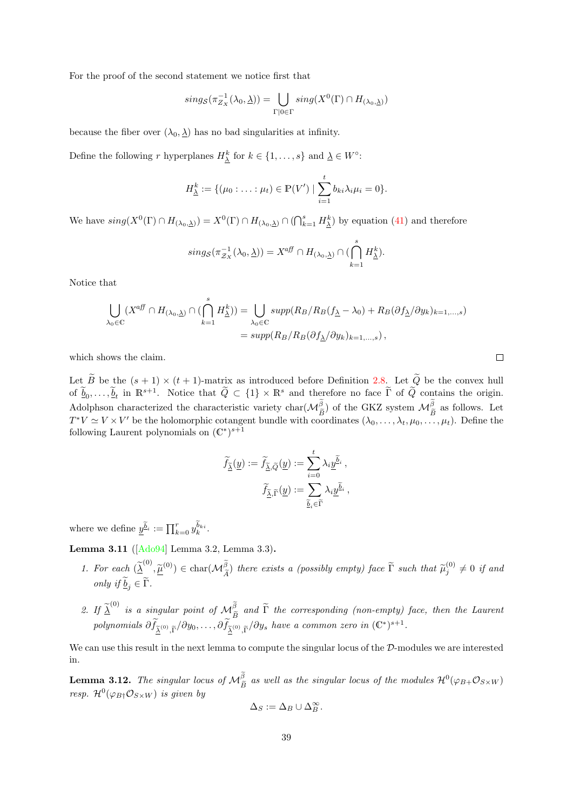For the proof of the second statement we notice first that

$$
sing_{\mathcal{S}}(\pi_{Z_X}^{-1}(\lambda_0,\underline{\lambda})) = \bigcup_{\Gamma \mid 0 \in \Gamma} sing(X^0(\Gamma) \cap H_{(\lambda_0,\underline{\lambda})})
$$

because the fiber over  $(\lambda_0, \underline{\lambda})$  has no bad singularities at infinity.

Define the following r hyperplanes  $H_{\underline{\lambda}}^k$  for  $k \in \{1, \ldots, s\}$  and  $\underline{\lambda} \in W^{\circ}$ :

$$
H_{\underline{\lambda}}^{k} := \{(\mu_0 : \ldots : \mu_t) \in \mathbb{P}(V') \mid \sum_{i=1}^{t} b_{ki} \lambda_i \mu_i = 0\}.
$$

We have  $sing(X^0(\Gamma) \cap H_{(\lambda_0,\underline{\lambda})}) = X^0(\Gamma) \cap H_{(\lambda_0,\underline{\lambda})} \cap (\bigcap_{k=1}^s H_{\underline{\lambda}}^k)$  by equation [\(41\)](#page-36-0) and therefore

$$
sing_{\mathcal{S}}(\pi_{\mathcal{Z}_{X}}^{-1}(\lambda_{0},\underline{\lambda}))=X^{a\!f\!f}\cap H_{(\lambda_{0},\underline{\lambda})}\cap (\bigcap_{k=1}^{s}H_{\underline{\lambda}}^{k}).
$$

Notice that

$$
\bigcup_{\lambda_0 \in \mathbb{C}} (X^{aff} \cap H_{(\lambda_0, \underline{\lambda})} \cap (\bigcap_{k=1}^s H_{\underline{\lambda}}^k)) = \bigcup_{\lambda_0 \in \mathbb{C}} supp(R_B/R_B(f_{\underline{\lambda}} - \lambda_0) + R_B(\partial f_{\underline{\lambda}}/\partial y_k)_{k=1,\dots,s})
$$
  
= 
$$
supp(R_B/R_B(\partial f_{\underline{\lambda}}/\partial y_k)_{k=1,\dots,s}),
$$

which shows the claim.

Let B be the  $(s + 1) \times (t + 1)$ -matrix as introduced before Definition [2.8.](#page-17-0) Let Q be the convex hull of  $\widetilde{\underline{b}}_0, \ldots, \widetilde{\underline{b}}_t$  in  $\mathbb{R}^{s+1}$ . Notice that  $\widetilde{Q} \subset \{1\} \times \mathbb{R}^s$  and therefore no face  $\widetilde{\Gamma}$  of  $\widetilde{Q}$  contains the origin. Adolphson characterized the characteristic variety char( $\mathcal{M}_{\tilde{B}}^{\beta}$ ) of the GKZ system  $\mathcal{M}_{\tilde{B}}^{\beta}$  as follows. Let  $T^*V \simeq V \times V'$  be the holomorphic cotangent bundle with coordinates  $(\lambda_0, \ldots, \lambda_t, \mu_0, \ldots, \mu_t)$ . Define the following Laurent polynomials on  $(\mathbb{C}^*)^{s+1}$ 

$$
\widetilde{f}_{\widetilde{\underline{\lambda}}}(\underline{y}) := \widetilde{f}_{\widetilde{\underline{\lambda}},\widetilde{Q}}(\underline{y}) := \sum_{i=0}^t \lambda_i \underline{y}^{\widetilde{\underline{b}}_i} ,
$$

$$
\widetilde{f}_{\widetilde{\underline{\lambda}},\widetilde{\Gamma}}(\underline{y}) := \sum_{\widetilde{\underline{b}}_i \in \widetilde{\Gamma}} \lambda_i \underline{y}^{\widetilde{\underline{b}}_i} ,
$$

where we define  $\underline{y}^{\tilde{b}_i} := \prod_{k=0}^r y_k^{\tilde{b}_{ki}}$ .

Lemma 3.11 ([\[Ado94\]](#page-69-1) Lemma 3.2, Lemma 3.3).

- 1. For each  $(\underline{\widetilde{\lambda}}^{(0)}, \underline{\widetilde{\mu}}^{(0)}) \in \text{char}(\mathcal{M}_{\widetilde{A}}^{\widetilde{\beta}})$  there exists a (possibly empty) face  $\widetilde{\Gamma}$  such that  $\widetilde{\mu}_{j}^{(0)} \neq 0$  if and only if  $\underline{b}_j \in \Gamma$ .
- 2. If  $\underline{\widetilde{\lambda}}^{(0)}$  is a singular point of  $\mathcal{M}_{\widetilde{B}}^{\widetilde{\beta}}$  and  $\widetilde{\Gamma}$  the corresponding (non-empty) face, then the Laurent polynomials  $\partial \widetilde{f}_{\widetilde{\Delta}^{(0)},\widetilde{\Gamma}}/\partial y_0,\ldots,\partial \widetilde{f}_{\widetilde{\Delta}^{(0)},\widetilde{\Gamma}}/\partial y_s$  have a common zero in  $(\mathbb{C}^*)^{s+1}$ .

We can use this result in the next lemma to compute the singular locus of the  $\mathcal{D}\text{-modules we are interested}$ in.

<span id="page-38-0"></span>**Lemma 3.12.** The singular locus of  $\mathcal{M}_{\tilde{B}}^{\beta}$  as well as the singular locus of the modules  $\mathcal{H}^{0}(\varphi_{B+}\mathcal{O}_{S\times W})$ resp.  $\mathcal{H}^0(\varphi_{B\dagger}\mathcal{O}_{S\times W})$  is given by

$$
\Delta_S := \Delta_B \cup \Delta_B^{\infty}.
$$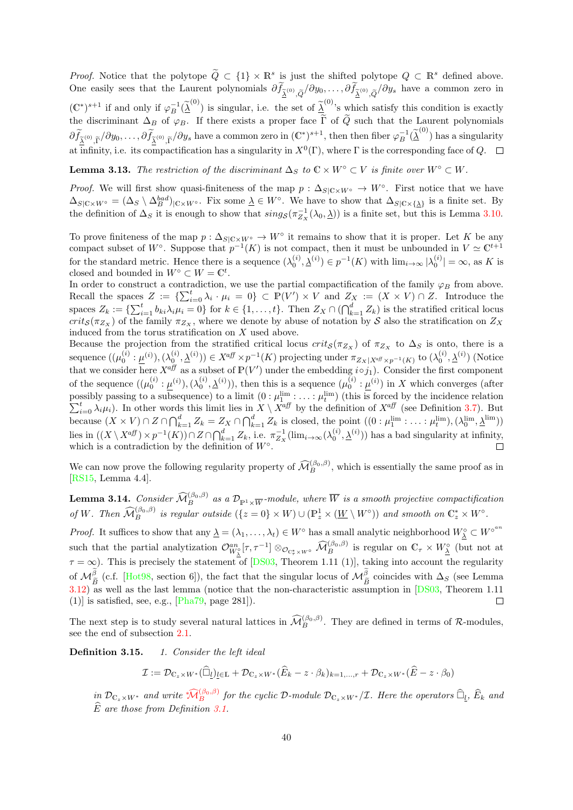<span id="page-39-1"></span>*Proof.* Notice that the polytope  $\widetilde{Q} \subset \{1\} \times \mathbb{R}^s$  is just the shifted polytope  $Q \subset \mathbb{R}^s$  defined above. One easily sees that the Laurent polynomials  $\partial f_{\tilde{\lambda}^{(0)}, \tilde{Q}} / \partial y_0, \ldots, \partial f_{\tilde{\lambda}^{(0)}, \tilde{Q}} / \partial y_s$  have a common zero in  $(\mathbb{C}^*)^{s+1}$  if and only if  $\varphi_B^{-1}(\tilde{\lambda}^{(0)})$  is singular, i.e. the set of  $\tilde{\lambda}^{(0)}$ 's which satisfy this condition is exactly the discriminant  $\Delta_B$  of  $\varphi_B$ . If there exists a proper face  $\Gamma$  of  $Q$  such that the Laurent polynomials  $\partial \widetilde{f}_{\tilde{\lambda}^{(0)}, \tilde{\Gamma}} / \partial y_0, \ldots, \partial \widetilde{f}_{\tilde{\lambda}^{(0)}, \tilde{\Gamma}} / \partial y_s$  have a common zero in  $(\mathbb{C}^*)^{s+1}$ , then then fiber  $\varphi_B^{-1}(\tilde{\lambda}^{(0)})$  has a singularity at infinity, i.e. its compactification has a singularity in  $X^0(\Gamma)$ , where  $\Gamma$  is the corresponding face of Q.

**Lemma 3.13.** The restriction of the discriminant  $\Delta_S$  to  $\mathbb{C} \times W^{\circ} \subset V$  is finite over  $W^{\circ} \subset W$ .

*Proof.* We will first show quasi-finiteness of the map  $p : \Delta_{S|C\times W^{\circ}} \to W^{\circ}$ . First notice that we have  $\Delta_{S|\mathbb{C}\times W^{\circ}} = (\Delta_S \setminus \Delta_B^{bad})_{|\mathbb{C}\times W^{\circ}}$ . Fix some  $\underline{\lambda} \in W^{\circ}$ . We have to show that  $\Delta_{S|\mathbb{C}\times \{\underline{\lambda}\}}$  is a finite set. By the definition of  $\Delta_S$  it is enough to show that  $sing_{\mathcal{S}}(\pi_{Z_X}^{-1}(\lambda_0,\underline{\lambda}))$  is a finite set, but this is Lemma [3.10.](#page-37-0)

To prove finiteness of the map  $p: \Delta_{S|C\times W^{\circ}} \to W^{\circ}$  it remains to show that it is proper. Let K be any compact subset of W<sup>°</sup>. Suppose that  $p^{-1}(K)$  is not compact, then it must be unbounded in  $V \simeq \mathbb{C}^{t+1}$ for the standard metric. Hence there is a sequence  $(\lambda_0^{(i)}, \lambda^{(i)}) \in p^{-1}(K)$  with  $\lim_{i \to \infty} |\lambda_0^{(i)}| = \infty$ , as K is closed and bounded in  $W^{\circ} \subset W = \mathbb{C}^{t}$ .

In order to construct a contradiction, we use the partial compactification of the family  $\varphi_B$  from above. Recall the spaces  $Z := \{ \sum_{i=0}^t \lambda_i \cdot \mu_i = 0 \} \subset \mathbb{P}(V') \times V$  and  $Z_X := (X \times V) \cap Z$ . Introduce the spaces  $Z_k := \{ \sum_{i=1}^t b_{ki} \lambda_i \mu_i = 0 \}$  for  $k \in \{1, \ldots, t\}$ . Then  $Z_X \cap (\bigcap_{k=1}^d Z_k)$  is the stratified critical locus  $crit_{\mathcal{S}}(\pi_{Z_X})$  of the family  $\pi_{Z_X}$ , where we denote by abuse of notation by S also the stratification on  $Z_X$ induced from the torus stratification on  $X$  used above.

Because the projection from the stratified critical locus  $crit_{S}(\pi_{Z_{X}})$  of  $\pi_{Z_{X}}$  to  $\Delta_{S}$  is onto, there is a  $\text{sequence } ((\mu_0^{(i)} : \underline{\mu}^{(i)}), (\lambda_0^{(i)}, \underline{\lambda}^{(i)})) \in X^{a \text{ff}} \times p^{-1}(K) \text{ projecting under } \pi_{Z_X|X^{a \text{ff}} \times p^{-1}(K)} \text{ to } (\lambda_0^{(i)}, \underline{\lambda}^{(i)}) \text{ (Notice that } \mu_{Z_X|X^{a \text{ff}} \times p^{-1}(K)} \text{ to } \mu_{Z_X|X^{a \text{ff}} \times p^{-1}(K)} \text{ to } \mu_{Z_X|X^{a \text{ff}} \times p^{-1}(K)} \text{ to } \mu_{Z_X|X^{a \text{ff}} \times p^{-1}(K$ that we consider here  $X^{\text{aff}}$  as a subset of  $\mathbb{P}(V')$  under the embedding  $i \circ j_1$ ). Consider the first component of the sequence  $((\mu_0^{(i)} : \underline{\mu}^{(i)}),(\lambda_0^{(i)},\underline{\lambda}^{(i)}))$ , then this is a sequence  $(\mu_0^{(i)} : \underline{\mu}^{(i)})$  in X which converges (after possibly passing to a subsequence) to a limit  $(0 : \mu_1^{\text{lim}} : \dots : \mu_t^{\text{lim}})$  (this is forced by the incidence relation  $\sum_{i=0}^t \lambda_i \mu_i$ ). In other words this limit lies in  $X \setminus X^{\alpha f}$  by the definition of  $X^{\alpha f}$  (see D because  $(X \times V) \cap Z \cap \bigcap_{k=1}^d Z_k = Z_X \cap \bigcap_{k=1}^d Z_k$  is closed, the point  $((0 : \mu_1^{\text{lim}} : \dots : \mu_t^{\text{lim}}), (\lambda_0^{\text{lim}}, \lambda^{\text{lim}}))$ lies in  $((X \setminus X^{\text{aff}}) \times p^{-1}(K)) \cap Z \cap \bigcap_{k=1}^d Z_k$ , i.e.  $\pi_{Z_X}^{-1}(\lim_{i \to \infty}(\lambda_0^{(i)}, \underline{\lambda}^{(i)}))$  has a bad singularity at infinity, which is a contradiction by the definition of  $W^{\circ}$ .

We can now prove the following regularity property of  $\widehat{\mathcal{M}}_B^{(\beta_0,\beta)}$ , which is essentially the same proof as in [\[RS15,](#page-71-0) Lemma 4.4].

<span id="page-39-0"></span>**Lemma 3.14.** Consider  $\widehat{\mathcal{M}}_B^{(\beta_0,\beta)}$  as a  $\mathcal{D}_{\mathbb{P}^1\times \overline{W}}$ -module, where  $\overline{W}$  is a smooth projective compactification of W. Then  $\widehat{\mathcal{M}}_B^{(\beta_0,\beta)}$  is regular outside  $(\{z=0\}\times W)\cup (\mathbb{P}_z^1\times(\underline{W}\setminus W^{\circ}))$  and smooth on  $\mathbb{C}_z^*\times W^{\circ}$ .

*Proof.* It suffices to show that any  $\underline{\lambda} = (\lambda_1, \ldots, \lambda_t) \in W^\circ$  has a small analytic neighborhood  $W^{\circ}_{\underline{\lambda}} \subset W^{\circ^{an}}$ such that the partial analytization  $\mathcal{O}_{W_{\underline{X}}}^{an}[\tau, \tau^{-1}] \otimes_{\mathcal{O}_{\mathbb{C}_{\tau}^* \times W^{\circ}}} \widehat{\mathcal{M}}_{B}^{(\beta_0, \beta)}$  is regular on  $\mathbb{C}_{\tau} \times W_{\underline{X}}^{\circ}$  (but not at  $\tau = \infty$ ). This is precisely the statement of [\[DS03,](#page-70-2) Theorem 1.11 (1)], taking into account the regularity of  $\mathcal{M}_{\tilde{B}}^{\beta}$  (c.f. [\[Hot98,](#page-70-3) section 6]), the fact that the singular locus of  $\mathcal{M}_{\tilde{B}}^{\beta}$  coincides with  $\Delta_S$  (see Lemma [3.12\)](#page-38-0) as well as the last lemma (notice that the non-characteristic assumption in [\[DS03,](#page-70-2) Theorem 1.11  $(1)$  is satisfied, see, e.g., [\[Pha79,](#page-71-1) page 281]).  $\Box$ 

The next step is to study several natural lattices in  $\widehat{\mathcal{M}}_B^{(\beta_0,\beta)}$ . They are defined in terms of R-modules, see the end of subsection [2.1.](#page-15-0)

Definition 3.15. 1. Consider the left ideal

$$
\mathcal{I} := \mathcal{D}_{C_z \times W^*}(\widehat{\Box}_L)_{L \in \mathbb{L}} + \mathcal{D}_{C_z \times W^*}(\widehat{E}_k - z \cdot \beta_k)_{k=1,\dots,r} + \mathcal{D}_{C_z \times W^*}(\widehat{E} - z \cdot \beta_0)
$$

 $\int_{\mathcal{L}_{\infty}}^{\infty} \mathcal{D}_{\mathbb{C}_{z} \times W^{*}}$  and write  $\mathcal{M}_{B}^{(\beta_{0},\beta)}$  $\mathcal{M}_{B}^{(\beta_{0},\beta)}$  $\mathcal{M}_{B}^{(\beta_{0},\beta)}$  for the cyclic D-module  $\mathcal{D}_{\mathbb{C}_{z} \times W^{*}}/\mathcal{I}$ . Here the operators  $\widehat{\Box}_{\underline{l}}, \widehat{E}_{k}$  and  $\widehat{E}$  are those from Definition [3.1.](#page-32-0)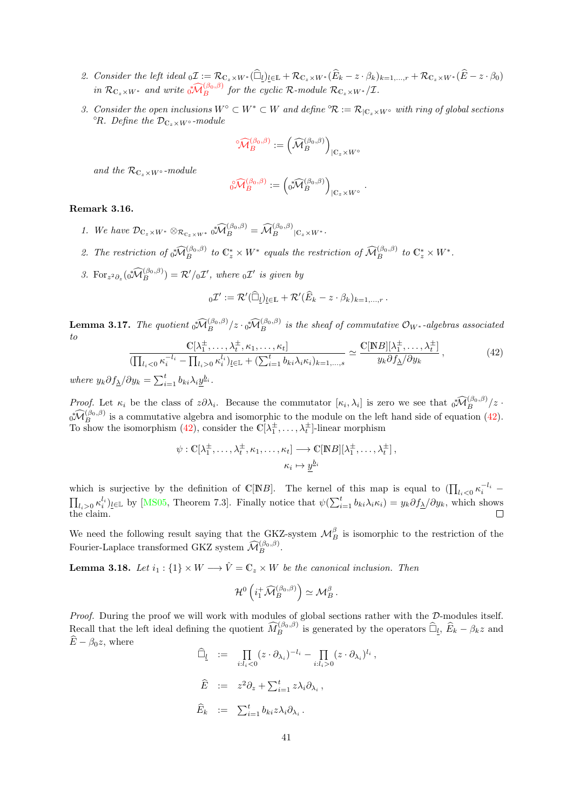- <span id="page-40-3"></span>2. Consider the left ideal  $_0\mathcal{I} := \mathcal{R}_{\mathbb{C}_z\times W^*}(\widehat{\Box}_l)_{l\in\mathbb{L}} + \mathcal{R}_{\mathbb{C}_z\times W^*}(\widehat{E}_k - z\cdot \beta_k)_{k=1,\dots,r} + \mathcal{R}_{\mathbb{C}_z\times W^*}(\widehat{E}-z\cdot \beta_0)$ in  $\mathcal{R}_{\mathbb{C}_z\times W^*}$  and write  $\sqrt[3]{M_B^{(\beta_0,\beta)}}$  $\sqrt[3]{M_B^{(\beta_0,\beta)}}$  $\sqrt[3]{M_B^{(\beta_0,\beta)}}$  for the cyclic  $\mathcal{R}\text{-module } \mathcal{R}_{\mathbb{C}_z\times W^*}/\mathcal{I}.$
- 3. Consider the open inclusions  $W^{\circ} \subset W^* \subset W$  and define  $\mathcal{R} := \mathcal{R}_{\vert \mathbb{C}_r \times W^{\circ}}$  with ring of global sections  $\mathcal{O}_R$ . Define the  $\mathcal{D}_{C_z \times W^{\circ}}$ -module

$$
\ ^{\circ}\widehat{\mathcal{M}}_{B}^{(\beta_0, \beta)}:= \Big(\widehat{\mathcal{M}}_{B}^{(\beta_0, \beta)}\Big)_{|\mathbb{C}_{z} \times W^{\circ}}
$$

and the  $\mathcal{R}_{\mathbb{C}_z\times W^{\circ}}$ -module

$$
\widehat{\mathbf{O}}\widehat{\mathcal{M}}_B^{(\beta_0,\beta)} := \left(\widehat{\mathbf{O}}\widehat{\mathcal{M}}_B^{(\beta_0,\beta)}\right)_{|\mathbb{C}_z \times W^\circ}.
$$

#### <span id="page-40-2"></span>Remark 3.16.

- 1. We have  $\mathcal{D}_{\mathbb{C}_z\times W^*}\otimes_{\mathcal{R}_{\mathbb{C}_z\times W^*}}\mathfrak{d}\widehat{\mathcal{M}}_B^{(\beta_0,\beta)}=\widehat{\mathcal{M}}_B^{(\beta_0,\beta)}|_{\mathbb{C}_z\times W^*}.$
- 2. The restriction of  $\sqrt[3]{M_B^{(\beta_0,\beta)}}$  to  $\mathbb{C}^*_z \times W^*$  equals the restriction of  $\widehat{\mathcal{M}}_B^{(\beta_0,\beta)}$  to  $\mathbb{C}^*_z \times W^*$ .
- 3. For<sub>z</sub><sup>2</sup> $_{\partial_z}(0^{\mathcal{H}}(B^{(0, \beta)}) = \mathcal{R}'/_{0}\mathcal{I}'$ , where  $_{0}\mathcal{I}'$  is given by

$$
{}_{0}\mathcal{I}' := \mathcal{R}'(\widehat{\Box}_{\underline{l}})_{\underline{l} \in \mathbb{L}} + \mathcal{R}'(\widehat{E}_{k} - z \cdot \beta_{k})_{k=1,\dots,r}.
$$

**Lemma 3.17.** The quotient  $\sqrt[3]{\mathcal{M}_{B}^{(\beta_0,\beta)}}/z \cdot \sqrt[3]{\mathcal{M}_{B}^{(\beta_0,\beta)}}$  is the sheaf of commutative  $\mathcal{O}_{W^*}$ -algebras associated to

<span id="page-40-0"></span>
$$
\frac{\mathbb{C}[\lambda_1^{\pm}, \dots, \lambda_t^{\pm}, \kappa_1, \dots, \kappa_t]}{\left(\prod_{l_i < 0} \kappa_i^{-l_i} - \prod_{l_i > 0} \kappa_i^{l_i}\right)_{l \in \mathbb{L}} + \left(\sum_{i=1}^t b_{ki}\lambda_i\kappa_i\right)_{k=1,\dots,s}} \simeq \frac{\mathbb{C}[\mathbb{N}B][\lambda_1^{\pm}, \dots, \lambda_t^{\pm}]}{y_k \partial f_{\Delta}/\partial y_k},\tag{42}
$$

where  $y_k \partial f_{\underline{\lambda}}/\partial y_k = \sum_{i=1}^t b_{ki} \lambda_i \underline{y}^{\underline{b}_i}$ .

Proof. Let  $\kappa_i$  be the class of  $z\partial\lambda_i$ . Because the commutator  $[\kappa_i, \lambda_i]$  is zero we see that  $\sqrt[n]{\mathcal{N}_{B}^{(\beta_0,\beta)}}/z$ .  $\delta\widehat{M}_{B}^{(\beta_{0},\beta)}$  is a commutative algebra and isomorphic to the module on the left hand side of equation [\(42\)](#page-40-0). To show the isomorphism [\(42\)](#page-40-0), consider the  $\mathbb{C}[\lambda_1^{\pm}, \ldots, \lambda_t^{\pm}]$ -linear morphism

$$
\psi : \mathbb{C}[\lambda_1^{\pm}, \dots, \lambda_t^{\pm}, \kappa_1, \dots, \kappa_t] \longrightarrow \mathbb{C}[\mathbb{N}B][\lambda_1^{\pm}, \dots, \lambda_t^{\pm}],
$$

$$
\kappa_i \mapsto \underline{y}^{b_i}
$$

which is surjective by the definition of C[NB]. The kernel of this map is equal to  $(\prod_{l_i<0} \kappa_i^{-l_i}$  $\prod_{i>0} \kappa_i^{l_i}$ <sub>*l*∈L</sub> by [\[MS05,](#page-71-2) Theorem 7.3]. Finally notice that  $\psi(\sum_{i=1}^t b_{ki}\lambda_i\kappa_i) = y_k\partial f_{\Delta}/\partial y_k$ , which shows the claim.  $\Box$ 

We need the following result saying that the GKZ-system  $\mathcal{M}_{B}^{\beta}$  is isomorphic to the restriction of the Fourier-Laplace transformed GKZ system  $\widehat{\mathcal{M}}_{B}^{(\beta_0,\beta)}$ .

<span id="page-40-1"></span>**Lemma 3.18.** Let  $i_1 : \{1\} \times W \longrightarrow \hat{V} = \mathbb{C}_z \times W$  be the canonical inclusion. Then

$$
\mathcal{H}^0\left(i_1^+\widehat{\mathcal{M}}_B^{(\beta_0,\beta)}\right)\simeq \mathcal{M}_B^{\beta}.
$$

Proof. During the proof we will work with modules of global sections rather with the D-modules itself. Recall that the left ideal defining the quotient  $\widehat{M}_{B}^{(\beta_0,\beta)}$  is generated by the operators  $\widehat{\Box}_{\underline{l}}, \widehat{E}_k - \beta_k z$  and  $\widehat{E} - \beta_0 z$ , where

,

$$
\widehat{\Box}_{\underline{l}} := \prod_{i:l_i<0} (z \cdot \partial_{\lambda_i})^{-l_i} - \prod_{i:l_i>0} (z \cdot \partial_{\lambda_i})^{l_i}
$$
  

$$
\widehat{E} := z^2 \partial_z + \sum_{i=1}^t z \lambda_i \partial_{\lambda_i},
$$
  

$$
\widehat{E}_k := \sum_{i=1}^t b_{ki} z \lambda_i \partial_{\lambda_i}.
$$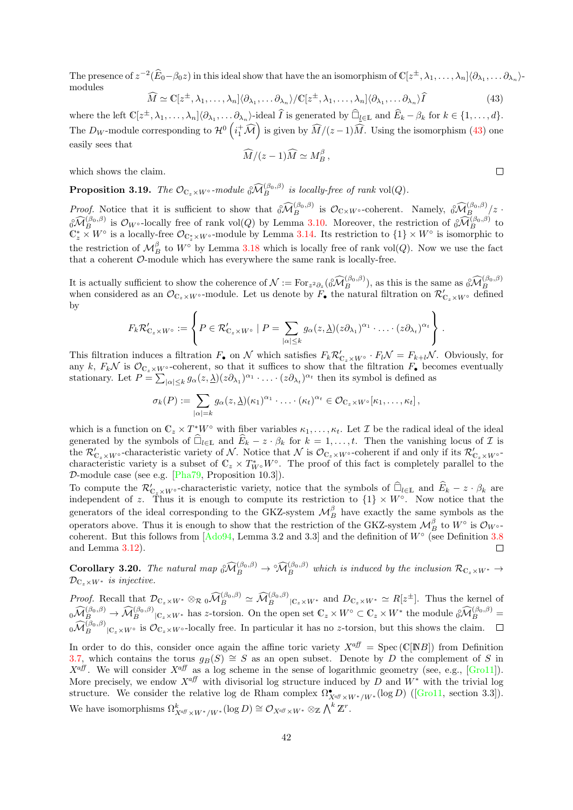The presence of  $z^{-2}(\widehat{E}_0-\beta_0 z)$  in this ideal show that have the an isomorphism of  $\mathbb{C}[z^{\pm},\lambda_1,\ldots,\lambda_n]\langle \partial_{\lambda_1},\ldots \partial_{\lambda_n}\rangle$ modules

<span id="page-41-0"></span>
$$
\widehat{M} \simeq \mathbb{C}[z^{\pm}, \lambda_1, \dots, \lambda_n] \langle \partial_{\lambda_1}, \dots \partial_{\lambda_n} \rangle / \mathbb{C}[z^{\pm}, \lambda_1, \dots, \lambda_n] \langle \partial_{\lambda_1}, \dots \partial_{\lambda_n} \rangle \widehat{I}
$$
(43)

where the left  $\mathbb{C}[z^{\pm}, \lambda_1, \ldots, \lambda_n] \langle \partial_{\lambda_1}, \ldots, \partial_{\lambda_n} \rangle$ -ideal  $\widehat{I}$  is generated by  $\widehat{\Box}_{\underline{l} \in \mathbb{L}}$  and  $\widehat{E}_k - \beta_k$  for  $k \in \{1, \ldots, d\}$ . The  $D_W$ -module corresponding to  $\mathcal{H}^0\left(i_1^+\widehat{\mathcal{M}}\right)$  is given by  $\widehat{M}/(z-1)\widehat{M}$ . Using the isomorphism [\(43\)](#page-41-0) one easily sees that

$$
\widehat{M}/(z-1)\widehat{M} \simeq M_B^{\beta} ,
$$

 $\Box$ 

which shows the claim.

**Proposition 3.19.** The  $\mathcal{O}_{\mathbb{C}_z \times W^{\circ}}$ -module  $\hat{O}_{B}^{\left(\beta_0, \beta\right)}$  is locally-free of rank vol $(Q)$ .

Proof. Notice that it is sufficient to show that  $\partial \widehat{\mathcal{M}}_B^{(\beta_0,\beta)}$  is  $\mathcal{O}_{\mathbb{C}\times W^{\circ}}$ -coherent. Namely,  $\partial \widehat{\mathcal{M}}_{\beta_0}^{(\beta_0,\beta)}(z \cdot \widehat{\mathcal{M}}_{\beta_0}^{(\beta_0,\beta)}(z))$  $\partial_{\mathcal{U}}^{\gamma}(\beta_0,\beta)$  is  $\mathcal{O}_{W^{\circ}}$ -locally free of rank vol(*Q*) by Lemma [3.10.](#page-37-0) Moreover, the restriction of  $\partial_{\mathcal{U}_B}^{\gamma}(\beta_0,\beta)$  to  $\mathbb{C}_z^* \times W^{\circ}$  is a locally-free  $\mathcal{O}_{\mathbb{C}_z^* \times W^{\circ}}$ -module by Lemma 3 the restriction of  $\mathcal{M}_{B}^{\beta}$  to  $W^{\circ}$  by Lemma [3.18](#page-40-1) which is locally free of rank vol $(Q)$ . Now we use the fact that a coherent O-module which has everywhere the same rank is locally-free.

It is actually sufficient to show the coherence of  $\mathcal{N} := \text{For}_{z^2 \partial_z}(\partial \widehat{\mathcal{M}}_B^{(\beta_0, \beta)})$ , as this is the same as  $\partial \widehat{\mathcal{M}}_B^{(\beta_0, \beta)}$ when considered as an  $\mathcal{O}_{\mathbb{C}_z\times W^{\circ}}$ -module. Let us denote by  $\tilde{F}_{\bullet}$  the natural filtration on  $\mathcal{R}'_{\mathbb{C}_z\times W^{\circ}}$  defined by

$$
F_k \mathcal{R}'_{\mathbb{C}_z \times W^{\circ}} := \left\{ P \in \mathcal{R}'_{\mathbb{C}_z \times W^{\circ}} \mid P = \sum_{|\alpha| \leq k} g_{\alpha}(z, \underline{\lambda})(z \partial_{\lambda_1})^{\alpha_1} \cdot \ldots \cdot (z \partial_{\lambda_t})^{\alpha_t} \right\}.
$$

This filtration induces a filtration  $F_{\bullet}$  on N which satisfies  $F_k \mathcal{R}'_{C_z \times W^{\circ}} \cdot F_l \mathcal{N} = F_{k+l} \mathcal{N}$ . Obviously, for any k,  $F_k\mathcal{N}$  is  $\mathcal{O}_{\mathbb{C}_z\times W^{\circ}}$ -coherent, so that it suffices to show that the filtration  $F_{\bullet}$  becomes eventually stationary. Let  $P = \sum_{|\alpha| \leq k} g_{\alpha}(z, \underline{\lambda})(z \partial_{\lambda_1})^{\alpha_1} \cdot \ldots \cdot (z \partial_{\lambda_t})^{\alpha_t}$  then its symbol is defined as

$$
\sigma_k(P) := \sum_{|\alpha|=k} g_{\alpha}(z, \underline{\lambda})(\kappa_1)^{\alpha_1} \cdot \ldots \cdot (\kappa_t)^{\alpha_t} \in \mathcal{O}_{\mathbb{C}_z \times W^{\circ}}[\kappa_1, \ldots, \kappa_t],
$$

which is a function on  $\mathbb{C}_z \times T^*W^{\circ}$  with fiber variables  $\kappa_1,\ldots,\kappa_t$ . Let  $\mathcal I$  be the radical ideal of the ideal generated by the symbols of  $\widehat{\Box}_{l\in\mathbb{L}}$  and  $\widehat{E}_k - z \cdot \beta_k$  for  $k = 1, \ldots, t$ . Then the vanishing locus of  $\mathcal I$  is the  $\mathcal{R}'_{\mathbb{C}_z\times W^{\circ}}$ -characteristic variety of N. Notice that N is  $\mathcal{O}_{\mathbb{C}_z\times W^{\circ}}$ -coherent if and only if its  $\mathcal{R}'_{\mathbb{C}_z\times W^{\circ}}$ characteristic variety is a subset of  $\mathbb{C}_z \times T^*_{W^\circ} W^\circ$ . The proof of this fact is completely parallel to the  $D$ -module case (see e.g. [ $Pha79$ , Proposition 10.3]).

To compute the  $\mathcal{R}'_{\mathbb{C}_z\times W^{\circ}}$ -characteristic variety, notice that the symbols of  $\widehat{\Box}_{l\in\mathbb{L}}$  and  $\widehat{E}_k - z \cdot \beta_k$  are independent of z. Thus it is enough to compute its restriction to  $\{1\} \times W^{\circ}$ . Now notice that the generators of the ideal corresponding to the GKZ-system  $\mathcal{M}_{B}^{\beta}$  have exactly the same symbols as the operators above. Thus it is enough to show that the restriction of the GKZ-system  $\mathcal{M}_{B}^{\beta}$  to  $W^{\circ}$  is  $\mathcal{O}_{W^{\circ}}$ coherent. But this follows from  $[Ado94, \text{Lemma } 3.2 \text{ and } 3.3]$  and the definition of  $W^{\circ}$  (see Definition [3.8](#page-36-1) and Lemma [3.12\)](#page-38-0).  $\Box$ 

<span id="page-41-1"></span>**Corollary 3.20.** The natural map  $\delta \widehat{M}_{B}^{(\beta_{0},\beta)} \to \widehat{M}_{B}^{(\beta_{0},\beta)}$  which is induced by the inclusion  $\mathcal{R}_{C_{z}\times W^{*}} \to$  $\mathcal{D}_{\mathbb{C}_z\times W^*}$  is injective.

Proof. Recall that  $\mathcal{D}_{\mathbb{C}_z\times W^*}\otimes_{\mathcal{R}} {}_0\widehat{\mathcal{M}}_B^{(\beta_0,\beta)} \simeq \widehat{\mathcal{M}}_B^{(\beta_0,\beta)}|_{\mathbb{C}_z\times W^*}$  and  $D_{\mathbb{C}_z\times W^*} \simeq R[z^{\pm}]$ . Thus the kernel of  $\begin{aligned} \n\widehat{\mathcal{M}}_{B}^{(\beta_{0},\beta)} \rightarrow \widehat{\mathcal{M}}_{B}^{(\beta_{0},\beta)} |_{\mathbb{C}_{z}\times W^{*}} \text{ has } z\text{-torsion. On the open set } \mathbb{C}_{z}\times W^{\circ} \subset \mathbb{C}_{z}\times W^{*} \text{ the module } \widehat{\mathcal{M}}_{B}^{(\beta_{0},\beta)} = 0. \end{aligned}$  ${}_{0}\widehat{\mathcal{M}}_{B}^{(\beta_{0},\beta)}|_{\mathbb{C}_{z}\times W^{\circ}}$  is  $\mathcal{O}_{\mathbb{C}_{z}\times W^{\circ}}$ -locally free. In particular it has no *z*-torsion, but this shows the claim.

In order to do this, consider once again the affine toric variety  $X^{\text{aff}} = \text{Spec}(\mathbb{C}[NB])$  from Definition [3.7,](#page-35-0) which contains the torus  $g_B(S) \cong S$  as an open subset. Denote by D the complement of S in  $X^{aff}$ . We will consider  $X^{aff}$  as a log scheme in the sense of logarithmic geometry (see, e.g., [\[Gro11\]](#page-70-4)). More precisely, we endow  $X^{aff}$  with divisorial log structure induced by D and  $W^*$  with the trivial log structure.We consider the relative log de Rham complex  $\Omega^{\bullet}_{X^{\alpha} \mathcal{B} \times W^*/W^*}(\log D)$  ([\[Gro11,](#page-70-4) section 3.3]). We have isomorphisms  $\Omega^k_{X^{aff} \times W^*/W^*}(\log D) \cong \mathcal{O}_{X^{aff} \times W^*} \otimes_{\mathbb{Z}} \bigwedge^k \mathbb{Z}^r$ .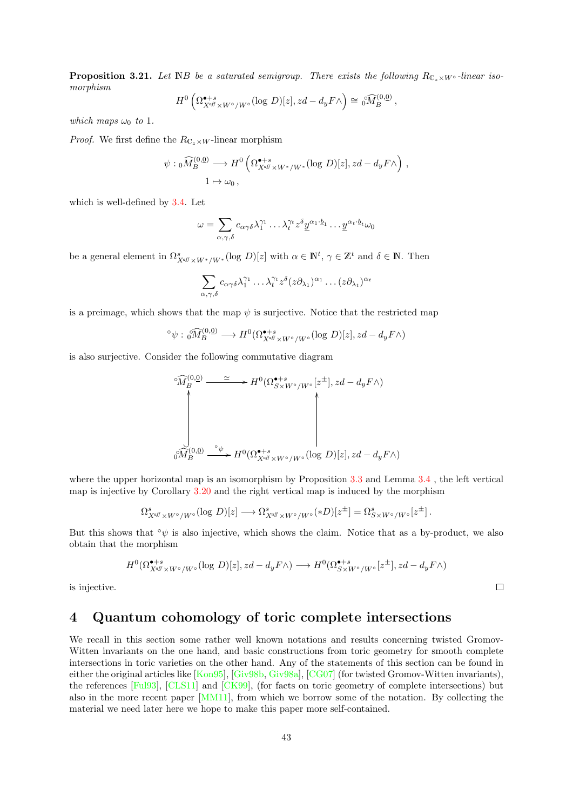<span id="page-42-1"></span>**Proposition 3.21.** Let NB be a saturated semigroup. There exists the following  $R_{C_z\times W^{\circ}}$ -linear isomorphism

$$
H^0\left(\Omega^{\bullet+s}_{X^{aff}\times W^{\circ}/W^{\circ}}(\log\,D)[z],zd-d_yF\wedge\right)\cong\left(\widehat{M}_B^{(0,0)}\right),
$$

which maps  $\omega_0$  to 1.

*Proof.* We first define the  $R_{\mathbb{C}_z\times W}$ -linear morphism

$$
\psi : {}_0\widehat{M}_B^{(0,\underline{0})} \longrightarrow H^0\left(\Omega_{X^{\alpha} \mathcal{F} \times W^* / W^*}^{\bullet+s}(\log D)[z], zd - d_y F \wedge\right),
$$
  

$$
1 \mapsto \omega_0,
$$

which is well-defined by [3.4.](#page-34-0) Let

$$
\omega = \sum_{\alpha, \gamma, \delta} c_{\alpha \gamma \delta} \lambda_1^{\gamma_1} \dots \lambda_t^{\gamma_t} z^{\delta} \underline{y}^{\alpha_1 \cdot \underline{b}_1} \dots \underline{y}^{\alpha_t \cdot \underline{b}_t} \omega_0
$$

be a general element in  $\Omega^s_{X^{aff} \times W^*/W^*}(\log D)[z]$  with  $\alpha \in \mathbb{N}^t$ ,  $\gamma \in \mathbb{Z}^t$  and  $\delta \in \mathbb{N}$ . Then

$$
\sum_{\alpha,\gamma,\delta} c_{\alpha\gamma\delta} \lambda_1^{\gamma_1} \dots \lambda_t^{\gamma_t} z^{\delta} (z \partial_{\lambda_1})^{\alpha_1} \dots (z \partial_{\lambda_t})^{\alpha_t}
$$

is a preimage, which shows that the map  $\psi$  is surjective. Notice that the restricted map

$$
\circ \psi : \left\{ \widehat{M}_{B}^{(0,\underline{0})} \longrightarrow H^{0}(\Omega_{X^{\alpha} \mathcal{F} \times W^{\circ}/W^{\circ}}^{\bullet+s}(\log D)[z], zd - d_{y} F \wedge \right\}
$$

is also surjective. Consider the following commutative diagram

$$
\begin{CD} \widehat{\mathcal{M}}_B^{(0,\underline{0})} & \simeq \\ \begin{CD} \widehat{\mathcal{M}}_B^{(0,\underline{0})} & \xrightarrow{\simeq} & H^0(\Omega_{S\times W^\circ/W^\circ}^{\bullet+\,s}[z^\pm],zd-d_yF\wedge) \end{CD} \end{CD}
$$
\n
$$
\widehat{\mathcal{M}}_B^{(0,\underline{0})} \xrightarrow{\circ_{\psi}} H^0(\Omega_{X^{\mathrm{aff}}\times W^\circ/W^\circ}^{\bullet+\,s}[ \log D)[z],zd-d_yF\wedge)
$$

where the upper horizontal map is an isomorphism by Proposition [3.3](#page-33-0) and Lemma [3.4](#page-34-0), the left vertical map is injective by Corollary [3.20](#page-41-1) and the right vertical map is induced by the morphism

$$
\Omega_{X^{\alpha\beta} \times W^{\circ}/W^{\circ}}^s(\log \, D)[z] \longrightarrow \Omega_{X^{\alpha\beta} \times W^{\circ}/W^{\circ}}^s(*D)[z^{\pm}] = \Omega_{S \times W^{\circ}/W^{\circ}}^s[z^{\pm}].
$$

But this shows that  $\phi \psi$  is also injective, which shows the claim. Notice that as a by-product, we also obtain that the morphism

$$
H^{0}(\Omega^{\bullet+s}_{X^{aff} \times W^{\circ}/W^{\circ}}(\log \, D)[z], zd-d_{y}F \wedge) \longrightarrow H^{0}(\Omega^{\bullet+s}_{S \times W^{\circ}/W^{\circ}}[z^{\pm}], zd-d_{y}F \wedge)
$$

 $\Box$ 

is injective.

## <span id="page-42-0"></span>4 Quantum cohomology of toric complete intersections

We recall in this section some rather well known notations and results concerning twisted Gromov-Witten invariants on the one hand, and basic constructions from toric geometry for smooth complete intersections in toric varieties on the other hand. Any of the statements of this section can be found in either the original articles like [\[Kon95\]](#page-71-3), [\[Giv98b,](#page-70-5) [Giv98a\]](#page-70-6), [\[CG07\]](#page-69-2) (for twisted Gromov-Witten invariants), the references [\[Ful93\]](#page-70-7), [\[CLS11\]](#page-69-3) and [\[CK99\]](#page-69-4), (for facts on toric geometry of complete intersections) but also in the more recent paper [\[MM11\]](#page-71-4), from which we borrow some of the notation. By collecting the material we need later here we hope to make this paper more self-contained.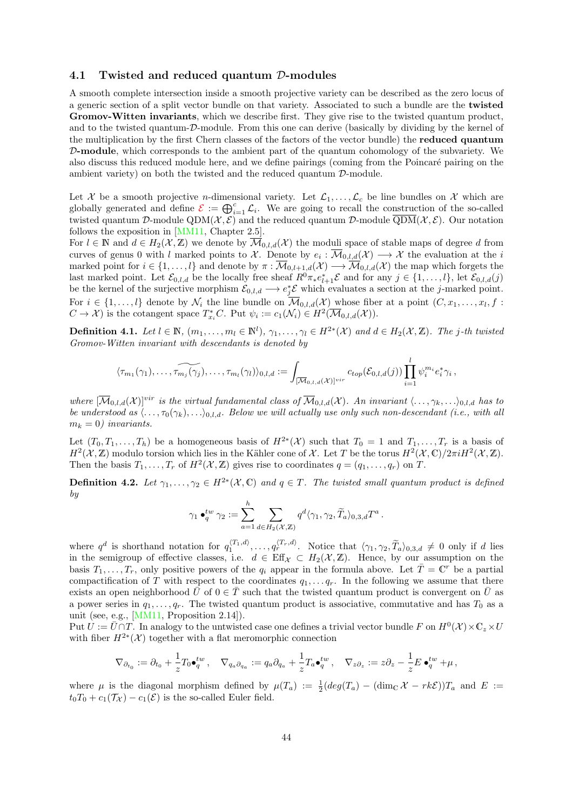#### <span id="page-43-2"></span><span id="page-43-0"></span>4.1 Twisted and reduced quantum D-modules

A smooth complete intersection inside a smooth projective variety can be described as the zero locus of a generic section of a split vector bundle on that variety. Associated to such a bundle are the twisted Gromov-Witten invariants, which we describe first. They give rise to the twisted quantum product, and to the twisted quantum-D-module. From this one can derive (basically by dividing by the kernel of the multiplication by the first Chern classes of the factors of the vector bundle) the reduced quantum D-module, which corresponds to the ambient part of the quantum cohomology of the subvariety. We also discuss this reduced module here, and we define pairings (coming from the Poincaré pairing on the ambient variety) on both the twisted and the reduced quantum D-module.

Let X be a smooth projective *n*-dimensional variety. Let  $\mathcal{L}_1, \ldots, \mathcal{L}_c$  be line bundles on X which are globally generated and define  $\mathcal{E} := \bigoplus_{i=1}^c \mathcal{L}_i$  $\mathcal{E} := \bigoplus_{i=1}^c \mathcal{L}_i$  $\mathcal{E} := \bigoplus_{i=1}^c \mathcal{L}_i$ . We are going to recall the construction of the so-called twisted quantum D-module QDM $(\mathcal{X}, \mathcal{E})$  and the reduced quantum D-module  $\overline{\text{QDM}}(\mathcal{X}, \mathcal{E})$ . Our notation follows the exposition in [\[MM11,](#page-71-4) Chapter 2.5].

For  $l \in \mathbb{N}$  and  $d \in H_2(\mathcal{X}, \mathbb{Z})$  we denote by  $\overline{\mathcal{M}}_{0,l,d}(\mathcal{X})$  the moduli space of stable maps of degree d from curves of genus 0 with l marked points to X. Denote by  $e_i: \mathcal{M}_{0,l,d}(\mathcal{X}) \longrightarrow \mathcal{X}$  the evaluation at the i marked point for  $i \in \{1, ..., l\}$  and denote by  $\pi : \overline{\mathcal{M}}_{0,l+1,d}(\mathcal{X}) \longrightarrow \overline{\mathcal{M}}_{0,l,d}(\mathcal{X})$  the map which forgets the last marked point. Let  $\mathcal{E}_{0,l,d}$  be the locally free sheaf  $R^0\pi_* e_{l+1}^*\mathcal{E}$  and for any  $j \in \{1,\ldots,l\}$ , let  $\mathcal{E}_{0,l,d}(j)$ be the kernel of the surjective morphism  $\mathcal{E}_{0,l,d} \longrightarrow e_j^* \mathcal{E}$  which evaluates a section at the j-marked point. For  $i \in \{1, \ldots, l\}$  denote by  $\mathcal{N}_i$  the line bundle on  $\overline{\mathcal{M}}_{0,l,d}(\mathcal{X})$  whose fiber at a point  $(C, x_1, \ldots, x_l, f :$  $C \to \mathcal{X}$ ) is the cotangent space  $T_{x_i}^*C$ . Put  $\psi_i := c_1(\mathcal{N}_i) \in H^2(\overline{\mathcal{M}}_{0,l,d}(\mathcal{X})).$ 

<span id="page-43-1"></span>**Definition 4.1.** Let  $l \in \mathbb{N}$ ,  $(m_1, \ldots, m_l \in \mathbb{N}^l)$ ,  $\gamma_1, \ldots, \gamma_l \in H^{2*}(\mathcal{X})$  and  $d \in H_2(\mathcal{X}, \mathbb{Z})$ . The j-th twisted Gromov-Witten invariant with descendants is denoted by

$$
\langle \tau_{m_1}(\gamma_1), \ldots, \widetilde{\tau_{m_j}(\gamma_j)}, \ldots, \tau_{m_l}(\gamma_l) \rangle_{0,l,d} := \int_{\substack{[\overline{\mathcal{M}}_{0,l,d}(\mathcal{X})]^{\text{vir}} }} c_{top}(\mathcal{E}_{0,l,d}(j)) \prod_{i=1}^l \psi_i^{m_i} e_i^* \gamma_i ,
$$

where  $[\overline{\mathcal{M}}_{0,l,d}(\mathcal{X})]^{vir}$  is the virtual fundamental class of  $\overline{\mathcal{M}}_{0,l,d}(\mathcal{X})$ . An invariant  $\langle \ldots, \gamma_k, \ldots \rangle_{0,l,d}$  has to be understood as  $\langle \ldots, \tau_0(\gamma_k), \ldots \rangle_{0,l,d}$ . Below we will actually use only such non-descendant (i.e., with all  $m_k = 0$ ) invariants.

Let  $(T_0, T_1, \ldots, T_h)$  be a homogeneous basis of  $H^{2*}(\mathcal{X})$  such that  $T_0 = 1$  and  $T_1, \ldots, T_r$  is a basis of  $H^2(\mathcal{X}, \mathbb{Z})$  modulo torsion which lies in the Kähler cone of X. Let T be the torus  $H^2(\mathcal{X}, \mathbb{C})/2\pi i H^2(\mathcal{X}, \mathbb{Z})$ . Then the basis  $T_1, \ldots, T_r$  of  $H^2(\mathcal{X}, \mathbb{Z})$  gives rise to coordinates  $q = (q_1, \ldots, q_r)$  on  $T$ .

**Definition 4.2.** Let  $\gamma_1, \ldots, \gamma_2 \in H^{2*}(\mathcal{X}, \mathbb{C})$  and  $q \in T$ . The twisted small quantum product is defined by

$$
\gamma_1 \bullet_q^{tw} \gamma_2 := \sum_{a=1}^h \sum_{d \in H_2(\mathcal{X}, \mathbb{Z})} q^d \langle \gamma_1, \gamma_2, \widetilde{T}_a \rangle_{0,3,d} T^a \, .
$$

where  $q^d$  is shorthand notation for  $q_1^{(T_1,d)}, \ldots, q_r^{(T_r,d)}$ . Notice that  $\langle \gamma_1, \gamma_2, \widetilde{T}_a \rangle_{0,3,d} \neq 0$  only if d lies in the semigroup of effective classes, i.e.  $d \in \text{Eff}_{\mathcal{X}} \subset H_2(\mathcal{X}, \mathbb{Z})$ . Hence, by our assumption on the basis  $T_1, \ldots, T_r$ , only positive powers of the  $q_i$  appear in the formula above. Let  $\overline{T} = \mathbb{C}^r$  be a partial compactification of T with respect to the coordinates  $q_1, \ldots q_r$ . In the following we assume that there exists an open neighborhood  $\bar{U}$  of  $0 \in \bar{T}$  such that the twisted quantum product is convergent on  $\bar{U}$  as a power series in  $q_1, \ldots, q_r$ . The twisted quantum product is associative, commutative and has  $T_0$  as a unit (see, e.g., [\[MM11,](#page-71-4) Proposition 2.14]).

Put  $\hat{U} := \bar{U} \cap T$ . In analogy to the untwisted case one defines a trivial vector bundle F on  $H^0(\mathcal{X}) \times \mathbb{C}_z \times U$ with fiber  $H^{2*}(\mathcal{X})$  together with a flat meromorphic connection

$$
\nabla_{\partial_{t_0}} := \partial_{t_0} + \frac{1}{z} T_0 \bullet_q^{tw} \,, \quad \nabla_{q_a \partial_{q_a}} := q_a \partial_{q_a} + \frac{1}{z} T_a \bullet_q^{tw} \,, \quad \nabla_{z \partial_z} := z \partial_z - \frac{1}{z} E \bullet_q^{tw} + \mu \,,
$$

where  $\mu$  is the diagonal morphism defined by  $\mu(T_a) := \frac{1}{2}(deg(T_a) - (dim_{\mathbb{C}} \mathcal{X} - rk\mathcal{E}))T_a$  and  $E :=$  $t_0T_0 + c_1(\mathcal{T}_{\mathcal{X}}) - c_1(\mathcal{E})$  is the so-called Euler field.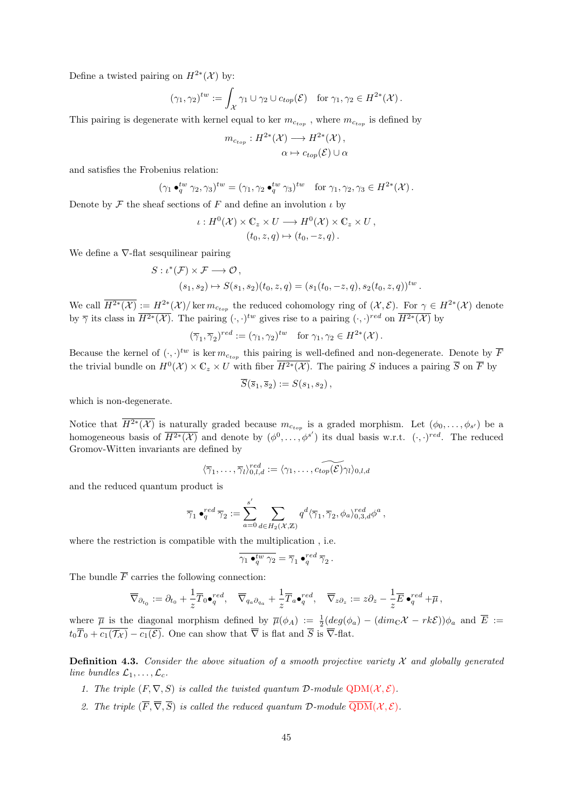<span id="page-44-1"></span>Define a twisted pairing on  $H^{2*}(\mathcal{X})$  by:

$$
(\gamma_1, \gamma_2)^{tw} := \int_{\mathcal{X}} \gamma_1 \cup \gamma_2 \cup c_{top}(\mathcal{E}) \text{ for } \gamma_1, \gamma_2 \in H^{2*}(\mathcal{X}).
$$

This pairing is degenerate with kernel equal to ker  $m_{c_{top}}$ , where  $m_{c_{top}}$  is defined by

$$
m_{c_{top}}: H^{2*}(\mathcal{X}) \longrightarrow H^{2*}(\mathcal{X}),
$$
  

$$
\alpha \mapsto c_{top}(\mathcal{E}) \cup \alpha
$$

and satisfies the Frobenius relation:

$$
(\gamma_1 \bullet_q^{tw} \gamma_2, \gamma_3)^{tw} = (\gamma_1, \gamma_2 \bullet_q^{tw} \gamma_3)^{tw} \text{ for } \gamma_1, \gamma_2, \gamma_3 \in H^{2*}(\mathcal{X}).
$$

Denote by  $\mathcal F$  the sheaf sections of  $F$  and define an involution  $\iota$  by

$$
\iota: H^0(\mathcal{X}) \times \mathbb{C}_z \times U \longrightarrow H^0(\mathcal{X}) \times \mathbb{C}_z \times U,
$$
  

$$
(t_0, z, q) \mapsto (t_0, -z, q).
$$

We define a ∇-flat sesquilinear pairing

$$
S: \iota^*(\mathcal{F}) \times \mathcal{F} \longrightarrow \mathcal{O},
$$
  

$$
(s_1, s_2) \mapsto S(s_1, s_2)(t_0, z, q) = (s_1(t_0, -z, q), s_2(t_0, z, q))^{tw}.
$$

We call  $\overline{H^{2*}(\mathcal{X})} := H^{2*}(\mathcal{X})/\ker m_{c_{top}}$  the reduced cohomology ring of  $(\mathcal{X}, \mathcal{E})$ . For  $\gamma \in H^{2*}(\mathcal{X})$  denote by  $\overline{\gamma}$  its class in  $\overline{H^{2*}(\mathcal{X})}$ . The pairing  $(\cdot, \cdot)^{tw}$  gives rise to a pairing  $(\cdot, \cdot)^{red}$  on  $\overline{H^{2*}(\mathcal{X})}$  by

$$
(\overline{\gamma}_1, \overline{\gamma}_2)^{red} := (\gamma_1, \gamma_2)^{tw} \text{ for } \gamma_1, \gamma_2 \in H^{2*}(\mathcal{X}).
$$

Because the kernel of  $(\cdot, \cdot)^{tw}$  is ker  $m_{c_{top}}$  this pairing is well-defined and non-degenerate. Denote by  $\overline{F}$ the trivial bundle on  $H^0(\mathcal{X}) \times \mathbb{C}_z \times U$  with fiber  $\overline{H^{2*}(\mathcal{X})}$ . The pairing S induces a pairing  $\overline{S}$  on  $\overline{F}$  by

$$
\overline{S}(\overline{s}_1,\overline{s}_2):=S(s_1,s_2),
$$

which is non-degenerate.

Notice that  $H^{2*}(\mathcal{X})$  is naturally graded because  $m_{c_{top}}$  is a graded morphism. Let  $(\phi_0,\ldots,\phi_{s'})$  be a homogeneous basis of  $\overline{H^{2*}(\mathcal{X})}$  and denote by  $(\phi^0,\ldots,\phi^{s'})$  its dual basis w.r.t.  $(\cdot,\cdot)^{red}$ . The reduced Gromov-Witten invariants are defined by

$$
\langle \overline{\gamma}_1, \ldots, \overline{\gamma}_l \rangle^{red}_{0,l,d} := \langle \gamma_1, \ldots, \widetilde{c_{top}(\mathcal{E})} \gamma_l \rangle_{0,l,d}
$$

and the reduced quantum product is

$$
\overline{\gamma}_1 \bullet_q^{red} \overline{\gamma}_2 := \sum_{a=0}^{s'} \sum_{d \in H_2(\mathcal{X}, \mathbb{Z})} q^d \langle \overline{\gamma}_1, \overline{\gamma}_2, \phi_a \rangle_{0,3,d}^{red} \phi^a,
$$

where the restriction is compatible with the multiplication , i.e.

$$
\overline{\gamma_1 \bullet_q^{tw} \gamma_2} = \overline{\gamma}_1 \bullet_q^{red} \overline{\gamma}_2.
$$

The bundle  $\overline{F}$  carries the following connection:

$$
\overline{\nabla}_{\partial_{t_0}} := \partial_{t_0} + \frac{1}{z} \overline{T}_0 \bullet_q^{red}, \quad \overline{\nabla}_{q_a \partial_{q_a}} + \frac{1}{z} \overline{T}_a \bullet_q^{red}, \quad \overline{\nabla}_{z \partial_z} := z \partial_z - \frac{1}{z} \overline{E} \bullet_q^{red} + \overline{\mu},
$$

where  $\overline{\mu}$  is the diagonal morphism defined by  $\overline{\mu}(\phi_A) := \frac{1}{2}(deg(\phi_a) - (dim_{\mathbb{C}}X - rk\mathcal{E}))\phi_a$  and  $\overline{E} :=$  $t_0\overline{T}_0 + \overline{c_1(\mathcal{T}_\mathcal{X})} - \overline{c_1(\mathcal{E})}$ . One can show that  $\overline{\nabla}$  is flat and  $\overline{S}$  is  $\overline{\nabla}$ -flat.

<span id="page-44-0"></span>**Definition 4.3.** Consider the above situation of a smooth projective variety  $\mathcal{X}$  and globally generated line bundles  $\mathcal{L}_1, \ldots, \mathcal{L}_c$ .

- 1. The triple  $(F, \nabla, S)$  is called the twisted quantum  $\mathcal{D}\text{-module }QDM(\mathcal{X}, \mathcal{E})$  $\mathcal{D}\text{-module }QDM(\mathcal{X}, \mathcal{E})$  $\mathcal{D}\text{-module }QDM(\mathcal{X}, \mathcal{E})$ .
- 2. The triple  $(\overline{F}, \overline{\nabla}, \overline{S})$  is called the reduced quantum  $\mathcal{D}\text{-module } \overline{\text{QDM}}(\mathcal{X}, \mathcal{E})$ .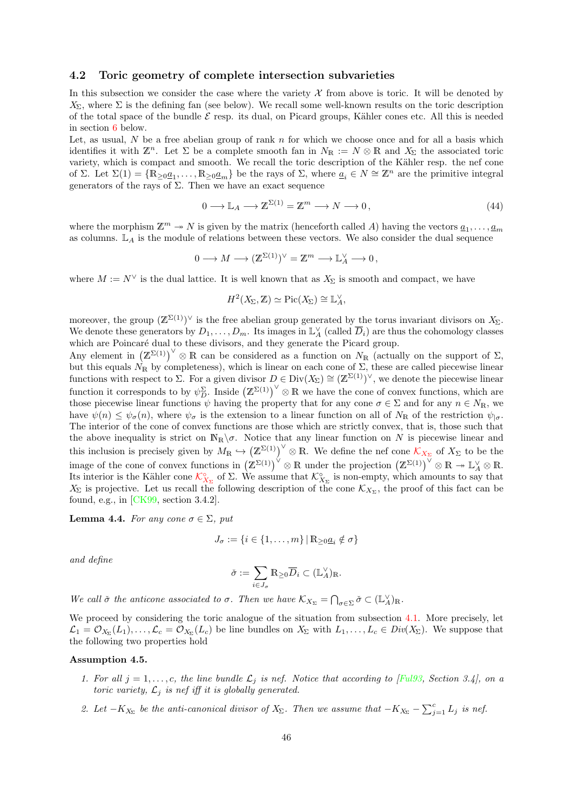#### <span id="page-45-3"></span>4.2 Toric geometry of complete intersection subvarieties

In this subsection we consider the case where the variety  $\mathcal X$  from above is toric. It will be denoted by  $X_{\Sigma}$ , where  $\Sigma$  is the defining fan (see below). We recall some well-known results on the toric description of the total space of the bundle  $\mathcal E$  resp. its dual, on Picard groups, Kähler cones etc. All this is needed in section [6](#page-52-0) below.

Let, as usual,  $N$  be a free abelian group of rank  $n$  for which we choose once and for all a basis which identifies it with  $\mathbb{Z}^n$ . Let  $\Sigma$  be a complete smooth fan in  $N_{\mathbb{R}} := N \otimes \mathbb{R}$  and  $X_{\Sigma}$  the associated toric variety, which is compact and smooth. We recall the toric description of the Kähler resp. the nef cone of Σ. Let  $\Sigma(1) = \{ \mathbb{R}_{\geq 0} \underline{a}_1, \ldots, \mathbb{R}_{\geq 0} \underline{a}_m \}$  be the rays of Σ, where  $\underline{a}_i \in N \cong \mathbb{Z}^n$  are the primitive integral generators of the rays of  $\Sigma$ . Then we have an exact sequence

<span id="page-45-1"></span>
$$
0 \longrightarrow \mathbb{L}_A \longrightarrow \mathbb{Z}^{\Sigma(1)} = \mathbb{Z}^m \longrightarrow N \longrightarrow 0,
$$
\n(44)

where the morphism  $\mathbb{Z}^m \to N$  is given by the matrix (henceforth called A) having the vectors  $\underline{a}_1, \ldots, \underline{a}_m$ as columns.  $\mathbb{L}_A$  is the module of relations between these vectors. We also consider the dual sequence

$$
0 \longrightarrow M \longrightarrow (\mathbb{Z}^{\Sigma(1)})^\vee = \mathbb{Z}^m \longrightarrow \mathbb{L}_A^\vee \longrightarrow 0 \,,
$$

where  $M := N^{\vee}$  is the dual lattice. It is well known that as  $X_{\Sigma}$  is smooth and compact, we have

$$
H^2(X_{\Sigma}, \mathbb{Z}) \simeq \mathrm{Pic}(X_{\Sigma}) \cong \mathbb{L}_A^{\vee},
$$

moreover, the group  $(\mathbb{Z}^{\Sigma(1)})^{\vee}$  is the free abelian group generated by the torus invariant divisors on  $X_{\Sigma}$ . We denote these generators by  $D_1, \ldots, D_m$ . Its images in  $\mathbb{L}_A^{\vee}$  (called  $\overline{D}_i$ ) are thus the cohomology classes which are Poincaré dual to these divisors, and they generate the Picard group.

Any element in  $(\mathbb{Z}^{\Sigma(1)})^{\vee} \otimes \mathbb{R}$  can be considered as a function on  $N_{\mathbb{R}}$  (actually on the support of  $\Sigma$ , but this equals  $\dot{N_R}$  by completeness), which is linear on each cone of  $\Sigma$ , these are called piecewise linear functions with respect to  $\Sigma$ . For a given divisor  $D \in Div(X_{\Sigma}) \cong (\mathbb{Z}^{\Sigma(1)})^{\vee}$ , we denote the piecewise linear function it corresponds to by  $\psi_D^{\Sigma}$ . Inside  $(\mathbb{Z}^{\Sigma(1)})^{\vee} \otimes \mathbb{R}$  we have the cone of convex functions, which are those piecewise linear functions  $\psi$  having the property that for any cone  $\sigma \in \Sigma$  and for any  $n \in N_{\mathbb{R}}$ , we have  $\psi(n) \leq \psi_{\sigma}(n)$ , where  $\psi_{\sigma}$  is the extension to a linear function on all of  $N_{\rm R}$  of the restriction  $\psi_{|\sigma}$ . The interior of the cone of convex functions are those which are strictly convex, that is, those such that the above inequality is strict on  $\mathbb{N}_{\mathbb{R}}\setminus\sigma$ . Notice that any linear function on N is piecewise linear and this inclusion is precisely given by  $M_{\mathbb{R}} \hookrightarrow (\mathbb{Z}^{\Sigma(1)})^{\vee} \otimes \mathbb{R}$ . We define the nef cone  $\mathcal{K}_{X_{\Sigma}}$  $\mathcal{K}_{X_{\Sigma}}$  $\mathcal{K}_{X_{\Sigma}}$  of  $X_{\Sigma}$  to be the image of the cone of convex functions in  $(\mathbb{Z}^{\Sigma(1)})^{\vee} \otimes \mathbb{R}$  under the projection  $(\mathbb{Z}^{\Sigma(1)})^{\vee} \otimes \mathbb{R} \to \mathbb{L}_{A}^{\vee} \otimes \mathbb{R}$ . Its interior is the [K](#page-68-8)ähler cone  $\mathcal{K}_{X_{\Sigma}}^{\circ}$  of  $\Sigma$ . We assume that  $\mathcal{K}_{X_{\Sigma}}^{\circ}$  is non-empty, which amounts to say that  $X_{\Sigma}$  is projective. Let us recall the following description of the cone  $\mathcal{K}_{X_{\Sigma}}$ , the proof of this fact can be found, e.g., in  $[CK99, section 3.4.2]$ .

<span id="page-45-0"></span>**Lemma 4.4.** For any cone  $\sigma \in \Sigma$ , put

$$
J_{\sigma}:=\{i\in\{1,\ldots,m\}\,|\,\mathbb{R}_{\geq 0}\underline{a}_i\notin\sigma\}
$$

and define

$$
\check{\sigma}:=\sum_{i\in J_{\sigma}}\mathbb{R}_{\geq 0}\overline{D}_i\subset (\mathbb{L}_A^\vee)_\mathbb{R}.
$$

We call  $\check{\sigma}$  the anticone associated to  $\sigma$ . Then we have  $\mathcal{K}_{X_{\Sigma}} = \bigcap_{\sigma \in \Sigma} \check{\sigma} \subset (\mathbb{L}_{A}^{\vee})_{\mathbb{R}}$ .

We proceed by considering the toric analogue of the situation from subsection [4.1.](#page-43-0) More precisely, let  $\mathcal{L}_1 = \mathcal{O}_{X_{\Sigma}}(L_1), \ldots, \mathcal{L}_c = \mathcal{O}_{X_{\Sigma}}(L_c)$  be line bundles on  $X_{\Sigma}$  with  $L_1, \ldots, L_c \in Div(X_{\Sigma})$ . We suppose that the following two properties hold

#### <span id="page-45-2"></span>Assumption 4.5.

- 1. For all  $j = 1, \ldots, c$ , the line bundle  $\mathcal{L}_j$  is nef. Notice that according to [\[Ful93,](#page-70-7) Section 3.4], on a toric variety,  $\mathcal{L}_j$  is nef iff it is globally generated.
- 2. Let  $-K_{X_{\Sigma}}$  be the anti-canonical divisor of  $X_{\Sigma}$ . Then we assume that  $-K_{X_{\Sigma}} \sum_{j=1}^{c} L_j$  is nef.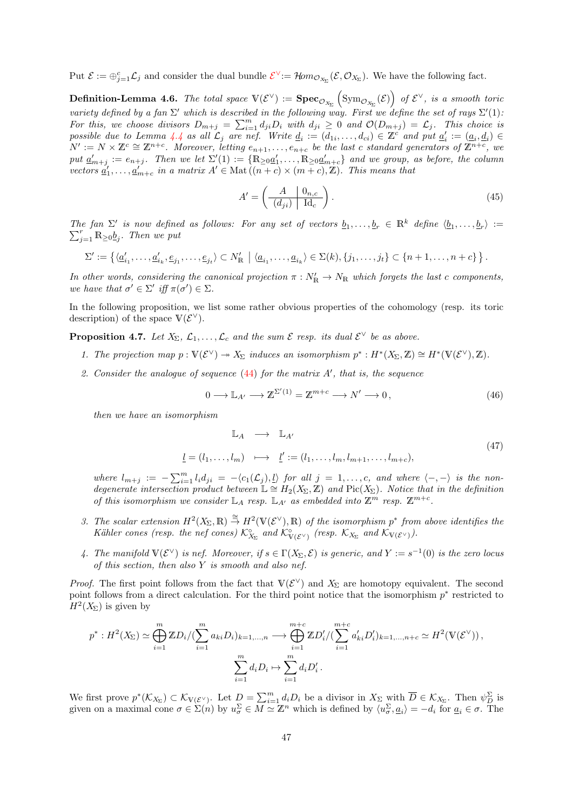<span id="page-46-4"></span>Put  $\mathcal{E} := \bigoplus_{j=1}^c \mathcal{L}_j$  $\mathcal{E} := \bigoplus_{j=1}^c \mathcal{L}_j$  $\mathcal{E} := \bigoplus_{j=1}^c \mathcal{L}_j$  and consider the dual bundle  $\mathcal{E}^{\vee} := \mathcal{H}om_{\mathcal{O}_{X_{\Sigma}}}(\mathcal{E}, \mathcal{O}_{X_{\Sigma}})$ . We have the following fact.

<span id="page-46-1"></span>**Definition-Lemma 4.6.** The total space  $V(\mathcal{E}^{\vee}) := \textbf{Spec}_{\mathcal{O}_{X_{\Sigma}}}(\text{Sym}_{\mathcal{O}_{X_{\Sigma}}}(\mathcal{E}))$  of  $\mathcal{E}^{\vee}$ , is a smooth toric variety defined by a fan  $\Sigma'$  which is described in the following way. First we define the set of rays  $\Sigma'(1)$ . For this, we choose divisors  $D_{m+j} = \sum_{i=1}^m d_{ji}D_i$  with  $d_{ji} \geq 0$  and  $\mathcal{O}(D_{m+j}) = \mathcal{L}_j$ . This choice is possible due to Lemma [4.4](#page-45-0) as all  $\mathcal{L}_j$  are nef. Write  $\underline{d}_i := (d_{1i}, \ldots, d_{ci}) \in \mathbb{Z}^{c'}$  and put  $\underline{a}'_i := (\underline{a}_i, \underline{d}_i) \in$  $N' := N \times \mathbb{Z}^c \cong \mathbb{Z}^{n+c}$ . Moreover, letting  $e_{n+1}, \ldots, e_{n+c}$  be the last c standard generators of  $\mathbb{Z}^{n+c}$ , we put  $\underline{a}'_{m+j} := e_{n+j}$ . Then we let  $\Sigma'(1) := \{ \mathbb{R}_{\geq 0} \underline{a}'_1, \ldots, \mathbb{R}_{\geq 0} \underline{a}'_{m+c} \}$  and we group, as before, the column vectors  $\underline{a}'_1,\ldots,\underline{a}'_{m+c}$  in a matrix  $A' \in \text{Mat}((n+c) \times (m+c), \mathbb{Z})$ . This means that

$$
A' = \left(\frac{A}{(d_{ji})} \frac{0_{n,c}}{\mathrm{Id}_c}\right). \tag{45}
$$

The fan  $\Sigma'$  is now defined as follows: For any set of vectors  $\underline{b}_1, \ldots, \underline{b}_r \in \mathbb{R}^k$  define  $\langle \underline{b}_1, \ldots, \underline{b}_r \rangle := \sum_{i=1}^r \mathbb{R}_{\geq 0} \underline{b}_i$ . Then we put  $\sum_{j=1}^r \mathbb{R}_{\geq 0}$   $\underline{b}_j$ . Then we put

$$
\Sigma' := \left\{ \langle \underline{a}'_{i_1}, \ldots, \underline{a}'_{i_k}, \underline{e}_{j_1}, \ldots, \underline{e}_{j_t} \rangle \subset N'_{\mathbb{R}} \mid \langle \underline{a}_{i_1}, \ldots, \underline{a}_{i_k} \rangle \in \Sigma(k), \{j_1, \ldots, j_t\} \subset \{n+1, \ldots, n+c\} \right\}.
$$

In other words, considering the canonical projection  $\pi : N'_\mathbb{R} \to N_\mathbb{R}$  which forgets the last c components, we have that  $\sigma' \in \Sigma'$  iff  $\pi(\sigma') \in \Sigma$ .

In the following proposition, we list some rather obvious properties of the cohomology (resp. its toric description) of the space  $V(\mathcal{E}^{\vee})$ .

<span id="page-46-2"></span>**Proposition 4.7.** Let  $X_{\Sigma}, \mathcal{L}_1, \ldots, \mathcal{L}_c$  and the sum  $\mathcal{E}$  resp. its dual  $\mathcal{E}^{\vee}$  be as above.

- 1. The projection map  $p: V(\mathcal{E}^{\vee}) \to X_{\Sigma}$  induces an isomorphism  $p^*: H^*(X_{\Sigma}, \mathbb{Z}) \cong H^*(V(\mathcal{E}^{\vee}), \mathbb{Z})$ .
- 2. Consider the analogue of sequence  $(44)$  for the matrix  $A'$ , that is, the sequence

<span id="page-46-3"></span>
$$
0 \longrightarrow \mathbb{L}_{A'} \longrightarrow \mathbb{Z}^{\Sigma'(1)} = \mathbb{Z}^{m+c} \longrightarrow N' \longrightarrow 0,
$$
\n(46)

then we have an isomorphism

<span id="page-46-0"></span>
$$
\mathbb{L}_A \longrightarrow \mathbb{L}_{A'}
$$
\n
$$
\underline{l} = (l_1, \dots, l_m) \longrightarrow \underline{l}' := (l_1, \dots, l_m, l_{m+1}, \dots, l_{m+c}),
$$
\n
$$
(47)
$$

where  $l_{m+j} := -\sum_{i=1}^{m} l_i d_{ji} = -\langle c_1(\mathcal{L}_j), \underline{l} \rangle$  for all  $j = 1, \ldots, c$ , and where  $\langle -, - \rangle$  is the nondegenerate intersection product between  $\mathbb{L} \cong H_2(X_\Sigma, \mathbb{Z})$  and Pic(X<sub>Σ</sub>). Notice that in the definition of this isomorphism we consider  $\mathbb{L}_A$  resp.  $\mathbb{L}_{A'}$  as embedded into  $\mathbb{Z}^m$  resp.  $\mathbb{Z}^{m+c}$ .

- 3. The scalar extension  $H^2(X_\Sigma, \mathbb{R}) \stackrel{\cong}{\to} H^2(\mathbb{V}(\mathcal{E}^\vee), \mathbb{R})$  of the isomorphism  $p^*$  from above identifies the Kähler cones (resp. the nef cones)  $\mathcal{K}_{X_{\Sigma}}^{\circ}$  and  $\mathcal{K}_{V(\mathcal{E}^{\vee})}^{\circ}$  (resp.  $\mathcal{K}_{X_{\Sigma}}$  and  $\mathcal{K}_{V(\mathcal{E}^{\vee})}$ ).
- 4. The manifold  $\mathbb{V}(\mathcal{E}^{\vee})$  is nef. Moreover, if  $s \in \Gamma(X_{\Sigma}, \mathcal{E})$  is generic, and  $Y := s^{-1}(0)$  is the zero locus of this section, then also Y is smooth and also nef.

*Proof.* The first point follows from the fact that  $V(\mathcal{E}^{\vee})$  and  $X_{\Sigma}$  are homotopy equivalent. The second point follows from a direct calculation. For the third point notice that the isomorphism  $p^*$  restricted to  $H^2(X_\Sigma)$  is given by

$$
p^*: H^2(X_{\Sigma}) \simeq \bigoplus_{i=1}^m \mathbb{Z}D_i/(\sum_{i=1}^m a_{ki}D_i)_{k=1,...,n} \longrightarrow \bigoplus_{i=1}^{m+c} \mathbb{Z}D_i'/(\sum_{i=1}^{m+c} a'_{ki}D_i')_{k=1,...,n+c} \simeq H^2(\mathbb{V}(\mathcal{E}^{\vee})),
$$
  

$$
\sum_{i=1}^m d_iD_i \mapsto \sum_{i=1}^m d_iD_i'.
$$

We first prove  $p^*(\mathcal{K}_{X_{\Sigma}}) \subset \mathcal{K}_{V(\mathcal{E}^{\vee})}$ . Let  $D = \sum_{i=1}^m d_i D_i$  be a divisor in  $X_{\Sigma}$  with  $\overline{D} \in \mathcal{K}_{X_{\Sigma}}$ . Then  $\psi_D^{\Sigma}$  is given on a maximal cone  $\sigma \in \Sigma(n)$  by  $u_{\sigma}^{\Sigma} \in \overline{M} \simeq \mathbb{Z}^n$  which is defined by  $\langle u_{\sigma}^{\Sigma}, a_i \rangle = -d_i$  for  $\underline{a}_i \in \sigma$ . The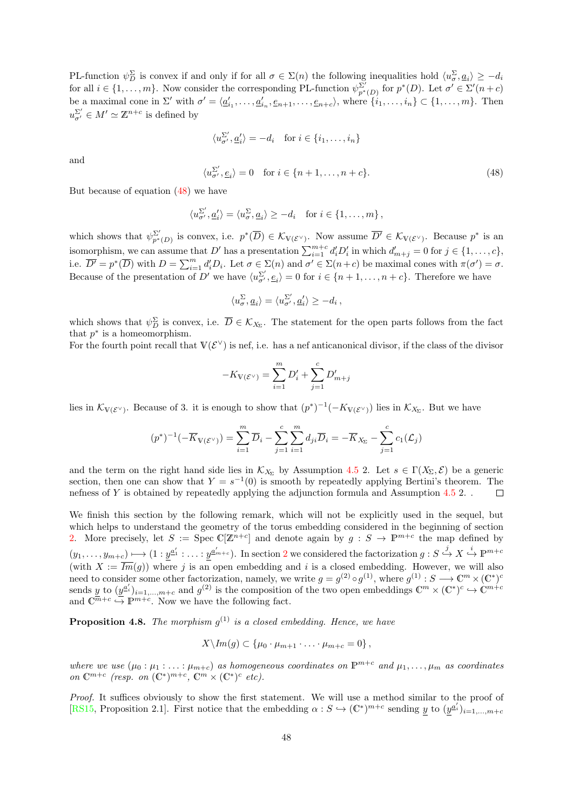PL-function  $\psi_D^{\Sigma}$  is convex if and only if for all  $\sigma \in \Sigma(n)$  the following inequalities hold  $\langle u_{\sigma}^{\Sigma}, \underline{a}_i \rangle \geq -d_i$ for all  $i \in \{1, ..., m\}$ . Now consider the corresponding PL-function  $\psi_{p^*(D)}^{\Sigma'}$  for  $p^*(D)$ . Let  $\sigma' \in \Sigma'(n+c)$ be a maximal cone in  $\Sigma'$  with  $\sigma' = \langle \underline{a}'_{i_1}, \ldots, \underline{a}'_{i_n}, \underline{e}_{n+1}, \ldots, \underline{e}_{n+c} \rangle$ , where  $\{i_1, \ldots, i_n\} \subset \{1, \ldots, m\}$ . Then  $u^{\Sigma'}_{\sigma'} \in M' \simeq \mathbb{Z}^{n+c}$  is defined by

$$
\langle u_{\sigma'}^{\Sigma'}, \underline{a}'_i \rangle = -d_i \quad \text{for } i \in \{i_1, \dots, i_n\}
$$

and

<span id="page-47-0"></span>
$$
\langle u_{\sigma}^{\Sigma'}, e_i \rangle = 0 \quad \text{for } i \in \{n+1, \dots, n+c\}. \tag{48}
$$

But because of equation [\(48\)](#page-47-0) we have

$$
\langle u_{\sigma'}^{\Sigma'}, \underline{a}'_i \rangle = \langle u_{\sigma}^{\Sigma}, \underline{a}_i \rangle \ge -d_i \quad \text{for } i \in \{1, \dots, m\} \,,
$$

which shows that  $\psi_{p^*(D)}^{\Sigma'}$  is convex, i.e.  $p^*(\overline{D}) \in \mathcal{K}_{V(\mathcal{E}^{\vee})}$ . Now assume  $\overline{D'} \in \mathcal{K}_{V(\mathcal{E}^{\vee})}$ . Because  $p^*$  is an which shows that  $\varphi_{p^*(D)}$  is convex, i.e.  $p(D) \in \mathcal{N}_{\mathbb{V}(\mathcal{E}^{\vee})}$ . Now assume  $D \in \mathcal{N}_{\mathbb{V}(\mathcal{E}^{\vee})}$ . Because p is an isomorphism, we can assume that D' has a presentation  $\sum_{i=1}^{m+c} d'_i D'_i$  in which  $d$ i.e.  $\overline{D'} = p^*(\overline{D})$  with  $D = \sum_{i=1}^m d'_i D_i$ . Let  $\sigma \in \Sigma(n)$  and  $\sigma' \in \Sigma(n+c)$  be maximal cones with  $\pi(\sigma') = \sigma$ . Because of the presentation of D' we have  $\langle u_{\sigma}^{\Sigma'} , e_i \rangle = 0$  for  $i \in \{n+1, \ldots, n+c\}$ . Therefore we have

$$
\langle u_\sigma^\Sigma, \underline{a}_i \rangle = \langle u_{\sigma'}^{\Sigma'}, \underline{a}'_i \rangle \ge -d_i \,,
$$

which shows that  $\psi_D^{\Sigma}$  is convex, i.e.  $\overline{D} \in \mathcal{K}_{X_{\Sigma}}$ . The statement for the open parts follows from the fact that  $p^*$  is a homeomorphism.

For the fourth point recall that  $V(\mathcal{E}^{\vee})$  is nef, i.e. has a nef anticanonical divisor, if the class of the divisor

$$
-K_{V(\mathcal{E}^{\vee})} = \sum_{i=1}^{m} D'_{i} + \sum_{j=1}^{c} D'_{m+j}
$$

lies in  $\mathcal{K}_{V(\mathcal{E}^{\vee})}$ . Because of 3. it is enough to show that  $(p^*)^{-1}(-K_{V(\mathcal{E}^{\vee})})$  lies in  $\mathcal{K}_{X_{\Sigma}}$ . But we have

$$
(p^*)^{-1}(-\overline{K}_{\mathbb{V}(\mathcal{E}^\vee)}) = \sum_{i=1}^m \overline{D}_i - \sum_{j=1}^c \sum_{i=1}^m d_{ji} \overline{D}_i = -\overline{K}_{X_\Sigma} - \sum_{j=1}^c c_1(\mathcal{L}_j)
$$

and the term on the right hand side lies in  $\mathcal{K}_{X_{\Sigma}}$  by Assumption [4.5](#page-45-2) 2. Let  $s \in \Gamma(X_{\Sigma}, \mathcal{E})$  be a generic section, then one can show that  $Y = s^{-1}(0)$  is smooth by repeatedly applying Bertini's theorem. The nefness of Y is obtained by repeatedly applying the adjunction formula and Assumption [4.5](#page-45-2) 2. .  $\Box$ 

We finish this section by the following remark, which will not be explicitly used in the sequel, but which helps to understand the geometry of the torus embedding considered in the beginning of section [2.](#page-14-0) More precisely, let  $S := \text{Spec } \mathbb{C}[\mathbb{Z}^{n+c}]$  and denote again by  $g : S \to \mathbb{P}^{m+c}$  the map defined by  $(y_1,\ldots,y_{m+c})\longmapsto (1:y^{a'_1}:\ldots:y^{a'_{m+c}}).$  In section [2](#page-14-0) we considered the factorization  $g:S\stackrel{j}{\hookrightarrow} X\stackrel{i}{\hookrightarrow}\mathbb{P}^{m+c}$ (with  $X := \overline{Im}(g)$ ) where j is an open embedding and i is a closed embedding. However, we will also need to consider some other factorization, namely, we write  $g = g^{(2)} \circ g^{(1)}$ , where  $g^{(1)} : S \longrightarrow \mathbb{C}^m \times (\mathbb{C}^*)^c$ sends y to  $(y^{a_i'})_{i=1,\dots,m+c}$  and  $g^{(2)}$  is the composition of the two open embeddings  $\mathbb{C}^m \times (\mathbb{C}^*)^c \hookrightarrow \mathbb{C}^{m+c}$ and  $\mathbb{C}^{\overline{m}+c} \hookrightarrow \mathbb{P}^{m+c}$ . Now we have the following fact.

**Proposition 4.8.** The morphism  $g^{(1)}$  is a closed embedding. Hence, we have

$$
X \backslash Im(g) \subset \{\mu_0 \cdot \mu_{m+1} \cdot \ldots \cdot \mu_{m+c} = 0\},\,
$$

where we use  $(\mu_0 : \mu_1 : \ldots : \mu_{m+c})$  as homogeneous coordinates on  $\mathbb{P}^{m+c}$  and  $\mu_1, \ldots, \mu_m$  as coordinates on  $\mathbb{C}^{m+c}$  (resp. on  $(\mathbb{C}^*)^{m+c}$ ,  $\mathbb{C}^m \times (\mathbb{C}^*)^c$  etc).

Proof. It suffices obviously to show the first statement. We will use a method similar to the proof of [\[RS15,](#page-71-0) Proposition 2.1]. First notice that the embedding  $\alpha : S \hookrightarrow (\mathbb{C}^*)^{m+c}$  sending y to  $(y^{a_i'})_{i=1,\dots,m+c}$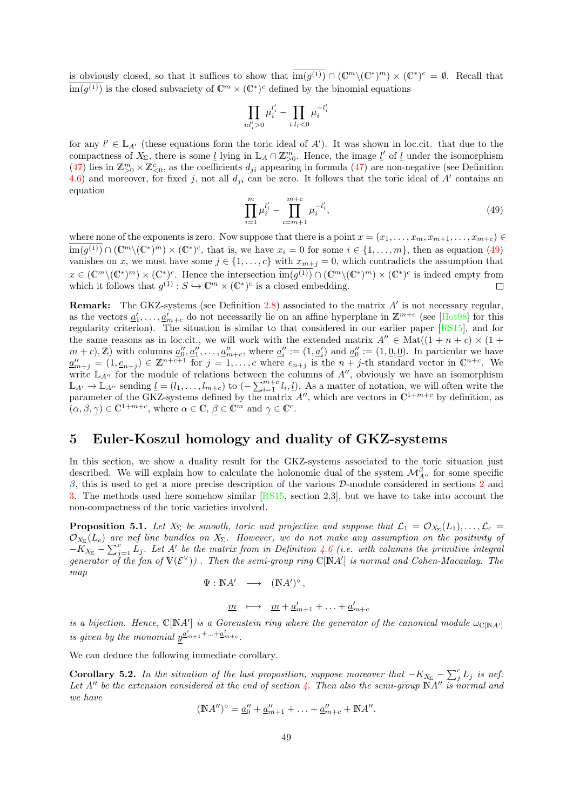is obviously closed, so that it suffices to show that  $\overline{im(g^{(1)})} \cap (\mathbb{C}^m \setminus (\mathbb{C}^*)^m) \times (\mathbb{C}^*)^c = \emptyset$ . Recall that  $\overline{\text{im}(g^{(1)})}$  is the closed subvariety of  $\mathbb{C}^m \times (\mathbb{C}^*)^c$  defined by the binomial equations

$$
\prod_{i:l_i'>0}\mu_i^{l_i'}-\prod_{i:l_i<0}\mu_i^{-l_i'}
$$

for any  $l' \in \mathbb{L}_{A'}$  (these equations form the toric ideal of A'). It was shown in loc.cit. that due to the compactness of  $X_{\Sigma}$ , there is some <u>l</u> lying in  $\mathbb{L}_A \cap \mathbb{Z}_{>0}^m$ . Hence, the image <u>l'</u> of <u>l</u> under the isomorphism [\(47\)](#page-46-0) lies in  $\mathbb{Z}_{>0}^m \times \mathbb{Z}_{<0}^c$ , as the coefficients  $d_{ji}$  appearing in formula [\(47\)](#page-46-0) are non-negative (see Definition [4.6\)](#page-46-1) and moreover, for fixed j, not all  $d_{ji}$  can be zero. It follows that the toric ideal of A' contains an equation

<span id="page-48-0"></span>
$$
\prod_{i=1}^{m} \mu_i^{l_i'} - \prod_{i=m+1}^{m+c} \mu_i^{-l_i'},\tag{49}
$$

where none of the exponents is zero. Now suppose that there is a point  $x = (x_1, \ldots, x_m, x_{m+1}, \ldots, x_{m+c}) \in$  $\overline{\mathrm{im}(g^{(1)})} \cap (\mathbb{C}^m \setminus (\mathbb{C}^*)^m) \times (\mathbb{C}^*)^c$ , that is, we have  $x_i = 0$  for some  $i \in \{1, \ldots, m\}$ , then as equation [\(49\)](#page-48-0) vanishes on x, we must have some  $j \in \{1, \ldots, c\}$  with  $x_{m+j} = 0$ , which contradicts the assumption that  $x \in (\mathbb{C}^m \setminus (\mathbb{C}^*)^m) \times (\mathbb{C}^*)^c$ . Hence the intersection  $\overline{im(g^{(1)})} \cap (\mathbb{C}^m \setminus (\mathbb{C}^*)^m) \times (\mathbb{C}^*)^c$  is indeed empty from which it follows that  $g^{(1)}$  :  $S \hookrightarrow \mathbb{C}^m \times (\mathbb{C}^*)^c$  is a closed embedding.  $\Box$ 

**Remark:** The GKZ-systems (see Definition  $2.8$ ) associated to the matrix  $A'$  is not necessary regular, as the vectors  $\underline{a}'_1, \ldots, \underline{a}'_{m+c}$  do not necessarily lie on an affine hyperplane in  $\mathbb{Z}^{m+c}$  (see [\[Hot98\]](#page-70-3) for this regularity criterion). The situation is similar to that considered in our earlier paper [\[RS15\]](#page-71-0), and for the same reasons as in loc.cit., we will work with the extended matrix  $A'' \in Mat((1 + n + c) \times (1 +$  $(m + c), \mathbb{Z}$ ) with columns  $\underline{a}''_0, \underline{a}''_1, \ldots, \underline{a}''_{m+c}$ , where  $\underline{a}''_i := (1, \underline{a}'_i)$  and  $\underline{a}''_0 := (1, \underline{0}, \underline{0})$ . In particular we have  $\underline{a}_{m+j}'' = (1, \underline{e}_{n+j}) \in \mathbb{Z}^{n+c+1}$  for  $j = 1, \ldots, c$  where  $\overline{e}_{n+j}$  is the  $n+j$ -th standard vector in  $\mathbb{C}^{n+c}$ . We write  $\mathbb{L}_{A''}$  for the module of relations between the columns of  $A''$ , obviously we have an isomorphism  $\mathbb{L}_{A'} \to \mathbb{L}_{A''}$  sending  $\underline{l} = (l_1, \ldots, l_{m+c})$  to  $\overline{(-\sum_{i=1}^{m+c} l_i, \underline{l})}$ . As a matter of notation, we will often write the parameter of the GKZ-systems defined by the matrix  $A''$ , which are vectors in  $\mathbb{C}^{1+m+c}$  by definition, as  $(\alpha, \beta, \gamma) \in \mathbb{C}^{1+m+c}$ , where  $\alpha \in \mathbb{C}$ ,  $\beta \in \mathbb{C}^m$  and  $\gamma \in \mathbb{C}^c$ .

## 5 Euler-Koszul homology and duality of GKZ-systems

In this section, we show a duality result for the GKZ-systems associated to the toric situation just described. We will explain how to calculate the holonomic dual of the system  $\mathcal{M}_{A''}^{\beta}$  for some specific  $β$ , this is used to get a more precise description of the various D-module considered in sections [2](#page-14-0) and [3.](#page-31-0) The methods used here somehow similar [\[RS15,](#page-71-0) section 2.3], but we have to take into account the non-compactness of the toric varieties involved.

<span id="page-48-1"></span>**Proposition 5.1.** Let  $X_{\Sigma}$  be smooth, toric and projective and suppose that  $\mathcal{L}_1 = \mathcal{O}_{X_{\Sigma}}(L_1), \ldots, \mathcal{L}_c =$  $\mathcal{O}_{X_{\Sigma}}(L_c)$  are nef line bundles on  $X_{\Sigma}$ . However, we do not make any assumption on the positivity of  $-\tilde{K}_{X_{\Sigma}} - \sum_{j=1}^{c} \tilde{L_j}$ . Let A' be the matrix from in Definition [4.6](#page-46-1) (i.e. with columns the primitive integral generator of the fan of  $V(\mathcal{E}^{\vee})$ . Then the semi-group ring  $\mathbb{C}[NA']$  is normal and Cohen-Macaulay. The map

$$
\Psi:\mathbb{N}A'\quad\longrightarrow\quad (\mathbb{N}A')^\circ\,,
$$

$$
\underline{m} \quad \longmapsto \quad \underline{m} + \underline{a}'_{m+1} + \ldots + \underline{a}'_{m+c}
$$

is a bijection. Hence,  $\mathbb{C}[NA']$  is a Gorenstein ring where the generator of the canonical module  $\omega_{\mathbb{C}[NA']}$ is given by the monomial  $y^{\underline{a}'_{m+1}+\ldots+\underline{a}'_{m+c}}$ .

We can deduce the following immediate corollary.

<span id="page-48-2"></span>**Corollary 5.2.** In the situation of the last proposition, suppose moreover that  $-K_{X_{\Sigma}} - \sum_{j=1}^{c} L_j$  is nef. Let A'' be the extension considered at the end of section  $\lambda$ . Then also the semi-group  $\mathbb{N}A''$  is normal and we have

$$
(\mathbb{N}A'')^{\circ} = \underline{a''}_0 + \underline{a''}_{m+1} + \ldots + \underline{a''}_{m+c} + \mathbb{N}A''.
$$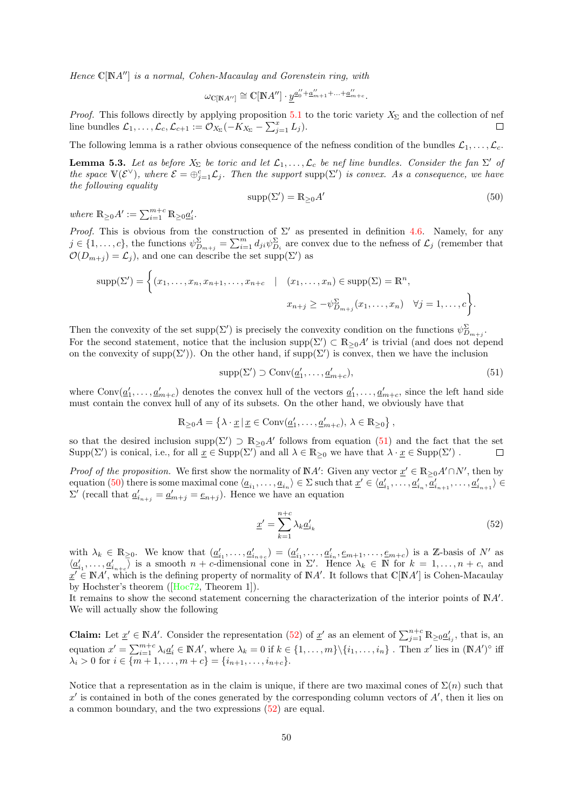Hence  $\mathbb{C}[NA'']$  is a normal, Cohen-Macaulay and Gorenstein ring, with

$$
\omega_{\mathbb{C}[\mathbb{N}A'']} \cong \mathbb{C}[\mathbb{N}A''] \cdot \underline{y}^{\underline{a}''_0 + \underline{a}''_{m+1} + \ldots + \underline{a}''_{m+c}}.
$$

*Proof.* This follows directly by applying proposition [5.1](#page-48-1) to the toric variety  $X_{\Sigma}$  and the collection of nef line bundles  $\mathcal{L}_1, \ldots, \mathcal{L}_c, \mathcal{L}_{c+1} := \overline{\mathcal{O}_{X_{\Sigma}}}(-K_{X_{\Sigma}} - \sum_{j=1}^x L_j).$  $\Box$ 

The following lemma is a rather obvious consequence of the nefness condition of the bundles  $\mathcal{L}_1, \ldots, \mathcal{L}_c$ .

**Lemma 5.3.** Let as before  $X_{\Sigma}$  be toric and let  $\mathcal{L}_1, \ldots, \mathcal{L}_c$  be nef line bundles. Consider the fan  $\Sigma'$  of the space  $\mathbb{V}(\mathcal{E}^{\vee})$ , where  $\mathcal{E} = \bigoplus_{j=1}^{c} \mathcal{L}_{j}$ . Then the support supp $(\Sigma')$  is convex. As a consequence, we have the following equality

<span id="page-49-1"></span>
$$
supp(\Sigma') = \mathbb{R}_{\geq 0} A' \tag{50}
$$

where  $\mathbb{R}_{\geq 0}A' := \sum_{i=1}^{m+c} \mathbb{R}_{\geq 0} \underline{a}'_i$ .

Proof. This is obvious from the construction of  $\Sigma'$  as presented in definition [4.6.](#page-46-1) Namely, for any  $j \in \{1,\ldots,c\}$ , the functions  $\psi_{D_{m+j}}^{\Sigma} = \sum_{i=1}^{m} d_{ji} \psi_{D_i}^{\Sigma}$  are convex due to the nefness of  $\mathcal{L}_j$  (remember that  $\mathcal{O}(D_{m+j}) = \mathcal{L}_j$ , and one can describe the set supp $(\Sigma')$  as

$$
\text{supp}(\Sigma') = \left\{ (x_1, \dots, x_n, x_{n+1}, \dots, x_{n+c} \mid (x_1, \dots, x_n) \in \text{supp}(\Sigma) = \mathbb{R}^n, x_{n+j} \ge -\psi_{D_{m+j}}^{\Sigma}(x_1, \dots, x_n) \quad \forall j = 1, \dots, c \right\}.
$$

Then the convexity of the set supp $(\Sigma')$  is precisely the convexity condition on the functions  $\psi_{D_{m+j}}^{\Sigma}$ . For the second statement, notice that the inclusion supp $(\Sigma') \subset \mathbb{R}_{\geq 0} A'$  is trivial (and does not depend on the convexity of supp( $\Sigma'$ ). On the other hand, if supp( $\Sigma'$ ) is convex, then we have the inclusion

<span id="page-49-0"></span>
$$
supp(\Sigma') \supset Conv(\underline{a}'_1, \dots, \underline{a}'_{m+c}),
$$
\n(51)

where  $Conv(\underline{a}'_1, \ldots, \underline{a}'_{m+c})$  denotes the convex hull of the vectors  $\underline{a}'_1, \ldots, \underline{a}'_{m+c}$ , since the left hand side must contain the convex hull of any of its subsets. On the other hand, we obviously have that

$$
\mathbb{R}_{\geq 0}A = \left\{ \lambda \cdot \underline{x} \, | \, \underline{x} \in \text{Conv}(\underline{a}'_1, \dots, \underline{a}'_{m+c}), \, \lambda \in \mathbb{R}_{\geq 0} \right\},
$$

so that the desired inclusion supp $(\Sigma') \supset \mathbb{R}_{\geq 0} A'$  follows from equation  $(51)$  and the fact that the set  $\text{Supp}(\Sigma')$  is conical, i.e., for all  $\underline{x} \in \text{Supp}(\Sigma')$  and all  $\lambda \in \mathbb{R}_{\geq 0}$  we have that  $\lambda \cdot \underline{x} \in \text{Supp}(\Sigma')$ .  $\Box$ 

*Proof of the proposition.* We first show the normality of  $\mathbb{N}A'$ : Given any vector  $\underline{x}' \in \mathbb{R}_{\geq 0}A' \cap N'$ , then by equation [\(50\)](#page-49-1) there is some maximal cone  $\langle \underline{a}_{i_1}, \ldots, \underline{a}_{i_n} \rangle \in \Sigma$  such that  $\underline{x}' \in \langle \underline{a}'_{i_1}, \ldots, \underline{a}'_{i_n}, \overline{a}'_{i_{n+1}}, \ldots, \underline{a}'_{i_{n+1}} \rangle \in$  $\Sigma'$  (recall that  $\underline{a}'_{i_{n+j}} = \underline{a}'_{m+j} = \underline{e}_{n+j}$ ). Hence we have an equation

<span id="page-49-2"></span>
$$
\underline{x}' = \sum_{k=1}^{n+c} \lambda_k \underline{a}'_{i_k} \tag{52}
$$

with  $\lambda_k \in \mathbb{R}_{\geq 0}$ . We know that  $(\underline{a}'_{i_1}, \dots, \underline{a}'_{i_{n+c}}) = (\underline{a}'_{i_1}, \dots, \underline{a}'_{i_n}, \underline{e}_{m+1}, \dots, \underline{e}_{m+c})$  is a Z-basis of N' as  $\langle \underline{a}'_{i_1}, \ldots, \underline{a}'_{i_{n+c}} \rangle$  is a smooth  $n+c$ -dimensional cone in  $\Sigma'$ . Hence  $\lambda_k \in \mathbb{N}$  for  $k=1,\ldots,n+c$ , and  $x' \in \mathbb{N}A'$ , which is the defining property of normality of  $\mathbb{N}A'$ . It follows that  $\mathbb{C}[\mathbb{N}A']$  is Cohen-Macaulay by Hochster's theorem([\[Hoc72,](#page-70-8) Theorem 1]).

It remains to show the second statement concerning the characterization of the interior points of  $\mathbb{N}A'$ . We will actually show the following

**Claim:** Let  $\underline{x}' \in \mathbb{N}A'$ . Consider the representation [\(52\)](#page-49-2) of  $\underline{x}'$  as an element of  $\sum_{j=1}^{n+c} \mathbb{R}_{\geq 0} \underline{a}'_{i_j}$ , that is, an equation  $x' = \sum_{i=1}^{m+c} \lambda_i \underline{a}'_i \in \mathbb{N}A'$ , where  $\lambda_k = 0$  if  $k \in \{1, ..., m\} \setminus \{i_1, ..., i_n\}$ . Then  $x'$  lies in  $(\mathbb{N}A')^{\circ}$  iff  $\lambda_i > 0$  for  $i \in \{m+1, \ldots, m+c\} = \{i_{n+1}, \ldots, i_{n+c}\}.$ 

Notice that a representation as in the claim is unique, if there are two maximal cones of  $\Sigma(n)$  such that  $x'$  is contained in both of the cones generated by the corresponding column vectors of  $A'$ , then it lies on a common boundary, and the two expressions [\(52\)](#page-49-2) are equal.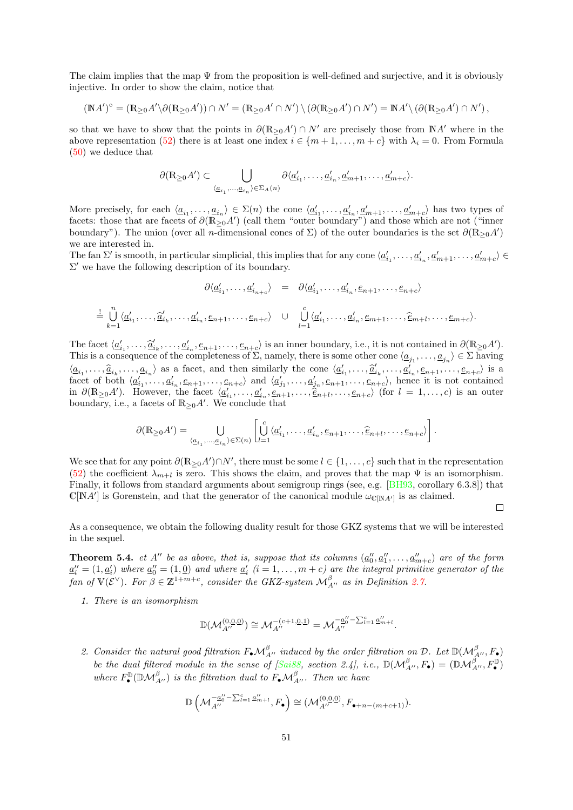The claim implies that the map  $\Psi$  from the proposition is well-defined and surjective, and it is obviously injective. In order to show the claim, notice that

$$
(\mathbb{N}A')^{\circ} = (\mathbb{R}_{\geq 0}A'\setminus\partial(\mathbb{R}_{\geq 0}A')) \cap N' = (\mathbb{R}_{\geq 0}A' \cap N') \setminus (\partial(\mathbb{R}_{\geq 0}A') \cap N') = \mathbb{N}A' \setminus (\partial(\mathbb{R}_{\geq 0}A') \cap N'),
$$

so that we have to show that the points in  $\partial (\mathbb{R}_{\geq 0} A') \cap N'$  are precisely those from  $\mathbb{N} A'$  where in the above representation [\(52\)](#page-49-2) there is at least one index  $i \in \{m+1,\ldots,m+c\}$  with  $\lambda_i = 0$ . From Formula [\(50\)](#page-49-1) we deduce that

$$
\partial(\mathbb{R}_{\geq 0}A') \subset \bigcup_{\langle \underline{a}_{i_1}, \dots, \underline{a}_{i_n} \rangle \in \Sigma_A(n)} \partial \langle \underline{a}'_{i_1}, \dots, \underline{a}'_{i_n}, \underline{a}'_{m+1}, \dots, \underline{a}'_{m+c} \rangle.
$$

More precisely, for each  $\langle \underline{a}_{i_1}, \ldots, \underline{a}_{i_n} \rangle \in \Sigma(n)$  the cone  $\langle \underline{a}'_{i_1}, \ldots, \underline{a}'_{i_n}, \underline{a}'_{m+1}, \ldots, \underline{a}'_{m+c} \rangle$  has two types of facets: those that are facets of  $\partial(\mathbb{R}_{\geq 0}^n A')$  (call them "outer boundary") and those which are not ("inner boundary"). The union (over all n-dimensional cones of  $\Sigma$ ) of the outer boundaries is the set  $\partial(\mathbb{R}_{\geq 0}A')$ we are interested in.

The fan  $\Sigma'$  is smooth, in particular simplicial, this implies that for any cone  $\langle \underline{a}'_{i_1}, \ldots, \underline{a}'_{i_n}, \underline{a}'_{m+1}, \ldots, \underline{a}'_{m+c} \rangle \in$  $\Sigma'$  we have the following description of its boundary.

$$
\partial \langle \underline{a}'_{i_1}, \dots, \underline{a}'_{i_{n+c}} \rangle = \partial \langle \underline{a}'_{i_1}, \dots, \underline{a}'_{i_n}, \underline{e}_{n+1}, \dots, \underline{e}_{n+c} \rangle
$$
  
\n
$$
\stackrel{!}{=} \bigcup_{k=1}^n \langle \underline{a}'_{i_1}, \dots, \widehat{a}'_{i_k}, \dots, \underline{a}'_{i_n}, \underline{e}_{n+1}, \dots, \underline{e}_{n+c} \rangle \quad \cup \quad \bigcup_{l=1}^c \langle \underline{a}'_{i_1}, \dots, \underline{a}'_{i_n}, \underline{e}_{m+1}, \dots, \widehat{e}_{m+l}, \dots, \underline{e}_{m+c} \rangle.
$$

The facet  $\langle \underline{a}'_{i_1}, \ldots, \underline{a}'_{i_n}, \ldots, \underline{a}'_{i_n}, \underline{e}_{n+1}, \ldots, \underline{e}_{n+c} \rangle$  is an inner boundary, i.e., it is not contained in  $\partial (\mathbb{R}_{\geq 0} A')$ .<br>This is a consequence of the completences of  $\Sigma$  namely there is some other This is a consequence of the completeness of  $\Sigma$ , namely, there is some other cone  $\langle \underline{a}_{j_1}, \ldots, \underline{a}_{j_n} \rangle \in \Sigma$  having  $\langle \underline{a}_{i_1}, \ldots, \underline{a}_{i_k}, \ldots, \underline{a}_{i_n} \rangle$  as a facet, and then similarly the cone  $\langle \underline{a}'_{i_1}, \ldots, \underline{a}'_{i_k}, \ldots, \underline{a}'_{i_n}, \underline{e}_{n+1}, \ldots, \underline{e}_{n+c} \rangle$  is a facet of both  $\langle a' \rangle$  of  $a$  and  $\langle a' \rangle$  and  $\langle a' \rangle$  and  $\langle a' \rangle$  are facet of both  $\langle \underline{a}'_{i_1}, \dots, \underline{a}'_{i_n}, \underline{e}_{n+1}, \dots, \underline{e}_{n+c} \rangle$  and  $\langle \underline{a}'_{j_1}, \dots, \underline{a}'_{j_n}, \underline{e}_{n+1}, \dots, \underline{e}_{n+c} \rangle$ , hence it is not contained in  $\partial(\mathbb{R}_{\geq 0}A')$ . However, the facet  $\langle a_1', \ldots, a_{i_n}', e_{n+1}, \ldots, e_{n+t} \rangle$  (for  $l = 1, \ldots, c$ ) is an outer boundary, i.e., a facets of  $\mathbb{R}_{\geq 0}A'$ . We conclude that

$$
\partial(\mathbb{R}_{\geq 0}A') = \bigcup_{\langle \underline{a}_{i_1}, \dots, \underline{a}_{i_n} \rangle \in \Sigma(n)} \left[ \bigcup_{l=1}^c \langle \underline{a}'_{i_1}, \dots, \underline{a}'_{i_n}, \underline{e}_{n+1}, \dots, \widehat{\underline{e}}_{n+l}, \dots, \underline{e}_{n+c} \rangle \right].
$$

We see that for any point  $\partial (\mathbb{R}_{\geq 0} A') \cap N'$ , there must be some  $l \in \{1, ..., c\}$  such that in the representation [\(52\)](#page-49-2) the coefficient  $\lambda_{m+l}$  is zero. This shows the claim, and proves that the map  $\Psi$  is an isomorphism. Finally, it follows from standard arguments about semigroup rings (see, e.g. [\[BH93,](#page-69-5) corollary 6.3.8]) that  $\mathbb{C}[NA']$  is Gorenstein, and that the generator of the canonical module  $\omega_{\mathbb{C}[NA']}$  is as claimed.

As a consequence, we obtain the following duality result for those GKZ systems that we will be interested in the sequel.

 $\Box$ 

<span id="page-50-0"></span>**Theorem 5.4.** et A'' be as above, that is, suppose that its columns  $(\underline{a}_0'', \underline{a}_1'', \ldots, \underline{a}_{m+c}'')$  are of the form  $\underline{a}''_i = (1, \underline{a}'_i)$  where  $\underline{a}''_0 = (1, \underline{0})$  and where  $\underline{a}'_i$   $(i = 1, \ldots, m + c)$  are the integral primitive generator of the fan of  $\mathbb{V}(\mathcal{E}^{\vee})$ . For  $\beta \in \mathbb{Z}^{1+m+c}$ , consider the GKZ-system  $\mathcal{M}^{\beta}_{A''}$  as in Definition [2.7.](#page-17-1)

1. There is an isomorphism

$$
\mathbb{D}(\mathcal{M}_{A''}^{(0,\underline{0},\underline{0})}) \cong \mathcal{M}_{A''}^{-(c+1,\underline{0},\underline{1})} = \mathcal{M}_{A''}^{-\underline{a}_0'' - \sum_{l=1}^c \underline{a}_{m+l}''}.
$$

2. Consider the natural good filtration  $F_{\bullet} \mathcal{M}_{A''}^{\beta}$  induced by the order filtration on  $\mathcal{D}$ . Let  $\mathbb{D}(\mathcal{M}_{A''}^{\beta}, F_{\bullet})$ be the dual filtered module in the sense of [\[Sai88,](#page-72-0) section 2.4], i.e.,  $\mathbb{D}(\mathcal{M}_{A''}^{\beta}, F_{\bullet}) = (\mathbb{D}\mathcal{M}_{A''}^{\beta}, F_{\bullet}^{\mathbb{D}})$ where  $F_{\bullet}^{\mathbb{D}}(\mathbb{D}\mathcal{M}_{A''}^{\beta})$  is the filtration dual to  $F_{\bullet}\mathcal{M}_{A''}^{\beta}$ . Then we have

$$
\mathbb{D}\left(\mathcal{M}_{A''}^{-\underline{a''_0}-\sum_{l=1}^c \underline{a''_{m+l}}},F_{\bullet}\right)\cong(\mathcal{M}_{A''}^{(0,\underline{0},\underline{0})},F_{\bullet+n-(m+c+1)}).
$$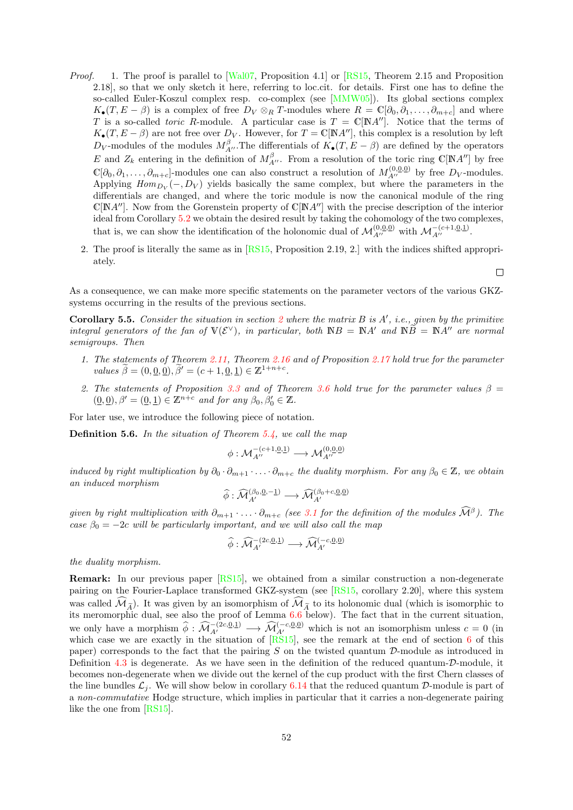- Proof. 1. The proof is parallel to [\[Wal07,](#page-72-1) Proposition 4.1] or [\[RS15,](#page-71-0) Theorem 2.15 and Proposition 2.18], so that we only sketch it here, referring to loc.cit. for details. First one has to define the so-called Euler-Koszul complex resp. co-complex (see [\[MMW05\]](#page-71-5)). Its global sections complex  $K_{\bullet}(T, E - \beta)$  is a complex of free  $D_V \otimes_R T$ -modules where  $R = \mathbb{C}[\partial_0, \partial_1, \dots, \partial_{m+c}]$  and where T is a so-called *toric R*-module. A particular case is  $T = \mathbb{C}[\mathbb{N}A'']$ . Notice that the terms of  $K_{\bullet}(T, E - \beta)$  are not free over  $D_V$ . However, for  $T = \mathbb{C}[N A'']$ , this complex is a resolution by left  $D_V$ -modules of the modules  $M_{A''}^{\beta}$ . The differentials of  $K_{\bullet}(T, E - \beta)$  are defined by the operators E and  $Z_k$  entering in the definition of  $M_{A''}^{\beta}$ . From a resolution of the toric ring C[NA''] by free  $\mathbb{C}[\partial_0,\partial_1,\ldots,\partial_{m+c}]$ -modules one can also construct a resolution of  $M_{A''}^{(0,\underline{0},\underline{0})}$  by free  $D_V$ -modules. Applying  $Hom_{D_V}(-, D_V)$  yields basically the same complex, but where the parameters in the differentials are changed, and where the toric module is now the canonical module of the ring  $\mathbb{C}[N,A'']$ . Now from the Gorenstein property of  $\mathbb{C}[N,A'']$  with the precise description of the interior ideal from Corollary [5.2](#page-48-2) we obtain the desired result by taking the cohomology of the two complexes, that is, we can show the identification of the holonomic dual of  $\mathcal{M}_{A''}^{(0,0,0)}$  with  $\mathcal{M}_{A''}^{-(c+1,0,1)}$ .
	- 2. The proof is literally the same as in [\[RS15,](#page-71-0) Proposition 2.19, 2.] with the indices shifted appropriately.

 $\Box$ 

As a consequence, we can make more specific statements on the parameter vectors of the various GKZsystems occurring in the results of the previous sections.

<span id="page-51-1"></span>**Corollary 5.5.** Consider the situation in section [2](#page-14-0) where the matrix  $B$  is  $A'$ , i.e., given by the primitive integral generators of the fan of  $V(\mathcal{E}^{\vee})$ , in particular, both  $\mathbb{N}B = \mathbb{N}A'$  and  $\mathbb{N}\widetilde{B} = \mathbb{N}A''$  are normal semigroups. Then

- 1. The statements of Theorem [2.11,](#page-20-0) Theorem [2.16](#page-24-0) and of Proposition [2.17](#page-25-0) hold true for the parameter values  $\widetilde{\beta} = (0, \underline{0}, \underline{0}), \widetilde{\beta}' = (c + 1, \underline{0}, \underline{1}) \in \mathbb{Z}^{1+n+c}$ .
- 2. The statements of Proposition [3.3](#page-33-0) and of Theorem [3.6](#page-35-1) hold true for the parameter values  $\beta =$  $(\underline{0}, \underline{0}), \beta' = (\underline{0}, \underline{1}) \in \mathbb{Z}^{n+c}$  and for any  $\beta_0, \beta'_0 \in \mathbb{Z}$ .

For later use, we introduce the following piece of notation.

<span id="page-51-0"></span>**Definition 5.6.** In the situation of Theorem [5.4,](#page-50-0) we call the map

$$
\phi: \mathcal{M}_{A''}^{-(c+1,\underline{0},\underline{1})}\longrightarrow \mathcal{M}_{A''}^{(0,\underline{0},\underline{0})}
$$

induced by right multiplication by  $\partial_0 \cdot \partial_{m+1} \cdot \ldots \cdot \partial_{m+c}$  the duality morphism. For any  $\beta_0 \in \mathbb{Z}$ , we obtain an induced morphism

$$
\widehat{\phi}: \widehat{\mathcal{M}}_{A'}^{(\beta_0, \underline{0}, -\underline{1})} \longrightarrow \widehat{\mathcal{M}}_{A'}^{(\beta_0+c, \underline{0}, \underline{0})}
$$

given by right multiplication with  $\partial_{m+1} \cdots \partial_{m+c}$  (see [3.1](#page-32-0) for the definition of the modules  $\widehat{\mathcal{M}}^{\beta}$ ). The case  $\beta_0 = -2c$  will be particularly important, and we will also call the map

$$
\widehat{\phi}: \widehat{\mathcal{M}}_{A'}^{-(2c,\underline{0},\underline{1})} \longrightarrow \widehat{\mathcal{M}}_{A'}^{(-c,\underline{0},\underline{0})}
$$

the duality morphism.

Remark: In our previous paper [\[RS15\]](#page-71-0), we obtained from a similar construction a non-degenerate pairing on the Fourier-Laplace transformed GKZ-system (see [\[RS15,](#page-71-0) corollary 2.20], where this system was called  $\widehat{\mathcal{M}}_{\widetilde{\Lambda}}$ ). It was given by an isomorphism of  $\widehat{\mathcal{M}}_{\widetilde{\Lambda}}$  to its holonomic dual (which is isomorphic to its meromorphic dual, see also the proof of Lemma [6.6](#page-58-0) below). The fact that in the current situation, we only have a morphism  $\widehat{\phi}: \widehat{\mathcal{M}}_{A'}^{-(2c,\underline{0},\underline{1})} \longrightarrow \widehat{\mathcal{M}}_{A'}^{(-c,\underline{0},\underline{0})}$  which is not an isomorphism unless  $c = 0$  (in which case we are exactly in the situation of  $[RS15]$ , see the remark at the end of section [6](#page-52-0) of this paper) corresponds to the fact that the pairing  $S$  on the twisted quantum  $D$ -module as introduced in Definition [4.3](#page-44-0) is degenerate. As we have seen in the definition of the reduced quantum-D-module, it becomes non-degenerate when we divide out the kernel of the cup product with the first Chern classes of the line bundles  $\mathcal{L}_i$ . We will show below in corollary [6.14](#page-64-0) that the reduced quantum D-module is part of a non-commutative Hodge structure, which implies in particular that it carries a non-degenerate pairing like the one from [\[RS15\]](#page-71-0).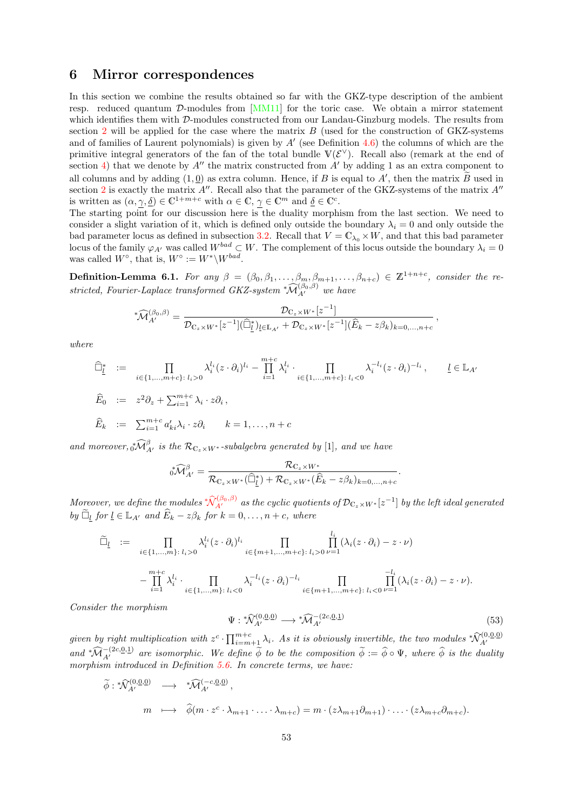### <span id="page-52-3"></span><span id="page-52-0"></span>6 Mirror correspondences

In this section we combine the results obtained so far with the GKZ-type description of the ambient resp. reduced quantum D-modules from [\[MM11\]](#page-71-4) for the toric case. We obtain a mirror statement which identifies them with D-modules constructed from our Landau-Ginzburg models. The results from section [2](#page-14-0) will be applied for the case where the matrix  $B$  (used for the construction of GKZ-systems and of families of Laurent polynomials) is given by  $A'$  (see Definition [4.6\)](#page-46-1) the columns of which are the primitive integral generators of the fan of the total bundle  $V(\mathcal{E}^{\vee})$ . Recall also (remark at the end of section [4\)](#page-42-0) that we denote by  $A''$  the matrix constructed from  $A'$  by adding 1 as an extra component to all columns and by adding  $(1, 0)$  as extra column. Hence, if B is equal to A', then the matrix  $\tilde{B}$  used in section [2](#page-14-0) is exactly the matrix  $A''$ . Recall also that the parameter of the GKZ-systems of the matrix  $A''$ is written as  $(\alpha, \gamma, \underline{\delta}) \in \mathbb{C}^{1+m+c}$  with  $\alpha \in \mathbb{C}, \gamma \in \mathbb{C}^m$  and  $\underline{\delta} \in \mathbb{C}^c$ .

The starting point for our discussion here is the duality morphism from the last section. We need to consider a slight variation of it, which is defined only outside the boundary  $\lambda_i = 0$  and only outside the bad parameter locus as defined in subsection [3.2.](#page-35-2) Recall that  $V = \mathbb{C}_{\lambda_0} \times W$ , and that this bad parameter locus of the family  $\varphi_{A'}$  was called  $W^{bad} \subset W$ . The complement of this locus outside the boundary  $\lambda_i = 0$ was called  $W^{\circ}$ , that is,  $W^{\circ} := W^* \backslash W^{bad}$ .

<span id="page-52-2"></span>**Definition-Lemma 6.1.** For any  $\beta = (\beta_0, \beta_1, \dots, \beta_m, \beta_{m+1}, \dots, \beta_{n+c}) \in \mathbb{Z}^{1+n+c}$ , consider the restricted, Fourier-Laplace transformed GKZ-system  ${}^*\widehat{\mathcal{M}}_{A'}^{(\beta_0,\beta)}$  we have

$$
\widehat{M}_{A'}^{(\beta_0,\beta)} = \frac{\mathcal{D}_{C_z \times W^*}[z^{-1}]}{\mathcal{D}_{C_z \times W^*}[z^{-1}](\widehat{\Box}_{\underline{l}}^*)_{\underline{l} \in \mathbb{L}_{A'}} + \mathcal{D}_{C_z \times W^*}[z^{-1}](\widehat{E}_k - z\beta_k)_{k=0,\dots,n+c}},
$$

where

$$
\begin{aligned}\n\widehat{\Box}^*_{\underline{l}} &:= \prod_{i \in \{1, \dots, m+c\} : l_i > 0} \lambda_i^{l_i} (z \cdot \partial_i)^{l_i} - \prod_{i=1}^{m+c} \lambda_i^{l_i} \cdot \prod_{i \in \{1, \dots, m+c\} : l_i < 0} \lambda_i^{-l_i} (z \cdot \partial_i)^{-l_i}, \qquad \underline{l} \in \mathbb{L}_{A'} \\
\widehat{E}_0 &:= z^2 \partial_z + \sum_{i=1}^{m+c} \lambda_i \cdot z \partial_i, \\
\widehat{E}_k &:= \sum_{i=1}^{m+c} a'_{ki} \lambda_i \cdot z \partial_i \qquad k = 1, \dots, n+c\n\end{aligned}
$$

and moreover,  $\sqrt[3]{M}_{A'}^{\beta}$  is the  $\mathcal{R}_{\mathbb{C}_z \times W^*}$ -subalgebra generated by [1], and we have

$$
\sqrt[*]{\mathcal{M}}_{A'}^{\beta} = \frac{\mathcal{R}_{\mathbb{C}_z \times W^*}}{\mathcal{R}_{\mathbb{C}_z \times W^*}(\widehat{\Box}_{\underline{l}}^*) + \mathcal{R}_{\mathbb{C}_z \times W^*}(\widehat{E}_k - z\beta_k)_{k=0,\dots,n+c}}.
$$

Moreover, we define the modules  $\sqrt[*]{\mathcal{N}_{A'}^{(\beta_0,\beta)}}$  $\sqrt[*]{\mathcal{N}_{A'}^{(\beta_0,\beta)}}$  $\sqrt[*]{\mathcal{N}_{A'}^{(\beta_0,\beta)}}$  as the cyclic quotients of  $\mathcal{D}_{\mathbb{C}_z\times W^*}[z^{-1}]$  by the left ideal generated by  $\tilde{\Box}_l$  for  $l \in \mathbb{L}_{A'}$  and  $\hat{E}_k - z\beta_k$  for  $k = 0, \ldots, n + c$ , where

$$
\widetilde{\Box}_{\underline{l}} := \prod_{\substack{i \in \{1,\ldots,m\}: \\ \cdots \\ i=1}} \lambda_i^{l_i} (z \cdot \partial_i)^{l_i} \prod_{\substack{i \in \{m+1,\ldots,m+c\}: \\ \cdots \\ i \in \{1,\ldots,m\}: \\ l_i < 0}} \prod_{i \in \{m+1,\ldots,m+c\}: \\ l_i > 0} \prod_{\substack{i \in \{m+1,\ldots,m+c\}: \\ i \in \{m+1,\ldots,m+c\}: \\ l_i < 0}} \prod_{\substack{l \in \{1,\ldots,m\}: \\ l_i < 0}} \prod_{\substack{i \in \{m+1,\ldots,m+c\}: \\ i \in \{m+1,\ldots,m+c\}: \\ l_i < 0}} \lambda_i^{l_i} (z \cdot \partial_i) - z \cdot \nu).
$$

Consider the morphism

<span id="page-52-1"></span>
$$
\Psi: \sqrt[*]{\mathcal{N}}_{A'}^{(0,\underline{0},\underline{0})} \longrightarrow \sqrt[*]{\mathcal{N}}_{A'}^{-(2c,\underline{0},\underline{1})} \tag{53}
$$

given by right multiplication with  $z^c \cdot \prod_{i=m+1}^{m+c} \lambda_i$ . As it is obviously invertible, the two modules  ${}^*\!{\mathcal{N}}^{(0,0,0)}_{A'}$ <br>and  ${}^*\!{\mathcal{M}}^{-(2c,0,1)}_{A'}$  are isomorphic. We define  $\widetilde{\phi}$  to be the composition  $\widet$ morphism introduced in Definition [5.6.](#page-51-0) In concrete terms, we have:

$$
\widetilde{\phi}: \sqrt[n]{\lambda}^{(0,\underline{0},\underline{0})}_{A'} \longrightarrow \sqrt[n]{\lambda}^{(-c,\underline{0},\underline{0})}_{A'},
$$
\n
$$
m \longmapsto \widehat{\phi}(m \cdot z^c \cdot \lambda_{m+1} \cdot \ldots \cdot \lambda_{m+c}) = m \cdot (z\lambda_{m+1}\partial_{m+1}) \cdot \ldots \cdot (z\lambda_{m+c}\partial_{m+c}).
$$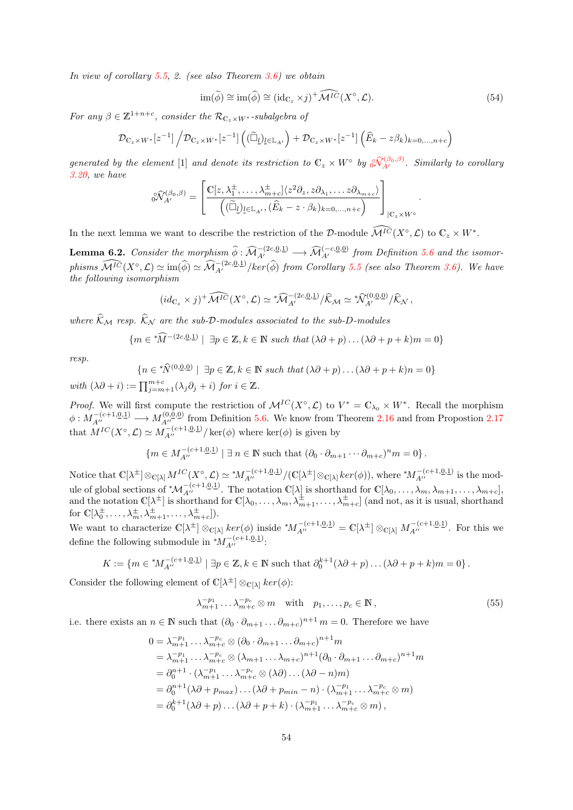<span id="page-53-3"></span>In view of corollary [5.5,](#page-51-1) 2. (see also Theorem [3.6\)](#page-35-1) we obtain

<span id="page-53-1"></span>
$$
\operatorname{im}(\widetilde{\phi}) \cong \operatorname{im}(\widehat{\phi}) \cong (\operatorname{id}_{\mathbb{C}_z} \times j)^+ \widehat{\mathcal{M}^{IC}}(X^\circ, \mathcal{L}). \tag{54}
$$

.

For any  $\beta \in \mathbb{Z}^{1+n+c}$ , consider the  $\mathcal{R}_{\mathbb{C}_z \times W^*}$ -subalgebra of

$$
\mathcal{D}_{\mathbb{C}_z\times W^*}[z^{-1}]\left/\mathcal{D}_{\mathbb{C}_z\times W^*}[z^{-1}]\left((\widetilde{\Box}\underline{\iota})_{\underline{\iota}\in\mathbb{L}_{A'}}\right)+\mathcal{D}_{\mathbb{C}_z\times W^*}[z^{-1}]\left(\widehat{E}_k-z\beta_k)_{k=0,\ldots,n+c}\right)\right.
$$

generated by the element [1] and denote its restriction to  $\mathbb{C}_z \times W^{\circ}$  by  $\partial \widehat{\mathcal{N}}_{A'}^{(\beta_0,\beta)}$  $\partial \widehat{\mathcal{N}}_{A'}^{(\beta_0,\beta)}$  $\partial \widehat{\mathcal{N}}_{A'}^{(\beta_0,\beta)}$ . Similarly to corollary [3.20,](#page-41-1) we have

$$
\widehat{d}_{A'}^{\widehat{b}(\beta_0,\beta)} = \left[ \frac{\mathbb{C}[z,\lambda_1^{\pm},\ldots,\lambda_{m+c}^{\pm}]\langle z^2 \partial_z, z \partial_{\lambda_1},\ldots z \partial_{\lambda_{m+c}}\rangle}{\left( (\widetilde{\Box}_l)_{l \in \mathbb{L}_{A'}}, (\widehat{E}_k - z \cdot \beta_k)_{k=0,\ldots,n+c} \right)} \right]_{|C_z \times W^{\circ}}
$$

In the next lemma we want to describe the restriction of the D-module  $\widehat{\mathcal{M}^{IC}}(X^{\circ}, \mathcal{L})$  to  $\mathbb{C}_z \times W^*$ .

<span id="page-53-2"></span>**Lemma 6.2.** Consider the morphism  $\widehat{\phi}: \widehat{M}_{A'}^{-(2c,\underline{0},\underline{1})} \longrightarrow \widehat{M}_{A'}^{(-c,\underline{0},\underline{0})}$  from Definition [5.6](#page-51-0) and the isomorphisms  $\widehat{\mathcal{M}^{IC}}(X^{\circ}, \mathcal{L}) \simeq \text{im}(\widehat{\phi}) \simeq \widehat{\mathcal{M}}_{A'}^{-(2c, \underline{0}, \underline{1})}/\text{ker}(\widehat{\phi})$  from Corollary [5.5](#page-51-1) (see also Theorem [3.6\)](#page-35-1). We have the following isomorphism

$$
(id_{\mathbb{C}_{z}} \times j)^{+} \widehat{\mathcal{M}^{IC}}(X^{\circ}, \mathcal{L}) \simeq \sqrt[\ast]{\mathcal{M}}_{A'}^{-\left(2c, \underline{0}, \underline{1}\right)} / \widehat{\mathcal{K}}_{\mathcal{M}} \simeq \sqrt[\ast]{\mathcal{N}}_{A'}^{(0, \underline{0}, \underline{0})} / \widehat{\mathcal{K}}_{\mathcal{N}},
$$

where  $\widehat{\mathcal{K}}_{\mathcal{M}}$  resp.  $\widehat{\mathcal{K}}_{\mathcal{N}}$  are the sub-D-modules associated to the sub-D-modules

$$
\{m \in {}^*\widehat{M}^{-(2c,\underline{0},\underline{1})} \mid \exists p \in \mathbb{Z}, k \in \mathbb{N} \ such \ that \ (\lambda \partial + p) \dots (\lambda \partial + p + k)m = 0\}
$$

resp.

$$
\{n \in \sqrt[*]{\mathcal{N}}^{(0,\underline{0},\underline{0})} \mid \exists p \in \mathbb{Z}, k \in \mathbb{N} \text{ such that } (\lambda \partial + p) \dots (\lambda \partial + p + k)n = 0\}
$$

with  $(\lambda \partial + i) := \prod_{j=m+1}^{m+c} (\lambda_j \partial_j + i)$  for  $i \in \mathbb{Z}$ .

*Proof.* We will first compute the restriction of  $\mathcal{M}^{IC}(X^{\circ}, \mathcal{L})$  to  $V^* = \mathbb{C}_{\lambda_0} \times W^*$ . Recall the morphism  $\phi: M_{A''}^{-(c+1, \underline{0}, \underline{1})} \longrightarrow M_{A''}^{(0, \underline{0}, \underline{0})}$  from Definition [5.6.](#page-51-0) We know from Theorem [2.16](#page-24-0) and from Propostion [2.17](#page-25-0) that  $M^{IC}(X^{\circ}, \mathcal{L}) \simeq M_{A''}^{-(c+1, \underline{0}, \underline{1})}/\ker(\phi)$  where  $\ker(\phi)$  is given by

$$
\{m \in M_{A''}^{-(c+1,\underline{0},\underline{1})} \mid \exists n \in \mathbb{N} \text{ such that } (\partial_0 \cdot \partial_{m+1} \cdots \partial_{m+c})^n m = 0\}.
$$

Notice that  $\mathbb{C}[\lambda^{\pm}] \otimes_{\mathbb{C}[\lambda]} M^{IC}(X^{\circ}, \mathcal{L}) \simeq {^*M}^{- (c+1, \underline{0}, \underline{1})}_{A''}/(\mathbb{C}[\lambda^{\pm}] \otimes_{\mathbb{C}[\lambda]} ker(\phi)),$  where  $^{*}M^{- (c+1, \underline{0}, \underline{1})}_{A''}$  is the module of global sections of  $^*\mathcal{M}_{A''}^{-(c+1,\underline{0},\underline{1})}$ . The notation  $\mathbb{C}[\lambda]$  is shorthand for  $\mathbb{C}[\lambda_0,\ldots,\lambda_m,\lambda_{m+1},\ldots,\lambda_{m+c}]$ , and the notation  $\mathbb{C}[\lambda^{\pm}]$  is shorthand for  $\mathbb{C}[\lambda_0,\ldots,\lambda_m,\lambda_{m+1}^{\pm},\ldots,\lambda_{m+c}^{\pm}]$  (and not, as it is usual, shorthand for  $\mathbb{C}[\lambda_0^{\pm}, \ldots, \lambda_m^{\pm}, \lambda_{m+1}^{\pm}, \ldots, \lambda_{m+c}^{\pm}]).$ 

We want to characterize  $\mathbb{C}[\lambda^{\pm}] \otimes_{\mathbb{C}[\lambda]} \ker(\phi)$  inside  $^*M_{A''}^{-(c+1,\underline{0},\underline{1})} = \mathbb{C}[\lambda^{\pm}] \otimes_{\mathbb{C}[\lambda]} M_{A''}^{-(c+1,\underline{0},\underline{1})}$ . For this we define the following submodule in  $^*M_{A''}^{-(c+1,\underline{0},\underline{1})}$ :

$$
K := \{ m \in {^*M}_{A''}^{-(c+1,0,1)} \mid \exists p \in \mathbb{Z}, k \in \mathbb{N} \text{ such that } \partial_0^{k+1}(\lambda \partial + p) \dots (\lambda \partial + p + k)m = 0 \}.
$$

Consider the following element of  $\mathbb{C}[\lambda^{\pm}] \otimes_{\mathbb{C}[\lambda]} \ker(\phi)$ :

<span id="page-53-0"></span>
$$
\lambda_{m+1}^{-p_1} \dots \lambda_{m+c}^{-p_c} \otimes m \quad \text{with} \quad p_1, \dots, p_c \in \mathbb{N}, \tag{55}
$$

i.e. there exists an  $n \in \mathbb{N}$  such that  $(\partial_0 \cdot \partial_{m+1} \dots \partial_{m+c})^{n+1}$   $m = 0$ . Therefore we have

$$
0 = \lambda_{m+1}^{-p_1} \dots \lambda_{m+c}^{-p_c} \otimes (\partial_0 \cdot \partial_{m+1} \dots \partial_{m+c})^{n+1} m
$$
  
\n
$$
= \lambda_{m+1}^{-p_1} \dots \lambda_{m+c}^{-p_c} \otimes (\lambda_{m+1} \dots \lambda_{m+c})^{n+1} (\partial_0 \cdot \partial_{m+1} \dots \partial_{m+c})^{n+1} m
$$
  
\n
$$
= \partial_0^{n+1} \cdot (\lambda_{m+1}^{-p_1} \dots \lambda_{m+c}^{-p_c} \otimes (\lambda \partial) \dots (\lambda \partial - n) m)
$$
  
\n
$$
= \partial_0^{n+1} (\lambda \partial + p_{max}) \dots (\lambda \partial + p_{min} - n) \cdot (\lambda_{m+1}^{-p_1} \dots \lambda_{m+c}^{-p_c} \otimes m)
$$
  
\n
$$
= \partial_0^{k+1} (\lambda \partial + p) \dots (\lambda \partial + p + k) \cdot (\lambda_{m+1}^{-p_1} \dots \lambda_{m+c}^{-p_c} \otimes m),
$$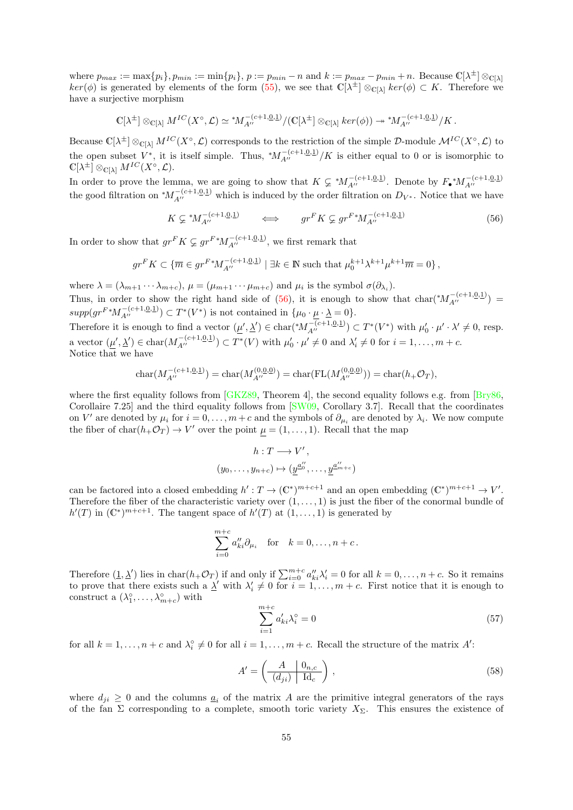where  $p_{max} := \max\{p_i\}, p_{min} := \min\{p_i\}, p := p_{min} - n$  and  $k := p_{max} - p_{min} + n$ . Because  $\mathbb{C}[\lambda^{\pm}] \otimes_{\mathbb{C}[\lambda]}$  $ker(\phi)$  is generated by elements of the form [\(55\)](#page-53-0), we see that  $\mathbb{C}[\lambda^{\pm}] \otimes_{\mathbb{C}[\lambda]} ker(\phi) \subset K$ . Therefore we have a surjective morphism

$$
\mathbb{C}[\lambda^{\pm}] \otimes_{\mathbb{C}[\lambda]} M^{IC}(X^{\circ}, \mathcal{L}) \simeq M_{A''}^{-(c+1, \underline{0}, \underline{1})} / (\mathbb{C}[\lambda^{\pm}] \otimes_{\mathbb{C}[\lambda]} \ker(\phi)) \twoheadrightarrow {^*M}_{A''}^{-(c+1, \underline{0}, \underline{1})} / K.
$$

Because  $\mathbb{C}[\lambda^{\pm}] \otimes_{\mathbb{C}[\lambda]} M^{IC}(X^{\circ}, \mathcal{L})$  corresponds to the restriction of the simple D-module  $\mathcal{M}^{IC}(X^{\circ}, \mathcal{L})$  to the open subset  $V^*$ , it is itself simple. Thus,  $^*M_{A''}^{-(c+1,\underline{0},\underline{1})}/K$  is either equal to 0 or is isomorphic to  $\mathbb{C}[\lambda^{\pm}] \otimes_{\mathbb{C}[\lambda]} M^{IC}(X^{\circ}, \mathcal{L}).$ 

In order to prove the lemma, we are going to show that  $K \subsetneq M_{A''}^{-(c+1,0,1)}$ . Denote by  $F_{\bullet} M_{A''}^{-(c+1,0,1)}$ the good filtration on  $^*M_{A''}^{-(c+1,0,1)}$  which is induced by the order filtration on  $D_{V^*}$ . Notice that we have

<span id="page-54-0"></span>
$$
K \subsetneq {}^{*}M_{A''}^{-(c+1,\underline{0},\underline{1})} \qquad \Longleftrightarrow \qquad gr^{F}K \subsetneq gr^{F} {}^{*}M_{A''}^{-(c+1,\underline{0},\underline{1})} \tag{56}
$$

In order to show that  $gr^F K \varsubsetneq gr^{F \ast} M_{A''}^{-(c+1,\underline{0},\underline{1})}$ , we first remark that

$$
gr^F K \subset \{ \overline{m} \in gr^{F*} M_{A''}^{-(c+1, \underline{0}, \underline{1})} \mid \exists k \in \mathbb{N} \text{ such that } \mu_0^{k+1} \lambda^{k+1} \mu^{k+1} \overline{m} = 0 \},
$$

where  $\lambda = (\lambda_{m+1} \cdots \lambda_{m+c}), \mu = (\mu_{m+1} \cdots \mu_{m+c})$  and  $\mu_i$  is the symbol  $\sigma(\partial_{\lambda_i}).$ Thus, in order to show the right hand side of [\(56\)](#page-54-0), it is enough to show that  $char(*M_{A''}^{-(c+1,0,1)})$  $supp(gr^{F}M_{A''}^{-(c+1,\underline{0},\underline{1})}) \subset T^{*}(V^{*})$  is not contained in  $\{\mu_0 \cdot \underline{\mu} \cdot \underline{\lambda} = 0\}.$ 

Therefore it is enough to find a vector  $(\underline{\mu}', \underline{\lambda}') \in \text{char}(*M_{A''}^{-(c+1, \underline{0}, \underline{1})}) \subset T^*(V^*)$  with  $\mu'_0 \cdot \mu' \cdot \lambda' \neq 0$ , resp. a vector  $(\underline{\mu}', \underline{\lambda}') \in \text{char}(M_{A''}^{-(c+1, \underline{0}, \underline{1})}) \subset T^*(V)$  with  $\mu'_0 \cdot \mu' \neq 0$  and  $\lambda'_i \neq 0$  for  $i = 1, \ldots, m + c$ . Notice that we have

$$
char(M_{A''}^{-(c+1,\underline{0},\underline{1})}) = char(M_{A''}^{(0,\underline{0},\underline{0})}) = char(FL(M_{A''}^{(0,\underline{0},\underline{0})})) = char(h_+\mathcal{O}_T),
$$

where the first equality follows from [\[GKZ89,](#page-70-9) Theorem 4], the second equality follows e.g. from [\[Bry86,](#page-69-6)] Corollaire 7.25] and the third equality follows from [\[SW09,](#page-72-2) Corollary 3.7]. Recall that the coordinates on V' are denoted by  $\mu_i$  for  $i = 0, \ldots, m + c$  and the symbols of  $\partial_{\mu_i}$  are denoted by  $\lambda_i$ . We now compute the fiber of  $char(h_+\mathcal{O}_T) \to V'$  over the point  $\mu = (1,\ldots,1)$ . Recall that the map

$$
h: T \longrightarrow V',
$$
  

$$
(y_0, \dots, y_{n+c}) \mapsto (\underline{y}^{\underline{a}_0''}, \dots, \underline{y}^{\underline{a}_{m+c}'})
$$

can be factored into a closed embedding  $h': T \to (\mathbb{C}^*)^{m+c+1}$  and an open embedding  $(\mathbb{C}^*)^{m+c+1} \to V'.$ Therefore the fiber of the characteristic variety over  $(1, \ldots, 1)$  is just the fiber of the conormal bundle of  $h'(T)$  in  $(\mathbb{C}^*)^{m+c+1}$ . The tangent space of  $h'(T)$  at  $(1,\ldots,1)$  is generated by

$$
\sum_{i=0}^{m+c} a_{ki}'' \partial_{\mu_i} \quad \text{for} \quad k = 0, \dots, n+c.
$$

Therefore  $(\underline{1}, \underline{\lambda}')$  lies in char $(h_+\mathcal{O}_T)$  if and only if  $\sum_{i=0}^{m+c} a''_{ki} \lambda'_i = 0$  for all  $k = 0, \ldots, n+c$ . So it remains to prove that there exists such a  $\underline{\lambda}'$  with  $\lambda'_i \neq 0$  for  $i = 1, \ldots, m + c$ . First notice that it is enough to construct a  $(\lambda_1^{\circ}, \ldots, \lambda_{m+c}^{\circ})$  with

$$
\sum_{i=1}^{m+c} a'_{ki} \lambda_i^{\circ} = 0 \tag{57}
$$

for all  $k = 1, ..., n + c$  and  $\lambda_i^{\circ} \neq 0$  for all  $i = 1, ..., m + c$ . Recall the structure of the matrix A':

$$
A' = \left(\frac{A}{(d_{ji})} \left| \frac{0_{n,c}}{1 \mathrm{d}_c} \right| \right),\tag{58}
$$

where  $d_{ii} \geq 0$  and the columns  $\underline{a}_i$  of the matrix A are the primitive integral generators of the rays of the fan  $\Sigma$  corresponding to a complete, smooth toric variety  $X_{\Sigma}$ . This ensures the existence of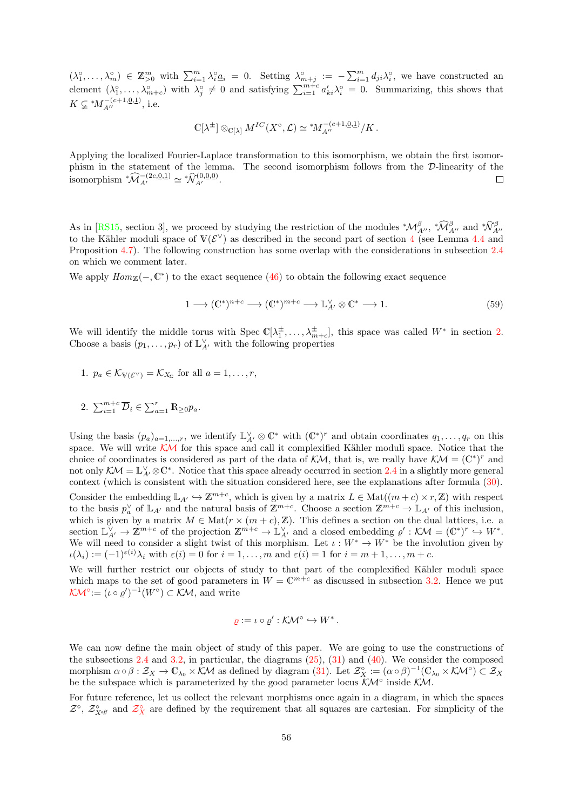<span id="page-55-0"></span> $(\lambda_1^{\circ},\ldots,\lambda_m^{\circ}) \in \mathbb{Z}_{\geq 0}^m$  with  $\sum_{i=1}^m \lambda_i^{\circ} \underline{a}_i = 0$ . Setting  $\lambda_{m+j}^{\circ} := -\sum_{i=1}^m d_{ji} \lambda_i^{\circ}$ , we have constructed an element  $(\lambda_1^{\circ}, \ldots, \lambda_{m+c}^{\circ})$  with  $\lambda_j^{\circ} \neq 0$  and satisfying  $\sum_{i=1}^{m+c} a'_{ki} \lambda_i^{\circ} = 0$ . Summarizing, this shows that  $K \subsetneq M_{A''}^{-(c+1,\underline{0},\underline{1})}$ , i.e.

$$
\mathbb{C}[\lambda^{\pm}] \otimes_{\mathbb{C}[\lambda]} M^{IC}(X^{\circ}, \mathcal{L}) \simeq {^*M}_{A''}^{-(c+1, \underline{0}, \underline{1})}/K.
$$

Applying the localized Fourier-Laplace transformation to this isomorphism, we obtain the first isomorphism in the statement of the lemma. The second isomorphism follows from the D-linearity of the isomorphism  $^*\widehat{\mathcal{M}}_{A'}^{-(2c,\underline{0},\underline{1})} \simeq \mathcal{N}_{A'}^{(0,\underline{0},\underline{0})}.$  $\Box$ 

As in [\[RS15,](#page-71-0) section 3], we proceed by studying the restriction of the modules  ${}^*\mathcal{M}_{A''}^{\beta}$ ,  ${}^*\mathcal{M}_{A''}^{\beta}$  and  ${}^*\mathcal{N}_{A''}^{\beta}$ to the Kähler moduli space of  $V(\mathcal{E}^{\vee})$  as described in the second part of section [4](#page-42-0) (see Lemma [4.4](#page-45-0) and Proposition [4.7\)](#page-46-2). The following construction has some overlap with the considerations in subsection [2.4](#page-25-1) on which we comment later.

We apply  $Hom_{\mathbb{Z}}(-, \mathbb{C}^*)$  to the exact sequence [\(46\)](#page-46-3) to obtain the following exact sequence

$$
1 \longrightarrow (\mathbb{C}^*)^{n+c} \longrightarrow (\mathbb{C}^*)^{m+c} \longrightarrow \mathbb{L}^{\vee}_{A'} \otimes \mathbb{C}^* \longrightarrow 1. \tag{59}
$$

We will identify the middle torus with Spec  $\mathbb{C}[\lambda_1^{\pm},\ldots,\lambda_{m+c}^{\pm}]$ , this space was called  $W^*$  in section [2.](#page-14-0) Choose a basis  $(p_1, \ldots, p_r)$  of  $\mathbb{L}_{A'}^{\vee}$  with the following properties

1. 
$$
p_a \in \mathcal{K}_{V(\mathcal{E}^{\vee})} = \mathcal{K}_{X_{\Sigma}}
$$
 for all  $a = 1, ..., r$ ,

2. 
$$
\sum_{i=1}^{m+c} \overline{D}_i \in \sum_{a=1}^r \mathbb{R}_{\geq 0} p_a.
$$

Using the basis  $(p_a)_{a=1,\ldots,r}$ , we identify  $\mathbb{L}_{A'}^{\vee} \otimes \mathbb{C}^*$  with  $(\mathbb{C}^*)^r$  and obtain coordinates  $q_1,\ldots,q_r$  on this space. We will write  $K\mathcal{M}$  for this space and call it complexified Kähler moduli space. Notice that the choice of coordinates is considered as part of the data of  $KM$ , that is, we really have  $\mathcal{K}M = (\mathbb{C}^*)^r$  and not only  $\mathcal{K}\mathcal{M}=\mathbb{L}^{\vee}_{A'}\otimes\mathbb{C}^*$ . Notice that this space already occurred in section [2.4](#page-25-1) in a slightly more general context (which is consistent with the situation considered here, see the explanations after formula [\(30\)](#page-29-0).

Consider the embedding  $\mathbb{L}_{A'} \hookrightarrow \mathbb{Z}^{m+c}$ , which is given by a matrix  $L \in \text{Mat}((m+c) \times r, \mathbb{Z})$  with respect to the basis  $p_a^{\vee}$  of  $\mathbb{L}_{A'}$  and the natural basis of  $\mathbb{Z}^{m+c}$ . Choose a section  $\mathbb{Z}^{m+c} \to \mathbb{L}_{A'}$  of this inclusion, which is given by a matrix  $M \in Mat(r \times (m + c), \mathbb{Z})$ . This defines a section on the dual lattices, i.e. a section  $\mathbb{L}_{A'}^{\vee} \to \mathbb{Z}^{m+c}$  of the projection  $\mathbb{Z}^{m+c} \to \mathbb{L}_{A'}^{\vee}$  and a closed embedding  $\varrho' : \mathcal{KM} = (\mathbb{C}^*)^r \hookrightarrow W^*$ . We will need to consider a slight twist of this morphism. Let  $\iota: W^* \to W^*$  be the involution given by  $\iota(\lambda_i) := (-1)^{\varepsilon(i)} \lambda_i$  with  $\varepsilon(i) = 0$  for  $i = 1, \ldots, m$  and  $\varepsilon(i) = 1$  for  $i = m+1, \ldots, m+c$ .

We will further restrict our objects of study to that part of the complexified Kähler moduli space which maps to the set of good parameters in  $W = \mathbb{C}^{m+c}$  as discussed in subsection [3.2.](#page-35-2) Hence we put  $\mathcal{K} \mathcal{M}^{\circ} := (\iota \circ \varrho')^{-1}(W^{\circ}) \subset \mathcal{K} \mathcal{M},$  and write

$$
\varrho := \iota \circ \varrho' : \mathcal{K} \mathcal{M}^{\circ} \hookrightarrow W^*.
$$

We can now define the main object of study of this paper. We are going to use the constructions of the subsections [2.4](#page-25-1) and [3.2,](#page-35-2) in particular, the diagrams [\(25\)](#page-27-0), [\(31\)](#page-30-0) and [\(40\)](#page-36-2). We consider the composed morphism  $\alpha \circ \beta : \mathcal{Z}_X \to \mathbb{C}_{\lambda_0} \times \mathcal{KM}$  as defined by diagram [\(31\)](#page-30-0). Let  $\mathcal{Z}_X^{\circ} := (\alpha \circ \beta)^{-1}(\mathbb{C}_{\lambda_0} \times \mathcal{KM}^{\circ}) \subset \mathcal{Z}_X$ be the subspace which is parameterized by the good parameter locus  $\mathcal{KM}^{\circ}$  inside  $\mathcal{KM}$ .

For future reference, let us collect the relevant morphisms once again in a diagram, in which the spaces  $\mathcal{Z}^{\circ}$  $\mathcal{Z}^{\circ}$  $\mathcal{Z}^{\circ}$ ,  $\mathcal{Z}_{X}^{\circ}$  and  $\mathcal{Z}_{X}^{\circ}$  are defined by the requirement that all squares are cartesian. For simplicity of the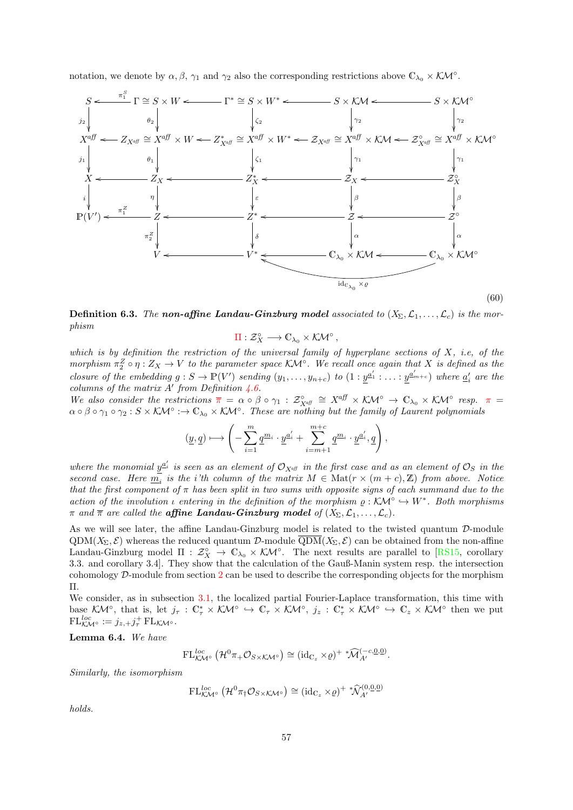<span id="page-56-3"></span>notation, we denote by  $\alpha, \beta, \gamma_1$  and  $\gamma_2$  also the corresponding restrictions above  $\mathbb{C}_{\lambda_0} \times \mathcal{K} \mathcal{M}^\circ$ .

<span id="page-56-0"></span>

<span id="page-56-1"></span>**Definition 6.3.** The non-affine Landau-Ginzburg model associated to  $(X_{\Sigma}, \mathcal{L}_1, \ldots, \mathcal{L}_c)$  is the morphism

$$
\Pi: \mathcal{Z}_X^{\circ} \longrightarrow \mathbb{C}_{\lambda_0} \times \mathcal{K\!M}^{\circ} ,
$$

which is by definition the restriction of the universal family of hyperplane sections of  $X$ , i.e, of the morphism  $\pi_2^Z \circ \eta : Z_X \to V$  to the parameter space KM<sup>°</sup>. We recall once again that X is defined as the closure of the embedding  $g: S \to \mathbb{P}(V')$  sending  $(y_1, \ldots, y_{n+c})$  to  $(1: \underline{y}^{\underline{a}'_1}: \ldots: \underline{y}^{\underline{a}'_{m+c}})$  where  $\underline{a}'_i$  are the columns of the matrix  $A'$  from Definition [4.6.](#page-46-1)

We also consider the restrictions  $\overline{\pi} = \alpha \circ \beta \circ \gamma_1 : \mathcal{Z}_{X^{\text{aff}}_{X}}^{\circ} \cong X^{\text{aff}} \times \mathcal{K} \mathcal{M}^{\circ} \to \mathbb{C}_{\lambda_0} \times \mathcal{K} \mathcal{M}^{\circ}$  resp.  $\pi =$  $\alpha \circ \beta \circ \gamma_1 \circ \gamma_2 : S \times K\mathcal{M}^\circ : \to \mathbb{C}_{\lambda_0} \times K\mathcal{M}^\circ$ . These are nothing but the family of Laurent polynomials

$$
(\underline{y}, \underline{q}) \longmapsto \left( -\sum_{i=1}^{m} \underline{q}^{m_i} \cdot \underline{y}^{a'_i} + \sum_{i=m+1}^{m+c} \underline{q}^{m_i} \cdot \underline{y}^{a'_i}, \underline{q} \right),
$$

where the monomial  $y^{\underline{a}'_i}$  is seen as an element of  $\mathcal{O}_{X^{\alpha\beta}}$  in the first case and as an element of  $\mathcal{O}_S$  in the second case. Here  $\overline{m}_i$  is the i'th column of the matrix  $M \in Mat(r \times (m+c), \mathbb{Z})$  from above. Notice that the first component of  $\pi$  has been split in two sums with opposite signs of each summand due to the action of the involution  $\iota$  entering in the definition of the morphism  $\rho : K\mathcal{M}^\circ \hookrightarrow W^*$ . Both morphisms  $\pi$  and  $\overline{\pi}$  are called the **affine Landau-Ginzburg model** of  $(X_{\Sigma}, \mathcal{L}_1, \ldots, \mathcal{L}_c)$ .

As we will see later, the affine Landau-Ginzburg model is related to the twisted quantum D-module  $QDM(X_{\Sigma}, \mathcal{E})$  whereas the reduced quantum D-module  $\overline{QDM}(X_{\Sigma}, \mathcal{E})$  can be obtained from the non-affine Landau-Ginzburg model  $\Pi : \mathcal{Z}_X^{\circ} \to \mathbb{C}_{\lambda_0} \times \mathcal{K}M^{\circ}$ . The next results are parallel to [\[RS15,](#page-71-0) corollary 3.3. and corollary 3.4]. They show that the calculation of the Gauß-Manin system resp. the intersection cohomology  $\mathcal{D}$ -module from section [2](#page-14-0) can be used to describe the corresponding objects for the morphism Π.

We consider, as in subsection [3.1,](#page-32-1) the localized partial Fourier-Laplace transformation, this time with base KM<sup>°</sup>, that is, let  $j_{\tau}: \mathbb{C}_{\tau}^* \times K\mathcal{M}^{\circ} \hookrightarrow \mathbb{C}_{\tau} \times K\mathcal{M}^{\circ}$ ,  $j_z: \mathbb{C}_{\tau}^* \times K\mathcal{M}^{\circ} \hookrightarrow \mathbb{C}_{z} \times K\mathcal{M}^{\circ}$  then we put  $\mathrm{FL}^{loc}_{\mathcal{K\!M}^{\circ}} := j_{z,+} j_{\tau}^{+} \mathrm{FL}_{\mathcal{K\!M}^{\circ}}.$ 

<span id="page-56-2"></span>Lemma 6.4. We have

$$
\mathrm{FL}^{loc}_{\mathcal{K}\mathcal{M}^{\circ}}\left(\mathcal{H}^0\pi_{+}\mathcal{O}_{S\times\mathcal{K}\mathcal{M}^{\circ}}\right)\cong(\mathrm{id}_{\mathbb{C}_{z}}\times\varrho)^{+}\sqrt[\ast]{\mathcal{M}}^{(-c,\underline{0},\underline{0})}_{A'}.
$$

Similarly, the isomorphism

$$
\mathrm{FL}^{loc}_{\mathcal{KM}^\circ}(\mathcal{H}^0\pi_\dagger\mathcal{O}_{S\times\mathcal{KM}^\circ})\cong(\mathrm{id}_{\mathbb{C}_z}\times\varrho)^{+}\sqrt[\ast]{\mathcal{N}}^{(0,0,0)}_{A'}
$$

holds.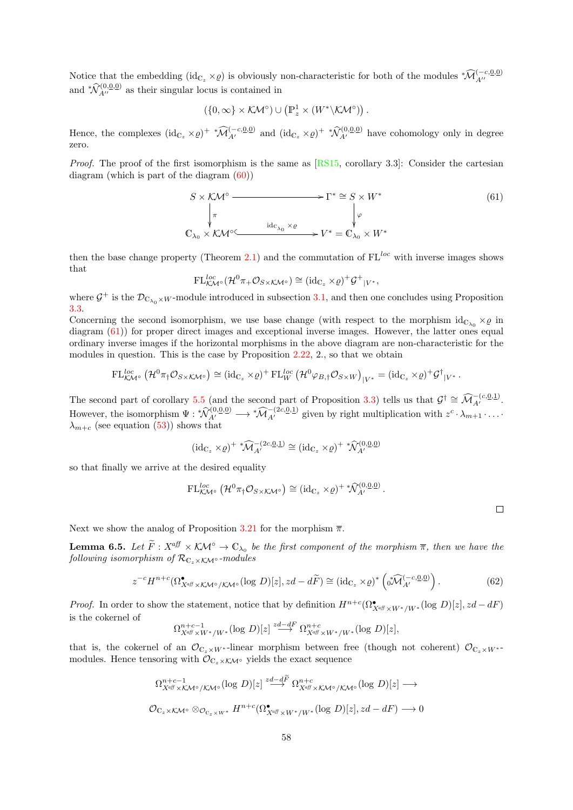Notice that the embedding  $(id_{\mathbb{C}_z} \times \varrho)$  is obviously non-characteristic for both of the modules  $^*\widehat{\mathcal{M}}_{A''}^{(-c,0,0)}$ and  $\sqrt[*]{\mathcal{N}}_{A}^{(0,\underline{0},\underline{0})}$  as their singular locus is contained in

$$
\left(\{0,\infty\}\times\mathcal{K}\mathcal{M}^\circ\right)\cup\left(\mathbb{P}_z^1\times\left(W^*\backslash\mathcal{K}\mathcal{M}^\circ\right)\right).
$$

Hence, the complexes  $(\mathrm{id}_{\mathbb{C}_z} \times \varrho)^+ * \widehat{\mathcal{M}}_{A'}^{(-c, \underline{0}, \underline{0})}$  and  $(\mathrm{id}_{\mathbb{C}_z} \times \varrho)^+ * \widehat{\mathcal{N}}_{A'}^{(0, \underline{0}, \underline{0})}$  have cohomology only in degree zero.

Proof. The proof of the first isomorphism is the same as [\[RS15,](#page-71-0) corollary 3.3]: Consider the cartesian diagram (which is part of the diagram [\(60\)](#page-56-0))

<span id="page-57-0"></span>
$$
S \times K\mathcal{M}^{\circ} \longrightarrow \Gamma^* \cong S \times W^* \downarrow \pi \qquad \qquad \downarrow \varphi \n\mathbb{C}_{\lambda_0} \times K\mathcal{M}^{\circ} \longrightarrow \text{Idc}_{\lambda_0} \times \varrho \longrightarrow V^* = \mathbb{C}_{\lambda_0} \times W^*
$$
\n(61)

then the base change property (Theorem [2.1\)](#page-15-1) and the commutation of  $FL^{loc}$  with inverse images shows that

$$
\mathrm{FL}^{loc}_{\mathcal{KM}^\circ}(\mathcal{H}^0\pi_+\mathcal{O}_{S\times\mathcal{KM}^\circ})\cong(\mathrm{id}_{\mathbb{C}_z}\times\varrho)^+\mathcal{G}^+|_{V^*},
$$

where  $\mathcal{G}^+$  is the  $\mathcal{D}_{\mathbb{C}_{\lambda_0}\times W}$ -module introduced in subsection [3.1,](#page-32-1) and then one concludes using Proposition [3.3.](#page-33-0)

Concerning the second isomorphism, we use base change (with respect to the morphism  $id_{C_{\lambda_0}} \times \varrho$  in diagram [\(61\)](#page-57-0)) for proper direct images and exceptional inverse images. However, the latter ones equal ordinary inverse images if the horizontal morphisms in the above diagram are non-characteristic for the modules in question. This is the case by Proposition [2.22,](#page-30-1) 2., so that we obtain

$$
\mathrm{FL}_{\mathcal{K}\mathcal{M}^{\circ}}^{loc}(\mathcal{H}^0\pi_{\dagger}\mathcal{O}_{S\times\mathcal{K}\mathcal{M}^{\circ}})\cong(\mathrm{id}_{\mathbb{C}_{z}}\times\varrho)^{+}\mathrm{FL}_{W}^{loc}(\mathcal{H}^0\varphi_{B,\dagger}\mathcal{O}_{S\times W})_{|V^{*}}=(\mathrm{id}_{\mathbb{C}_{z}}\times\varrho)^{+}\mathcal{G}^{\dagger}_{|V^{*}}.
$$

The second part of corollary [5.5](#page-51-1) (and the second part of Proposition [3.3\)](#page-33-0) tells us that  $\mathcal{G}^{\dagger} \cong \widehat{\mathcal{M}}_{A'}^{-(c,\underline{0},\underline{1})}$ . However, the isomorphism  $\Psi: \sqrt[n]{a_1^{(0,0,0)}} \longrightarrow \sqrt[n]{a_1^{(2c,0,1)}}$  given by right multiplication with  $z^c \cdot \lambda_{m+1} \cdot \ldots$  $\lambda_{m+c}$  (see equation [\(53\)](#page-52-1)) shows that

$$
(\mathrm{id}_{\mathbb{C}_z} \times \varrho)^+ \sqrt[*]{\mathcal{M}}_{A'}^{-(2c,\underline{0},\underline{1})} \cong (\mathrm{id}_{\mathbb{C}_z} \times \varrho)^+ \sqrt[*]{\mathcal{N}}_{A'}^{(0,\underline{0},\underline{0})}
$$

so that finally we arrive at the desired equality

$$
\mathrm{FL}^{loc}_{\mathcal{KM}^\circ}\left(\mathcal{H}^0\pi_\dagger\mathcal{O}_{S\times\mathcal{KM}^\circ}\right)\cong (\mathrm{id}_{\mathbb{C}_z}\times\varrho)^{+\,*}\widehat{\mathcal{N}}^{(0,\underline{0},\underline{0})}_{A'}\,.
$$

Next we show the analog of Proposition [3.21](#page-42-1) for the morphism  $\bar{\pi}$ .

**Lemma 6.5.** Let  $\widetilde{F}: X^{\text{aff}} \times \mathcal{K} \mathcal{M}^{\circ} \to \mathbb{C}_{\lambda_0}$  be the first component of the morphism  $\overline{\pi}$ , then we have the following isomorphism of  $\mathcal{R}_{C_z \times K}$ <sup>o</sup>-modules

<span id="page-57-1"></span>
$$
z^{-c}H^{n+c}(\Omega^{\bullet}_{X^{a\beta}\times\mathcal{K}\mathcal{M}^{\circ}/\mathcal{K}\mathcal{M}^{\circ}}(\log D)[z],zd-d\widetilde{F})\cong(\mathrm{id}_{\mathbb{C}_{z}}\times\varrho)^{*}\left(\sqrt[n]{\mathcal{M}}_{A'}^{(-c,\underline{0},\underline{0})}\right).
$$
 (62)

*Proof.* In order to show the statement, notice that by definition  $H^{n+c}(\Omega^{\bullet}_{X^{a\beta} \times W^*/W^*}(\log D)[z], zd-dF)$ is the cokernel of

$$
\Omega^{n+c-1}_{X^{\alpha\beta} \times W^*/W^*}(\log D)[z] \stackrel{zd-dF}{\longrightarrow} \Omega^{n+c}_{X^{\alpha\beta} \times W^*/W^*}(\log D)[z],
$$

that is, the cokernel of an  $\mathcal{O}_{\mathbb{C}_x\times W^*}$ -linear morphism between free (though not coherent)  $\mathcal{O}_{\mathbb{C}_z\times W^{*}}$ modules. Hence tensoring with  $\mathcal{O}_{\mathbb{C}_z \times \mathcal{K} \mathcal{M}^\circ}$  yields the exact sequence

$$
\Omega_{X^{\alpha\beta}\times\mathcal{KM}^{\circ}/\mathcal{KM}^{\circ}}^{n+c-1}(\log D)[z] \stackrel{zd-d\widetilde{F}}{\longrightarrow} \Omega_{X^{\alpha\beta}\times\mathcal{KM}^{\circ}/\mathcal{KM}^{\circ}}^{n+c}(\log D)[z] \longrightarrow
$$
  

$$
\mathcal{O}_{\mathbb{C}_{z}\times\mathcal{KM}^{\circ}} \otimes_{\mathcal{O}_{\mathbb{C}_{z}\times W^*}} H^{n+c}(\Omega_{X^{\alpha\beta}\times W^*/W^*}^{\bullet}(\log D)[z], zd-dF) \longrightarrow 0
$$

 $\Box$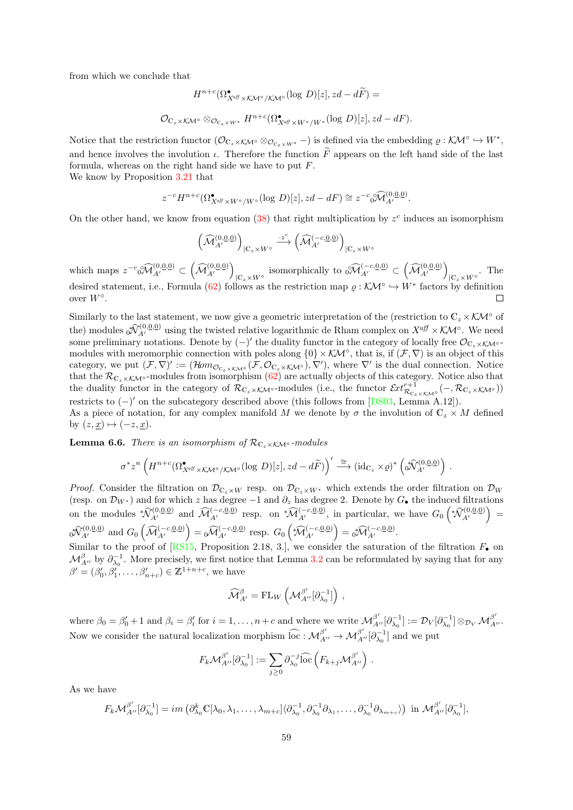from which we conclude that

$$
H^{n+c}(\Omega^{\bullet}_{X^{\alpha} \mathcal{B} \times \mathcal{K} \mathcal{M}^{\circ}/\mathcal{K} \mathcal{M}^{\circ}}(\log D)[z], zd - d\widetilde{F}) =
$$
  

$$
\mathcal{O}_{\mathbb{C}_z \times \mathcal{K} \mathcal{M}^{\circ}} \otimes_{\mathcal{O}_{\mathbb{C}_z \times W^*}} H^{n+c}(\Omega^{\bullet}_{X^{\alpha} \mathcal{B} \times W^*/W^*}(\log D)[z], zd - dF).
$$

Notice that the restriction functor  $(\mathcal{O}_{\mathbb{C}_z\times\mathcal{K}\mathcal{M}^{\circ}}\otimes_{\mathcal{O}_{\mathbb{C}_z\times W^*}}-)$  is defined via the embedding  $\varrho:\mathcal{K}\mathcal{M}^{\circ}\hookrightarrow W^*$ , and hence involves the involution  $\iota$ . Therefore the function  $\tilde{F}$  appears on the left hand side of the last formula, whereas on the right hand side we have to put F.

We know by Proposition [3.21](#page-42-1) that

$$
z^{-c}H^{n+c}(\Omega^{\bullet}_{X^{a\beta} \times W^{\circ}/W^{\circ}}(\log D)[z], zd-dF) \cong z^{-c} \sqrt[\circ]{\mathcal{M}}^{(0,0,0)}_{A'}.
$$

On the other hand, we know from equation  $(38)$  that right multiplication by  $z^c$  induces an isomorphism

$$
\left(\widehat{\mathcal{M}}_{A'}^{(0,\underline{0},\underline{0})}\right)_{|\mathbb{C}_z\times W^{\circ}} \xrightarrow{\cdot z^c} \left(\widehat{\mathcal{M}}_{A'}^{(-c,\underline{0},\underline{0})}\right)_{|\mathbb{C}_z\times W^{\circ}}
$$

which maps  $z^{-c} \partial \widehat{\mathcal{M}}_{A'}^{(0,\underline{0},\underline{0})} \subset (\widehat{\mathcal{M}}_{A'}^{(0,\underline{0},\underline{0})})$  ${}_{\vert C_z \times W^{\circ}}$  isomorphically to  ${}_{0}^{\circ} \widehat{M}_{A'}^{(-c,\underline{0},\underline{0})} \subset (\widehat{M}_{A'}^{(0,\underline{0},\underline{0})})$  $|C_z \times W^{\circ}$  The desired statement, i.e., Formula [\(62\)](#page-57-1) follows as the restriction map  $\rho : \mathcal{K}M^{\circ} \hookrightarrow W^*$  factors by definition over  $W^{\circ}$ .  $\Box$ 

Similarly to the last statement, we now give a geometric interpretation of the (restriction to  $\mathbb{C}_z \times \mathcal{KN}^{\circ}$  of the) modules  $\sqrt[n]{V}^{(0,0,0)}_{A'}$  using the twisted relative logarithmic de Rham complex on  $X^{aff} \times \mathcal{KN}^{\circ}$ . We need some preliminary notations. Denote by  $(-)'$  the duality functor in the category of locally free  $\mathcal{O}_{\mathbb{C}_z\times\mathcal{K}\mathcal{M}^{\circ}}$ modules with meromorphic connection with poles along  $\{0\} \times \mathcal{K}M^\circ$ , that is, if  $(\mathcal{F}, \nabla)$  is an object of this category, we put  $(\mathcal{F}, \nabla)' := (\mathcal{H}om_{\mathcal{O}_{C_z \times \mathcal{K}M^{\circ}}}(\mathcal{F}, \mathcal{O}_{C_z \times \mathcal{K}M^{\circ}}), \nabla')$ , where  $\nabla'$  is the dual connection. Notice that the  $\mathcal{R}_{\mathbb{C}_z\times\mathcal{K}\mathcal{M}^\circ}$ -modules from isomorphism [\(62\)](#page-57-1) are actually objects of this category. Notice also that the duality functor in the category of  $\mathcal{R}_{\mathbb{C}_z\times\mathcal{KM}^\circ}$ -modules (i.e., the functor  $\mathcal{E}xt_{\mathcal{R}_{\mathbb{C}_z\times\mathcal{KM}^\circ}}^{r+1}(-,\mathcal{R}_{\mathbb{C}_z\times\mathcal{KM}^\circ}))$ restricts to  $(-)'$  on the subcategory described above (this follows from [\[DS03,](#page-70-2) Lemma A.12]).

As a piece of notation, for any complex manifold M we denote by  $\sigma$  the involution of  $\mathbb{C}_z \times M$  defined by  $(z, \underline{x}) \mapsto (-z, \underline{x}).$ 

<span id="page-58-0"></span>**Lemma 6.6.** There is an isomorphism of  $\mathcal{R}_{\mathbb{C}\times\mathcal{K}M^{\circ}}$ -modules

$$
\sigma^* z^n \left( H^{n+c}(\Omega^{\bullet}_{X^{\alpha} \mathcal{B} \times \mathcal{K} \mathcal{M}^{\circ}/\mathcal{K} \mathcal{M}^{\circ}}(\log D)[z], zd - d\widetilde{F}) \right)' \stackrel{\cong}{\longrightarrow} (\mathrm{id}_{\mathbb{C}_z} \times \varrho)^* \left( \sqrt[n]{\mathcal{N}}^{\left(0, \underline{0}, \underline{0}\right)}_{A'} \right) .
$$

*Proof.* Consider the filtration on  $\mathcal{D}_{\mathbb{C}_z\times W}$  resp. on  $\mathcal{D}_{\mathbb{C}_z\times W^*}$  which extends the order filtration on  $\mathcal{D}_W$ (resp. on  $\mathcal{D}_{W^*}$ ) and for which z has degree  $-1$  and  $\partial_z$  has degree 2. Denote by  $G_{\bullet}$  the induced filtrations on the modules  $*\widehat{\mathcal{N}}_{A'}^{(0,0,0)}$  and  $\widehat{\mathcal{M}}_{A'}^{(-c,0,0)}$  resp. on  $*\widehat{\mathcal{M}}_{A'}^{(-c,0,0)}$ , in particular, we have  $G_0\nvert *\widehat{\mathcal{N}}_{A'}^{(0,0,0)}$  =  ${}_0^*\!\hat{\mathcal{N}}^{(0,\underline{0},\underline{0})}_{A'}$  and  $G_0\left(\widehat{\mathcal{M}}^{(-c,\underline{0},\underline{0})}_{A'}\right) = {}_0\!\widehat{\mathcal{M}}^{(-c,\underline{0},\underline{0})}_{A'}$  resp.  $G_0\left(\widehat{^*\mathcal{M}}^{(-c,\underline{0},\underline{0})}_{A'}\right) = {}_0^*\!\widehat{\mathcal{M}}^{(-c,\underline{0},\underline{0})}_{A'}.$ 

Similar to the proof of  $[RS15,$  Proposition 2.18, 3.], we consider the saturation of the filtration  $F_{\bullet}$  on  $\mathcal{M}_{A''}^{\beta}$  by  $\partial_{\lambda_0}^{-1}$ . More precisely, we first notice that Lemma [3.2](#page-32-2) can be reformulated by saying that for any  $\beta' = (\beta'_0, \beta'_1, \dots, \beta'_{n+c}) \in \mathbb{Z}^{1+n+c}$ , we have

$$
\widehat{\mathcal{M}}^\beta_{A'} = \mathrm{FL}_W \left( {\mathcal{M}}^{\beta'}_{A''} [\partial_{\lambda_0}^{-1}] \right) ,
$$

where  $\beta_0 = \beta'_0 + 1$  and  $\beta_i = \beta'_i$  for  $i = 1, \ldots, n + c$  and where we write  $\mathcal{M}_{A''}^{\beta'}[\partial_{\lambda_0}^{-1}] := \mathcal{D}_V[\partial_{\lambda_0}^{-1}] \otimes_{\mathcal{D}_V} \mathcal{M}_{A''}^{\beta'}$ . Now we consider the natural localization morphism  $\widehat{loc}: \mathcal{M}_{A''}^{\beta'} \to \mathcal{M}_{A''}^{\beta'}[\partial_{\lambda_0}^{-1}]$  and we put

$$
F_{k} \mathcal{M}_{A''}^{\beta'}[\partial_{\lambda_0}^{-1}] := \sum_{j\geq 0} \partial_{\lambda_0}^{-j} \widehat{\text{loc}} \left( F_{k+j} \mathcal{M}_{A''}^{\beta'} \right) .
$$

As we have

$$
F_k \mathcal{M}_{A''}^{\beta'}[\partial_{\lambda_0}^{-1}] = im \left( \partial_{\lambda_0}^k \mathbb{C}[\lambda_0, \lambda_1, \dots, \lambda_{m+c}] \langle \partial_{\lambda_0}^{-1}, \partial_{\lambda_0}^{-1} \partial_{\lambda_1}, \dots, \partial_{\lambda_0}^{-1} \partial_{\lambda_{m+c}} \rangle \right) \text{ in } \mathcal{M}_{A''}^{\beta'}[\partial_{\lambda_0}^{-1}],
$$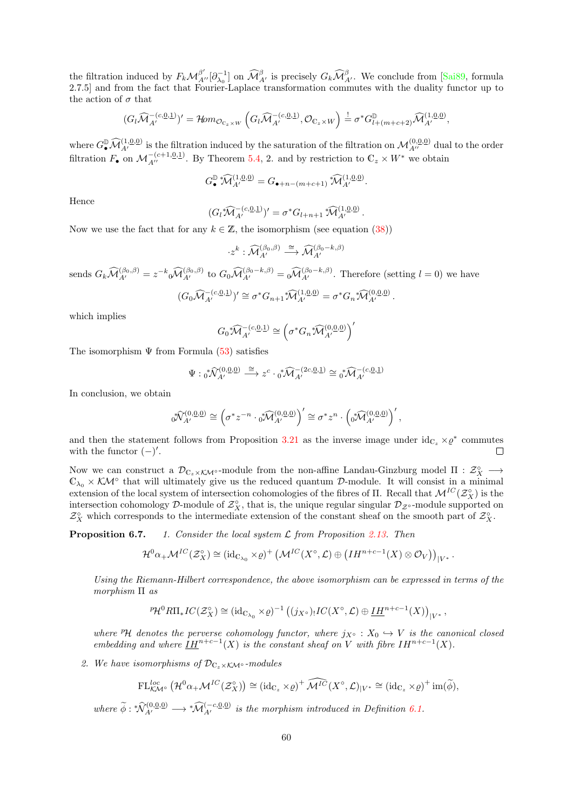the filtration induced by  $F_k \mathcal{M}_{A'}^{\beta'}[\partial_{\lambda_0}^{-1}]$  on  $\widehat{\mathcal{M}}_{A'}^{\beta}$  is precisely  $G_k \widehat{\mathcal{M}}_{A'}^{\beta}$ . We conclude from [\[Sai89,](#page-72-3) formula 2.7.5] and from the fact that Fourier-Laplace transformation commutes with the duality functor up to the action of  $\sigma$  that

$$
(G_l\widehat{\mathcal{M}}_{A'}^{-(c,\underline{0},\underline{1})})' = \mathcal{H}\!om_{\mathcal{O}_{\mathbb{C}_z\times W}}\left(G_l\widehat{\mathcal{M}}_{A'}^{-(c,\underline{0},\underline{1})},\mathcal{O}_{\mathbb{C}_z\times W}\right) \stackrel{!}{=} \sigma^* G_{l+(m+c+2)}^{\mathbb{D}}\widehat{\mathcal{M}}_{A'}^{(1,\underline{0},\underline{0})},
$$

where  $G^{\mathbb{D}}_{\mathcal{A}}(\mathcal{M}_{A'}^{(1,\underline{0},\underline{0})})$  is the filtration induced by the saturation of the filtration on  $\mathcal{M}_{A''}^{(0,\underline{0},\underline{0})}$  dual to the order filtration  $F_{\bullet}$  on  $\mathcal{M}_{A''}^{-(c+1,\underline{0},\underline{1})}$ . By Theorem [5.4,](#page-50-0) 2. and by restriction to  $\mathbb{C}_z \times W^*$  we obtain

$$
G_{\bullet}^{\mathbb{D}} \widehat{\mathcal{M}}_{A'}^{(1,\underline{0},\underline{0})} = G_{\bullet+n-(m+c+1)} \widehat{\mathcal{M}}_{A'}^{(1,\underline{0},\underline{0})}.
$$

Hence

$$
(G_l^*\widehat{\mathcal{M}}_{A'}^{-(c,\underline{0},\underline{1})})' = \sigma^*G_{l+n+1}^*\widehat{\mathcal{M}}_{A'}^{(1,\underline{0},\underline{0})}.
$$

Now we use the fact that for any  $k \in \mathbb{Z}$ , the isomorphism (see equation [\(38\)](#page-33-1))

$$
\cdot z^k : \widehat{\mathcal{M}}_{A'}^{(\beta_0, \beta)} \stackrel{\cong}{\longrightarrow} \widehat{\mathcal{M}}_{A'}^{(\beta_0 - k, \beta)}
$$

sends  $G_k \widehat{\mathcal{M}}_{A'}^{(\beta_0,\beta)} = z^{-k} \widehat{\mathcal{M}}_{A'}^{(\beta_0,\beta)}$  to  $G_0 \widehat{\mathcal{M}}_{A'}^{(\beta_0-k,\beta)} = \widehat{\mathcal{M}}_{A'}^{(\beta_0-k,\beta)}$ . Therefore (setting  $l = 0$ ) we have

$$
(G_0\widehat{\mathcal{M}}_{A'}^{-(c,0,1)})' \cong \sigma^*G_{n+1}\widehat{\mathcal{M}}_{A'}^{(1,0,0)} = \sigma^*G_n\widehat{\mathcal{M}}_{A'}^{(0,0,0)}.
$$

which implies

$$
G_0\sqrt[*]{\mathcal{M}}_{A'}^{-(c,\underline{0},\underline{1})}\cong \left(\sigma^*G_n\sqrt[*]{\mathcal{M}}_{A'}^{(0,\underline{0},\underline{0})}\right)'
$$

The isomorphism  $\Psi$  from Formula [\(53\)](#page-52-1) satisfies

$$
\Psi: \sqrt[*]{\mathcal{N}}_{A'}^{(0,\underline{0},\underline{0})} \stackrel{\cong}{\longrightarrow} z^c \cdot \sqrt[*]{\mathcal{N}}_{A'}^{-(2c,\underline{0},\underline{1})} \cong \sqrt[*]{\mathcal{N}}_{A'}^{-(c,\underline{0},\underline{1})}
$$

In conclusion, we obtain

$$
\text{tr}\big(\sigma^*\!\!\widehat{\mathcal{M}}^{(0,\underline{0},\underline{0})}_{A'}\cong \left(\sigma^*z^{-n}\cdot \text{tr}\big(\overline{\mathcal{M}}^{(0,\underline{0},\underline{0})}_{A'}\right)'\cong \sigma^*z^n\cdot \left(\text{tr}\big(\overline{\mathcal{M}}^{(0,\underline{0},\underline{0})}_{A'}\right)',
$$

and then the statement follows from Proposition [3.21](#page-42-1) as the inverse image under  $id_{\mathbb{C}_z} \times \varrho^*$  commutes with the functor  $(-)'$ . П

Now we can construct a  $\mathcal{D}_{\mathbb{C}_z\times \mathcal{K}\mathcal{M}^\circ}$ -module from the non-affine Landau-Ginzburg model  $\Pi: \mathcal{Z}_X^\circ \longrightarrow$  $\mathbb{C}_{\lambda_0} \times \mathcal{K}M^{\circ}$  that will ultimately give us the reduced quantum  $\mathcal{D}$ -module. It will consist in a minimal extension of the local system of intersection cohomologies of the fibres of  $\Pi$ . Recall that  $\mathcal{M}^{IC}(\mathcal{Z}_X^{\circ})$  is the intersection cohomology  $\mathcal{D}$ -module of  $\mathcal{Z}_X^{\circ}$ , that is, the unique regular singular  $\mathcal{D}_{\mathcal{Z}^{\circ}}$ -module supported on  $\mathcal{Z}_X^{\circ}$  which corresponds to the intermediate extension of the constant sheaf on the smooth part of  $\mathcal{Z}_X^{\circ}$ .

**Proposition 6.7.** 1. Consider the local system  $\mathcal{L}$  from Proposition [2.13.](#page-22-0) Then

$$
\mathcal{H}^0\alpha_+\mathcal{M}^{IC}(\mathcal{Z}_X^{\circ})\cong (\mathrm{id}_{\mathbb{C}_{\lambda_0}}\times\varrho)^+\left(\mathcal{M}^{IC}(X^{\circ},\mathcal{L})\oplus\left(IH^{n+c-1}(X)\otimes\mathcal{O}_V\right)\right)_{|V^*}
$$

.

Using the Riemann-Hilbert correspondence, the above isomorphism can be expressed in terms of the morphism Π as

$$
{}^p\mathcal{H}^0R\Pi_* IC(\mathcal{Z}_X^{\circ})\cong (\operatorname{id}_{\mathbb{C}_{\lambda_0}}\times \varrho)^{-1}\left((j_{X^{\circ}})_!IC(X^{\circ},\mathcal{L})\oplus \underline{IH}^{n+c-1}(X)\right)_{|V^*},
$$

where  $\mathcal{P}H$  denotes the perverse cohomology functor, where  $j_{X^{\circ}} : X_0 \hookrightarrow V$  is the canonical closed embedding and where  $\underline{IH}^{n+c-1}(X)$  is the constant sheaf on V with fibre  $IH^{n+c-1}(X)$ .

2. We have isomorphisms of  $\mathcal{D}_{\mathbb{C}_{\tau}\times\mathcal{K}\mathcal{M}^{\circ}}$ -modules

$$
\mathrm{FL}^{loc}_{\mathcal{KM}^{\circ}}\left(\mathcal{H}^0\alpha_+\mathcal{M}^{IC}(\mathcal{Z}_X^{\circ})\right)\cong\left(\mathrm{id}_{\mathbb{C}_z}\times\varrho\right)^+\widehat{\mathcal{M}^{IC}}(X^{\circ},\mathcal{L})_{|V^*}\cong\left(\mathrm{id}_{\mathbb{C}_z}\times\varrho\right)^+\mathrm{im}(\widetilde{\phi}),
$$

where  $\widetilde{\phi}: \sqrt[n]{\mathcal{N}_{A'}^{(0,0,0)}} \longrightarrow \sqrt[n]{\mathcal{M}_{A'}^{(-c,0,0)}}$  is the morphism introduced in Definition [6.1.](#page-52-2)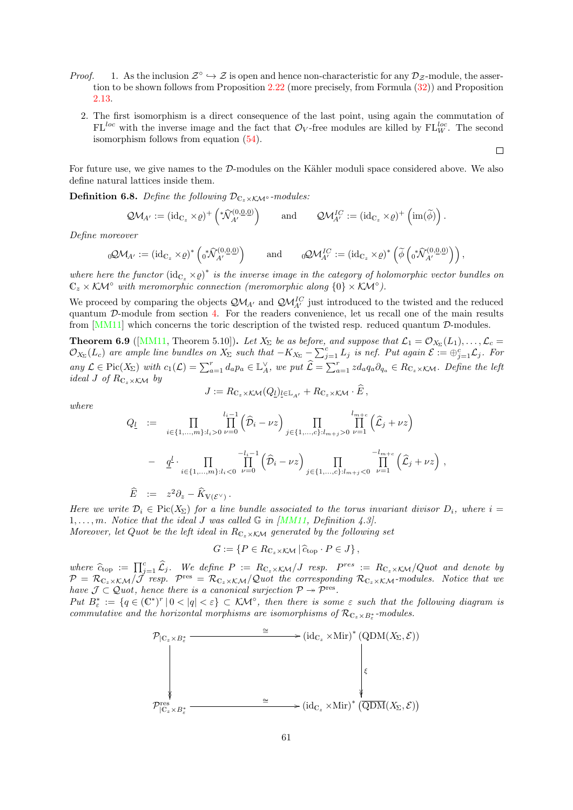- *Proof.* 1. As the inclusion  $\mathcal{Z}^{\circ} \hookrightarrow \mathcal{Z}$  is open and hence non-characteristic for any  $\mathcal{D}_{\mathcal{Z}}$ -module, the assertion to be shown follows from Proposition [2.22](#page-30-1) (more precisely, from Formula [\(32\)](#page-30-2)) and Proposition [2.13.](#page-22-0)
	- 2. The first isomorphism is a direct consequence of the last point, using again the commutation of  $FL^{loc}$  with the inverse image and the fact that  $\mathcal{O}_V$ -free modules are killed by  $FL^{loc}_W$ . The second isomorphism follows from equation [\(54\)](#page-53-1).

 $\Box$ 

For future use, we give names to the  $D$ -modules on the Kähler moduli space considered above. We also define natural lattices inside them.

**Definition 6.8.** Define the following  $\mathcal{D}_{\mathbb{C}_z \times \mathcal{K}}$  -modules:

$$
\mathcal{QM}_{A'} := (\mathrm{id}_{\mathbb{C}_z} \times \varrho)^+ \left( \sqrt[k]{\hat{\mathcal{N}}_{A'}^{(0,0,0)}} \right) \quad \text{and} \quad \mathcal{QM}_{A'}^{IC} := (\mathrm{id}_{\mathbb{C}_z} \times \varrho)^+ \left( \mathrm{im}(\widetilde{\phi}) \right).
$$

Define moreover

$$
{}_{0}\mathcal{QM}_{A'} := (\mathrm{id}_{\mathbb{C}_{z}} \times \varrho)^* \left( {}_{0}^{*} \widehat{\mathcal{N}}_{A'}^{(0,\underline{0},\underline{0})} \right) \quad \text{and} \quad {}_{0}\mathcal{QM}_{A'}^{IC} := (\mathrm{id}_{\mathbb{C}_{z}} \times \varrho)^* \left( \widetilde{\phi} \left( {}_{0}^{*} \widehat{\mathcal{N}}_{A'}^{(0,\underline{0},\underline{0})} \right) \right),
$$

where here the functor  $(id_{\mathbb{C}_z}\times\varrho)^*$  is the inverse image in the category of holomorphic vector bundles on  $\mathbb{C}_z \times \mathcal{KM}^\circ$  with meromorphic connection (meromorphic along  $\{0\} \times \mathcal{KM}^\circ$ ).

We proceed by comparing the objects  $\mathcal{QM}_{A'}$  and  $\mathcal{QM}_{A'}^{IC}$  just introduced to the twisted and the reduced quantum D-module from section [4.](#page-42-0) For the readers convenience, let us recall one of the main results from [\[MM11\]](#page-71-4) which concerns the toric description of the twisted resp. reduced quantum D-modules.

<span id="page-60-0"></span>**Theorem 6.9** ([\[MM11,](#page-71-4) Theorem 5.10]). Let  $X_{\Sigma}$  be as before, and suppose that  $\mathcal{L}_1 = \mathcal{O}_{X_{\Sigma}}(L_1), \ldots, \mathcal{L}_c =$  $\mathcal{O}_{X_{\Sigma}}(L_c)$  are ample line bundles on  $X_{\Sigma}$  such that  $-K_{X_{\Sigma}} - \sum_{j=1}^{c} L_j$  is nef. Put again  $\mathcal{E} := \bigoplus_{j=1}^{c} \mathcal{L}_j$ . For any  $\mathcal{L} \in \text{Pic}(X_{\Sigma})$  with  $c_1(\mathcal{L}) = \sum_{a=1}^r d_a p_a \in \mathbb{L}_A^{\vee}$ , we put  $\widehat{\mathcal{L}} = \sum_{a=1}^r z d_a q_a \partial_{q_a} \in R_{\mathbb{C}_z \times \mathcal{K} \mathcal{M}}$ . Define the left ideal J of  $R_{\mathbb{C}_z\times\mathcal{K}}$  by

$$
J := R_{\mathbb{C}_z \times \mathcal{K} \mathcal{M}}(Q_l)_{\underline{l} \in \mathbb{L}_{A'}} + R_{\mathbb{C}_z \times \mathcal{K} \mathcal{M}} \cdot E,
$$

where

$$
Q_{\underline{l}} := \prod_{i \in \{1, \ldots, m\}: l_i > 0} \prod_{\nu=0}^{l_i-1} (\widehat{D}_i - \nu z) \prod_{j \in \{1, \ldots, c\}: l_{m+j} > 0} \prod_{\nu=1}^{l_{m+c}} (\widehat{L}_j + \nu z)
$$
  

$$
- \underline{q}^{\underline{l}} \cdot \prod_{i \in \{1, \ldots, m\}: l_i < 0} \prod_{\nu=0}^{-l_i-1} (\widehat{D}_i - \nu z) \prod_{j \in \{1, \ldots, c\}: l_{m+j} < 0} \prod_{\nu=1}^{-l_{m+c}} (\widehat{L}_j + \nu z) ,
$$

$$
\widehat{E} \; := \; z^2 \partial_z - \widehat{K}_{V(\mathcal{E}^\vee)} \, .
$$

Here we write  $\mathcal{D}_i \in \text{Pic}(X_\Sigma)$  for a line bundle associated to the torus invariant divisor  $D_i$ , where  $i =$  $1, \ldots, m$ . Notice that the ideal J was called  $\mathbb G$  in [\[MM11,](#page-71-4) Definition 4.3].

Moreover, let Quot be the left ideal in  $R_{C_z \times K}$  generated by the following set

$$
G := \{ P \in R_{\mathbb{C}_z \times \mathcal{K} \mathcal{M}} \, | \, \widehat{c}_{\text{top}} \cdot P \in J \},
$$

where  $\hat{c}_{\text{top}} := \prod_{j=1}^{c} \hat{\mathcal{L}}_j$ . We define  $P := R_{C_z \times K} / J$  resp.  $P^{res} := R_{C_z \times K} / Quot$  and denote by<br> $\mathcal{D} = \mathcal{D}_{\alpha}$ ,  $\mathcal{L}_{\alpha} / \mathcal{L}_{\alpha}$  resp.  $\mathcal{D}_{\alpha}$  is a  $\mathcal{L}_{\alpha}$  of the corresponding  $\mathcal{D}_{\alpha}$ , so a  $\mathcal{P}=\mathcal{R}_{\mathbb{C}_z\times\mathcal{K}\mathcal{M}}/\tilde{\mathcal{J}}$  resp.  $\mathcal{P}^{\text{res}}=\mathcal{R}_{\mathbb{C}_z\times\mathcal{K}\mathcal{M}}/\mathcal{Q}$  uot the corresponding  $\mathcal{R}_{\mathbb{C}_z\times\mathcal{K}\mathcal{M}}$ -modules. Notice that we have  $\mathcal{J} \subset \mathcal{Q}$  uot, hence there is a canonical surjection  $\mathcal{P} \rightarrow \mathcal{P}^{\text{res}}$ .

Put  $B_{\varepsilon}^* := \{q \in (\mathbb{C}^*)^r \mid 0 < |q| < \varepsilon\} \subset \mathcal{KM}^\circ$ , then there is some  $\varepsilon$  such that the following diagram is commutative and the horizontal morphisms are isomorphisms of  $\mathcal{R}_{\mathbb{C}_z\times B^*_\varepsilon}$ -modules.

$$
\mathcal{P}_{|\mathbb{C}_z \times B_{\varepsilon}^*} \longrightarrow (\mathrm{id}_{\mathbb{C}_z} \times \mathrm{Mir})^* (\mathrm{QDM}(X_{\Sigma}, \mathcal{E}))
$$
\n
$$
\downarrow \qquad \qquad \downarrow \qquad \qquad \downarrow
$$
\n
$$
\mathcal{P}_{|\mathbb{C}_z \times B_{\varepsilon}^*}^{\mathrm{res}} \longrightarrow (\mathrm{id}_{\mathbb{C}_z} \times \mathrm{Mir})^* (\overline{\mathrm{QDM}}(X_{\Sigma}, \mathcal{E}))
$$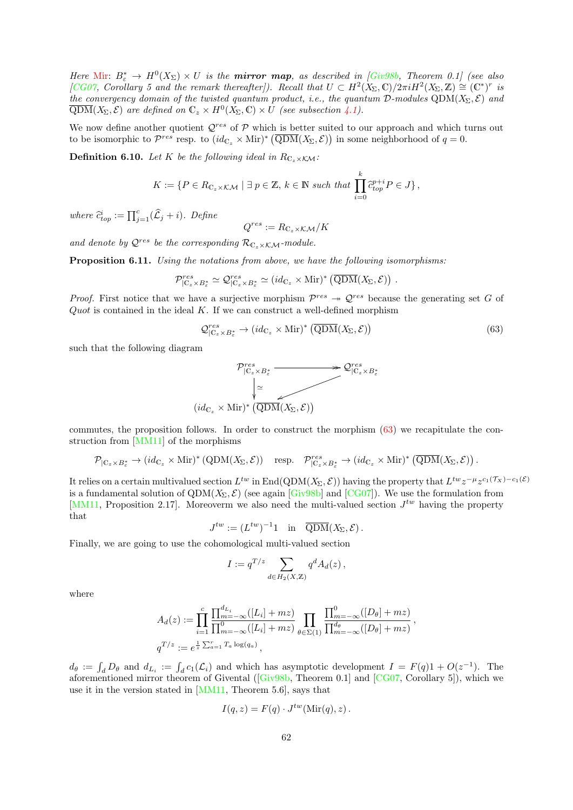<span id="page-61-2"></span>Here [Mir:](#page-69-14)  $B_{\varepsilon}^* \to H^0(X_{\Sigma}) \times U$  is the **mirror map**, as described in [\[Giv98b,](#page-70-5) Theorem 0.1] (see also [\[CG07,](#page-69-2) Corollary 5 and the remark thereafter]). Recall that  $U \subset H^2(X_\Sigma,\mathbb{C})/2\pi i H^2(X_\Sigma,\mathbb{Z}) \cong (\mathbb{C}^*)^r$  is the convergency domain of the twisted quantum product, i.e., the quantum  $\mathcal{D}\text{-modules QDM}(X_{\Sigma}, \mathcal{E})$  and  $\overline{\text{QDM}}(X_{\Sigma}, \mathcal{E})$  are defined on  $\mathbb{C}_z \times H^0(X_{\Sigma}, \mathbb{C}) \times U$  (see subsection [4.1\)](#page-43-0).

We now define another quotient  $Q^{res}$  of  $P$  which is better suited to our approach and which turns out to be isomorphic to  $\mathcal{P}^{res}$  resp. to  $(id_{\mathbb{C}_z} \times \text{Mir})^* (\overline{\text{QDM}}(X_{\Sigma}, \mathcal{E}))$  in some neighborhood of  $q = 0$ .

<span id="page-61-1"></span>**Definition 6.10.** Let K be the following ideal in  $R_{\mathbb{C}_z \times K\mathcal{M}}$ :

$$
K := \{ P \in R_{\mathbb{C}_z \times \mathcal{K} \mathcal{M}} \mid \exists \ p \in \mathbb{Z}, \ k \in \mathbb{N} \ such \ that \ \prod_{i=0}^k \widehat{c}_{top}^{p+i} P \in J \},\
$$

where  $\widehat{c}_{top}^i := \prod_{j=1}^c (\widehat{L}_j + i)$ . Define

$$
Q^{res} := R_{\mathbb{C}_z \times \mathcal{K} \mathcal{M}}/K
$$

and denote by  $\mathcal{Q}^{res}$  be the corresponding  $\mathcal{R}_{\mathbb{C}_z\times\mathcal{KM}}$ -module.

Proposition 6.11. Using the notations from above, we have the following isomorphisms:

$$
\mathcal{P}_{|\mathbb{C}_z \times B^*_{\varepsilon}}^{res} \simeq \mathcal{Q}_{|\mathbb{C}_z \times B^*_{\varepsilon}}^{res} \simeq (id_{\mathbb{C}_z} \times \text{Mir})^* (\overline{\text{QDM}}(X_{\Sigma}, \mathcal{E})) \ .
$$

*Proof.* First notice that we have a surjective morphism  $\mathcal{P}^{res} \rightarrow \mathcal{Q}^{res}$  because the generating set G of  $Quot$  is contained in the ideal  $K$ . If we can construct a well-defined morphism

<span id="page-61-0"></span>
$$
\mathcal{Q}_{|\mathbb{C}_{z}\times B_{\varepsilon}^{*}}^{res} \to (id_{\mathbb{C}_{z}} \times \text{Mir})^{*} (\overline{\text{QDM}}(X_{\Sigma}, \mathcal{E}))
$$
\n(63)

such that the following diagram



commutes, the proposition follows. In order to construct the morphism [\(63\)](#page-61-0) we recapitulate the construction from [\[MM11\]](#page-71-4) of the morphisms

$$
\mathcal{P}_{|\mathbb{C}_z \times B^*_{\varepsilon}} \to (id_{\mathbb{C}_z} \times \text{Mir})^* (\text{QDM}(X_{\Sigma}, \mathcal{E})) \quad \text{resp.} \quad \mathcal{P}^{res}_{|\mathbb{C}_z \times B^*_{\varepsilon}} \to (id_{\mathbb{C}_z} \times \text{Mir})^* (\overline{\text{QDM}}(X_{\Sigma}, \mathcal{E})) .
$$

It relies on a certain multivalued section  $L^{tw}$  in End(QDM( $X_{\Sigma}, \mathcal{E}$ )) having the property that  $L^{tw}z^{-\mu}z^{c_1(\mathcal{T}_X)-c_1(\mathcal{E})}$ is a fundamental solution of  $QDM(X_{\Sigma}, \mathcal{E})$  (see again [\[Giv98b\]](#page-70-5) and [\[CG07\]](#page-69-2)). We use the formulation from [\[MM11,](#page-71-4) Proposition 2.17]. Moreoverm we also need the multi-valued section  $J^{tw}$  having the property that

$$
J^{tw} := (L^{tw})^{-1} 1 \quad \text{in} \quad \overline{QDM}(X_{\Sigma}, \mathcal{E}).
$$

Finally, we are going to use the cohomological multi-valued section

$$
I := q^{T/z} \sum_{d \in H_2(X,\mathbb{Z})} q^d A_d(z),
$$

where

$$
A_d(z) := \prod_{i=1}^c \frac{\prod_{m=-\infty}^{d_{L_i}}([L_i] + mz)}{\prod_{m=-\infty}^0 ([L_i] + mz)} \prod_{\theta \in \Sigma(1)} \frac{\prod_{m=-\infty}^0 ([D_\theta] + mz)}{\prod_{m=-\infty}^{d_\theta} ([D_\theta] + mz)},
$$
  

$$
q^{T/z} := e^{\frac{1}{z} \sum_{a=1}^r T_a \log(q_a)},
$$

 $d_{\theta} := \int_{d} D_{\theta}$  and  $d_{L_i} := \int_{d} c_1(\mathcal{L}_i)$  and which has asymptotic development  $I = F(q)1 + O(z^{-1})$ . The aforementioned mirror theorem of Givental([\[Giv98b,](#page-70-5) Theorem 0.1] and [\[CG07,](#page-69-2) Corollary 5]), which we use it in the version stated in [\[MM11,](#page-71-4) Theorem 5.6], says that

$$
I(q, z) = F(q) \cdot J^{tw}(\text{Mir}(q), z) .
$$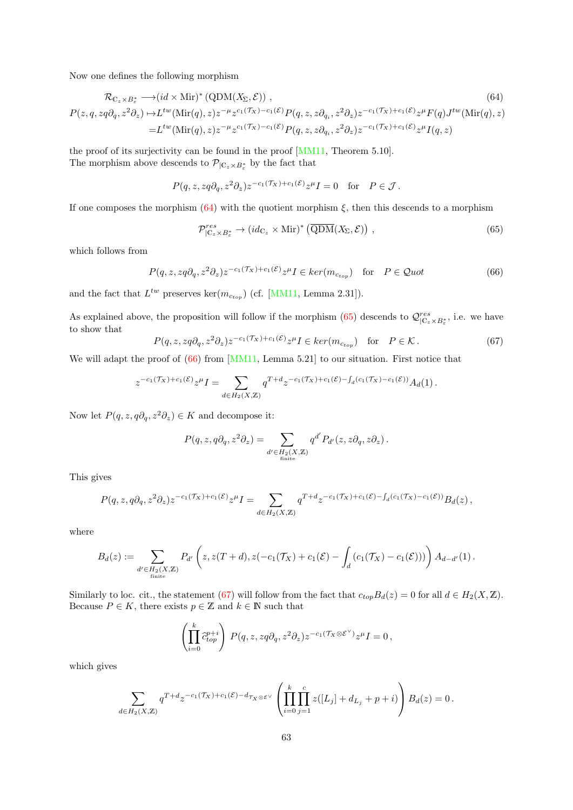Now one defines the following morphism

$$
\mathcal{R}_{\mathbb{C}_{z} \times B_{\varepsilon}^{*}} \longrightarrow (id \times \text{Mir})^{*} (\text{QDM}(X_{\Sigma}, \mathcal{E})) ,
$$
\n
$$
P(z, q, zq\partial_{q}, z^{2}\partial_{z}) \mapsto L^{tw}(\text{Mir}(q), z)z^{-\mu}z^{c_{1}(\mathcal{T}_{X})-c_{1}(\mathcal{E})}P(q, z, z\partial_{q_{i}}, z^{2}\partial_{z})z^{-c_{1}(\mathcal{T}_{X})+c_{1}(\mathcal{E})}z^{\mu}F(q)J^{tw}(\text{Mir}(q), z)
$$
\n
$$
= L^{tw}(\text{Mir}(q), z)z^{-\mu}z^{c_{1}(\mathcal{T}_{X})-c_{1}(\mathcal{E})}P(q, z, z\partial_{q_{i}}, z^{2}\partial_{z})z^{-c_{1}(\mathcal{T}_{X})+c_{1}(\mathcal{E})}z^{\mu}I(q, z)
$$
\n(64)

the proof of its surjectivity can be found in the proof [\[MM11,](#page-71-4) Theorem 5.10]. The morphism above descends to  $\mathcal{P}_{\vert \mathbb{C}_z \times B_{\varepsilon}^*}$  by the fact that

$$
P(q,z,zq\partial_q,z^2\partial_z)z^{-c_1(\mathcal{T}_X)+c_1(\mathcal{E})}z^{\mu}I=0 \quad \text{for} \quad P\in\mathcal{J}\,.
$$

If one composes the morphism  $(64)$  with the quotient morphism  $\xi$ , then this descends to a morphism

<span id="page-62-1"></span><span id="page-62-0"></span>
$$
\mathcal{P}_{|\mathbb{C}_{z}\times B_{\varepsilon}^{*}}^{res} \to (id_{\mathbb{C}_{z}} \times \text{Mir})^{*} \left(\overline{\text{QDM}}(X_{\Sigma}, \mathcal{E})\right) ,\qquad (65)
$$

which follows from

<span id="page-62-2"></span>
$$
P(q, z, zq\partial_q, z^2\partial_z)z^{-c_1(\mathcal{T}_X) + c_1(\mathcal{E})}z^{\mu}I \in \ker(m_{c_{top}}) \quad \text{for} \quad P \in \mathcal{Q}uot
$$
 (66)

and the fact that  $L^{tw}$  preserves ker $(m_{c_{top}})$  (cf. [\[MM11,](#page-71-4) Lemma 2.31]).

As explained above, the proposition will follow if the morphism  $(65)$  descends to  $\mathcal{Q}_{|C_z\times B_{\varepsilon}^*}^{res}$ , i.e. we have to show that

<span id="page-62-3"></span>
$$
P(q, z, zq\partial_q, z^2\partial_z)z^{-c_1(\mathcal{T}_X) + c_1(\mathcal{E})}z^{\mu}I \in \ker(m_{c_{top}}) \quad \text{for} \quad P \in \mathcal{K}.
$$
 (67)

We will adapt the proof of  $(66)$  from [\[MM11,](#page-71-4) Lemma 5.21] to our situation. First notice that

$$
z^{-c_1(\mathcal{T}_X)+c_1(\mathcal{E})}z^{\mu}I = \sum_{d \in H_2(X,\mathbb{Z})} q^{T+d} z^{-c_1(\mathcal{T}_X)+c_1(\mathcal{E})-\int_d (c_1(\mathcal{T}_X)-c_1(\mathcal{E}))} A_d(1).
$$

Now let  $P(q, z, q\partial_q, z^2\partial_z) \in K$  and decompose it:

$$
P(q, z, q\partial_q, z^2\partial_z) = \sum_{d' \in H_2(X, \mathbb{Z})} q^{d'} P_{d'}(z, z\partial_q, z\partial_z).
$$

This gives

$$
P(q,z,q\partial_q,z^2\partial_z)z^{-c_1(\mathcal{T}_X)+c_1(\mathcal{E})}z^{\mu}I=\sum_{d\in H_2(X,\mathbb{Z})}q^{T+d}z^{-c_1(\mathcal{T}_X)+c_1(\mathcal{E})-\int_d (c_1(\mathcal{T}_X)-c_1(\mathcal{E}))}B_d(z)\,,
$$

where

$$
B_d(z) := \sum_{\substack{d' \in H_2(X,\mathbb{Z}) \\ \text{finite}}} P_{d'}\left(z, z(T+d), z(-c_1(\mathcal{T}_X) + c_1(\mathcal{E}) - \int_d \left(c_1(\mathcal{T}_X) - c_1(\mathcal{E})\right)\right) A_{d-d'}(1).
$$

Similarly to loc. cit., the statement [\(67\)](#page-62-3) will follow from the fact that  $c_{top}B_d(z) = 0$  for all  $d \in H_2(X, \mathbb{Z})$ . Because  $P \in K$ , there exists  $p \in \mathbb{Z}$  and  $k \in \mathbb{N}$  such that

$$
\left(\prod_{i=0}^k \hat{c}_{top}^{p+i}\right) P(q, z, zq\partial_q, z^2\partial_z) z^{-c_1(\mathcal{T}_X \otimes \mathcal{E}^{\vee})} z^{\mu} I = 0,
$$

which gives

$$
\sum_{d \in H_2(X,\mathbb{Z})} q^{T+d} z^{-c_1(\mathcal{T}_X) + c_1(\mathcal{E}) - d_{\mathcal{T}_X \otimes \mathcal{E}^{\vee}}} \left( \prod_{i=0}^k \prod_{j=1}^c z([L_j] + d_{L_j} + p + i) \right) B_d(z) = 0.
$$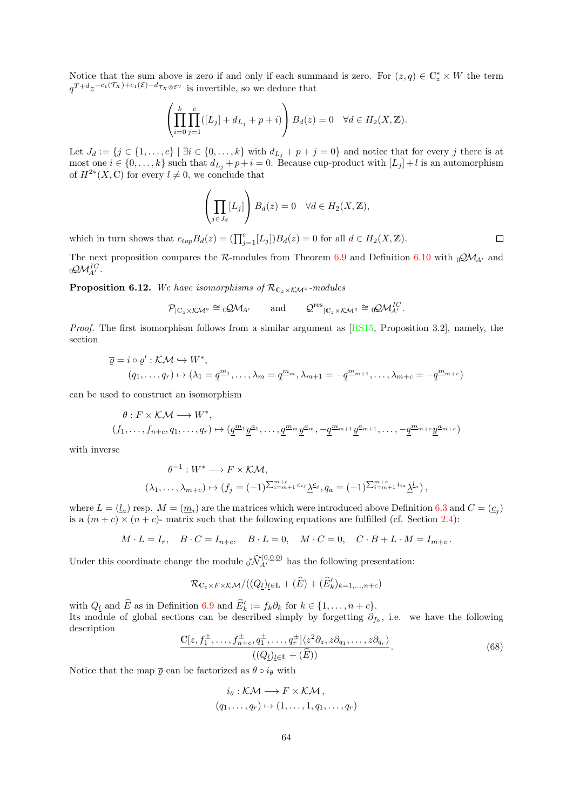Notice that the sum above is zero if and only if each summand is zero. For  $(z, q) \in \mathbb{C}^*_z \times W$  the term  $q^{T+d}z^{-c_1(\mathcal{T}_X)+c_1(\mathcal{E})-d_{\mathcal{T}_X\otimes\mathcal{E}^\vee}}$  is invertible, so we deduce that

$$
\left(\prod_{i=0}^k \prod_{j=1}^c ([L_j]+d_{L_j}+p+i)\right) B_d(z)=0 \quad \forall d\in H_2(X,\mathbb{Z}).
$$

Let  $J_d := \{j \in \{1, \ldots, c\} \mid \exists i \in \{0, \ldots, k\} \text{ with } d_{L_i} + p + j = 0\}$  and notice that for every j there is at most one  $i \in \{0, \ldots, k\}$  such that  $d_{L_i} + p + i = 0$ . Because cup-product with  $[L_i] + l$  is an automorphism of  $H^{2*}(X,\mathbb{C})$  for every  $l \neq 0$ , we conclude that

$$
\left(\prod_{j\in J_d}[L_j]\right)B_d(z)=0 \quad \forall d\in H_2(X,\mathbb{Z}),
$$

which in turn shows that  $c_{top}B_d(z) = (\prod_{j=1}^c [L_j])B_d(z) = 0$  for all  $d \in H_2(X, \mathbb{Z})$ .

The next proposition compares the R-modules from Theorem [6.9](#page-60-0) and Definition [6.10](#page-61-1) with  $_0Q\mathcal{M}_{A'}$  and  ${}_0{\rm \mathcal{Q}}{\cal M}_{A'}^{IC}.$ 

<span id="page-63-1"></span>**Proposition 6.12.** We have isomorphisms of  $\mathcal{R}_{C_z \times K\mathcal{M}^\circ}$ -modules

$$
\mathcal{P}_{|\mathbb{C}_z\times\mathcal{K}\mathcal{M}^\circ}\cong {}_0\mathcal{Q}\mathcal{M}_{A'}\qquad\text{and}\qquad \mathcal{Q}^{\text{res}}_{|\mathbb{C}_z\times\mathcal{K}\mathcal{M}^\circ}\cong {}_0\mathcal{Q}\mathcal{M}_{A'}^{IC}.
$$

Proof. The first isomorphism follows from a similar argument as [\[RS15,](#page-71-0) Proposition 3.2], namely, the section

$$
\overline{\varrho} = i \circ \varrho' : \mathcal{KM} \hookrightarrow W^*,
$$
  

$$
(q_1, \ldots, q_r) \mapsto (\lambda_1 = \underline{q^{m_1}}, \ldots, \lambda_m = \underline{q^{m_m}}, \lambda_{m+1} = -\underline{q^{m_{m+1}}, \ldots, \lambda_{m+c}} = -\underline{q^{m_{m+c}}})
$$

can be used to construct an isomorphism

$$
\theta: F \times \mathcal{KM} \longrightarrow W^*,
$$
  

$$
(f_1, \ldots, f_{n+c}, q_1, \ldots, q_r) \mapsto (\underline{q}^{m_1} \underline{y}^{a_1}, \ldots, \underline{q}^{m_m} \underline{y}^{a_m}, -\underline{q}^{m_{m+1}} \underline{y}^{a_{m+1}}, \ldots, -\underline{q}^{m_{m+c}} \underline{y}^{a_{m+c}})
$$

with inverse

$$
\theta^{-1}: W^* \longrightarrow F \times \mathcal{KM},
$$
  

$$
(\lambda_1, \dots, \lambda_{m+c}) \mapsto (f_j = (-1)^{\sum_{i=m+1}^{m+c} c_{ij}} \underline{\lambda}^{c_j}, q_a = (-1)^{\sum_{i=m+1}^{m+c} l_{ia}} \underline{\lambda}^{l_a}),
$$

where  $L = (l_a)$  resp.  $M = (m_i)$  are the matrices which were introduced above Definition [6.3](#page-56-1) and  $C = (c_j)$ is a  $(m + c) \times (n + c)$ - matrix such that the following equations are fulfilled (cf. Section [2.4\)](#page-25-1):

$$
M \cdot L = I_r, \quad B \cdot C = I_{n+c}, \quad B \cdot L = 0, \quad M \cdot C = 0, \quad C \cdot B + L \cdot M = I_{m+c}.
$$

Under this coordinate change the module  $_0^*\widehat{\mathcal{N}}_{A'}^{(0,\underline{0},\underline{0})}$  has the following presentation:

$$
\mathcal{R}_{\mathbb{C}_z \times F \times K \mathcal{M}}/((Q_{\underline{l}})_{\underline{l} \in \mathbb{L}} + (\widehat{E}) + (\widehat{E}'_k)_{k=1,\dots,n+c})
$$

with  $Q_l$  and  $\widehat{E}$  as in Definition [6.9](#page-60-0) and  $\widehat{E}'_k := f_k \partial_k$  for  $k \in \{1, \ldots, n+c\}$ . Its module of global sections can be described simply by forgetting  $\partial_{f_k}$ , i.e. we have the following description

<span id="page-63-0"></span>
$$
\frac{\mathbb{C}[z,f_1^{\pm},\ldots,f_{n+c}^{\pm},q_1^{\pm},\ldots,q_r^{\pm}]\langle z^2\partial_z,z\partial_{q_1},\ldots,z\partial_{q_r}\rangle}{((Q_l)_{l\in\mathbb{L}}+(\widehat{E}))}.
$$
\n(68)

Notice that the map  $\bar{\varrho}$  can be factorized as  $\theta \circ i_{\theta}$  with

$$
i_{\theta} : \mathcal{KM} \longrightarrow F \times \mathcal{KM},
$$
  

$$
(q_1, \ldots, q_r) \mapsto (1, \ldots, 1, q_1, \ldots, q_r)
$$

 $\Box$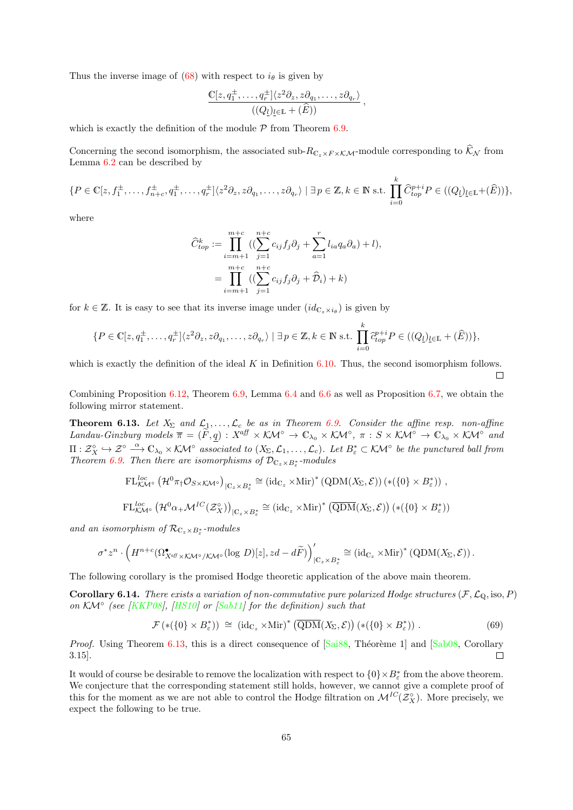Thus the inverse image of [\(68\)](#page-63-0) with respect to  $i_{\theta}$  is given by

$$
\frac{\mathbb{C}[z,q_1^{\pm},\ldots,q_r^{\pm}]\langle z^2\partial_z,z\partial_{q_1},\ldots,z\partial_{q_r}\rangle}{((Q_l)_{l\in\mathbb{L}}+(\widehat{E}))},
$$

which is exactly the definition of the module  $P$  from Theorem [6.9.](#page-60-0)

Concerning the second isomorphism, the associated sub- $R_{C_z \times F \times K\mathcal{M}}$ -module corresponding to  $\widehat{\mathcal{K}}_{\mathcal{N}}$  from Lemma [6.2](#page-53-2) can be described by

$$
\{P \in \mathbb{C}[z,f_1^{\pm},\ldots,f_{n+c}^{\pm},q_1^{\pm},\ldots,q_r^{\pm}]\langle z^2\partial_z,z\partial_{q_1},\ldots,z\partial_{q_r}\rangle \mid \exists p \in \mathbb{Z}, k \in \mathbb{N} \text{ s.t. } \prod_{i=0}^k \widehat{C}_{top}^{p+i} P \in ((Q_l)_{l \in \mathbb{L}} + (\widehat{E}))\},\
$$

where

$$
\widehat{C}_{top}^k := \prod_{i=m+1}^{m+c} ((\sum_{j=1}^{n+c} c_{ij} f_j \partial_j + \sum_{a=1}^r l_{ia} q_a \partial_a) + l),
$$
  
= 
$$
\prod_{i=m+1}^{m+c} ((\sum_{j=1}^{n+c} c_{ij} f_j \partial_j + \widehat{D}_i) + k)
$$

for  $k \in \mathbb{Z}$ . It is easy to see that its inverse image under  $(id_{\mathbb{C}_z \times i_\theta})$  is given by

$$
\{P \in \mathbb{C}[z, q_1^{\pm}, \dots, q_r^{\pm}]\langle z^2 \partial_z, z \partial_{q_1}, \dots, z \partial_{q_r} \rangle \mid \exists p \in \mathbb{Z}, k \in \mathbb{N} \text{ s.t. } \prod_{i=0}^k \widehat{c}_{top}^{p+i} P \in ((Q_l)_{l \in \mathbb{L}} + (\widehat{E}))\},\
$$

which is exactly the definition of the ideal  $K$  in Definition [6.10.](#page-61-1) Thus, the second isomorphism follows.  $\Box$ 

Combining Proposition [6.12,](#page-63-1) Theorem [6.9,](#page-60-0) Lemma [6.4](#page-56-2) and [6.6](#page-58-0) as well as Proposition [6.7,](#page-0-0) we obtain the following mirror statement.

<span id="page-64-1"></span>**Theorem 6.13.** Let  $X_{\Sigma}$  and  $\mathcal{L}_1, \ldots, \mathcal{L}_c$  be as in Theorem [6.9.](#page-60-0) Consider the affine resp. non-affine Landau-Ginzburg models  $\overline{\pi} = (\widetilde{F}, \underline{q}) : X^{a\!} \times \mathcal{K} \mathcal{M}^{\circ} \to \mathbb{C}_{\lambda_0} \times \mathcal{K} \mathcal{M}^{\circ} \to \pi : S \times \mathcal{K} \mathcal{M}^{\circ} \to \mathbb{C}_{\lambda_0} \times \mathcal{K} \mathcal{M}^{\circ}$  and  $\Pi: \mathcal{Z}_X^{\circ} \hookrightarrow \mathcal{Z}^{\circ} \stackrel{\alpha}{\longrightarrow} \mathbb{C}_{\lambda_0} \times \mathcal{K} \mathcal{M}^{\circ}$  associated to  $(X_{\Sigma}, \mathcal{L}_1, \ldots, \mathcal{L}_c)$ . Let  $B_{\varepsilon}^* \subset \mathcal{K} \mathcal{M}^{\circ}$  be the punctured ball from Theorem [6.9.](#page-60-0) Then there are isomorphisms of  $\mathcal{D}_{\mathbb{C}_z \times B^*_{\varepsilon}}$ -modules

$$
\mathrm{FL}^{loc}_{\mathcal{K}\mathcal{M}^{\circ}}\left(\mathcal{H}^0\pi_{\dagger}\mathcal{O}_{S\times\mathcal{K}\mathcal{M}^{\circ}}\right)_{|\mathbb{C}_{z}\times B_{\varepsilon}^{*}}\cong\left(\mathrm{id}_{\mathbb{C}_{z}}\times\mathrm{Mir}\right)^{*}\left(\mathrm{QDM}(X_{\Sigma},\mathcal{E})\right)\left(\ast\left(\{0\}\times B_{\varepsilon}^{*}\right)\right)\,,
$$

$$
\mathrm{FL}_{\mathcal{K}\mathcal{M}^{\circ}}^{loc}\left(\mathcal{H}^0\alpha_{+}\mathcal{M}^{IC}(\mathcal{Z}_{X}^{\circ})\right)_{|\mathbb{C}_{z}\times B_{\varepsilon}^{*}}\cong\left(\mathrm{id}_{\mathbb{C}_{z}}\times\mathrm{Mir}\right)^{*}\left(\overline{\mathrm{QDM}}(X_{\Sigma},\mathcal{E})\right)\left(\ast(\{0\}\times B_{\varepsilon}^{*})\right)
$$

and an isomorphism of  $\mathcal{R}_{\mathbb{C}_z \times B_{\varepsilon}^*}$ -modules

$$
\sigma^* z^n \cdot \left( H^{n+c}(\Omega^{\bullet}_{X^{\alpha} \mathcal{B} \times \mathcal{K} \mathcal{M}^{\circ}/\mathcal{K} \mathcal{M}^{\circ}}(\log D)[z], zd - d\widetilde{F}) \right)'_{|\mathbb{C}_z \times B^*_{\varepsilon}} \cong \left( \mathrm{id}_{\mathbb{C}_z} \times \mathrm{Mir} \right)^* \left( \mathrm{QDM}(X_{\Sigma}, \mathcal{E}) \right).
$$

The following corollary is the promised Hodge theoretic application of the above main theorem.

<span id="page-64-0"></span>**Corollary 6.14.** There exists a variation of non-commutative pure polarized Hodge structures  $(\mathcal{F}, \mathcal{L}_0, \text{iso}, P)$ on  $K\mathcal{M}^\circ$  (see [\[KKP08\]](#page-71-6), [\[HS10\]](#page-70-10) or [\[Sab11\]](#page-72-4) for the definition) such that

<span id="page-64-2"></span>
$$
\mathcal{F}(*({0\} \times B_{\varepsilon}^*)) \cong (\mathrm{id}_{\mathbb{C}_z} \times \mathrm{Mir})^* \left(\overline{\mathrm{QDM}}(X_{\Sigma}, \mathcal{E})\right) (*({0\} \times B_{\varepsilon}^*)) . \tag{69}
$$

*Proof.* Using Theorem [6.13,](#page-64-1) this is a direct consequence of  $[Sa38, Théorème 1]$  and  $[Sab08, Corollary]$ 3.15].  $\Box$ 

It would of course be desirable to remove the localization with respect to  $\{0\} \times B^*_{\varepsilon}$  from the above theorem. We conjecture that the corresponding statement still holds, however, we cannot give a complete proof of this for the moment as we are not able to control the Hodge filtration on  $\mathcal{M}^{IC}(\mathcal{Z}_X^{\circ})$ . More precisely, we expect the following to be true.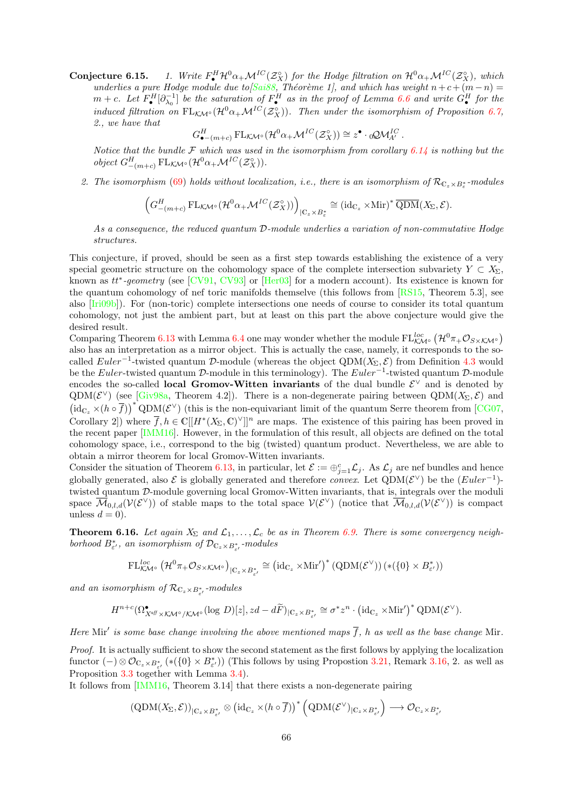**Conjecture 6.15.** 1. Write  $F_{\bullet}^{H} \mathcal{H}^{0} \alpha_{+} \mathcal{M}^{IC}(\mathcal{Z}_{X}^{\circ})$  for the Hodge filtration on  $\mathcal{H}^{0} \alpha_{+} \mathcal{M}^{IC}(\mathcal{Z}_{X}^{\circ})$ , which underlies a pure Hodge module due to  $\beta$ ai88, Théorème 1, and which has weight  $n+c+(m-n)$  $m + c$ . Let  $F_{\bullet}^H[\partial_{\lambda_0}^{-1}]$  be the saturation of  $F_{\bullet}^H$  as in the proof of Lemma [6.6](#page-58-0) and write  $G_{\bullet}^H$  for the induced filtration on  $FL_{K\mathcal{M}^{\circ}}(\mathcal{H}^0\alpha_+\mathcal{M}^{IC}(\mathcal{Z}_X^{\circ}))$ . Then under the isomorphism of Proposition [6.7,](#page-0-0) 2., we have that

$$
G_{\bullet-(m+c)}^H \mathrm{FL}_{\mathcal{K}\mathcal{M}^\circ}(\mathcal{H}^0\alpha_+\mathcal{M}^{IC}(\mathcal{Z}_X^\circ)) \cong z^\bullet \cdot \mathrm{d}\mathcal{Q}\mathcal{M}_{A'}^{IC}.
$$

Notice that the bundle  $\mathcal F$  which was used in the isomorphism from corollary [6.14](#page-64-0) is nothing but the object  $G_{-(m+c)}^H \text{FL}_{\mathcal{K}\mathcal{M}^\circ}(\mathcal{H}^0\alpha_+\mathcal{M}^{IC}(\mathcal{Z}_X^\circ)).$ 

2. The isomorphism [\(69\)](#page-64-2) holds without localization, i.e., there is an isomorphism of  $\mathcal{R}_{\mathbb{C}_z\times B^*_\varepsilon}$ -modules

$$
\left(G_{-(m+c)}^H \operatorname{FL}_{\mathcal{K}\mathcal{M}^\circ}(\mathcal{H}^0 \alpha_+ \mathcal{M}^{IC}(\mathcal{Z}_X^\circ))\right)_{|\mathbb{C}_z \times B_{\varepsilon}^*} \cong \left(\operatorname{id}_{\mathbb{C}_z} \times \operatorname{Mir}\right)^* \overline{\operatorname{QDM}}(X_\Sigma, \mathcal{E}).
$$

As a consequence, the reduced quantum D-module underlies a variation of non-commutative Hodge structures.

This conjecture, if proved, should be seen as a first step towards establishing the existence of a very special geometric structure on the cohomology space of the complete intersection subvariety  $Y \subset X_{\Sigma}$ , known as  $tt^*$ -geometry (see  $[CV91, CV93]$  $[CV91, CV93]$  or  $[Her03]$  for a modern account). Its existence is known for the quantum cohomology of nef toric manifolds themselve (this follows from [\[RS15,](#page-71-0) Theorem 5.3], see also [\[Iri09b\]](#page-71-8)). For (non-toric) complete intersections one needs of course to consider its total quantum cohomology, not just the ambient part, but at least on this part the above conjecture would give the desired result.

Comparing Theorem [6.13](#page-64-1) with Lemma [6.4](#page-56-2) one may wonder whether the module  $FL_{\mathcal{K}\mathcal{M}^{\circ}}^{loc}$   $(\mathcal{H}^0\pi_+\mathcal{O}_{S\times\mathcal{K}\mathcal{M}^{\circ}})$ also has an interpretation as a mirror object. This is actually the case, namely, it corresponds to the socalled  $Euler^{-1}$ -twisted quantum D-module (whereas the object QDM( $X_{\Sigma}, \mathcal{E}$ ) from Definition [4.3](#page-44-0) would be the Euler-twisted quantum D-module in this terminology). The Euler<sup>-1</sup>-twisted quantum D-module encodes the so-called **local Gromov-Witten invariants** of the dual bundle  $\mathcal{E}^{\vee}$  and is denoted by QDM( $\mathcal{E}^{\vee}$ ) (see [\[Giv98a,](#page-70-6) Theorem 4.2]). There is a non-degenerate pairing between QDM( $X_{\Sigma}, \mathcal{E}$ ) and  $(id_{\mathbb{C}_{z}} \times (h \circ \overline{f}))^{*} \text{QDM}(\mathcal{E}^{\vee})$  (this is the non-equivariant limit of the quantum Serre theorem from [\[CG07,](#page-69-2) Corollary 2]) where  $\overline{f}$ ,  $h \in \mathbb{C}[[H^*(X_{\Sigma}, \mathbb{C})^{\vee}]]^n$  are maps. The existence of this pairing has been proved in the recent paper [\[IMM16\]](#page-70-13). However, in the formulation of this result, all objects are defined on the total cohomology space, i.e., correspond to the big (twisted) quantum product. Nevertheless, we are able to obtain a mirror theorem for local Gromov-Witten invariants.

Consider the situation of Theorem [6.13,](#page-64-1) in particular, let  $\mathcal{E} := \bigoplus_{j=1}^c \mathcal{L}_j$ . As  $\mathcal{L}_j$  are nef bundles and hence globally generated, also  $\mathcal E$  is globally generated and therefore *convex*. Let  $QDM(\mathcal E^{\vee})$  be the  $(Euler^{-1})$ twisted quantum D-module governing local Gromov-Witten invariants, that is, integrals over the moduli space  $\overline{\mathcal{M}}_{0,l,d}(\mathcal{V}(\mathcal{E}^{\vee}))$  of stable maps to the total space  $\mathcal{V}(\mathcal{E}^{\vee})$  (notice that  $\overline{\mathcal{M}}_{0,l,d}(\mathcal{V}(\mathcal{E}^{\vee}))$  is compact unless  $d = 0$ .

**Theorem 6.16.** Let again  $X_{\Sigma}$  and  $\mathcal{L}_1, \ldots, \mathcal{L}_c$  be as in Theorem [6.9.](#page-60-0) There is some convergency neighborhood  $B_{\varepsilon}^*$ , an isomorphism of  $\mathcal{D}_{\mathbb{C}_z \times B_{\varepsilon}^*}$ -modules

$$
\mathrm{FL}^{loc}_{\mathcal{KM}^\circ}\left(\mathcal{H}^0\pi_+\mathcal{O}_{S\times\mathcal{KM}^\circ}\right)_{|\mathbb{C}_z\times B^*_{\varepsilon'}}\cong \left(\mathrm{id}_{\mathbb{C}_z}\times\mathrm{Mir}'\right)^*\left(\mathrm{QDM}(\mathcal{E}^\vee)\right)\left(\ast\left(\{0\}\times B^*_{\varepsilon'}\right)\right)
$$

and an isomorphism of  $\mathcal{R}_{\mathbb{C}_z \times B_{\varepsilon'}^*}$ -modules

$$
H^{n+c}(\Omega^{\bullet}_{X^{a\beta} \times \mathcal{K} \mathcal{M}^{\circ}/\mathcal{K} \mathcal{M}^{\circ}}(\log \, D)[z],zd-d\widetilde{F})_{|\mathbb{C}_{z} \times B^*_{\varepsilon'}} \cong \sigma^*z^n \cdot \big(\mathrm{id}_{\mathbb{C}_{z}} \times \mathrm{Mir}' \big)^* \mathrm{QDM}(\mathcal{E}^{\vee}).
$$

Here Mir' is some base change involving the above mentioned maps  $\overline{f}$ , h as well as the base change Mir.

Proof. It is actually sufficient to show the second statement as the first follows by applying the localization functor  $(-)\otimes \mathcal{O}_{\mathbb{C}_z\times B_{\varepsilon'}^*}(*({0}\times B_{\varepsilon'}^*))$  (This follows by using Propostion [3.21,](#page-42-1) Remark [3.16,](#page-40-2) 2. as well as Proposition [3.3](#page-33-0) together with Lemma [3.4\)](#page-34-0).

It follows from [\[IMM16,](#page-70-13) Theorem 3.14] that there exists a non-degenerate pairing

$$
(\mathrm{QDM}(X_{\Sigma}, \mathcal{E}))_{|\mathbb{C}_{z} \times B_{\varepsilon'}^{*}} \otimes (\mathrm{id}_{\mathbb{C}_{z}} \times (h \circ \overline{f}))^{*} (\mathrm{QDM}(\mathcal{E}^{\vee})_{|\mathbb{C}_{z} \times B_{\varepsilon'}^{*}}) \longrightarrow \mathcal{O}_{\mathbb{C}_{z} \times B_{\varepsilon'}^{*}}
$$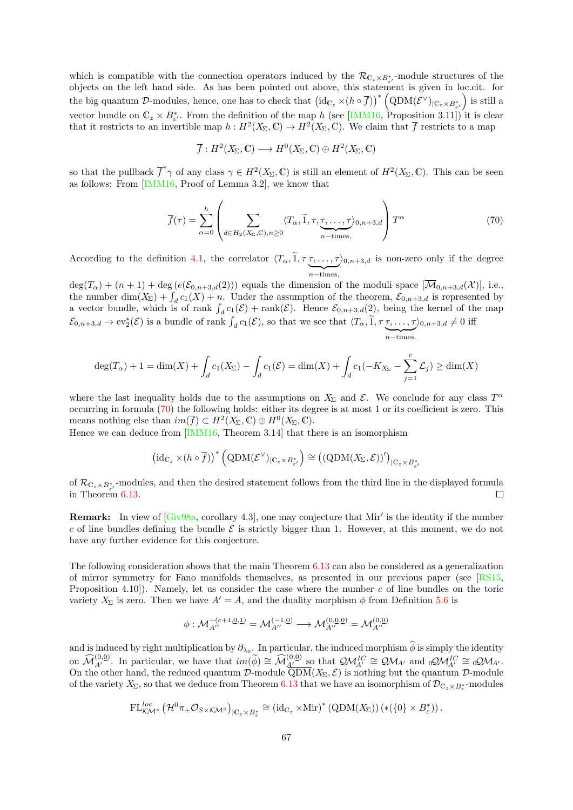which is compatible with the connection operators induced by the  $\mathcal{R}_{\mathbb{C}_z\times B_{\varepsilon'}^*}$ -module structures of the objects on the left hand side. As has been pointed out above, this statement is given in loc.cit. for the big quantum D-modules, hence, one has to check that  $\left(\mathrm{id}_{\mathbb{C}_z}\times(h\circ\overline{f})\right)^*\left(\mathrm{QDM}(\mathcal{E}^\vee)_{|\mathbb{C}_z\times B^*_{\varepsilon'}}\right)$  is still a vector bundle on  $\mathbb{C}_z \times B^*_{\varepsilon}$ . From the definition of the map h (see [\[IMM16,](#page-70-13) Proposition 3.11]) it is clear that it restricts to an invertible map  $h: H^2(X_\Sigma, \mathbb{C}) \to H^2(X_\Sigma, \mathbb{C})$ . We claim that  $\overline{f}$  restricts to a map

$$
\overline{f}: H^2(X_{\Sigma}, \mathbb{C}) \longrightarrow H^0(X_{\Sigma}, \mathbb{C}) \oplus H^2(X_{\Sigma}, \mathbb{C})
$$

so that the pullback  $\overline{f}^*\gamma$  of any class  $\gamma \in H^2(X_\Sigma, \mathbb{C})$  is still an element of  $H^2(X_\Sigma, \mathbb{C})$ . This can be seen as follows: From [\[IMM16,](#page-70-13) Proof of Lemma 3.2], we know that

<span id="page-66-0"></span>
$$
\overline{f}(\tau) = \sum_{\alpha=0}^{h} \left( \sum_{d \in H_2(X_{\Sigma}, \mathbb{C}), n \ge 0} \langle T_{\alpha}, \tilde{1}, \tau, \underbrace{\tau, \dots, \tau}_{n-\text{times}}, \right) T^{\alpha} \tag{70}
$$

According to the definition [4.1,](#page-43-1) the correlator  $\langle T_{\alpha}, 1, \tau \tau, \ldots, \tau \rangle$  $\sum_{n-\text{times}}$  $\rangle_{0,n+3,d}$  is non-zero only if the degree

 $deg(T_\alpha) + (n+1) + deg(e(\mathcal{E}_{0,n+3,d}(2)))$  equals the dimension of the moduli space  $[\overline{\mathcal{M}}_{0,n+3,d}(\mathcal{X})],$  i.e., the number dim $(X_{\Sigma}) + \int_{d} c_1(X) + n$ . Under the assumption of the theorem,  $\mathcal{E}_{0,n+3,d}$  is represented by a vector bundle, which is of rank  $\int_d c_1(\mathcal{E}) + \text{rank}(\mathcal{E})$ . Hence  $\mathcal{E}_{0,n+3,d}(2)$ , being the kernel of the map  $\mathcal{E}_{0,n+3,d} \to \text{ev}_2^*(\mathcal{E})$  is a bundle of rank  $\int_d c_1(\mathcal{E}),$  so that we see that  $\langle T_\alpha, \tilde{1}, \tau \tau, \ldots, \tau \rangle$  $\sum_{n-\text{times}}$  $\rangle_{0,n+3,d} \neq 0$  iff

$$
\deg(T_{\alpha}) + 1 = \dim(X) + \int_{d} c_{1}(X_{\Sigma}) - \int_{d} c_{1}(\mathcal{E}) = \dim(X) + \int_{d} c_{1}(-K_{X_{\Sigma}} - \sum_{j=1}^{c} \mathcal{L}_{j}) \ge \dim(X)
$$

where the last inequality holds due to the assumptions on  $X_{\Sigma}$  and  $\mathcal{E}$ . We conclude for any class  $T^{\alpha}$ occurring in formula [\(70\)](#page-66-0) the following holds: either its degree is at most 1 or its coefficient is zero. This means nothing else than  $im(\overline{f}) \subset H^2(X_{\Sigma}, \mathbb{C}) \oplus H^0(X_{\Sigma}, \mathbb{C}).$ 

Hence we can deduce from [\[IMM16,](#page-70-13) Theorem 3.14] that there is an isomorphism

$$
(\mathrm{id}_{\mathbb{C}_{z}} \times (h \circ \overline{f}))^{*} (\mathrm{QDM}(\mathcal{E}^{\vee})_{|\mathbb{C}_{z} \times B_{\varepsilon'}^{*}}) \cong ((\mathrm{QDM}(X_{\Sigma}, \mathcal{E}))')_{|\mathbb{C}_{z} \times B_{\varepsilon'}^{*}}
$$

of  $\mathcal{R}_{\mathbb{C}_z\times B_{\varepsilon'}^*}$ -modules, and then the desired statement follows from the third line in the displayed formula in Theorem [6.13.](#page-64-1)  $\Box$ 

Remark: In view of [\[Giv98a,](#page-70-6) corollary 4.3], one may conjecture that Mir' is the identity if the number c of line bundles defining the bundle  $\mathcal E$  is strictly bigger than 1. However, at this moment, we do not have any further evidence for this conjecture.

The following consideration shows that the main Theorem [6.13](#page-64-1) can also be considered as a generalization of mirror symmetry for Fano manifolds themselves, as presented in our previous paper (see [\[RS15,](#page-71-0) Proposition 4.10.). Namely, let us consider the case where the number c of line bundles on the toric variety  $X_{\Sigma}$  is zero. Then we have  $A' = A$ , and the duality morphism  $\phi$  from Definition [5.6](#page-51-0) is

$$
\phi: \mathcal{M}_{A''}^{-(c+1,\underline{0},\underline{1})}=\mathcal{M}_{A''}^{(-1,\underline{0})}\longrightarrow \mathcal{M}_{A''}^{(0,\underline{0},\underline{0})}=\mathcal{M}_{A''}^{(0,\underline{0})}
$$

and is induced by right multiplication by  $\partial_{\lambda_0}$ . In particular, the induced morphism  $\phi$  is simply the identity on  $\widehat{\mathcal{M}}_{A'}^{(0,0)}$ . In particular, we have that  $im(\widetilde{\phi}) \cong \widehat{\mathcal{M}}_{A'}^{(0,0)}$  so that  $\mathcal{QM}_{A'}^{IC} \cong \mathcal{QM}_{A'}$  and  ${}_0\mathcal{QM}_{A'}^{IC} \cong {}_0\mathcal{M}_{A'}$ . On the other hand, the reduced quantum D-module  $\overline{QDM}(X_{\Sigma}, \mathcal{E})$  is nothing but the quantum D-module of the variety  $X_{\Sigma}$ , so that we deduce from Theorem [6.13](#page-64-1) that we have an isomorphism of  $\mathcal{D}_{\mathbb{C}_z\times B^*_\varepsilon}$ -modules

$$
\mathrm{FL}^{loc}_{\mathcal{K}\mathcal{M}^{\circ}}\left(\mathcal{H}^0\pi_{+}\mathcal{O}_{S\times\mathcal{K}\mathcal{M}^{\circ}}\right)_{|\mathbb{C}_{z}\times B_{\varepsilon}^{*}}\cong\left(\mathrm{id}_{\mathbb{C}_{z}}\times\mathrm{Mir}\right)^{*}\left(\mathrm{QDM}(X_{\Sigma})\right)\left(\ast\left(\{0\}\times B_{\varepsilon}^{*}\right)\right).
$$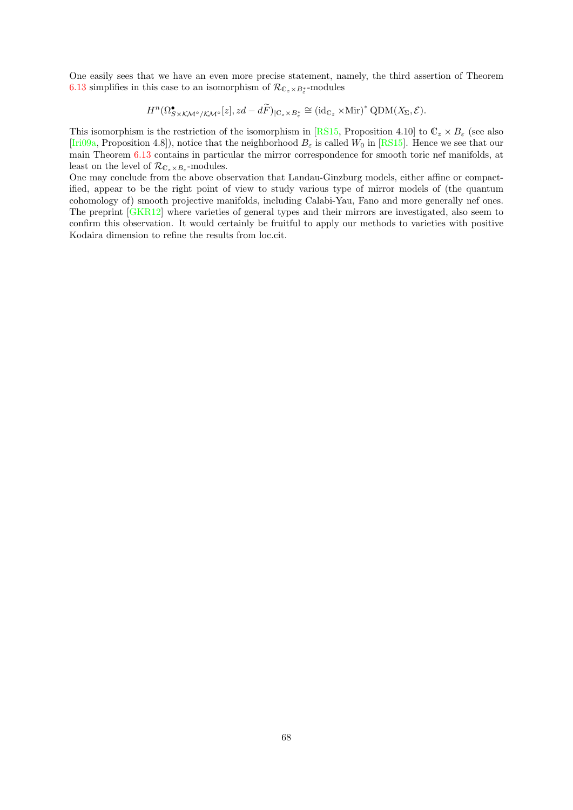One easily sees that we have an even more precise statement, namely, the third assertion of Theorem [6.13](#page-64-1) simplifies in this case to an isomorphism of  $\mathcal{R}_{\mathbb{C}_z \times B_{\varepsilon}^*}$ -modules

$$
H^{n}(\Omega^{\bullet}_{S\times K\mathcal{M}^{\circ}/\mathcal{K}\mathcal{M}^{\circ}}[z],zd-d\widetilde{F})_{|\mathbb{C}_{z}\times B_{\varepsilon}^{*}}\cong(\mathrm{id}_{\mathbb{C}_{z}}\times\mathrm{Mir})^{*}\mathrm{QDM}(X_{\Sigma},\mathcal{E}).
$$

This isomorphism is the restriction of the isomorphism in [\[RS15,](#page-71-0) Proposition 4.10] to  $\mathbb{C}_z \times B_{\varepsilon}$  (see also [\[Iri09a,](#page-71-9) Proposition 4.8]), notice that the neighborhood  $B_{\varepsilon}$  is called  $W_0$  in [\[RS15\]](#page-71-0). Hence we see that our main Theorem [6.13](#page-64-1) contains in particular the mirror correspondence for smooth toric nef manifolds, at least on the level of  $\mathcal{R}_{\mathbb{C}_z \times B_\varepsilon}$ -modules.

One may conclude from the above observation that Landau-Ginzburg models, either affine or compactified, appear to be the right point of view to study various type of mirror models of (the quantum cohomology of) smooth projective manifolds, including Calabi-Yau, Fano and more generally nef ones. The preprint [\[GKR12\]](#page-70-14) where varieties of general types and their mirrors are investigated, also seem to confirm this observation. It would certainly be fruitful to apply our methods to varieties with positive Kodaira dimension to refine the results from loc.cit.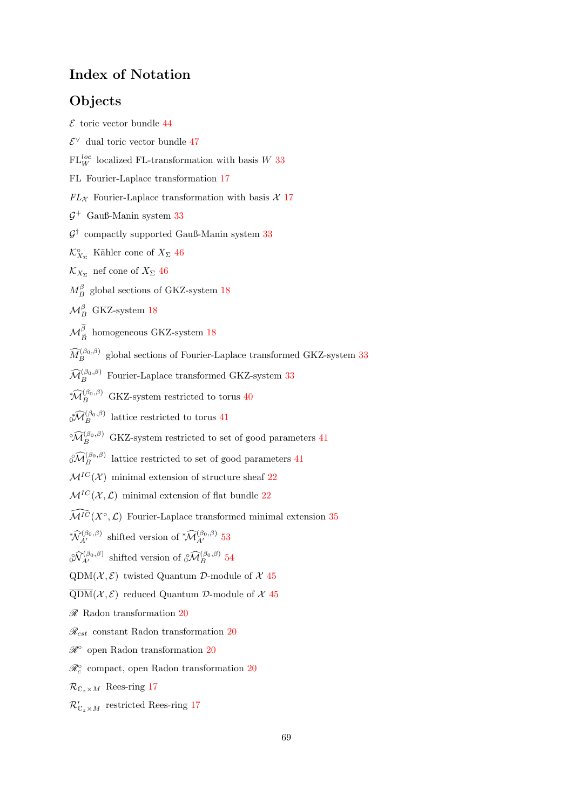# Index of Notation

# **Objects**

- <span id="page-68-4"></span> $\mathcal E$  toric vector bundle [44](#page-43-2)
- <span id="page-68-9"></span> $E<sup>∨</sup>$  dual toric vector bundle [47](#page-46-4)
- $FL_W^{loc}$  localized FL-transformation with basis W [33](#page-32-3)
- FL Fourier-Laplace transformation [17](#page-16-1)
- $FL_{\mathcal{X}}$  Fourier-Laplace transformation with basis  $\mathcal{X}$  [17](#page-16-1)
- $\mathcal{G}^+$  Gauß-Manin system [33](#page-32-3)
- $\mathcal{G}^{\dagger}$  compactly supported Gauß-Manin system [33](#page-32-3)
- <span id="page-68-8"></span> $\mathcal{K}_{X_{\Sigma}}^{\circ}$  Kähler cone of  $X_{\Sigma}$  [46](#page-45-3)
- <span id="page-68-7"></span> $\mathcal{K}_{X_{\Sigma}}$  nef cone of  $X_{\Sigma}$  [46](#page-45-3)
- $M_B^{\beta}$  global sections of GKZ-system [18](#page-17-2)
- $\mathcal{M}_{B}^{\beta}$  GKZ-system [18](#page-17-2)
- $\mathcal{M}^\beta_{\widetilde{B}}$ homogeneous GKZ-system [18](#page-17-2)
- $\widehat{M}_{B}^{(\beta_0,\beta)}$  global sections of Fourier-Laplace transformed GKZ-system [33](#page-32-3)
- $\widehat{\mathcal{M}}_{B}^{(\beta_0,\beta)}$  Fourier-Laplace transformed GKZ-system [33](#page-32-3)
- <span id="page-68-0"></span> $* \widehat{\mathcal{M}}_B^{(\beta_0,\beta)}$  GKZ-system restricted to torus [40](#page-39-1)
- <span id="page-68-1"></span> $\sqrt{\widehat{\mathcal{M}}_{B}^{(\beta_0,\beta)}}$  lattice restricted to torus [41](#page-40-3)
- <span id="page-68-2"></span> $\widehat{\mathcal{M}}_{B}^{(\beta_0,\beta)}$  GKZ-system restricted to set of good parameters [41](#page-40-3)
- <span id="page-68-3"></span> $\sqrt{\widehat{\mathcal{O}}}_{B}^{(\beta_0,\beta)}$  lattice restricted to set of good parameters [41](#page-40-3)
- $\mathcal{M}^{IC}(\mathcal{X})$  minimal extension of structure sheaf [22](#page-21-0)
- $\mathcal{M}^{IC}(\mathcal{X}, \mathcal{L})$  minimal extension of flat bundle [22](#page-21-0)
- $\widehat{\mathcal{M}^{IC}}(X^{\circ}, \mathcal{L})$  Fourier-Laplace transformed minimal extension [35](#page-34-1)
- <span id="page-68-10"></span>\* $\widehat{\mathcal{N}}_{A'}^{(\beta_0,\beta)}$  shifted version of \* $\widehat{\mathcal{M}}_{A'}^{(\beta_0,\beta)}$  [53](#page-52-3)
- <span id="page-68-11"></span> $\partial \widehat{\mathcal{N}}_{A'}^{(\beta_0,\beta)}$  shifted version of  $\partial \widehat{\mathcal{M}}_B^{(\beta_0,\beta)}$  [54](#page-53-3)
- <span id="page-68-5"></span>QDM( $\mathcal{X}, \mathcal{E}$ ) twisted Quantum D-module of  $\mathcal{X}$  [45](#page-44-1)
- <span id="page-68-6"></span> $\overline{\text{QDM}}(\mathcal{X}, \mathcal{E})$  reduced Quantum D-module of X [45](#page-44-1)
- $\mathscr R$  Radon transformation [20](#page-19-0)
- $\mathcal{R}_{cst}$  constant Radon transformation [20](#page-19-0)
- $\mathscr{R}^\circ$  open Radon transformation [20](#page-19-0)
- $\mathscr{R}^{\circ}_c$  compact, open Radon transformation  $20$
- $\mathcal{R}_{\mathbb{C}_z\times M}$  Rees-ring [17](#page-16-1)
- $\mathcal{R}_{\mathbb{C}_z\times M}'$  restricted Rees-ring [17](#page-16-1)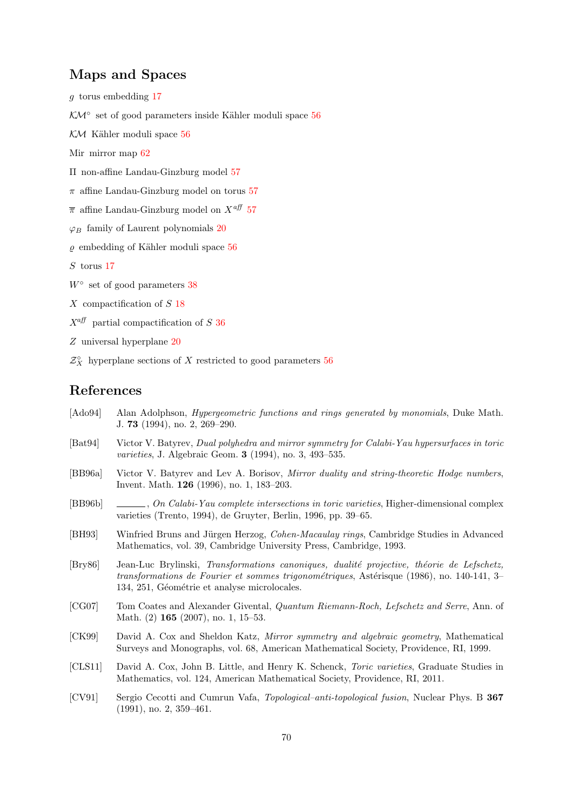## Maps and Spaces

g torus embedding [17](#page-16-1)

<span id="page-69-8"></span>KM<sup>°</sup> set of good parameters inside Kähler moduli space [56](#page-55-0)

<span id="page-69-7"></span> $K/M$  Kähler moduli space [56](#page-55-0)

<span id="page-69-14"></span>Mir mirror map [62](#page-61-2)

<span id="page-69-11"></span>Π non-affine Landau-Ginzburg model [57](#page-56-3)

<span id="page-69-13"></span> $\pi$  affine Landau-Ginzburg model on torus [57](#page-56-3)

<span id="page-69-12"></span> $\bar{\pi}$  affine Landau-Ginzburg model on  $X^{aff}$  [57](#page-56-3)

 $\varphi_B$  family of Laurent polynomials [20](#page-19-0)

<span id="page-69-9"></span> $\rho$  embedding of Kähler moduli space [56](#page-55-0)

S torus [17](#page-16-1)

<span id="page-69-0"></span> $W^{\circ}$  set of good parameters [38](#page-37-1)

X compactification of S [18](#page-17-2)

 $X^{\text{aff}}$  partial compactification of S [36](#page-35-3)

Z universal hyperplane [20](#page-19-0)

<span id="page-69-10"></span> $\mathcal{Z}^\circ_X\;$  hyperplane sections of  $X$  restricted to good parameters  $56$ 

#### References

- <span id="page-69-1"></span>[Ado94] Alan Adolphson, *Hypergeometric functions and rings generated by monomials*, Duke Math. J. 73 (1994), no. 2, 269–290.
- [Bat94] Victor V. Batyrev, Dual polyhedra and mirror symmetry for Calabi-Yau hypersurfaces in toric varieties, J. Algebraic Geom. 3 (1994), no. 3, 493–535.
- [BB96a] Victor V. Batyrev and Lev A. Borisov, Mirror duality and string-theoretic Hodge numbers, Invent. Math. 126 (1996), no. 1, 183–203.
- [BB96b] , On Calabi-Yau complete intersections in toric varieties, Higher-dimensional complex varieties (Trento, 1994), de Gruyter, Berlin, 1996, pp. 39–65.
- <span id="page-69-5"></span>[BH93] Winfried Bruns and Jürgen Herzog, *Cohen-Macaulay rings*, Cambridge Studies in Advanced Mathematics, vol. 39, Cambridge University Press, Cambridge, 1993.
- <span id="page-69-6"></span>[Bry86] Jean-Luc Brylinski, Transformations canoniques, dualité projective, théorie de Lefschetz, transformations de Fourier et sommes trigonométriques, Astérisque (1986), no. 140-141, 3– 134, 251, Géométrie et analyse microlocales.
- <span id="page-69-2"></span>[CG07] Tom Coates and Alexander Givental, Quantum Riemann-Roch, Lefschetz and Serre, Ann. of Math. (2) 165 (2007), no. 1, 15–53.
- <span id="page-69-4"></span>[CK99] David A. Cox and Sheldon Katz, Mirror symmetry and algebraic geometry, Mathematical Surveys and Monographs, vol. 68, American Mathematical Society, Providence, RI, 1999.
- <span id="page-69-3"></span>[CLS11] David A. Cox, John B. Little, and Henry K. Schenck, Toric varieties, Graduate Studies in Mathematics, vol. 124, American Mathematical Society, Providence, RI, 2011.
- <span id="page-69-15"></span>[CV91] Sergio Cecotti and Cumrun Vafa, Topological–anti-topological fusion, Nuclear Phys. B 367 (1991), no. 2, 359–461.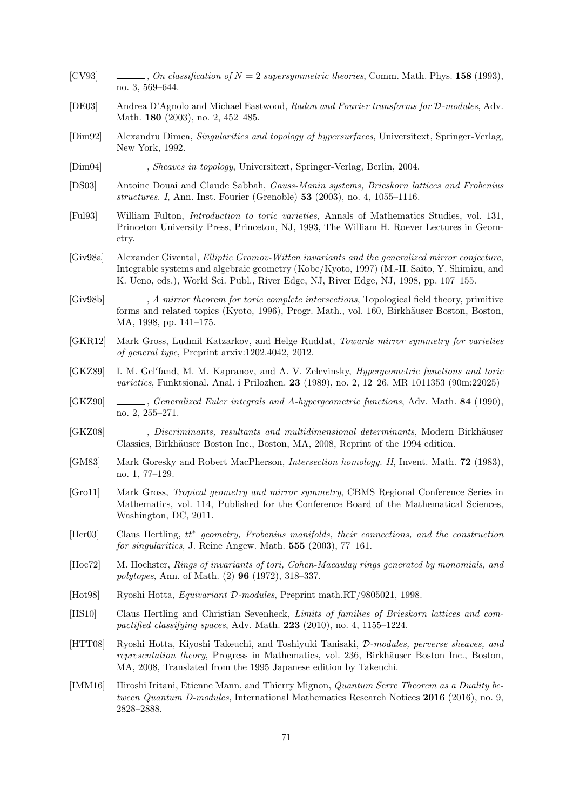- <span id="page-70-11"></span>[CV93]  $\qquad \qquad \qquad \ldots$ , On classification of  $N = 2$  supersymmetric theories, Comm. Math. Phys. 158 (1993), no. 3, 569–644.
- [DE03] Andrea D'Agnolo and Michael Eastwood, Radon and Fourier transforms for D-modules, Adv. Math. 180 (2003), no. 2, 452–485.
- <span id="page-70-0"></span>[Dim92] Alexandru Dimca, Singularities and topology of hypersurfaces, Universitext, Springer-Verlag, New York, 1992.
- [Dim04] , Sheaves in topology, Universitext, Springer-Verlag, Berlin, 2004.
- <span id="page-70-2"></span>[DS03] Antoine Douai and Claude Sabbah, Gauss-Manin systems, Brieskorn lattices and Frobenius structures. I, Ann. Inst. Fourier (Grenoble) 53 (2003), no. 4, 1055–1116.
- <span id="page-70-7"></span>[Ful93] William Fulton, Introduction to toric varieties, Annals of Mathematics Studies, vol. 131, Princeton University Press, Princeton, NJ, 1993, The William H. Roever Lectures in Geometry.
- <span id="page-70-6"></span>[Giv98a] Alexander Givental, Elliptic Gromov-Witten invariants and the generalized mirror conjecture, Integrable systems and algebraic geometry (Kobe/Kyoto, 1997) (M.-H. Saito, Y. Shimizu, and K. Ueno, eds.), World Sci. Publ., River Edge, NJ, River Edge, NJ, 1998, pp. 107–155.
- <span id="page-70-5"></span>[Giv98b] , A mirror theorem for toric complete intersections, Topological field theory, primitive forms and related topics (Kyoto, 1996), Progr. Math., vol. 160, Birkhäuser Boston, Boston, MA, 1998, pp. 141–175.
- <span id="page-70-14"></span>[GKR12] Mark Gross, Ludmil Katzarkov, and Helge Ruddat, Towards mirror symmetry for varieties of general type, Preprint arxiv:1202.4042, 2012.
- <span id="page-70-9"></span>[GKZ89] I. M. Gel'fand, M. M. Kapranov, and A. V. Zelevinsky, *Hypergeometric functions and toric* varieties, Funktsional. Anal. i Prilozhen. 23 (1989), no. 2, 12–26. MR 1011353 (90m:22025)
- [GKZ90] , Generalized Euler integrals and A-hypergeometric functions, Adv. Math. 84 (1990), no. 2, 255–271.
- <span id="page-70-1"></span>[GKZ08] , Discriminants, resultants and multidimensional determinants, Modern Birkhäuser Classics, Birkhäuser Boston Inc., Boston, MA, 2008, Reprint of the 1994 edition.
- [GM83] Mark Goresky and Robert MacPherson, *Intersection homology. II*, Invent. Math. **72** (1983), no. 1, 77–129.
- <span id="page-70-4"></span>[Gro11] Mark Gross, Tropical geometry and mirror symmetry, CBMS Regional Conference Series in Mathematics, vol. 114, Published for the Conference Board of the Mathematical Sciences, Washington, DC, 2011.
- <span id="page-70-12"></span>[Her03] Claus Hertling,  $tt^*$  geometry, Frobenius manifolds, their connections, and the construction for singularities, J. Reine Angew. Math. 555 (2003), 77–161.
- <span id="page-70-8"></span>[Hoc72] M. Hochster, Rings of invariants of tori, Cohen-Macaulay rings generated by monomials, and polytopes, Ann. of Math. (2) 96 (1972), 318–337.
- <span id="page-70-3"></span>[Hot98] Ryoshi Hotta, Equivariant D-modules, Preprint math.RT/9805021, 1998.
- <span id="page-70-10"></span>[HS10] Claus Hertling and Christian Sevenheck, Limits of families of Brieskorn lattices and compactified classifying spaces, Adv. Math. 223 (2010), no. 4, 1155–1224.
- [HTT08] Ryoshi Hotta, Kiyoshi Takeuchi, and Toshiyuki Tanisaki, D-modules, perverse sheaves, and representation theory, Progress in Mathematics, vol. 236, Birkhäuser Boston Inc., Boston, MA, 2008, Translated from the 1995 Japanese edition by Takeuchi.
- <span id="page-70-13"></span>[IMM16] Hiroshi Iritani, Etienne Mann, and Thierry Mignon, Quantum Serre Theorem as a Duality between Quantum D-modules, International Mathematics Research Notices 2016 (2016), no. 9, 2828–2888.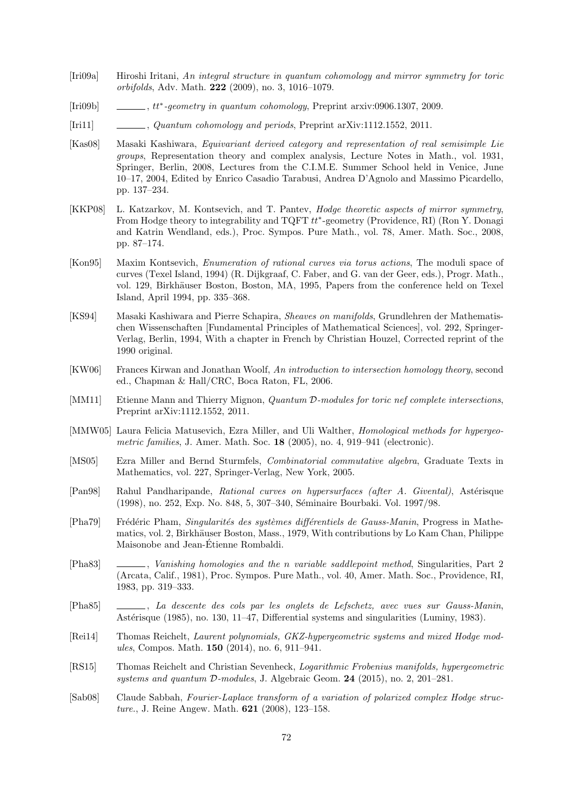- <span id="page-71-9"></span>[Iri09a] Hiroshi Iritani, An integral structure in quantum cohomology and mirror symmetry for toric orbifolds, Adv. Math. 222 (2009), no. 3, 1016–1079.
- <span id="page-71-8"></span> $[Iri09b]$  $\mu$ , tt\*-geometry in quantum cohomology, Preprint arxiv:0906.1307, 2009.
- [Iri11] , Quantum cohomology and periods, Preprint arXiv:1112.1552, 2011.
- [Kas08] Masaki Kashiwara, Equivariant derived category and representation of real semisimple Lie groups, Representation theory and complex analysis, Lecture Notes in Math., vol. 1931, Springer, Berlin, 2008, Lectures from the C.I.M.E. Summer School held in Venice, June 10–17, 2004, Edited by Enrico Casadio Tarabusi, Andrea D'Agnolo and Massimo Picardello, pp. 137–234.
- <span id="page-71-6"></span>[KKP08] L. Katzarkov, M. Kontsevich, and T. Pantev, *Hodge theoretic aspects of mirror symmetry*, From Hodge theory to integrability and TQFT  $tt^*$ -geometry (Providence, RI) (Ron Y. Donagi and Katrin Wendland, eds.), Proc. Sympos. Pure Math., vol. 78, Amer. Math. Soc., 2008, pp. 87–174.
- <span id="page-71-3"></span>[Kon95] Maxim Kontsevich, Enumeration of rational curves via torus actions, The moduli space of curves (Texel Island, 1994) (R. Dijkgraaf, C. Faber, and G. van der Geer, eds.), Progr. Math., vol. 129, Birkhäuser Boston, Boston, MA, 1995, Papers from the conference held on Texel Island, April 1994, pp. 335–368.
- [KS94] Masaki Kashiwara and Pierre Schapira, Sheaves on manifolds, Grundlehren der Mathematischen Wissenschaften [Fundamental Principles of Mathematical Sciences], vol. 292, Springer-Verlag, Berlin, 1994, With a chapter in French by Christian Houzel, Corrected reprint of the 1990 original.
- [KW06] Frances Kirwan and Jonathan Woolf, An introduction to intersection homology theory, second ed., Chapman & Hall/CRC, Boca Raton, FL, 2006.
- <span id="page-71-4"></span>[MM11] Etienne Mann and Thierry Mignon, *Quantum D-modules for toric nef complete intersections*, Preprint arXiv:1112.1552, 2011.
- <span id="page-71-5"></span>[MMW05] Laura Felicia Matusevich, Ezra Miller, and Uli Walther, *Homological methods for hypergeo*metric families, J. Amer. Math. Soc. 18 (2005), no. 4, 919–941 (electronic).
- <span id="page-71-2"></span>[MS05] Ezra Miller and Bernd Sturmfels, Combinatorial commutative algebra, Graduate Texts in Mathematics, vol. 227, Springer-Verlag, New York, 2005.
- [Pan98] Rahul Pandharipande, Rational curves on hypersurfaces (after A. Givental), Astérisque (1998), no. 252, Exp. No. 848, 5, 307-340, Séminaire Bourbaki. Vol. 1997/98.
- <span id="page-71-1"></span>[Pha79] Frédéric Pham, Singularités des systèmes différentiels de Gauss-Manin, Progress in Mathematics, vol. 2, Birkhäuser Boston, Mass., 1979, With contributions by Lo Kam Chan, Philippe Maisonobe and Jean-Etienne Rombaldi. ´
- [Pha83] , Vanishing homologies and the n variable saddlepoint method, Singularities, Part 2 (Arcata, Calif., 1981), Proc. Sympos. Pure Math., vol. 40, Amer. Math. Soc., Providence, RI, 1983, pp. 319–333.
- [Pha85] , La descente des cols par les onglets de Lefschetz, avec vues sur Gauss-Manin, Astérisque (1985), no. 130, 11–47. Differential systems and singularities (Luminy, 1983).
- [Rei14] Thomas Reichelt, Laurent polynomials, GKZ-hypergeometric systems and mixed Hodge modules, Compos. Math. 150 (2014), no. 6, 911–941.
- <span id="page-71-0"></span>[RS15] Thomas Reichelt and Christian Sevenheck, Logarithmic Frobenius manifolds, hypergeometric systems and quantum D-modules, J. Algebraic Geom. 24 (2015), no. 2, 201–281.
- <span id="page-71-7"></span>[Sab08] Claude Sabbah, Fourier-Laplace transform of a variation of polarized complex Hodge structure., J. Reine Angew. Math. 621 (2008), 123–158.